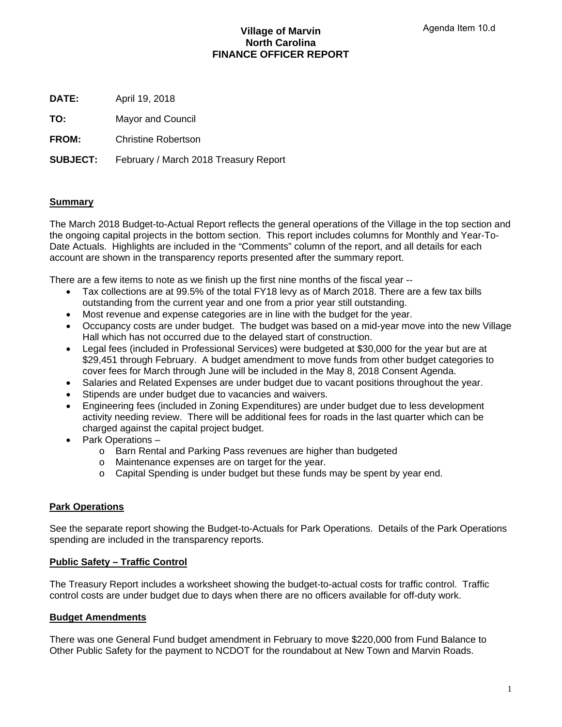# **Village of Marvin North Carolina FINANCE OFFICER REPORT**

**DATE:** April 19, 2018

**TO:** Mayor and Council

**FROM:** Christine Robertson

**SUBJECT:** February / March 2018 Treasury Report

# **Summary**

The March 2018 Budget-to-Actual Report reflects the general operations of the Village in the top section and the ongoing capital projects in the bottom section. This report includes columns for Monthly and Year-To-Date Actuals. Highlights are included in the "Comments" column of the report, and all details for each account are shown in the transparency reports presented after the summary report.

There are a few items to note as we finish up the first nine months of the fiscal year --

- Tax collections are at 99.5% of the total FY18 levy as of March 2018. There are a few tax bills outstanding from the current year and one from a prior year still outstanding.
- Most revenue and expense categories are in line with the budget for the year.
- Occupancy costs are under budget. The budget was based on a mid-year move into the new Village Hall which has not occurred due to the delayed start of construction.
- Legal fees (included in Professional Services) were budgeted at \$30,000 for the year but are at \$29,451 through February. A budget amendment to move funds from other budget categories to cover fees for March through June will be included in the May 8, 2018 Consent Agenda.
- Salaries and Related Expenses are under budget due to vacant positions throughout the year.
- Stipends are under budget due to vacancies and waivers.
- Engineering fees (included in Zoning Expenditures) are under budget due to less development activity needing review. There will be additional fees for roads in the last quarter which can be charged against the capital project budget.
- Park Operations
	- o Barn Rental and Parking Pass revenues are higher than budgeted
	- o Maintenance expenses are on target for the year.
	- o Capital Spending is under budget but these funds may be spent by year end.

# **Park Operations**

See the separate report showing the Budget-to-Actuals for Park Operations. Details of the Park Operations spending are included in the transparency reports.

## **Public Safety – Traffic Control**

The Treasury Report includes a worksheet showing the budget-to-actual costs for traffic control. Traffic control costs are under budget due to days when there are no officers available for off-duty work.

# **Budget Amendments**

There was one General Fund budget amendment in February to move \$220,000 from Fund Balance to Other Public Safety for the payment to NCDOT for the roundabout at New Town and Marvin Roads.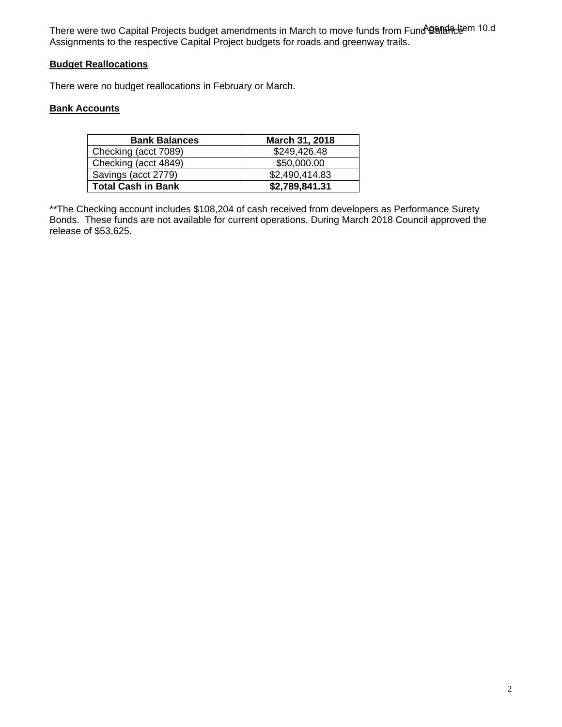There were two Capital Projects budget amendments in March to move funds from Fund BanancLtem 10.d Assignments to the respective Capital Project budgets for roads and greenway trails.

# **Budget Reallocations**

There were no budget reallocations in February or March.

# **Bank Accounts**

| <b>Bank Balances</b>      | March 31, 2018 |
|---------------------------|----------------|
| Checking (acct 7089)      | \$249,426.48   |
| Checking (acct 4849)      | \$50,000.00    |
| Savings (acct 2779)       | \$2,490,414.83 |
| <b>Total Cash in Bank</b> | \$2,789,841.31 |

\*\*The Checking account includes \$108,204 of cash received from developers as Performance Surety Bonds. These funds are not available for current operations. During March 2018 Council approved the release of \$53,625.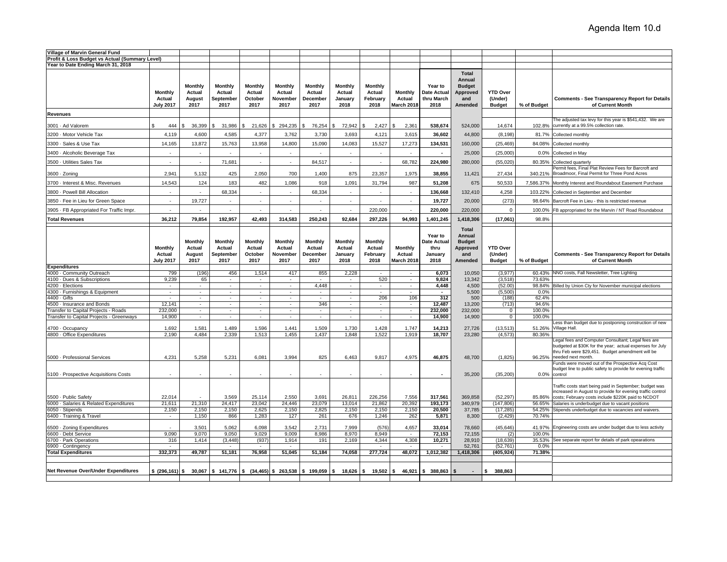| Village of Marvin General Fund                                                   |                                              |                                                                                       |                                               |                                             |                                              |                                              |                                             |                                                            |                                               |                                                     |                                                                       |                                             |                  |                                                                                                                                                                                                                                                    |
|----------------------------------------------------------------------------------|----------------------------------------------|---------------------------------------------------------------------------------------|-----------------------------------------------|---------------------------------------------|----------------------------------------------|----------------------------------------------|---------------------------------------------|------------------------------------------------------------|-----------------------------------------------|-----------------------------------------------------|-----------------------------------------------------------------------|---------------------------------------------|------------------|----------------------------------------------------------------------------------------------------------------------------------------------------------------------------------------------------------------------------------------------------|
| Profit & Loss Budget vs Actual (Summary Level)                                   |                                              |                                                                                       |                                               |                                             |                                              |                                              |                                             |                                                            |                                               |                                                     |                                                                       |                                             |                  |                                                                                                                                                                                                                                                    |
| Year to Date Ending March 31, 2018                                               |                                              |                                                                                       |                                               |                                             |                                              |                                              |                                             |                                                            |                                               |                                                     |                                                                       |                                             |                  |                                                                                                                                                                                                                                                    |
|                                                                                  | <b>Monthly</b><br>Actual<br><b>July 2017</b> | <b>Monthly</b><br>Actual<br>August<br>2017                                            | <b>Monthly</b><br>Actual<br>September<br>2017 | <b>Monthly</b><br>Actual<br>October<br>2017 | <b>Monthly</b><br>Actual<br>November<br>2017 | <b>Monthly</b><br>Actual<br>December<br>2017 | <b>Monthly</b><br>Actual<br>January<br>2018 | Monthly<br>Actual<br>February<br>2018                      | Monthly<br>Actual<br>March 2018               | Year to<br><b>Date Actual</b><br>thru March<br>2018 | <b>Total</b><br>Annual<br><b>Budget</b><br>Approved<br>and<br>Amended | <b>YTD Over</b><br>(Under)<br><b>Budget</b> | % of Budget      | <b>Comments - See Transparency Report for Details</b><br>of Current Month                                                                                                                                                                          |
| <b>Revenues</b>                                                                  |                                              |                                                                                       |                                               |                                             |                                              |                                              |                                             |                                                            |                                               |                                                     |                                                                       |                                             |                  |                                                                                                                                                                                                                                                    |
| 3001 · Ad Valorem                                                                | \$<br>444                                    | 36,399<br>- \$                                                                        | 31,986<br>\$                                  | 21,626<br>s.                                | \$294,235                                    | 76,254<br>\$                                 | 72,942<br>-S                                | 2,427                                                      | <b>S</b><br>2,361                             | 538,674                                             | 524,000                                                               | 14,674                                      | 102.8%           | he adjusted tax levy for this year is \$541,432. We are<br>currently at a 99.5% collection rate.                                                                                                                                                   |
| 3200 · Motor Vehicle Tax                                                         | 4,119                                        | 4,600                                                                                 | 4,585                                         | 4,377                                       | 3,762                                        | 3,730                                        | 3,693                                       | 4,121                                                      | 3,615                                         | 36,602                                              | 44,800                                                                | (8, 198)                                    | 81.7%            | Collected monthly                                                                                                                                                                                                                                  |
| 3300 · Sales & Use Tax                                                           | 14,165                                       | 13,872                                                                                | 15,763                                        | 13,958                                      | 14,800                                       | 15,090                                       | 14,083                                      | 15,527                                                     | 17,273                                        | 134,531                                             | 160,000                                                               | (25, 469)                                   | 84.08%           | Collected monthly                                                                                                                                                                                                                                  |
| 3400 · Alcoholic Beverage Tax                                                    | $\sim$                                       | $\sim$                                                                                | $\sim$                                        | $\sim$                                      | $\sim$                                       | $\sim$                                       | $\sim$                                      | $\sim$                                                     | $\sim$                                        | $\sim$                                              | 25,000                                                                | (25,000)                                    | $0.0\%$          | Collected in May                                                                                                                                                                                                                                   |
| 3500 · Utilities Sales Tax                                                       |                                              | ÷                                                                                     | 71.681                                        | ÷                                           | ×.                                           | 84.517                                       | $\omega$                                    | $\sim$                                                     | 68,782                                        | 224,980                                             | 280,000                                                               | (55,020)                                    | 80.35%           | Collected quarterly                                                                                                                                                                                                                                |
| 3600 · Zoning                                                                    | 2,941                                        | 5,132                                                                                 | 425                                           | 2,050                                       | 700                                          | 1,400                                        | 875                                         | 23,357                                                     | 1,975                                         | 38,855                                              | 11,421                                                                | 27,434                                      | 340.21%          | Permit fees, Final Plat Review Fees for Barcroft and<br>Broadmoor, Final Permit for Three Pond Acres                                                                                                                                               |
| 3700 - Interest & Misc. Revenues                                                 | 14,543                                       | 124                                                                                   | 183                                           | 482                                         | 1,086                                        | 918                                          | 1,091                                       | 31,794                                                     | 987                                           | 51,208                                              | 675                                                                   | 50,533                                      | 7,586.37%        | Monthly Interest and Roundabout Easement Purchase                                                                                                                                                                                                  |
| 3800 · Powell Bill Allocation                                                    | in 1                                         | ÷                                                                                     | 68,334                                        | $\sim$                                      | $\sim$                                       | 68,334                                       | ÷.                                          | ÷.                                                         | ×.                                            | 136,668                                             | 132,410                                                               | 4,258                                       | 103.22%          | Collected in September and December                                                                                                                                                                                                                |
| 3850 · Fee in Lieu for Green Space                                               |                                              | 19,727                                                                                |                                               |                                             | ä,                                           |                                              | $\sim$                                      | $\overline{\phantom{a}}$                                   | $\overline{\phantom{a}}$                      | 19,727                                              | 20,000                                                                | (273)                                       | 98.64%           | Barcroft Fee in Lieu - this is restricted revenue                                                                                                                                                                                                  |
| 3905 · FB Appropriated For Traffic Impr.                                         |                                              | ÷.                                                                                    | ×                                             |                                             |                                              |                                              | ÷.                                          | 220,000                                                    |                                               | 220,000                                             | 220,000                                                               | $\mathbf 0$                                 | 100.0%           | FB appropriated for the Marvin / NT Road Roundabout                                                                                                                                                                                                |
| <b>Total Revenues</b>                                                            | 36,212                                       | 79,854                                                                                | 192,957                                       | 42,493                                      | 314,583                                      | 250,243                                      | 92,684                                      | 297,226                                                    | 94,993                                        | 1,401,245                                           | 1,418,306                                                             | (17,061)                                    | 98.8%            |                                                                                                                                                                                                                                                    |
|                                                                                  | Monthly<br>Actual<br><b>July 2017</b>        | Monthly<br>Actual<br>August<br>2017                                                   | <b>Monthly</b><br>Actual<br>September<br>2017 | <b>Monthly</b><br>Actual<br>October<br>2017 | <b>Monthly</b><br>Actual<br>November<br>2017 | <b>Monthly</b><br>Actual<br>December<br>2017 | Monthly<br>Actual<br>January<br>2018        | Monthly<br>Actual<br>February<br>2018                      | <b>Monthly</b><br>Actual<br><b>March 2018</b> | Year to<br>Date Actual<br>thru<br>January<br>2018   | <b>Total</b><br>Annual<br><b>Budget</b><br>Approved<br>and<br>Amended | <b>YTD Over</b><br>(Under)<br><b>Budget</b> | % of Budget      | <b>Comments - See Transparency Report for Details</b><br>of Current Month                                                                                                                                                                          |
| <b>Expenditures</b>                                                              |                                              |                                                                                       |                                               |                                             |                                              |                                              |                                             |                                                            |                                               |                                                     |                                                                       |                                             |                  |                                                                                                                                                                                                                                                    |
| 4000 · Community Outreach                                                        | 799                                          | (196)                                                                                 | 456                                           | 1,514                                       | 417                                          | 855                                          | 2,228                                       | $\sim$                                                     | $\overline{\phantom{a}}$                      | 6,073                                               | 10.050                                                                | (3,977)                                     | 60.43%           | NNO costs, Fall Newsletter, Tree Lighting                                                                                                                                                                                                          |
| 4100 · Dues & Subscriptions                                                      | 9,239                                        | 65                                                                                    | ٠                                             | $\sim$                                      | $\sim$                                       | ۰.                                           | ٠.                                          | 520                                                        | ٠                                             | 9.824                                               | 13.342                                                                | (3,518)                                     | 73.63%           |                                                                                                                                                                                                                                                    |
| 4200 · Elections                                                                 | $\sim$                                       | $\sim$                                                                                | $\sim$                                        | $\sim$                                      | $\sim$                                       | 4,448                                        | $\sim$                                      | $\sim$                                                     | $\sim$                                        | 4,448                                               | 4,500                                                                 | (52.00)                                     | 98.84%           | Billed by Union Cty for November municipal elections                                                                                                                                                                                               |
| 4300 · Furnishings & Equipment                                                   | $\sim$                                       | $\sim$                                                                                | $\sim$                                        | $\sim$                                      | $\sim$                                       | $\sim$                                       | $\sim$                                      | $\sim$                                                     | $\sim$                                        | $\sim$                                              | 5,500                                                                 | (5,500)                                     | 0.0%             |                                                                                                                                                                                                                                                    |
| 4400 · Gifts                                                                     | $\sim$                                       | $\sim$                                                                                | $\sim$                                        | $\sim$<br>÷.                                | $\sim$<br>$\sim$                             | $\sim$                                       | $\sim$                                      | 206                                                        | 106                                           | 312                                                 | 500                                                                   | (188)                                       | 62.4%            |                                                                                                                                                                                                                                                    |
| 4500 · Insurance and Bonds                                                       | 12,141                                       | $\sim$                                                                                | $\mathcal{L}_{\mathcal{A}}$                   |                                             |                                              | 346<br>$\sim$                                | $\sim$<br>$\sim$                            | ÷.                                                         | $\mathcal{L}_{\mathcal{A}}$<br>÷.             | 12,487                                              | 13,200                                                                | (713)                                       | 94.6%            |                                                                                                                                                                                                                                                    |
| Transfer to Capital Projects - Roads<br>Transfer to Capital Projects - Greenways | 232,000<br>14,900                            | $\overline{\phantom{a}}$<br>$\sim$                                                    | $\bullet$<br>$\mathcal{L}_{\mathcal{A}}$      | $\sim$                                      | $\sim$                                       | $\sim$                                       | $\sim$                                      | $\mathcal{L}_{\mathcal{A}}$<br>$\mathcal{L}_{\mathcal{A}}$ | $\overline{\phantom{a}}$                      | 232,000<br>14,900                                   | 232,000<br>14,900                                                     | $\mathbf 0$<br>$\mathbf 0$                  | 100.0%<br>100.0% |                                                                                                                                                                                                                                                    |
| 4700 · Occupancy                                                                 | 1,692                                        | 1,581                                                                                 | 1,489                                         | 1,596                                       | 1,441                                        | 1,509                                        | 1,730                                       | 1,428                                                      | 1,747                                         | 14,213                                              | 27,726                                                                | (13, 513)                                   | 51.26%           | ess than budget due to postponing construction of new<br>Village Hall                                                                                                                                                                              |
| 4800 · Office Expenditures                                                       | 2,190                                        | 4,484                                                                                 | 2,339                                         | 1,513                                       | 1,455                                        | 1,437                                        | 1,848                                       | 1,522                                                      | 1,919                                         | 18,707                                              | 23,280                                                                | (4, 573)                                    | 80.36%           |                                                                                                                                                                                                                                                    |
| 5000 · Professional Services                                                     | 4,231                                        | 5,258                                                                                 | 5,231                                         | 6,081                                       | 3,994                                        | 825                                          | 6,463                                       | 9,817                                                      | 4,975                                         | 46,875                                              | 48,700                                                                | (1,825)                                     |                  | egal fees and Computer Consultant; Legal fees are<br>budgeted at \$30K for the year; actual expenses for July<br>thru Feb were \$29,451. Budget amendment will be<br>96.25% needed next month.<br>Funds were moved out of the Prospective Acq Cost |
| 5100 - Prospective Acquisitions Costs                                            |                                              | $\sim$                                                                                |                                               |                                             |                                              |                                              | $\sim$                                      |                                                            |                                               |                                                     | 35,200                                                                | (35, 200)                                   | 0.0%             | budget line to public safety to provide for evening traffic<br>control                                                                                                                                                                             |
| 5500 · Public Safety                                                             | 22.014<br>21.611                             | $\sim$                                                                                | 3.569<br>24.417                               | 25,114<br>23.042                            | 2,550<br>24.446                              | 3.691                                        | 26,811<br>13.014                            | 226,256<br>21.862                                          | 7,556                                         | 317,561                                             | 369,858                                                               | (52, 297)                                   | 85.86%           | Traffic costs start being paid in September; budget was<br>ncreased in August to provide for evening traffic control<br>costs; February costs include \$220K paid to NCDOT<br>Salaries is underbudget due to vacant positions                      |
| 6000 · Salaries & Related Expenditures                                           | 2,150                                        | 21,310<br>2,150                                                                       | 2,150                                         | 2,625                                       | 2,150                                        | 23,079<br>2,825                              | 2,150                                       | 2,150                                                      | 20,392<br>2,150                               | 193,173<br>20,500                                   | 340,979                                                               | (147, 806)                                  | 56.65%           |                                                                                                                                                                                                                                                    |
| 6050 · Stipends<br>6400 · Training & Travel                                      | $\sim$                                       | 1,150                                                                                 | 866                                           | 1,283                                       | 127                                          | 261                                          | 676                                         | 1,246                                                      | 262                                           | 5,871                                               | 37,785<br>8,300                                                       | (17, 285)<br>(2, 429)                       | 70.74%           | 54.25% Stipends underbudget due to vacancies and waivers                                                                                                                                                                                           |
| 6500 · Zoning Expenditures                                                       |                                              | 3,501                                                                                 | 5,062                                         | 6,098                                       | 3,542                                        | 2,731                                        | 7,999                                       | (576)                                                      | 4,657                                         | 33.014                                              | 78,660                                                                | (45, 646)                                   | 41.97%           | Engineering costs are under budget due to less activity                                                                                                                                                                                            |
| 6600 · Debt Service                                                              | 9.090                                        | 9,070                                                                                 | 9.050                                         | 9,029                                       | 9.009                                        | 8.986                                        | 8,970                                       | 8.949                                                      |                                               | 72,153                                              | 72,155                                                                | (2)                                         | 100.0%           |                                                                                                                                                                                                                                                    |
| 6700 · Park Operations                                                           | 316                                          | 1,414                                                                                 | (3, 448)                                      | (937)                                       | 1,914                                        | 191                                          | 2,169                                       | 4,344                                                      | 4,308                                         | 10,271                                              | 28,910                                                                | (18, 639)                                   |                  | 35.53% See separate report for details of park opearations                                                                                                                                                                                         |
| 6900 · Contingency                                                               |                                              |                                                                                       |                                               |                                             |                                              |                                              |                                             |                                                            |                                               |                                                     | 52,761                                                                | (52, 761)                                   | 0.0%             |                                                                                                                                                                                                                                                    |
| <b>Total Expenditures</b>                                                        | 332,373                                      | 49,787                                                                                | 51,181                                        | 76,958                                      | 51,045                                       | 51,184                                       | 74,058                                      | 277,724                                                    | 48,072                                        | 1,012,382                                           | 1,418,306                                                             | (405, 924)                                  | 71.38%           |                                                                                                                                                                                                                                                    |
| Net Revenue Over/Under Expenditures                                              |                                              | $$ (296,161) \$ $$ 30,067 \$ $$ 141,776 \$ $$ (34,465) \$ $$ 263,538 \$ $$ 199,059 \$ |                                               |                                             |                                              |                                              |                                             | 18,626 \$ 19,502 \$ 46,921                                 |                                               | \$ 388,863                                          | <b>S</b>                                                              | \$<br>388,863                               |                  |                                                                                                                                                                                                                                                    |
|                                                                                  |                                              |                                                                                       |                                               |                                             |                                              |                                              |                                             |                                                            |                                               |                                                     |                                                                       |                                             |                  |                                                                                                                                                                                                                                                    |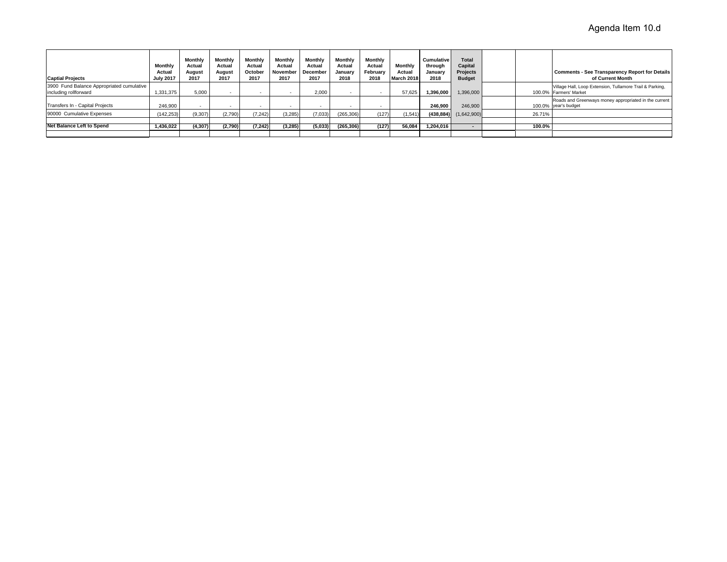| <b>Captial Projects</b>                                            | Monthly<br>Actual<br><b>July 2017</b> | Monthly<br>Actual<br>August<br>2017 | Monthly<br>Actual<br>August<br>2017 | Monthly<br>Actual<br>October<br>2017 | Monthly<br>Actual<br>November<br>2017 | Monthly<br>Actual<br>December<br>2017 | Monthly<br>Actual<br>January<br>2018 | Monthly<br>Actual<br>February<br>2018 | <b>Monthly</b><br>Actual<br>March 2018 | <b>Cumulative</b><br>through<br>January<br>2018 | Total<br>Capital<br>Projects<br><b>Budget</b> |        | <b>Comments - See Transparency Report for Details</b><br>of Current Month          |
|--------------------------------------------------------------------|---------------------------------------|-------------------------------------|-------------------------------------|--------------------------------------|---------------------------------------|---------------------------------------|--------------------------------------|---------------------------------------|----------------------------------------|-------------------------------------------------|-----------------------------------------------|--------|------------------------------------------------------------------------------------|
| 3900 Fund Balance Appropriated cumulative<br>including rollforward | 1,331,375                             | 5,000                               |                                     |                                      |                                       | 2.000                                 |                                      |                                       | 57.625                                 | 1.396.000                                       | ,396,000                                      |        | Village Hall, Loop Extension, Tullamore Trail & Parking,<br>100.0% Farmers' Market |
| Transfers In - Capital Projects                                    | 246,900                               |                                     |                                     |                                      |                                       |                                       |                                      |                                       |                                        | 246.900                                         | 246,900                                       |        | Roads and Greenways money appropriated in the current<br>100.0% vear's budget      |
| 90000 Cumulative Expenses                                          | (142, 253)                            | (9,307)                             | (2,790)                             | (7.242)                              | (3, 285)                              | (7,033)                               | (265, 306)                           | (127)                                 | (1.541)                                | (438, 884)                                      | (1,642,900)                                   | 26.71% |                                                                                    |
|                                                                    |                                       |                                     |                                     |                                      |                                       |                                       |                                      |                                       |                                        |                                                 |                                               |        |                                                                                    |
| <b>Net Balance Left to Spend</b>                                   | 1.436.022                             | (4,307)                             | (2,790)                             | (7, 242)                             | (3, 285)                              | (5,033)                               | (265, 306)                           | (127)                                 | 56.084                                 | 1.204.016                                       |                                               | 100.0% |                                                                                    |
|                                                                    |                                       |                                     |                                     |                                      |                                       |                                       |                                      |                                       |                                        |                                                 |                                               |        |                                                                                    |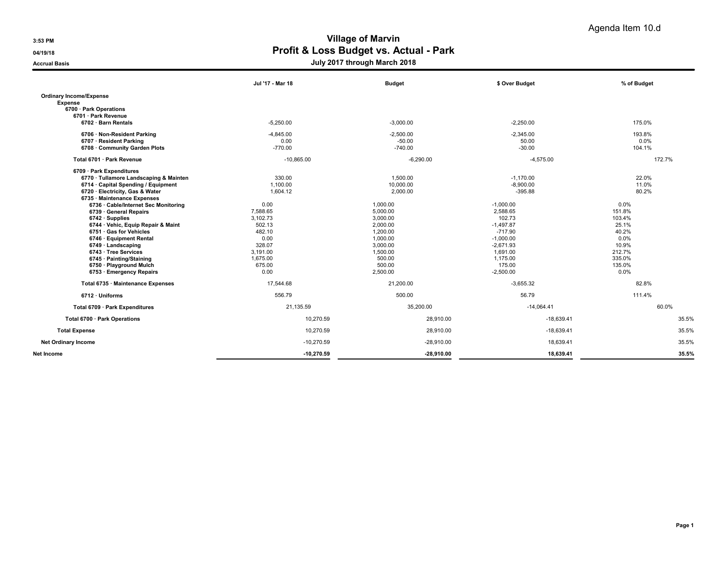04/19/18 **Profit & Loss Budget vs. Actual - Park** 

|                                        | Jul '17 - Mar 18 | <b>Budget</b> | \$ Over Budget | % of Budget |
|----------------------------------------|------------------|---------------|----------------|-------------|
| <b>Ordinary Income/Expense</b>         |                  |               |                |             |
| <b>Expense</b>                         |                  |               |                |             |
| 6700 · Park Operations                 |                  |               |                |             |
| 6701 · Park Revenue                    |                  |               |                |             |
| 6702 · Barn Rentals                    | $-5,250.00$      | $-3,000.00$   | $-2,250.00$    | 175.0%      |
| 6706 · Non-Resident Parking            | $-4,845.00$      | $-2,500.00$   | $-2,345.00$    | 193.8%      |
| 6707 · Resident Parking                | 0.00             | $-50.00$      | 50.00          | 0.0%        |
| 6708 · Community Garden Plots          | $-770.00$        | $-740.00$     | $-30.00$       | 104.1%      |
| Total 6701 · Park Revenue              | $-10,865.00$     | $-6,290.00$   | $-4,575.00$    | 172.7%      |
| 6709 · Park Expenditures               |                  |               |                |             |
| 6770 · Tullamore Landscaping & Mainten | 330.00           | 1,500.00      | $-1,170.00$    | 22.0%       |
| 6714 · Capital Spending / Equipment    | 1.100.00         | 10,000.00     | $-8,900.00$    | 11.0%       |
| 6720 · Electricity, Gas & Water        | 1.604.12         | 2,000.00      | $-395.88$      | 80.2%       |
| 6735 · Maintenance Expenses            |                  |               |                |             |
| 6736 · Cable/Internet Sec Monitoring   | 0.00             | 1,000.00      | $-1,000.00$    | $0.0\%$     |
| 6739 · General Repairs                 | 7,588.65         | 5,000.00      | 2,588.65       | 151.8%      |
| $6742 \cdot$ Supplies                  | 3,102.73         | 3,000.00      | 102.73         | 103.4%      |
| 6744 · Vehic, Equip Repair & Maint     | 502.13           | 2,000.00      | $-1,497.87$    | 25.1%       |
| 6751 · Gas for Vehicles                | 482.10           | 1,200.00      | $-717.90$      | 40.2%       |
| 6746 · Equipment Rental                | 0.00             | 1,000.00      | $-1,000.00$    | 0.0%        |
| 6749 · Landscaping                     | 328.07           | 3,000.00      | $-2,671.93$    | 10.9%       |
| 6743 · Tree Services                   | 3,191.00         | 1,500.00      | 1,691.00       | 212.7%      |
| 6745 · Painting/Staining               | 1,675.00         | 500.00        | 1,175.00       | 335.0%      |
| 6750 · Playground Mulch                | 675.00           | 500.00        | 175.00         | 135.0%      |
| 6753 · Emergency Repairs               | 0.00             | 2,500.00      | $-2,500.00$    | $0.0\%$     |
| Total 6735 · Maintenance Expenses      | 17.544.68        | 21,200.00     | $-3,655.32$    | 82.8%       |
| 6712 · Uniforms                        | 556.79           | 500.00        | 56.79          | 111.4%      |
| Total 6709 · Park Expenditures         | 21,135.59        | 35,200.00     | $-14,064.41$   | 60.0%       |
| Total 6700 · Park Operations           | 10,270.59        | 28,910.00     | $-18,639.41$   | 35.5%       |
| <b>Total Expense</b>                   | 10,270.59        | 28,910.00     | $-18,639.41$   | 35.5%       |
| <b>Net Ordinary Income</b>             | $-10,270.59$     | $-28,910.00$  | 18,639.41      | 35.5%       |
| Net Income                             | $-10.270.59$     | $-28.910.00$  | 18.639.41      | 35.5%       |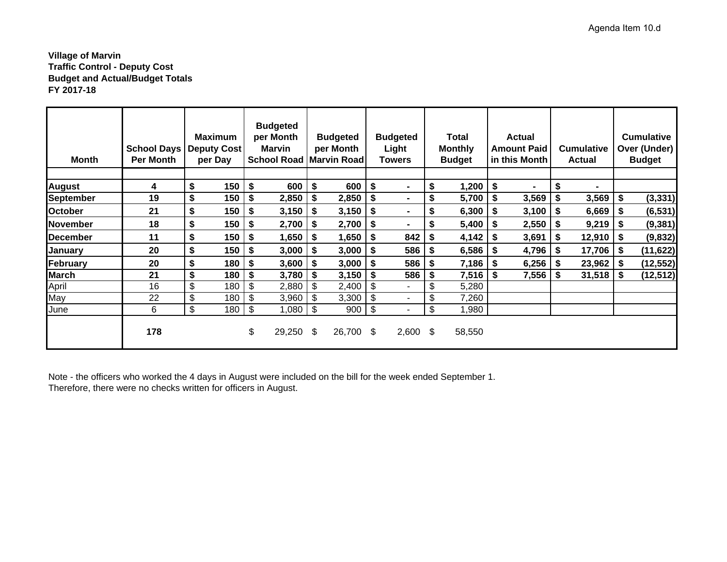## **Village of Marvin Traffic Control - Deputy Cost Budget and Actual/Budget Totals FY 2017-18**

| Month            | <b>School Days</b><br><b>Per Month</b> | <b>Maximum</b><br><b>Deputy Cost</b><br>per Day | <b>Budgeted</b><br>per Month<br>Marvin<br><b>School Road Marvin Road</b> |      | <b>Budgeted</b><br>per Month | <b>Budgeted</b><br>Light<br>Towers | Total<br><b>Monthly</b><br><b>Budget</b> |           | <b>Actual</b><br><b>Amount Paid</b><br>in this Month |     | <b>Cumulative</b><br><b>Actual</b> |      | <b>Cumulative</b><br>Over (Under)<br><b>Budget</b> |
|------------------|----------------------------------------|-------------------------------------------------|--------------------------------------------------------------------------|------|------------------------------|------------------------------------|------------------------------------------|-----------|------------------------------------------------------|-----|------------------------------------|------|----------------------------------------------------|
| <b>August</b>    | 4                                      | \$<br>150                                       | \$<br>600                                                                | \$   | 600                          | \$<br>$\blacksquare$               | \$<br>1,200                              | <b>\$</b> | $\blacksquare$                                       |     | $\blacksquare$                     |      |                                                    |
| <b>September</b> | 19                                     | \$<br>150                                       | \$<br>2,850                                                              | - \$ | 2,850                        | \$<br>$\blacksquare$               | \$<br>5,700                              | \$        | $3,569$ \$                                           |     | 3,569                              | S.   | (3, 331)                                           |
| <b>October</b>   | 21                                     | \$<br>150                                       | \$<br>$3,150$   \$                                                       |      | $3,150$ \$                   | $\blacksquare$                     | \$<br>6,300                              | -\$       | $3,100$ \ \$                                         |     | 6,669                              | - 56 | (6, 531)                                           |
| November         | 18                                     | \$<br>150                                       | \$<br>$2,700$   \$                                                       |      | $2,700$ \$                   | $\blacksquare$                     | \$<br>5,400                              | \$        | $2,550$   \$                                         |     | 9,219                              | - \$ | (9, 381)                                           |
| <b>December</b>  | 11                                     | \$<br>150                                       | \$<br>$1,650$   \$                                                       |      | $1,650$ \$                   | $842$ \ \$                         | 4,142                                    | S         | 3,691                                                | \$  | $12,910$ \$                        |      | (9, 832)                                           |
| January          | 20                                     | \$<br>150                                       | \$<br>$3,000$   \$                                                       |      | $3,000$   \$                 | $586$   \$                         | 6,586                                    | S         | $4,796$ \$                                           |     | 17,706                             | -\$  | (11, 622)                                          |
| February         | 20                                     | \$<br>180                                       | \$<br>$3,600$   \$                                                       |      | 3,000                        | \$<br>$586$   \$                   | 7,186                                    | S         | $6,256$ \$                                           |     | 23,962                             | S.   | (12, 552)                                          |
| <b>March</b>     | 21                                     | \$<br>180                                       | \$<br>3,780                                                              |      | 3,150                        | $586$ \ \$                         | 7,516                                    | S         | 7,556                                                | -\$ | 31,518                             | S    | (12, 512)                                          |
| April            | 16                                     | \$<br>180                                       | \$<br>2,880                                                              |      | 2,400                        | \$<br>۰.                           | \$<br>5,280                              |           |                                                      |     |                                    |      |                                                    |
| May              | 22                                     | \$<br>180                                       | \$<br>3,960                                                              | \$   | 3,300                        | \$<br>۰                            | \$<br>7,260                              |           |                                                      |     |                                    |      |                                                    |
| <b>June</b>      | 6                                      | \$<br>180                                       | \$<br>1,080                                                              | \$   | $900$ \$                     | ٠                                  | \$<br>1,980                              |           |                                                      |     |                                    |      |                                                    |
|                  | 178                                    |                                                 | \$<br>29,250 \$                                                          |      | 26,700 \$                    | $2,600$ \$                         | 58,550                                   |           |                                                      |     |                                    |      |                                                    |

Note - the officers who worked the 4 days in August were included on the bill for the week ended September 1. Therefore, there were no checks written for officers in August.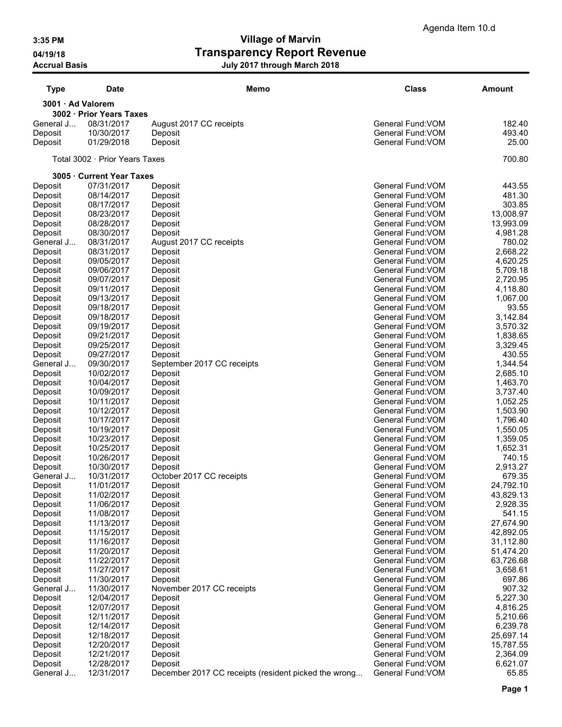| <b>Type</b>        | Date                           | <b>Memo</b>                                          | <b>Class</b>                           | <b>Amount</b>        |
|--------------------|--------------------------------|------------------------------------------------------|----------------------------------------|----------------------|
| 3001 · Ad Valorem  |                                |                                                      |                                        |                      |
|                    | 3002 · Prior Years Taxes       |                                                      |                                        |                      |
| General J          | 08/31/2017                     | August 2017 CC receipts                              | General Fund: VOM                      | 182.40               |
| Deposit            | 10/30/2017                     | Deposit                                              | General Fund: VOM                      | 493.40               |
| Deposit            | 01/29/2018                     | Deposit                                              | General Fund: VOM                      | 25.00                |
|                    | Total 3002 · Prior Years Taxes |                                                      |                                        | 700.80               |
|                    | 3005 · Current Year Taxes      |                                                      |                                        |                      |
| Deposit            | 07/31/2017                     | Deposit                                              | General Fund: VOM                      | 443.55               |
| Deposit            | 08/14/2017<br>08/17/2017       | Deposit                                              | General Fund: VOM<br>General Fund: VOM | 481.30<br>303.85     |
| Deposit<br>Deposit | 08/23/2017                     | Deposit<br>Deposit                                   | General Fund: VOM                      | 13,008.97            |
| Deposit            | 08/28/2017                     | Deposit                                              | General Fund: VOM                      | 13,993.09            |
| Deposit            | 08/30/2017                     | Deposit                                              | General Fund: VOM                      | 4,981.28             |
| General J          | 08/31/2017                     | August 2017 CC receipts                              | General Fund: VOM                      | 780.02               |
| Deposit            | 08/31/2017                     | Deposit                                              | General Fund: VOM                      | 2,668.22             |
| Deposit            | 09/05/2017                     | Deposit                                              | General Fund: VOM                      | 4,620.25             |
| Deposit            | 09/06/2017                     | Deposit                                              | General Fund: VOM                      | 5,709.18             |
| Deposit            | 09/07/2017                     | Deposit                                              | General Fund: VOM                      | 2,720.95             |
| Deposit            | 09/11/2017                     | Deposit                                              | General Fund: VOM                      | 4,118.80             |
| Deposit            | 09/13/2017                     | Deposit                                              | General Fund: VOM                      | 1,067.00             |
| Deposit            | 09/18/2017                     | Deposit                                              | General Fund: VOM                      | 93.55                |
| Deposit            | 09/18/2017                     | Deposit                                              | General Fund: VOM<br>General Fund: VOM | 3,142.84             |
| Deposit<br>Deposit | 09/19/2017<br>09/21/2017       | Deposit<br>Deposit                                   | General Fund: VOM                      | 3,570.32<br>1,838.65 |
| Deposit            | 09/25/2017                     | Deposit                                              | General Fund: VOM                      | 3,329.45             |
| Deposit            | 09/27/2017                     | Deposit                                              | General Fund: VOM                      | 430.55               |
| General J          | 09/30/2017                     | September 2017 CC receipts                           | General Fund: VOM                      | 1,344.54             |
| Deposit            | 10/02/2017                     | Deposit                                              | General Fund: VOM                      | 2,685.10             |
| Deposit            | 10/04/2017                     | Deposit                                              | General Fund: VOM                      | 1,463.70             |
| Deposit            | 10/09/2017                     | Deposit                                              | General Fund: VOM                      | 3,737.40             |
| Deposit            | 10/11/2017                     | Deposit                                              | General Fund: VOM                      | 1,052.25             |
| Deposit            | 10/12/2017                     | Deposit                                              | General Fund: VOM                      | 1,503.90             |
| Deposit            | 10/17/2017                     | Deposit                                              | General Fund: VOM                      | 1,796.40             |
| Deposit            | 10/19/2017                     | Deposit                                              | General Fund: VOM                      | 1,550.05             |
| Deposit            | 10/23/2017                     | Deposit                                              | General Fund: VOM<br>General Fund: VOM | 1,359.05             |
| Deposit<br>Deposit | 10/25/2017<br>10/26/2017       | Deposit<br>Deposit                                   | General Fund: VOM                      | 1,652.31<br>740.15   |
| Deposit            | 10/30/2017                     | Deposit                                              | General Fund: VOM                      | 2,913.27             |
| General J          | 10/31/2017                     | October 2017 CC receipts                             | General Fund:VOM                       | 679.35               |
| Deposit            | 11/01/2017                     | Deposit                                              | General Fund:VOM                       | 24,792.10            |
| Deposit            | 11/02/2017                     | Deposit                                              | General Fund: VOM                      | 43,829.13            |
| Deposit            | 11/06/2017                     | Deposit                                              | General Fund: VOM                      | 2,928.35             |
| Deposit            | 11/08/2017                     | Deposit                                              | General Fund: VOM                      | 541.15               |
| Deposit            | 11/13/2017                     | Deposit                                              | General Fund: VOM                      | 27,674.90            |
| Deposit            | 11/15/2017                     | Deposit                                              | General Fund: VOM                      | 42,892.05            |
| Deposit            | 11/16/2017                     | Deposit                                              | General Fund: VOM                      | 31,112.80            |
| Deposit            | 11/20/2017                     | Deposit                                              | General Fund: VOM                      | 51,474.20            |
| Deposit            | 11/22/2017<br>11/27/2017       | Deposit                                              | General Fund: VOM<br>General Fund: VOM | 63,726.68            |
| Deposit<br>Deposit | 11/30/2017                     | Deposit<br>Deposit                                   | General Fund: VOM                      | 3,658.61<br>697.86   |
| General J          | 11/30/2017                     | November 2017 CC receipts                            | General Fund: VOM                      | 907.32               |
| Deposit            | 12/04/2017                     | Deposit                                              | General Fund: VOM                      | 5,227.30             |
| Deposit            | 12/07/2017                     | Deposit                                              | General Fund: VOM                      | 4,816.25             |
| Deposit            | 12/11/2017                     | Deposit                                              | General Fund: VOM                      | 5,210.66             |
| Deposit            | 12/14/2017                     | Deposit                                              | General Fund: VOM                      | 6,239.78             |
| Deposit            | 12/18/2017                     | Deposit                                              | General Fund: VOM                      | 25,697.14            |
| Deposit            | 12/20/2017                     | Deposit                                              | General Fund: VOM                      | 15,787.55            |
| Deposit            | 12/21/2017                     | Deposit                                              | General Fund: VOM                      | 2,364.09             |
| Deposit            | 12/28/2017                     | Deposit                                              | General Fund: VOM                      | 6,621.07             |
| General J          | 12/31/2017                     | December 2017 CC receipts (resident picked the wrong | General Fund: VOM                      | 65.85                |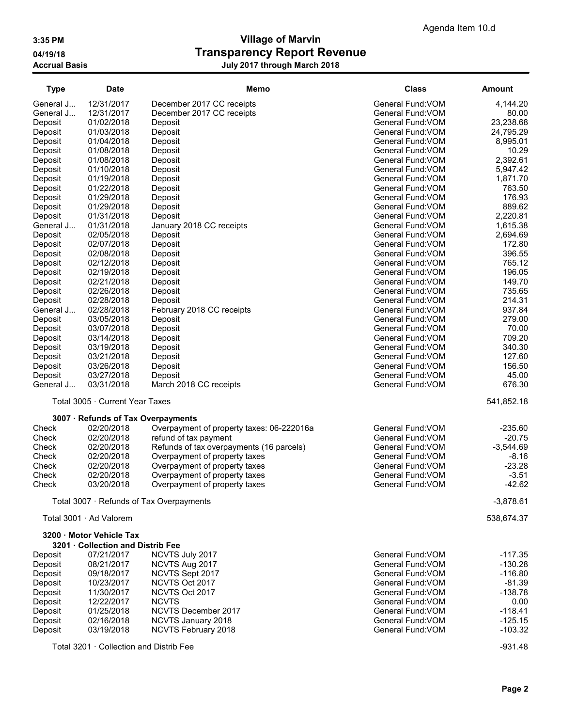| <b>Type</b>          | <b>Date</b>                             | <b>Memo</b>                               | <b>Class</b>                           | Amount             |
|----------------------|-----------------------------------------|-------------------------------------------|----------------------------------------|--------------------|
| General J            | 12/31/2017                              | December 2017 CC receipts                 | General Fund: VOM                      | 4,144.20           |
| General J            | 12/31/2017                              | December 2017 CC receipts                 | General Fund: VOM                      | 80.00              |
| Deposit              | 01/02/2018                              | Deposit                                   | General Fund: VOM                      | 23,238.68          |
| Deposit              | 01/03/2018                              | Deposit                                   | General Fund: VOM                      | 24,795.29          |
| Deposit              | 01/04/2018                              | Deposit                                   | General Fund: VOM                      | 8,995.01           |
| Deposit              | 01/08/2018                              | Deposit                                   | General Fund: VOM                      | 10.29              |
| Deposit              | 01/08/2018                              | Deposit                                   | General Fund: VOM                      | 2,392.61           |
| Deposit              | 01/10/2018                              | Deposit                                   | General Fund: VOM                      | 5,947.42           |
| Deposit              | 01/19/2018                              | Deposit                                   | General Fund: VOM                      | 1,871.70           |
| Deposit              | 01/22/2018                              | Deposit                                   | General Fund: VOM                      | 763.50             |
| Deposit              | 01/29/2018                              | Deposit                                   | General Fund: VOM                      | 176.93             |
| Deposit              | 01/29/2018                              | Deposit                                   | General Fund: VOM                      | 889.62<br>2,220.81 |
| Deposit<br>General J | 01/31/2018<br>01/31/2018                | Deposit<br>January 2018 CC receipts       | General Fund: VOM<br>General Fund: VOM | 1,615.38           |
| Deposit              | 02/05/2018                              | Deposit                                   | General Fund: VOM                      | 2,694.69           |
| Deposit              | 02/07/2018                              | Deposit                                   | General Fund: VOM                      | 172.80             |
| Deposit              | 02/08/2018                              | Deposit                                   | General Fund: VOM                      | 396.55             |
| Deposit              | 02/12/2018                              | Deposit                                   | General Fund: VOM                      | 765.12             |
| Deposit              | 02/19/2018                              | Deposit                                   | General Fund: VOM                      | 196.05             |
| Deposit              | 02/21/2018                              | Deposit                                   | General Fund: VOM                      | 149.70             |
| Deposit              | 02/26/2018                              | Deposit                                   | General Fund: VOM                      | 735.65             |
| Deposit              | 02/28/2018                              | Deposit                                   | General Fund: VOM                      | 214.31             |
| General J            | 02/28/2018                              | February 2018 CC receipts                 | General Fund: VOM                      | 937.84             |
| Deposit              | 03/05/2018                              | Deposit                                   | General Fund: VOM                      | 279.00             |
| Deposit              | 03/07/2018                              | Deposit                                   | General Fund: VOM                      | 70.00              |
| Deposit              | 03/14/2018                              | Deposit                                   | General Fund: VOM                      | 709.20             |
| Deposit              | 03/19/2018                              | Deposit                                   | General Fund: VOM                      | 340.30             |
| Deposit              | 03/21/2018                              | Deposit                                   | General Fund: VOM                      | 127.60             |
| Deposit              | 03/26/2018                              | Deposit                                   | General Fund: VOM                      | 156.50             |
| Deposit              | 03/27/2018                              | Deposit                                   | General Fund: VOM                      | 45.00              |
| General J            | 03/31/2018                              | March 2018 CC receipts                    | General Fund: VOM                      | 676.30             |
|                      | Total 3005 · Current Year Taxes         |                                           |                                        | 541,852.18         |
|                      | 3007 · Refunds of Tax Overpayments      |                                           |                                        |                    |
| Check                | 02/20/2018                              | Overpayment of property taxes: 06-222016a | General Fund: VOM                      | $-235.60$          |
| Check                | 02/20/2018                              | refund of tax payment                     | General Fund: VOM                      | $-20.75$           |
| Check                | 02/20/2018                              | Refunds of tax overpayments (16 parcels)  | General Fund: VOM                      | $-3,544.69$        |
| Check                | 02/20/2018                              | Overpayment of property taxes             | General Fund: VOM                      | $-8.16$            |
| Check                | 02/20/2018                              | Overpayment of property taxes             | General Fund: VOM                      | $-23.28$           |
| Check                | 02/20/2018                              | Overpayment of property taxes             | General Fund:VOM                       | $-3.51$            |
| Check                | 03/20/2018                              | Overpayment of property taxes             | General Fund: VOM                      | -42.62             |
|                      |                                         | Total 3007 · Refunds of Tax Overpayments  |                                        | $-3,878.61$        |
|                      | Total 3001 · Ad Valorem                 |                                           |                                        | 538,674.37         |
|                      | 3200 Motor Vehicle Tax                  |                                           |                                        |                    |
|                      | 3201 · Collection and Distrib Fee       |                                           |                                        |                    |
| Deposit              | 07/21/2017                              | NCVTS July 2017                           | General Fund: VOM                      | $-117.35$          |
| Deposit              | 08/21/2017                              | NCVTS Aug 2017                            | General Fund: VOM                      | $-130.28$          |
| Deposit              | 09/18/2017                              | NCVTS Sept 2017                           | General Fund: VOM                      | $-116.80$          |
| Deposit              | 10/23/2017                              | NCVTS Oct 2017                            | General Fund: VOM                      | $-81.39$           |
| Deposit              | 11/30/2017<br>12/22/2017                | NCVTS Oct 2017<br><b>NCVTS</b>            | General Fund: VOM<br>General Fund: VOM | $-138.78$<br>0.00  |
| Deposit              | 01/25/2018                              | NCVTS December 2017                       | General Fund: VOM                      | $-118.41$          |
| Deposit              | 02/16/2018                              |                                           | General Fund: VOM                      | $-125.15$          |
| Deposit<br>Deposit   | 03/19/2018                              | NCVTS January 2018<br>NCVTS February 2018 | General Fund: VOM                      | $-103.32$          |
|                      |                                         |                                           |                                        |                    |
|                      | Total 3201 · Collection and Distrib Fee |                                           |                                        | $-931.48$          |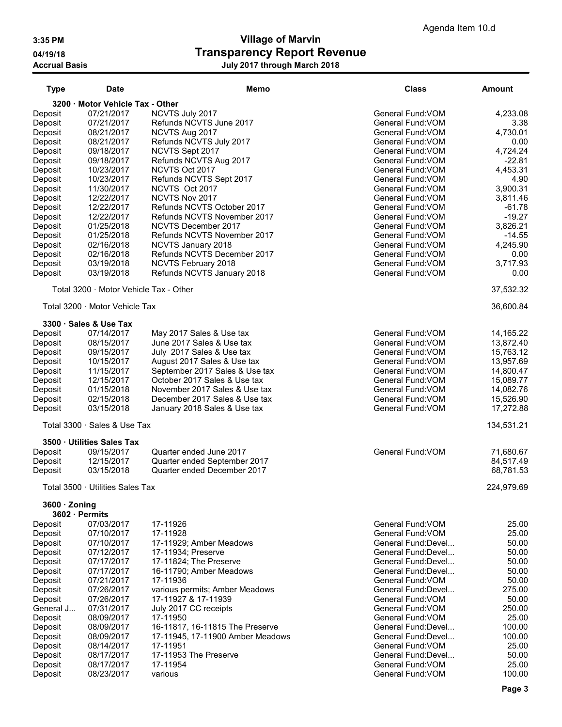| <b>Type</b>         | <b>Date</b>                            | Memo<br><b>Class</b>                                        |                                          | <b>Amount</b>        |
|---------------------|----------------------------------------|-------------------------------------------------------------|------------------------------------------|----------------------|
|                     | 3200 · Motor Vehicle Tax - Other       |                                                             |                                          |                      |
| Deposit             | 07/21/2017                             | NCVTS July 2017                                             | General Fund: VOM                        | 4,233.08             |
| Deposit             | 07/21/2017                             | Refunds NCVTS June 2017                                     | General Fund: VOM                        | 3.38                 |
| Deposit             | 08/21/2017                             | NCVTS Aug 2017                                              | General Fund: VOM                        | 4,730.01             |
| Deposit             | 08/21/2017                             | Refunds NCVTS July 2017                                     | General Fund: VOM                        | 0.00                 |
| Deposit             | 09/18/2017<br>09/18/2017               | NCVTS Sept 2017<br>Refunds NCVTS Aug 2017                   | General Fund: VOM<br>General Fund: VOM   | 4,724.24<br>$-22.81$ |
| Deposit<br>Deposit  | 10/23/2017                             | NCVTS Oct 2017                                              | General Fund: VOM                        | 4,453.31             |
| Deposit             | 10/23/2017                             | Refunds NCVTS Sept 2017                                     | General Fund: VOM                        | 4.90                 |
| Deposit             | 11/30/2017                             | NCVTS Oct 2017                                              | General Fund: VOM                        | 3,900.31             |
| Deposit             | 12/22/2017                             | NCVTS Nov 2017                                              | General Fund: VOM                        | 3,811.46             |
| Deposit             | 12/22/2017                             | Refunds NCVTS October 2017                                  | General Fund: VOM                        | $-61.78$             |
| Deposit             | 12/22/2017                             | Refunds NCVTS November 2017                                 | General Fund: VOM                        | $-19.27$             |
| Deposit             | 01/25/2018                             | NCVTS December 2017                                         | General Fund: VOM                        | 3,826.21             |
| Deposit             | 01/25/2018                             | Refunds NCVTS November 2017                                 | General Fund: VOM                        | $-14.55$             |
| Deposit             | 02/16/2018<br>02/16/2018               | NCVTS January 2018<br>Refunds NCVTS December 2017           | General Fund: VOM<br>General Fund: VOM   | 4,245.90<br>0.00     |
| Deposit<br>Deposit  | 03/19/2018                             | NCVTS February 2018                                         | General Fund: VOM                        | 3,717.93             |
| Deposit             | 03/19/2018                             | Refunds NCVTS January 2018                                  | General Fund: VOM                        | 0.00                 |
|                     | Total 3200 · Motor Vehicle Tax - Other |                                                             |                                          | 37,532.32            |
|                     | Total 3200 Motor Vehicle Tax           |                                                             |                                          |                      |
|                     |                                        |                                                             |                                          | 36,600.84            |
| Deposit             | 3300 · Sales & Use Tax<br>07/14/2017   | May 2017 Sales & Use tax                                    | General Fund: VOM                        | 14,165.22            |
| Deposit             | 08/15/2017                             | June 2017 Sales & Use tax                                   | General Fund: VOM                        | 13,872.40            |
| Deposit             | 09/15/2017                             | July 2017 Sales & Use tax                                   | General Fund: VOM                        | 15,763.12            |
| Deposit             | 10/15/2017                             | August 2017 Sales & Use tax                                 | General Fund: VOM                        | 13,957.69            |
| Deposit             | 11/15/2017                             | September 2017 Sales & Use tax                              | General Fund: VOM                        | 14,800.47            |
| Deposit             | 12/15/2017                             | October 2017 Sales & Use tax                                | General Fund: VOM                        | 15,089.77            |
| Deposit             | 01/15/2018                             | November 2017 Sales & Use tax                               | General Fund: VOM                        | 14,082.76            |
| Deposit             | 02/15/2018                             | December 2017 Sales & Use tax                               | General Fund: VOM                        | 15,526.90            |
| Deposit             | 03/15/2018                             | January 2018 Sales & Use tax                                | General Fund: VOM                        | 17,272.88            |
|                     | Total 3300 · Sales & Use Tax           |                                                             |                                          | 134,531.21           |
|                     | 3500 · Utilities Sales Tax             |                                                             |                                          |                      |
| Deposit             | 09/15/2017                             | Quarter ended June 2017                                     | General Fund: VOM                        | 71,680.67            |
| Deposit             | 12/15/2017                             | Quarter ended September 2017<br>Quarter ended December 2017 |                                          | 84,517.49            |
| Deposit             | 03/15/2018                             |                                                             |                                          | 68,781.53            |
|                     | Total 3500 · Utilities Sales Tax       |                                                             |                                          | 224,979.69           |
| $3600 \cdot$ Zoning | 3602 · Permits                         |                                                             |                                          |                      |
| Deposit             | 07/03/2017                             | 17-11926                                                    | General Fund: VOM                        | 25.00                |
| Deposit             | 07/10/2017                             | 17-11928                                                    | General Fund: VOM                        | 25.00                |
| Deposit             | 07/10/2017                             | 17-11929; Amber Meadows                                     | General Fund: Devel                      | 50.00                |
| Deposit             | 07/12/2017                             | 17-11934; Preserve                                          | General Fund:Devel                       | 50.00                |
| Deposit             | 07/17/2017                             | 17-11824; The Preserve                                      | General Fund:Devel                       | 50.00                |
| Deposit<br>Deposit  | 07/17/2017<br>07/21/2017               | 16-11790; Amber Meadows<br>17-11936                         | General Fund: Devel<br>General Fund: VOM | 50.00<br>50.00       |
| Deposit             | 07/26/2017                             | various permits; Amber Meadows                              | General Fund:Devel                       | 275.00               |
| Deposit             | 07/26/2017                             | 17-11927 & 17-11939                                         | General Fund: VOM                        | 50.00                |
| General J           | 07/31/2017                             | July 2017 CC receipts                                       | General Fund: VOM                        | 250.00               |
| Deposit             | 08/09/2017                             | 17-11950                                                    | General Fund: VOM                        | 25.00                |
| Deposit             | 08/09/2017                             | 16-11817, 16-11815 The Preserve                             | General Fund: Devel                      | 100.00               |
| Deposit             | 08/09/2017                             | 17-11945, 17-11900 Amber Meadows                            | General Fund: Devel                      | 100.00               |
| Deposit             | 08/14/2017                             | 17-11951                                                    | General Fund: VOM                        | 25.00                |
| Deposit<br>Deposit  | 08/17/2017<br>08/17/2017               | 17-11953 The Preserve<br>17-11954                           | General Fund:Devel<br>General Fund: VOM  | 50.00<br>25.00       |
| Deposit             | 08/23/2017                             | various                                                     | General Fund: VOM                        | 100.00               |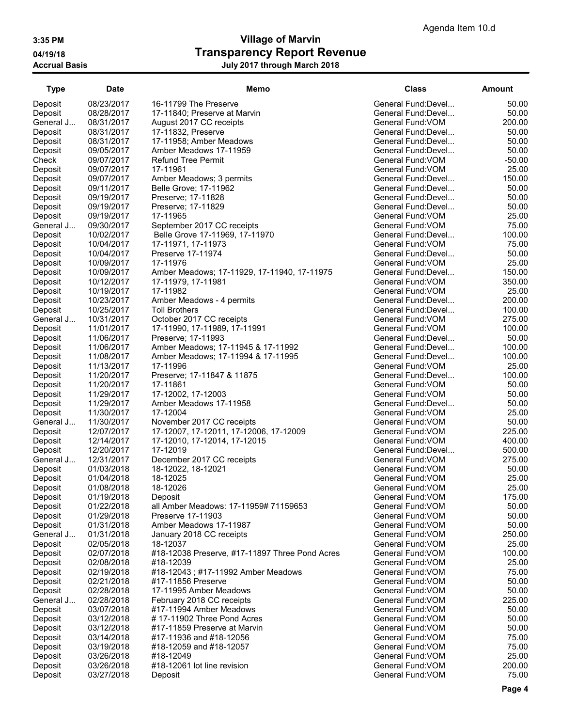| <b>Type</b>        | Date                     | Memo                                               | <b>Class</b>                             | Amount           |
|--------------------|--------------------------|----------------------------------------------------|------------------------------------------|------------------|
| Deposit            | 08/23/2017               | 16-11799 The Preserve                              | General Fund:Devel                       | 50.00            |
| Deposit            | 08/28/2017               | 17-11840; Preserve at Marvin                       | General Fund: Devel                      | 50.00            |
| General J          | 08/31/2017               | August 2017 CC receipts                            | General Fund: VOM                        | 200.00           |
| Deposit            | 08/31/2017               | 17-11832, Preserve                                 | General Fund:Devel                       | 50.00            |
| Deposit            | 08/31/2017               | 17-11958; Amber Meadows                            | General Fund: Devel                      | 50.00            |
| Deposit            | 09/05/2017               | Amber Meadows 17-11959                             | General Fund:Devel                       | 50.00            |
| Check              | 09/07/2017               | <b>Refund Tree Permit</b>                          | General Fund: VOM                        | $-50.00$         |
| Deposit            | 09/07/2017               | 17-11961                                           | General Fund: VOM                        | 25.00            |
| Deposit            | 09/07/2017               | Amber Meadows; 3 permits                           | General Fund: Devel                      | 150.00           |
| Deposit            | 09/11/2017               | Belle Grove; 17-11962                              | General Fund: Devel                      | 50.00            |
| Deposit            | 09/19/2017               | Preserve; 17-11828                                 | General Fund: Devel                      | 50.00            |
| Deposit            | 09/19/2017               | Preserve; 17-11829                                 | General Fund: Devel                      | 50.00            |
| Deposit            | 09/19/2017               | 17-11965                                           | General Fund: VOM                        | 25.00            |
| General J          | 09/30/2017               | September 2017 CC receipts                         | General Fund: VOM                        | 75.00            |
| Deposit            | 10/02/2017               | Belle Grove 17-11969, 17-11970                     | General Fund: Devel                      | 100.00           |
| Deposit            | 10/04/2017               | 17-11971, 17-11973                                 | General Fund: VOM                        | 75.00            |
| Deposit            | 10/04/2017               | Preserve 17-11974                                  | General Fund:Devel                       | 50.00            |
| Deposit            | 10/09/2017               | 17-11976                                           | General Fund: VOM                        | 25.00            |
| Deposit            | 10/09/2017               | Amber Meadows; 17-11929, 17-11940, 17-11975        | General Fund:Devel                       | 150.00           |
| Deposit            | 10/12/2017               | 17-11979, 17-11981                                 | General Fund: VOM                        | 350.00           |
| Deposit            | 10/19/2017               | 17-11982                                           | General Fund: VOM<br>General Fund: Devel | 25.00            |
| Deposit            | 10/23/2017               | Amber Meadows - 4 permits                          |                                          | 200.00           |
| Deposit            | 10/25/2017               | Toll Brothers                                      | General Fund: Devel<br>General Fund: VOM | 100.00           |
| General J          | 10/31/2017               | October 2017 CC receipts                           | General Fund: VOM                        | 275.00<br>100.00 |
| Deposit            | 11/01/2017<br>11/06/2017 | 17-11990, 17-11989, 17-11991<br>Preserve; 17-11993 | General Fund: Devel                      | 50.00            |
| Deposit            | 11/06/2017               | Amber Meadows; 17-11945 & 17-11992                 | General Fund: Devel                      | 100.00           |
| Deposit<br>Deposit | 11/08/2017               | Amber Meadows; 17-11994 & 17-11995                 | General Fund: Devel                      | 100.00           |
| Deposit            | 11/13/2017               | 17-11996                                           | General Fund: VOM                        | 25.00            |
| Deposit            | 11/20/2017               | Preserve; 17-11847 & 11875                         | General Fund: Devel                      | 100.00           |
| Deposit            | 11/20/2017               | 17-11861                                           | General Fund: VOM                        | 50.00            |
| Deposit            | 11/29/2017               | 17-12002, 17-12003                                 | General Fund: VOM                        | 50.00            |
| Deposit            | 11/29/2017               | Amber Meadows 17-11958                             | General Fund:Devel                       | 50.00            |
| Deposit            | 11/30/2017               | 17-12004                                           | General Fund: VOM                        | 25.00            |
| General J          | 11/30/2017               | November 2017 CC receipts                          | General Fund: VOM                        | 50.00            |
| Deposit            | 12/07/2017               | 17-12007, 17-12011, 17-12006, 17-12009             | General Fund: VOM                        | 225.00           |
| Deposit            | 12/14/2017               | 17-12010, 17-12014, 17-12015                       | General Fund: VOM                        | 400.00           |
| Deposit            | 12/20/2017               | 17-12019                                           | General Fund: Devel                      | 500.00           |
| General J          | 12/31/2017               | December 2017 CC receipts                          | General Fund: VOM                        | 275.00           |
| Deposit            | 01/03/2018               | 18-12022, 18-12021                                 | General Fund: VOM                        | 50.00            |
| Deposit            | 01/04/2018               | 18-12025                                           | General Fund: VOM                        | 25.00            |
| Deposit            | 01/08/2018               | 18-12026                                           | General Fund: VOM                        | 25.00            |
| Deposit            | 01/19/2018               | Deposit                                            | General Fund: VOM                        | 175.00           |
| Deposit            | 01/22/2018               | all Amber Meadows: 17-11959# 71159653              | General Fund: VOM                        | 50.00            |
| Deposit            | 01/29/2018               | Preserve 17-11903                                  | General Fund: VOM                        | 50.00            |
| Deposit            | 01/31/2018               | Amber Meadows 17-11987                             | General Fund: VOM                        | 50.00            |
| General J          | 01/31/2018               | January 2018 CC receipts                           | General Fund: VOM                        | 250.00           |
| Deposit            | 02/05/2018               | 18-12037                                           | General Fund:VOM                         | 25.00            |
| Deposit            | 02/07/2018               | #18-12038 Preserve, #17-11897 Three Pond Acres     | General Fund: VOM                        | 100.00           |
| Deposit            | 02/08/2018               | #18-12039                                          | General Fund: VOM                        | 25.00            |
| Deposit            | 02/19/2018               | #18-12043; #17-11992 Amber Meadows                 | General Fund: VOM                        | 75.00            |
| Deposit            | 02/21/2018               | #17-11856 Preserve                                 | General Fund: VOM                        | 50.00            |
| Deposit            | 02/28/2018               | 17-11995 Amber Meadows                             | General Fund: VOM                        | 50.00            |
| General J          | 02/28/2018               | February 2018 CC receipts                          | General Fund: VOM                        | 225.00           |
| Deposit            | 03/07/2018               | #17-11994 Amber Meadows                            | General Fund: VOM                        | 50.00            |
| Deposit            | 03/12/2018               | #17-11902 Three Pond Acres                         | General Fund: VOM                        | 50.00            |
| Deposit            | 03/12/2018               | #17-11859 Preserve at Marvin                       | General Fund: VOM                        | 50.00            |
| Deposit            | 03/14/2018               | #17-11936 and #18-12056                            | General Fund: VOM                        | 75.00            |
| Deposit            | 03/19/2018               | #18-12059 and #18-12057                            | General Fund: VOM                        | 75.00            |
| Deposit            | 03/26/2018               | #18-12049                                          | General Fund: VOM                        | 25.00            |
| Deposit            | 03/26/2018               | #18-12061 lot line revision                        | General Fund: VOM                        | 200.00           |
| Deposit            | 03/27/2018               | Deposit                                            | General Fund: VOM                        | 75.00            |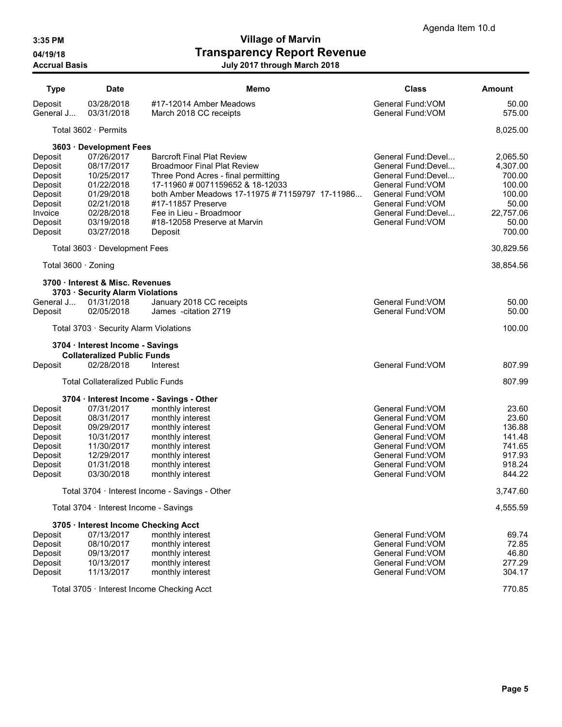| <b>Type</b>                                                                                     | <b>Date</b>                                                                                                                | Memo                                                                                                                                                                                                                                                                                              | <b>Class</b>                                                                                                                                                               | <b>Amount</b>                                                                               |
|-------------------------------------------------------------------------------------------------|----------------------------------------------------------------------------------------------------------------------------|---------------------------------------------------------------------------------------------------------------------------------------------------------------------------------------------------------------------------------------------------------------------------------------------------|----------------------------------------------------------------------------------------------------------------------------------------------------------------------------|---------------------------------------------------------------------------------------------|
| Deposit<br>General J                                                                            | 03/28/2018<br>03/31/2018                                                                                                   | #17-12014 Amber Meadows<br>March 2018 CC receipts                                                                                                                                                                                                                                                 | General Fund: VOM<br>General Fund: VOM                                                                                                                                     | 50.00<br>575.00                                                                             |
|                                                                                                 | Total $3602 \cdot$ Permits                                                                                                 |                                                                                                                                                                                                                                                                                                   |                                                                                                                                                                            | 8,025.00                                                                                    |
|                                                                                                 | 3603 · Development Fees                                                                                                    |                                                                                                                                                                                                                                                                                                   |                                                                                                                                                                            |                                                                                             |
| Deposit<br>Deposit<br>Deposit<br>Deposit<br>Deposit<br>Deposit<br>Invoice<br>Deposit<br>Deposit | 07/26/2017<br>08/17/2017<br>10/25/2017<br>01/22/2018<br>01/29/2018<br>02/21/2018<br>02/28/2018<br>03/19/2018<br>03/27/2018 | <b>Barcroft Final Plat Review</b><br><b>Broadmoor Final Plat Review</b><br>Three Pond Acres - final permitting<br>17-11960 # 0071159652 & 18-12033<br>both Amber Meadows 17-11975 # 71159797 17-11986<br>#17-11857 Preserve<br>Fee in Lieu - Broadmoor<br>#18-12058 Preserve at Marvin<br>Deposit | General Fund: Devel<br>General Fund:Devel<br>General Fund:Devel<br>General Fund: VOM<br>General Fund: VOM<br>General Fund: VOM<br>General Fund: Devel<br>General Fund: VOM | 2,065.50<br>4,307.00<br>700.00<br>100.00<br>100.00<br>50.00<br>22,757.06<br>50.00<br>700.00 |
|                                                                                                 | Total 3603 · Development Fees                                                                                              |                                                                                                                                                                                                                                                                                                   |                                                                                                                                                                            | 30,829.56                                                                                   |
| Total 3600 · Zoning                                                                             |                                                                                                                            |                                                                                                                                                                                                                                                                                                   |                                                                                                                                                                            | 38,854.56                                                                                   |
|                                                                                                 | 3700 · Interest & Misc. Revenues<br>3703 · Security Alarm Violations                                                       |                                                                                                                                                                                                                                                                                                   |                                                                                                                                                                            |                                                                                             |
| General J<br>Deposit                                                                            | 01/31/2018<br>02/05/2018                                                                                                   | January 2018 CC receipts<br>James - citation 2719                                                                                                                                                                                                                                                 | General Fund: VOM<br>General Fund: VOM                                                                                                                                     | 50.00<br>50.00                                                                              |
|                                                                                                 | Total 3703 · Security Alarm Violations                                                                                     |                                                                                                                                                                                                                                                                                                   |                                                                                                                                                                            | 100.00                                                                                      |
|                                                                                                 | 3704 · Interest Income - Savings<br><b>Collateralized Public Funds</b>                                                     |                                                                                                                                                                                                                                                                                                   |                                                                                                                                                                            |                                                                                             |
| Deposit                                                                                         | 02/28/2018                                                                                                                 | Interest                                                                                                                                                                                                                                                                                          | General Fund: VOM                                                                                                                                                          | 807.99                                                                                      |
|                                                                                                 | <b>Total Collateralized Public Funds</b>                                                                                   |                                                                                                                                                                                                                                                                                                   |                                                                                                                                                                            | 807.99                                                                                      |
|                                                                                                 |                                                                                                                            | 3704 · Interest Income - Savings - Other                                                                                                                                                                                                                                                          |                                                                                                                                                                            |                                                                                             |
| Deposit<br>Deposit<br>Deposit<br>Deposit<br>Deposit<br>Deposit<br>Deposit<br>Deposit            | 07/31/2017<br>08/31/2017<br>09/29/2017<br>10/31/2017<br>11/30/2017<br>12/29/2017<br>01/31/2018<br>03/30/2018               | monthly interest<br>monthly interest<br>monthly interest<br>monthly interest<br>monthly interest<br>monthly interest<br>monthly interest<br>monthly interest                                                                                                                                      | General Fund: VOM<br>General Fund: VOM<br>General Fund: VOM<br>General Fund: VOM<br>General Fund: VOM<br>General Fund: VOM<br>General Fund: VOM<br>General Fund: VOM       | 23.60<br>23.60<br>136.88<br>141.48<br>741.65<br>917.93<br>918.24<br>844.22                  |
|                                                                                                 |                                                                                                                            | Total 3704 · Interest Income - Savings - Other                                                                                                                                                                                                                                                    |                                                                                                                                                                            | 3,747.60                                                                                    |
|                                                                                                 | Total 3704 · Interest Income - Savings                                                                                     |                                                                                                                                                                                                                                                                                                   |                                                                                                                                                                            | 4,555.59                                                                                    |
|                                                                                                 | 3705 · Interest Income Checking Acct                                                                                       |                                                                                                                                                                                                                                                                                                   |                                                                                                                                                                            |                                                                                             |
| Deposit<br>Deposit<br>Deposit<br>Deposit<br>Deposit                                             | 07/13/2017<br>08/10/2017<br>09/13/2017<br>10/13/2017<br>11/13/2017                                                         | monthly interest<br>monthly interest<br>monthly interest<br>monthly interest<br>monthly interest                                                                                                                                                                                                  | General Fund: VOM<br>General Fund: VOM<br>General Fund: VOM<br>General Fund: VOM<br>General Fund: VOM                                                                      | 69.74<br>72.85<br>46.80<br>277.29<br>304.17                                                 |
|                                                                                                 |                                                                                                                            | Total 3705 · Interest Income Checking Acct                                                                                                                                                                                                                                                        |                                                                                                                                                                            | 770.85                                                                                      |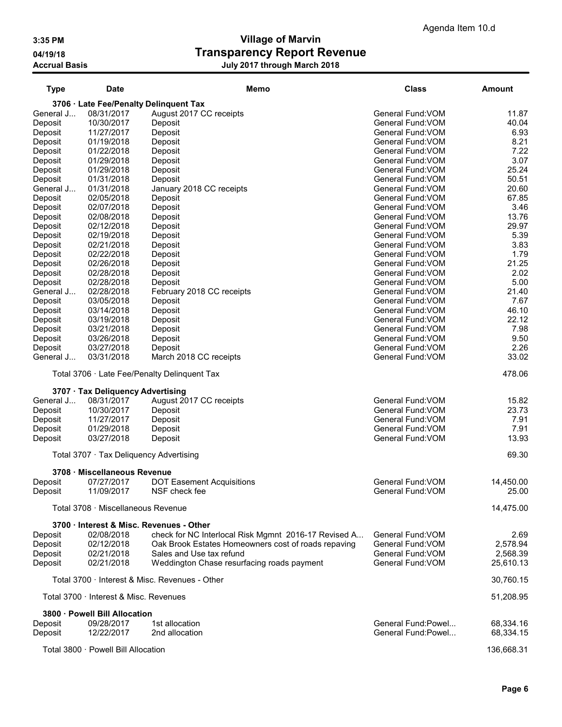| <b>Type</b>        | Date                                    | Memo                                                 | <b>Class</b>                           | Amount        |
|--------------------|-----------------------------------------|------------------------------------------------------|----------------------------------------|---------------|
|                    |                                         | 3706 · Late Fee/Penalty Delinquent Tax               |                                        |               |
| General J          | 08/31/2017                              | August 2017 CC receipts                              | General Fund: VOM                      | 11.87         |
| Deposit            | 10/30/2017                              | Deposit                                              | General Fund: VOM                      | 40.04         |
| Deposit            | 11/27/2017                              | Deposit                                              | General Fund: VOM<br>General Fund: VOM | 6.93<br>8.21  |
| Deposit<br>Deposit | 01/19/2018<br>01/22/2018                | Deposit<br>Deposit                                   | General Fund: VOM                      | 7.22          |
| Deposit            | 01/29/2018                              | Deposit                                              | General Fund: VOM                      | 3.07          |
| Deposit            | 01/29/2018                              | Deposit                                              | General Fund: VOM                      | 25.24         |
| Deposit            | 01/31/2018                              | Deposit                                              | General Fund: VOM                      | 50.51         |
| General J          | 01/31/2018                              | January 2018 CC receipts                             | General Fund: VOM                      | 20.60         |
| Deposit            | 02/05/2018                              | Deposit                                              | General Fund: VOM                      | 67.85         |
| Deposit            | 02/07/2018                              | Deposit                                              | General Fund: VOM                      | 3.46          |
| Deposit            | 02/08/2018                              | Deposit                                              | General Fund: VOM                      | 13.76         |
| Deposit            | 02/12/2018                              | Deposit                                              | General Fund: VOM                      | 29.97         |
| Deposit            | 02/19/2018                              | Deposit                                              | General Fund: VOM                      | 5.39          |
| Deposit            | 02/21/2018                              | Deposit                                              | General Fund: VOM                      | 3.83          |
| Deposit            | 02/22/2018                              | Deposit                                              | General Fund: VOM                      | 1.79          |
| Deposit            | 02/26/2018                              | Deposit                                              | General Fund: VOM                      | 21.25         |
| Deposit            | 02/28/2018                              | Deposit                                              | General Fund: VOM                      | 2.02          |
| Deposit            | 02/28/2018                              | Deposit                                              | General Fund: VOM                      | 5.00          |
| General J          | 02/28/2018<br>03/05/2018                | February 2018 CC receipts<br>Deposit                 | General Fund: VOM<br>General Fund: VOM | 21.40<br>7.67 |
| Deposit<br>Deposit | 03/14/2018                              | Deposit                                              | General Fund: VOM                      | 46.10         |
| Deposit            | 03/19/2018                              | Deposit                                              | General Fund: VOM                      | 22.12         |
| Deposit            | 03/21/2018                              | Deposit                                              | General Fund: VOM                      | 7.98          |
| Deposit            | 03/26/2018                              | Deposit                                              | General Fund: VOM                      | 9.50          |
| Deposit            | 03/27/2018                              | Deposit                                              | General Fund: VOM                      | 2.26          |
| General J          | 03/31/2018                              | March 2018 CC receipts                               | General Fund: VOM                      | 33.02         |
|                    |                                         | Total 3706 · Late Fee/Penalty Delinquent Tax         |                                        | 478.06        |
|                    |                                         |                                                      |                                        |               |
|                    | 3707 · Tax Deliquency Advertising       |                                                      |                                        |               |
| General J          | 08/31/2017                              | August 2017 CC receipts                              | General Fund: VOM                      | 15.82         |
| Deposit            | 10/30/2017                              | Deposit                                              | General Fund: VOM                      | 23.73         |
| Deposit<br>Deposit | 11/27/2017<br>01/29/2018                | Deposit<br>Deposit                                   | General Fund: VOM<br>General Fund: VOM | 7.91<br>7.91  |
|                    | 03/27/2018                              | Deposit                                              | General Fund: VOM                      | 13.93         |
| Deposit            |                                         |                                                      |                                        |               |
|                    | Total 3707 · Tax Deliquency Advertising |                                                      |                                        | 69.30         |
|                    | 3708 · Miscellaneous Revenue            |                                                      |                                        |               |
| Deposit            | 07/27/2017                              | <b>DOT Easement Acquisitions</b>                     | General Fund: VOM                      | 14,450.00     |
| Deposit            | 11/09/2017                              | NSF check fee                                        | General Fund: VOM                      | 25.00         |
|                    | Total 3708 · Miscellaneous Revenue      |                                                      |                                        | 14,475.00     |
|                    |                                         | 3700 · Interest & Misc. Revenues - Other             |                                        |               |
| Deposit            | 02/08/2018                              | check for NC Interlocal Risk Mgmnt 2016-17 Revised A | General Fund: VOM                      | 2.69          |
| Deposit            | 02/12/2018                              | Oak Brook Estates Homeowners cost of roads repaving  | General Fund: VOM                      | 2,578.94      |
| Deposit            | 02/21/2018                              | Sales and Use tax refund                             | General Fund: VOM                      | 2,568.39      |
| Deposit            | 02/21/2018                              | Weddington Chase resurfacing roads payment           | General Fund: VOM                      | 25,610.13     |
|                    |                                         | Total 3700 · Interest & Misc. Revenues - Other       |                                        | 30,760.15     |
|                    | Total 3700 · Interest & Misc. Revenues  |                                                      |                                        | 51,208.95     |
|                    | 3800 · Powell Bill Allocation           |                                                      |                                        |               |
| Deposit            | 09/28/2017                              | 1st allocation                                       | General Fund: Powel                    | 68,334.16     |
| Deposit            | 12/22/2017                              | 2nd allocation                                       | General Fund:Powel                     | 68,334.15     |
|                    | Total 3800 · Powell Bill Allocation     |                                                      |                                        | 136,668.31    |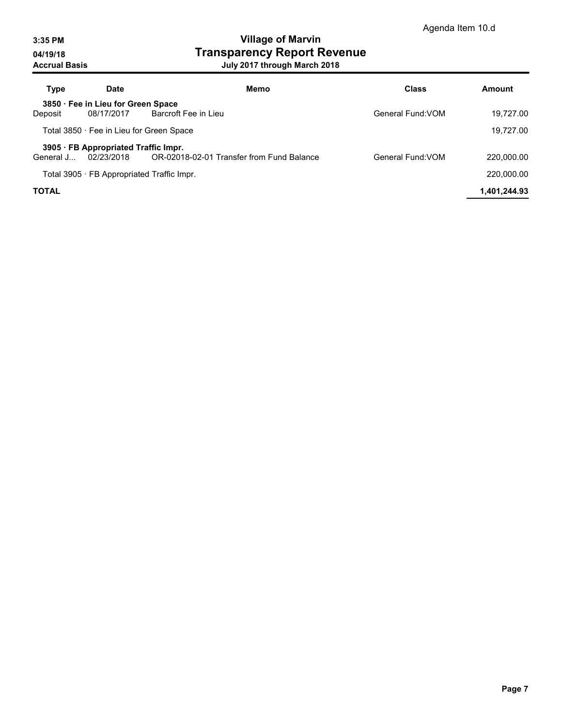| <b>Type</b>  | Date                                               | Memo                                             | <b>Class</b>      | Amount       |
|--------------|----------------------------------------------------|--------------------------------------------------|-------------------|--------------|
| Deposit      | 3850 · Fee in Lieu for Green Space<br>08/17/2017   | Barcroft Fee in Lieu                             | General Fund: VOM | 19.727.00    |
|              |                                                    | Total 3850 · Fee in Lieu for Green Space         |                   | 19,727.00    |
| General J    | 3905 · FB Appropriated Traffic Impr.<br>02/23/2018 | OR-02018-02-01 Transfer from Fund Balance        | General Fund: VOM | 220.000.00   |
|              |                                                    | Total 3905 $\cdot$ FB Appropriated Traffic Impr. |                   | 220.000.00   |
| <b>TOTAL</b> |                                                    |                                                  |                   | 1,401,244.93 |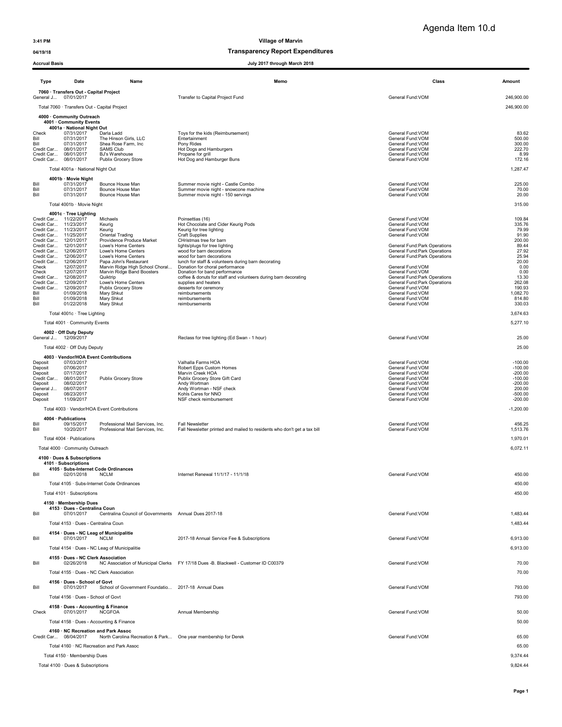### 04/19/18 and 04/19/18 of the control of the control of the Transparency Report Expenditures

| Acciual Dasis         |                                                            |                                                                      | July 2017 Uliough March 2010                                                                       |                                                                |                        |
|-----------------------|------------------------------------------------------------|----------------------------------------------------------------------|----------------------------------------------------------------------------------------------------|----------------------------------------------------------------|------------------------|
| Type                  | Date                                                       | Name                                                                 | Memo                                                                                               | Class                                                          | Amount                 |
| General J             | 7060 · Transfers Out - Capital Project<br>07/01/2017       |                                                                      | Transfer to Capital Project Fund                                                                   | General Fund:VOM                                               | 246,900.00             |
|                       | Total 7060 · Transfers Out - Capital Project               |                                                                      |                                                                                                    |                                                                | 246,900.00             |
|                       | 4000 · Community Outreach<br>4001 Community Events         |                                                                      |                                                                                                    |                                                                |                        |
| Check                 | 4001a · National Night Out<br>07/31/2017                   | Darla Ladd                                                           | Toys for the kids (Reimbursement)                                                                  | General Fund: VOM                                              | 83.62                  |
| Bill<br>Bill          | 07/31/2017<br>07/31/2017                                   | The Hinson Girls, LLC<br>Shea Rose Farm, Inc                         | Entertainment<br>Pony Rides                                                                        | General Fund: VOM<br>General Fund: VOM                         | 500.00<br>300.00       |
|                       | Credit Car 08/01/2017<br>Credit Car 08/01/2017             | <b>SAMS Club</b><br><b>BJ's Warehouse</b>                            | Hot Dogs and Hamburgers<br>Propane for grill                                                       | General Fund: VOM<br>General Fund: VOM                         | 222.70<br>8.99         |
|                       | Credit Car 08/01/2017                                      | Publix Grocery Store                                                 | Hot Dog and Hamburger Buns                                                                         | General Fund: VOM                                              | 172.16                 |
|                       | Total 4001a · National Night Out                           |                                                                      |                                                                                                    |                                                                | 1,287.47               |
| Bill                  | 4001b · Movie Night<br>07/31/2017                          | Bounce House Man                                                     | Summer movie night - Castle Combo                                                                  | General Fund: VOM                                              | 225.00                 |
| Bill<br>Bill          | 07/31/2017<br>07/31/2017                                   | Bounce House Man<br>Bounce House Man                                 | Summer movie night - snowcone machine<br>Summer movie night - 150 servings                         | General Fund: VOM<br>General Fund: VOM                         | 70.00<br>20.00         |
|                       | Total 4001b · Movie Night                                  |                                                                      |                                                                                                    |                                                                | 315.00                 |
|                       | 4001c · Tree Lighting<br>Credit Car 11/22/2017             | Michaels                                                             | Poinsettias (16)                                                                                   | General Fund:VOM                                               | 109.84                 |
|                       | Credit Car 11/23/2017<br>Credit Car 11/23/2017             | Keurig<br>Keurig                                                     | Hot Chocolate and Cider Keurig Pods<br>Keurig for tree lighting                                    | General Fund:VOM<br>General Fund:VOM                           | 335.76<br>79.99        |
|                       | Credit Car 11/25/2017<br>Credit Car 12/01/2017             | Oriental Trading<br>Providence Produce Market                        | <b>Craft Supplies</b><br>CHristmas tree for barn                                                   | General Fund:VOM                                               | 91.90<br>200.00        |
|                       | Credit Car 12/01/2017<br>Credit Car 12/06/2017             | Lowe's Home Centers<br>Lowe's Home Centers                           | lights/plugs for tree lighting<br>wood for barn decorations                                        | General Fund: Park Operations<br>General Fund: Park Operations | 89.44<br>27.92         |
|                       | Credit Car 12/06/2017<br>Credit Car 12/06/2017             | Lowe's Home Centers<br>Papa John's Restaurant                        | wood for barn decorations<br>lunch for staff & volunteers during barn decorating                   | General Fund: Park Operations                                  | 25.94<br>20.00         |
| Check<br>Check        | 12/07/2017<br>12/07/2017                                   | Marvin Ridge High School Choral<br>Marvin Ridge Band Boosters        | Donation for choral performance                                                                    | General Fund: VOM<br>General Fund: VOM                         | 0.00<br>0.00           |
|                       | Credit Car 12/08/2017                                      | Quiktrip                                                             | Donation for band performance<br>coffee & donuts for staff and volunteers during barn decorating   | General Fund: Park Operations                                  | 13.30                  |
|                       | Credit Car 12/09/2017<br>Credit Car 12/09/2017             | Lowe's Home Centers<br>Publix Grocery Store                          | supplies and heaters<br>desserts for ceremony                                                      | General Fund: Park Operations<br>General Fund:VOM              | 262.08<br>190.93       |
| Bill<br>Bill          | 01/09/2018<br>01/09/2018                                   | Mary Shkut<br>Mary Shkut                                             | reimbursements<br>reimbursements                                                                   | General Fund:VOM<br>General Fund: VOM                          | 1,082.70<br>814.80     |
| Bill                  | 01/22/2018<br>Total 4001c · Tree Lighting                  | Mary Shkut                                                           | reimbursements                                                                                     | General Fund: VOM                                              | 330.03<br>3,674.63     |
|                       | Total 4001 · Community Events                              |                                                                      |                                                                                                    |                                                                | 5,277.10               |
|                       | 4002 · Off Duty Deputy<br>General J 12/09/2017             |                                                                      | Reclass for tree lighting (Ed Swan - 1 hour)                                                       | General Fund: VOM                                              | 25.00                  |
|                       | Total 4002 · Off Duty Deputy                               |                                                                      |                                                                                                    |                                                                | 25.00                  |
|                       | 4003 · Vendor/HOA Event Contributions                      |                                                                      |                                                                                                    |                                                                |                        |
| Deposit<br>Deposit    | 07/03/2017<br>07/06/2017                                   |                                                                      | Valhalla Farms HOA<br>Robert Epps Custom Homes                                                     | General Fund: VOM<br>General Fund: VOM                         | $-100.00$<br>$-100.00$ |
| Deposit<br>Credit Car | 07/17/2017<br>08/01/2017                                   | Publix Grocery Store                                                 | Marvin Creek HOA<br>Publix Grocery Store Gift Card                                                 | General Fund:VOM<br>General Fund: VOM                          | $-200.00$<br>$-100.00$ |
| Deposit<br>General J  | 08/02/2017<br>08/07/2017                                   |                                                                      | Andy Wortman<br>Andy Wortman - NSF check                                                           | General Fund: VOM<br>General Fund: VOM                         | $-200.00$<br>200.00    |
| Deposit<br>Deposit    | 08/23/2017<br>11/09/2017                                   |                                                                      | Kohls Cares for NNO<br>NSF check reimbursement                                                     | General Fund:VOM<br>General Fund: VOM                          | $-500.00$<br>$-200.00$ |
|                       |                                                            | Total 4003 · Vendor/HOA Event Contributions                          |                                                                                                    |                                                                | $-1,200.00$            |
|                       | 4004 · Publications                                        |                                                                      |                                                                                                    |                                                                |                        |
| Bill<br>Bill          | 09/15/2017<br>10/20/2017                                   | Professional Mail Services, Inc.<br>Professional Mail Services, Inc. | <b>Fall Newsletter</b><br>Fall Newsletter printed and mailed to residents who don't get a tax bill | General Fund:VOM<br>General Fund: VOM                          | 456.25<br>1,513.76     |
|                       | Total 4004 · Publications                                  |                                                                      |                                                                                                    |                                                                | 1,970.01               |
|                       | Total 4000 · Community Outreach                            |                                                                      |                                                                                                    |                                                                | 6,072.11               |
|                       | 4100 · Dues & Subscriptions<br>4101 · Subscriptions        |                                                                      |                                                                                                    |                                                                |                        |
| Bill                  | 4105 · Subs-Internet Code Ordinances<br>02/01/2018 NCLM    |                                                                      | Internet Renewal 11/1/17 - 11/1/18                                                                 | General Fund: VOM                                              | 450.00                 |
|                       |                                                            | Total 4105 · Subs-Internet Code Ordinances                           |                                                                                                    |                                                                | 450.00                 |
|                       | Total 4101 · Subscriptions                                 |                                                                      |                                                                                                    |                                                                | 450.00                 |
|                       | 4150 · Membership Dues<br>4153 · Dues - Centralina Coun    |                                                                      |                                                                                                    |                                                                |                        |
| Bill                  | 07/01/2017                                                 | Centralina Council of Governments Annual Dues 2017-18                |                                                                                                    | General Fund: VOM                                              | 1,483.44               |
|                       | Total 4153 · Dues - Centralina Coun                        |                                                                      |                                                                                                    |                                                                | 1,483.44               |
| Bill                  | 4154 · Dues - NC Leag of Municipalitie<br>07/01/2017       | <b>NCLM</b>                                                          | 2017-18 Annual Service Fee & Subscriptions                                                         | General Fund: VOM                                              | 6,913.00               |
|                       |                                                            | Total 4154 · Dues - NC Leag of Municipalitie                         |                                                                                                    |                                                                | 6,913.00               |
| Bill                  | 4155 · Dues - NC Clerk Association<br>02/26/2018           |                                                                      | NC Association of Municipal Clerks FY 17/18 Dues -B. Blackwell - Customer ID C00379                | General Fund: VOM                                              | 70.00                  |
|                       |                                                            | Total 4155 · Dues - NC Clerk Association                             |                                                                                                    |                                                                | 70.00                  |
|                       | 4156 · Dues - School of Govt                               |                                                                      |                                                                                                    |                                                                |                        |
| Bill                  | 07/01/2017                                                 | School of Government Foundatio 2017-18 Annual Dues                   |                                                                                                    | General Fund: VOM                                              | 793.00                 |
|                       | Total 4156 · Dues - School of Govt                         |                                                                      |                                                                                                    |                                                                | 793.00                 |
| Check                 | 4158 Dues - Accounting & Finance<br>07/01/2017             | NCGFOA                                                               | Annual Membership                                                                                  | General Fund:VOM                                               | 50.00                  |
|                       |                                                            | Total 4158 · Dues - Accounting & Finance                             |                                                                                                    |                                                                | 50.00                  |
|                       | 4160 NC Recreation and Park Assoc<br>Credit Car 08/04/2017 | North Carolina Recreation & Park One year membership for Derek       |                                                                                                    | General Fund:VOM                                               | 65.00                  |
|                       |                                                            | Total 4160 · NC Recreation and Park Assoc                            |                                                                                                    |                                                                | 65.00                  |
|                       | Total 4150 · Membership Dues                               |                                                                      |                                                                                                    |                                                                | 9,374.44               |
|                       | Total 4100 · Dues & Subscriptions                          |                                                                      |                                                                                                    |                                                                | 9,824.44               |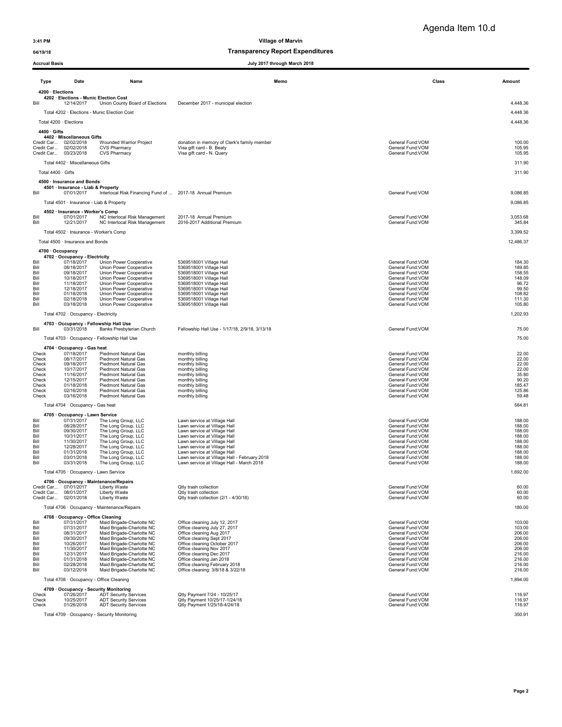## 04/19/18 and 04/19/18 of the control of the control of the Transparency Report Expenditures

| <b>Accrual Basis</b><br>July 2017 through March 2018 |                                                              |                                                                      |                                                                                           |                                        |                      |
|------------------------------------------------------|--------------------------------------------------------------|----------------------------------------------------------------------|-------------------------------------------------------------------------------------------|----------------------------------------|----------------------|
| Type                                                 | Date                                                         | Name                                                                 | Memo                                                                                      | Class                                  | Amount               |
| 4200 · Elections                                     | 4202 · Elections - Munic Election Cost                       |                                                                      |                                                                                           |                                        |                      |
| Bill                                                 | 12/14/2017                                                   | Union County Board of Elections                                      | December 2017 - municipal election                                                        |                                        | 4,448.36<br>4,448.36 |
|                                                      | Total 4200 · Elections                                       | Total 4202 · Elections - Munic Election Cost                         |                                                                                           |                                        | 4,448.36             |
| 4400 · Gifts                                         |                                                              |                                                                      |                                                                                           |                                        |                      |
|                                                      | 4402 · Miscellaneous Gifts<br>Credit Car 02/02/2018          | <b>Wounded Warrior Project</b>                                       | donation in memory of Clerk's family member                                               | General Fund: VOM                      | 100.00               |
|                                                      | Credit Car 02/02/2018<br>Credit Car 03/23/2018               | <b>CVS Pharmacy</b>                                                  | Visa gift card - B. Beaty<br>Visa gift card - N. Query                                    | General Fund: VOM                      | 105.95               |
|                                                      | Total 4402 · Miscellaneous Gifts                             | <b>CVS Pharmacy</b>                                                  |                                                                                           | General Fund: VOM                      | 105.95<br>311.90     |
| Total 4400 · Gifts                                   |                                                              |                                                                      |                                                                                           |                                        | 311.90               |
|                                                      | 4500 · Insurance and Bonds                                   |                                                                      |                                                                                           |                                        |                      |
| Bill                                                 | 4501 · Insurance - Liab & Property<br>07/01/2017             | Interlocal Risk Financing Fund of  2017-18 Annual Premium            |                                                                                           | General Fund: VOM                      | 9,086.85             |
|                                                      | Total 4501 · Insurance - Liab & Property                     |                                                                      |                                                                                           |                                        | 9,086.85             |
| Bill<br>Bill                                         | 4502 · Insurance - Worker's Comp<br>07/01/2017<br>12/21/2017 | NC Interlocal Risk Management<br>NC Interlocal Risk Management       | 2017-18 Annual Premium<br>2016-2017 Additional Premium                                    | General Fund: VOM<br>General Fund: VOM | 3,053.68<br>345.84   |
|                                                      | Total 4502 · Insurance - Worker's Comp                       |                                                                      |                                                                                           |                                        | 3,399.52             |
|                                                      | Total 4500 · Insurance and Bonds                             |                                                                      |                                                                                           |                                        | 12,486.37            |
|                                                      | 4700 · Occupancy                                             |                                                                      |                                                                                           |                                        |                      |
| Bill                                                 | 4702 · Occupancy - Electricity<br>07/18/2017                 | Union Power Cooperative                                              | 5369518001 Village Hall                                                                   | General Fund: VOM                      | 184.30               |
| Bill<br>Bill                                         | 08/18/2017<br>09/18/2017                                     | Union Power Cooperative<br>Union Power Cooperative                   | 5369518001 Village Hall<br>5369518001 Village Hall                                        | General Fund: VOM<br>General Fund: VOM | 189.85<br>158.55     |
| Bill<br>Bill                                         | 10/18/2017<br>11/18/2017                                     | Union Power Cooperative<br>Union Power Cooperative                   | 5369518001 Village Hall<br>5369518001 Village Hall                                        | General Fund: VOM<br>General Fund: VOM | 148.09<br>96.72      |
| Bill<br>Bill                                         | 12/18/2017<br>01/18/2018                                     | Union Power Cooperative<br>Union Power Cooperative                   | 5369518001 Village Hall<br>5369518001 Village Hall                                        | General Fund: VOM<br>General Fund: VOM | 99.50<br>108.82      |
| Bill<br>Bill                                         | 02/18/2018<br>03/18/2018                                     | Union Power Cooperative                                              | 5369518001 Village Hall                                                                   | General Fund: VOM<br>General Fund: VOM | 111.30<br>105.80     |
|                                                      | Total 4702 · Occupancy - Electricity                         | Union Power Cooperative                                              | 5369518001 Village Hall                                                                   |                                        | 1,202.93             |
|                                                      |                                                              | 4703 Occupancy - Fellowship Hall Use                                 |                                                                                           |                                        |                      |
| Bill                                                 | 03/31/2018                                                   | Banks Presbyterian Church                                            | Fellowship Hall Use - 1/17/18, 2/9/18, 3/13/18                                            | General Fund:VOM                       | 75.00                |
|                                                      |                                                              | Total 4703 · Occupancy - Fellowship Hall Use                         |                                                                                           |                                        | 75.00                |
| Check                                                | 4704 · Occupancy - Gas heat<br>07/18/2017                    | Piedmont Natural Gas                                                 | monthly billing                                                                           | General Fund: VOM                      | 22.00                |
| Check<br>Check                                       | 08/17/2017<br>09/18/2017                                     | Piedmont Natural Gas<br><b>Piedmont Natural Gas</b>                  | monthly billing<br>monthly billing                                                        | General Fund: VOM<br>General Fund: VOM | 22.00<br>22.00       |
| Check                                                | 10/17/2017                                                   | <b>Piedmont Natural Gas</b>                                          | monthly billing                                                                           | General Fund: VOM                      | 22.00                |
| Check<br>Check                                       | 11/16/2017<br>12/15/2017                                     | <b>Piedmont Natural Gas</b><br><b>Piedmont Natural Gas</b>           | monthly billing<br>monthly billing                                                        | General Fund: VOM<br>General Fund: VOM | 35.80<br>90.20       |
| Check<br>Check                                       | 01/18/2018<br>02/16/2018                                     | Piedmont Natural Gas<br>Piedmont Natural Gas                         | monthly billing<br>monthly billing                                                        | General Fund: VOM<br>General Fund: VOM | 185.47<br>125.86     |
| Check                                                | 03/16/2018                                                   | Piedmont Natural Gas                                                 | monthly billing                                                                           | General Fund: VOM                      | 59.48                |
|                                                      | Total 4704 · Occupancy - Gas heat                            |                                                                      |                                                                                           |                                        | 584.81               |
| Bill                                                 | 4705 Occupancy - Lawn Service<br>07/31/2017                  | The Long Group, LLC                                                  | Lawn service at Village Hall                                                              | General Fund: VOM                      | 188.00               |
| Bill<br>Bill                                         | 08/28/2017<br>09/30/2017                                     | The Long Group, LLC<br>The Long Group, LLC                           | Lawn service at Village Hall<br>Lawn service at Village Hall                              | General Fund: VOM<br>General Fund: VOM | 188.00<br>188.00     |
| Bill<br>Bill                                         | 10/31/2017<br>11/30/2017                                     | The Long Group, LLC<br>The Long Group, LLC                           | Lawn service at Village Hall<br>Lawn service at Village Hall                              | General Fund: VOM<br>General Fund: VOM | 188.00<br>188.00     |
| Bill<br>Bill                                         | 12/28/2017<br>01/31/2018                                     | The Long Group, LLC<br>The Long Group, LLC                           | Lawn service at Village Hall<br>Lawn service at Village Hall                              | General Fund: VOM<br>General Fund:VOM  | 188.00<br>188.00     |
| Bill<br>Bill                                         | 03/01/2018<br>03/31/2018                                     | The Long Group, LLC<br>The Long Group, LLC                           | Lawn service at Village Hall - February 2018<br>Lawn service at Village Hall - March 2018 | General Fund:VOM<br>General Fund:VOM   | 188.00<br>188.00     |
|                                                      | Total 4705 · Occupancy - Lawn Service                        |                                                                      |                                                                                           |                                        | 1,692.00             |
|                                                      |                                                              | 4706 · Occupancy - Maintenance/Repairs                               |                                                                                           |                                        |                      |
|                                                      | Credit Car 07/01/2017<br>Credit Car 08/01/2017               | Liberty Waste<br>Liberty Waste                                       | Qtly trash collection<br>Qtly trash collection                                            | General Fund: VOM<br>General Fund: VOM | 60.00<br>60.00       |
|                                                      | Credit Car 02/01/2018                                        | Liberty Waste                                                        | Qtly trash collection (2/1 - 4/30/18)                                                     | General Fund: VOM                      | 60.00                |
|                                                      |                                                              | Total 4706 · Occupancy - Maintenance/Repairs                         |                                                                                           |                                        | 180.00               |
| Bill                                                 | 4708 · Occupancy - Office Cleaning<br>07/31/2017             | Maid Brigade-Charlotte NC                                            | Office cleaning July 12, 2017                                                             | General Fund: VOM                      | 103.00               |
| Bill<br>Bill                                         | 07/31/2017<br>08/31/2017                                     | Maid Brigade-Charlotte NC<br>Maid Brigade-Charlotte NC               | Office cleaning July 27, 2017<br>Office cleaning Aug 2017                                 | General Fund: VOM<br>General Fund:VOM  | 103.00<br>206.00     |
| Bill<br>Bill                                         | 09/30/2017<br>10/26/2017                                     | Maid Brigade-Charlotte NC<br>Maid Brigade-Charlotte NC               | Office cleaning Sept 2017<br>Office cleaning October 2017                                 | General Fund:VOM<br>General Fund: VOM  | 206.00<br>206.00     |
| Bill<br>Bill                                         | 11/30/2017<br>12/31/2017                                     | Maid Brigade-Charlotte NC<br>Maid Brigade-Charlotte NC               | Office cleaning Nov 2017<br>Office cleaning Dec 2017                                      | General Fund: VOM<br>General Fund: VOM | 206.00<br>216.00     |
| Bill<br>Bill                                         | 01/31/2018<br>02/28/2018                                     | Maid Brigade-Charlotte NC<br>Maid Brigade-Charlotte NC               | Office cleaning Jan 2018<br>Office cleaning February 2018                                 | General Fund: VOM<br>General Fund:VOM  | 216.00<br>216.00     |
| Bill                                                 | 03/12/2018                                                   | Maid Brigade-Charlotte NC                                            | Office cleaning: 3/8/18 & 3/22/18                                                         | General Fund: VOM                      | 216.00               |
|                                                      | Total 4708 · Occupancy - Office Cleaning                     |                                                                      |                                                                                           |                                        | 1,894.00             |
| Check                                                | 07/26/2017                                                   | 4709 Occupancy - Security Monitoring<br><b>ADT Security Services</b> | Qtly Payment 7/24 - 10/25/17                                                              | General Fund: VOM                      | 116.97               |
| Check<br>Check                                       | 10/25/2017<br>01/26/2018                                     | <b>ADT Security Services</b><br><b>ADT Security Services</b>         | Qtly Payment 10/25/17-1/24/18<br>Qtly Payment 1/25/18-4/24/18                             | General Fund:VOM<br>General Fund:VOM   | 116.97<br>116.97     |

Total 4709 · Occupancy - Security Monitoring 350.91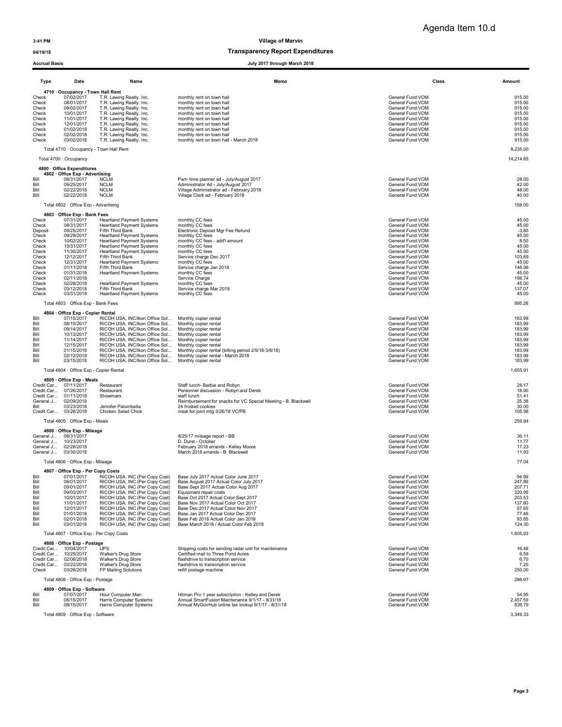## 04/19/18 and 04/19/18 of the control of the control of the Transparency Report Expenditures

| Type                                                                                                                                  | Date                                                                                                                                                                                                                                            | Name                                                                                                                                                                                                                                                                                                                                                                                                                                                 | Memo                                                                                                                                                                                                                                                                                                                                                                                              | Class                                                                                                                                                                                                                                                                                                                 | Amount                                                                                                                                   |
|---------------------------------------------------------------------------------------------------------------------------------------|-------------------------------------------------------------------------------------------------------------------------------------------------------------------------------------------------------------------------------------------------|------------------------------------------------------------------------------------------------------------------------------------------------------------------------------------------------------------------------------------------------------------------------------------------------------------------------------------------------------------------------------------------------------------------------------------------------------|---------------------------------------------------------------------------------------------------------------------------------------------------------------------------------------------------------------------------------------------------------------------------------------------------------------------------------------------------------------------------------------------------|-----------------------------------------------------------------------------------------------------------------------------------------------------------------------------------------------------------------------------------------------------------------------------------------------------------------------|------------------------------------------------------------------------------------------------------------------------------------------|
| Check<br>Check<br>Check<br>Check<br>Check<br>Check<br>Check<br>Check<br>Check                                                         | 4710 · Occupancy - Town Hall Rent<br>07/02/2017<br>08/01/2017<br>09/02/2017<br>10/01/2017<br>11/01/2017<br>12/01/2017<br>01/02/2018<br>02/02/2018<br>03/02/2018                                                                                 | T.R. Lawing Realty. Inc.<br>T.R. Lawing Realty. Inc.<br>T.R. Lawing Realty. Inc.<br>T.R. Lawing Realty. Inc.<br>T.R. Lawing Realty. Inc.<br>T.R. Lawing Realty. Inc.<br>T.R. Lawing Realty. Inc.<br>T.R. Lawing Realty. Inc.<br>T.R. Lawing Realty. Inc.                                                                                                                                                                                             | monthly rent on town hall<br>monthly rent on town hall<br>monthly rent on town hall<br>monthly rent on town hall<br>monthly rent on town hall<br>monthly rent on town hall<br>monthly rent on town hall<br>monthly rent on town hall<br>monthly rent on town hall - March 2018                                                                                                                    | General Fund: VOM<br>General Fund: VOM<br>General Fund: VOM<br>General Fund: VOM<br>General Fund: VOM<br>General Fund: VOM<br>General Fund: VOM<br>General Fund: VOM<br>General Fund: VOM                                                                                                                             | 915.00<br>915.00<br>915.00<br>915.00<br>915.00<br>915.00<br>915.00<br>915.00<br>915.00                                                   |
|                                                                                                                                       | Total 4710 · Occupancy - Town Hall Rent                                                                                                                                                                                                         |                                                                                                                                                                                                                                                                                                                                                                                                                                                      |                                                                                                                                                                                                                                                                                                                                                                                                   |                                                                                                                                                                                                                                                                                                                       | 8,235.00<br>14,214.65                                                                                                                    |
|                                                                                                                                       | Total 4700 · Occupancy<br>4800 · Office Expenditures                                                                                                                                                                                            |                                                                                                                                                                                                                                                                                                                                                                                                                                                      |                                                                                                                                                                                                                                                                                                                                                                                                   |                                                                                                                                                                                                                                                                                                                       |                                                                                                                                          |
| Bill<br>Bill<br>Bill<br>Bill                                                                                                          | 4802 Office Exp - Advertising<br>08/31/2017<br>09/25/2017<br>02/22/2018<br>02/22/2018                                                                                                                                                           | <b>NCLM</b><br><b>NCLM</b><br><b>NCLM</b><br><b>NCLM</b>                                                                                                                                                                                                                                                                                                                                                                                             | Part- time planner ad - July/August 2017<br>Administrator Ad - July/August 2017<br>Village Administrator ad - February 2018<br>Village Clerk ad - February 2018                                                                                                                                                                                                                                   | General Fund:VOM<br>General Fund:VOM<br>General Fund: VOM<br>General Fund: VOM                                                                                                                                                                                                                                        | 28.00<br>42.00<br>48.00<br>40.00                                                                                                         |
|                                                                                                                                       | Total 4802 · Office Exp - Advertising                                                                                                                                                                                                           |                                                                                                                                                                                                                                                                                                                                                                                                                                                      |                                                                                                                                                                                                                                                                                                                                                                                                   |                                                                                                                                                                                                                                                                                                                       | 158.00                                                                                                                                   |
| Check<br>Check<br>Deposit<br>Check<br>Check<br>Check<br>Check<br>Check<br>Check<br>Check<br>Check<br>Check<br>Check<br>Check<br>Check | 4803 · Office Exp - Bank Fees<br>07/31/2017<br>08/31/2017<br>09/25/2017<br>09/29/2017<br>10/02/2017<br>10/31/2017<br>11/30/2017<br>12/12/2017<br>12/31/2017<br>01/11/2018<br>01/31/2018<br>02/11/2018<br>02/28/2018<br>03/12/2018<br>03/31/2018 | <b>Heartland Payment Systems</b><br><b>Heartland Payment Systems</b><br>Fifth Third Bank<br><b>Heartland Payment Systems</b><br><b>Heartland Payment Systems</b><br><b>Heartland Payment Systems</b><br><b>Heartland Payment Systems</b><br>Fifth Third Bank<br><b>Heartland Payment Systems</b><br>Fifth Third Bank<br><b>Heartland Payment Systems</b><br><b>Heartland Payment Systems</b><br>Fifth Third Bank<br><b>Heartland Payment Systems</b> | monthly CC fees<br>monthly CC fees<br>Electronic Deposit Mgr Fee Refund<br>monthly CC fees<br>monthly CC fees - add'l amount<br>monthly CC fees<br>monthly CC fees<br>Service charge Dec 2017<br>monthly CC fees<br>Service charge Jan 2018<br>monthly CC fees<br>Service Charge<br>monthly CC fees<br>Service charge Mar 2018<br>monthly CC fees                                                 | General Fund: VOM<br>General Fund: VOM<br>General Fund: VOM<br>General Fund: VOM<br>General Fund: VOM<br>General Fund: VOM<br>General Fund: VOM<br>General Fund: VOM<br>General Fund: VOM<br>General Fund:VOM<br>General Fund: VOM<br>General Fund:VOM<br>General Fund: VOM<br>General Fund: VOM<br>General Fund: VOM | 45.00<br>45.00<br>$-3.80$<br>45.00<br>8.50<br>45.00<br>45.00<br>103.69<br>45.00<br>146.06<br>45.00<br>198.74<br>45.00<br>137.07<br>45.00 |
|                                                                                                                                       | Total 4803 · Office Exp - Bank Fees<br>4804 · Office Exp - Copier Rental                                                                                                                                                                        |                                                                                                                                                                                                                                                                                                                                                                                                                                                      |                                                                                                                                                                                                                                                                                                                                                                                                   |                                                                                                                                                                                                                                                                                                                       | 995.26                                                                                                                                   |
| Bill<br>Bill<br>Bill<br>Bill<br>Bill<br>Bill<br>Bill<br>Bill<br>Bill                                                                  | 07/15/2017<br>08/15/2017<br>09/14/2017<br>10/13/2017<br>11/14/2017<br>12/15/2017<br>01/15/2018<br>02/12/2018<br>03/15/2018                                                                                                                      | RICOH USA, INC/Ikon Office Sol<br>RICOH USA, INC/Ikon Office Sol Monthly copier rental<br>RICOH USA, INC/Ikon Office Sol<br>RICOH USA, INC/Ikon Office Sol<br>RICOH USA, INC/Ikon Office Sol<br>RICOH USA, INC/Ikon Office Sol<br>RICOH USA, INC/Ikon Office Sol<br>RICOH USA, INC/Ikon Office Sol<br>RICOH USA, INC/Ikon Office Sol                                                                                                                 | Monthly copier rental<br>Monthly copier rental<br>Monthly copier rental<br>Monthly copier rental<br>Monthly copier rental<br>Monthly copier rental (billing period 2/9/18-3/8/18)<br>Monthly copier rental - March 2018<br>Monthly copier rental                                                                                                                                                  | General Fund:VOM<br>General Fund:VOM<br>General Fund:VOM<br>General Fund:VOM<br>General Fund:VOM<br>General Fund:VOM<br>General Fund: VOM<br>General Fund: VOM<br>General Fund:VOM                                                                                                                                    | 183.99<br>183.99<br>183.99<br>183.99<br>183.99<br>183.99<br>183.99<br>183.99<br>183.99                                                   |
|                                                                                                                                       | Total 4804 · Office Exp - Copier Rental                                                                                                                                                                                                         |                                                                                                                                                                                                                                                                                                                                                                                                                                                      |                                                                                                                                                                                                                                                                                                                                                                                                   |                                                                                                                                                                                                                                                                                                                       | 1,655.91                                                                                                                                 |
| Bill                                                                                                                                  | 4805 · Office Exp - Meals<br>Credit Car 07/11/2017<br>Credit Car 07/26/2017<br>Credit Car 01/11/2018<br>General J 02/09/2018<br>03/23/2018<br>Credit Car 03/26/2018                                                                             | Restaurant<br>Restaurant<br>Showmars<br>Jennifer Palombella<br>Chicken Salad Chick                                                                                                                                                                                                                                                                                                                                                                   | Staff lunch- Barbie and Robyn<br>Personnel discussion - Robyn and Derek<br>staff lunch<br>Reimbursement for snacks for VC Special Meeting - B. Blackwell<br>24 frosted cookies<br>meal for joint mtg 3/26/18 VC/PB                                                                                                                                                                                | General Fund:VOM<br>General Fund: VOM<br>General Fund:VOM<br>General Fund: VOM<br>General Fund:VOM<br>General Fund:VOM                                                                                                                                                                                                | 28.17<br>18.90<br>51.41<br>25.38<br>30.00<br>105.98                                                                                      |
|                                                                                                                                       | Total 4805 · Office Exp - Meals                                                                                                                                                                                                                 |                                                                                                                                                                                                                                                                                                                                                                                                                                                      |                                                                                                                                                                                                                                                                                                                                                                                                   |                                                                                                                                                                                                                                                                                                                       | 259.84                                                                                                                                   |
| General J<br>General J                                                                                                                | 4806 · Office Exp - Mileage<br>General J 08/31/2017<br>10/23/2017<br>02/28/2018<br>General J 03/30/2018<br>Total 4806 · Office Exp - Mileage                                                                                                    |                                                                                                                                                                                                                                                                                                                                                                                                                                                      | 8/25/17 mileage report - BB<br>D. Durst - October<br>February 2018 errands - Kelley Moore<br>March 2018 errands - B. Blackwell                                                                                                                                                                                                                                                                    | General Fund:VOM<br>General Fund: VOM<br>General Fund: VOM<br>General Fund: VOM                                                                                                                                                                                                                                       | 36.11<br>11.77<br>17.23<br>11.93<br>77.04                                                                                                |
|                                                                                                                                       | 4807 Office Exp - Per Copy Costs                                                                                                                                                                                                                |                                                                                                                                                                                                                                                                                                                                                                                                                                                      |                                                                                                                                                                                                                                                                                                                                                                                                   |                                                                                                                                                                                                                                                                                                                       |                                                                                                                                          |
| Bill<br>Rill<br>Bill<br>Bill<br>Bill<br>Bill<br>Bill<br>Bill<br>Bill<br>Bill                                                          | 07/01/2017<br>08/01/2017<br>09/01/2017<br>09/03/2017<br>10/01/2017<br>11/01/2017<br>12/01/2017<br>01/01/2018<br>02/01/2018<br>03/01/2018                                                                                                        | RICOH USA, INC (Per Copy Cost)<br>RICOH USA, INC (Per Copy Cost)<br>RICOH USA, INC (Per Copy Cost)<br>RICOH USA, INC (Per Copy Cost)<br>RICOH USA, INC (Per Copy Cost)<br>RICOH USA, INC (Per Copy Cost)<br>RICOH USA, INC (Per Copy Cost)<br>RICOH USA, INC (Per Copy Cost)<br>RICOH USA, INC (Per Copy Cost)<br>RICOH USA, INC (Per Copy Cost)                                                                                                     | Base July 2017 Actual Color June 2017<br>Base August 2017 Actual Color July 2017<br>Base Sept 2017 Actual Color Aug 2017<br>Equipment repair costs<br>Base Oct 2017 Actual Color Sept 2017<br>Base Nov 2017 Actual Color Oct 2017<br>Base Dec 2017 Actual Color Nov 2017<br>Base Jan 2017 Actual Color Dec 2017<br>Base Feb 2018 Actual Color Jan 2018<br>Base March 2018 / Actual Color Feb 2018 | General Fund:VOM<br>General Fund: VOM<br>General Fund:VOM<br>General Fund: VOM<br>General Fund:VOM<br>General Fund:VOM<br>General Fund:VOM<br>General Fund:VOM<br>General Fund: VOM<br>General Fund: VOM                                                                                                              | 94.99<br>24789<br>207.71<br>320.95<br>203.53<br>137.60<br>97.65<br>77.46<br>93.85<br>124.30                                              |
|                                                                                                                                       | Total 4807 · Office Exp - Per Copy Costs                                                                                                                                                                                                        |                                                                                                                                                                                                                                                                                                                                                                                                                                                      |                                                                                                                                                                                                                                                                                                                                                                                                   |                                                                                                                                                                                                                                                                                                                       | 1,605.93                                                                                                                                 |
| Check                                                                                                                                 | 4808 Office Exp - Postage<br>Credit Car 10/04/2017<br>Credit Car 10/25/2017<br>Credit Car 02/06/2018<br>Credit Car 03/22/2018<br>03/26/2018                                                                                                     | <b>UPS</b><br>Walker's Drug Store<br>Walker's Drug Store<br>Walker's Drug Store<br>FP Mailing Solutions                                                                                                                                                                                                                                                                                                                                              | Shipping costs for sending radar unit for maintenance<br>Certified mail to Three Pond Acres<br>flashdrive to transcription service<br>flashdrive to transcription service<br>refill postage machine                                                                                                                                                                                               | General Fund: VOM<br>General Fund:VOM<br>General Fund: VOM<br>General Fund: VOM<br>General Fund: VOM                                                                                                                                                                                                                  | 16.48<br>6.59<br>6.70<br>7.20<br>250.00                                                                                                  |
|                                                                                                                                       | Total 4808 · Office Exp - Postage                                                                                                                                                                                                               |                                                                                                                                                                                                                                                                                                                                                                                                                                                      |                                                                                                                                                                                                                                                                                                                                                                                                   |                                                                                                                                                                                                                                                                                                                       | 286.97                                                                                                                                   |
| Bill<br>Bill<br>Bill                                                                                                                  | 4809 · Office Exp - Software<br>07/07/2017<br>08/15/2017<br>08/15/2017                                                                                                                                                                          | Hour Computer Man<br>Harris Computer Systems<br>Harris Computer Systems                                                                                                                                                                                                                                                                                                                                                                              | Hitman Pro 1 year subscription - Kelley and Derek<br>Annual SmartFusion Maintenance 9/1/17 - 8/31/18<br>Annual MyGovHub online tax lookup 9/1/17 - 8/31/18                                                                                                                                                                                                                                        | General Fund: VOM<br>General Fund: VOM<br>General Fund:VOM                                                                                                                                                                                                                                                            | 54.95<br>2,457.59<br>836.79                                                                                                              |
|                                                                                                                                       | Total 4809 · Office Exp - Software                                                                                                                                                                                                              |                                                                                                                                                                                                                                                                                                                                                                                                                                                      |                                                                                                                                                                                                                                                                                                                                                                                                   |                                                                                                                                                                                                                                                                                                                       | 3,349.33                                                                                                                                 |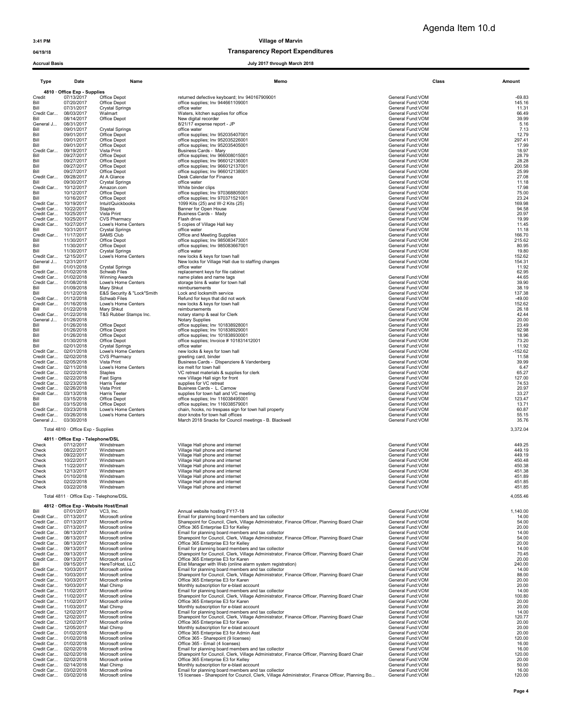### 04/19/18 Transparency Report Expenditures

|                          |                                                |                                                     | 2011 unvugn murun 2011                                                                                                                            |                                        |                    |
|--------------------------|------------------------------------------------|-----------------------------------------------------|---------------------------------------------------------------------------------------------------------------------------------------------------|----------------------------------------|--------------------|
|                          |                                                |                                                     |                                                                                                                                                   |                                        |                    |
| Type                     | Date                                           | Name                                                | Memo                                                                                                                                              |                                        | Class<br>Amount    |
|                          | 4810 · Office Exp - Supplies<br>07/13/2017     | Office Depot                                        | returned defective keyboard; Inv 940167909001                                                                                                     | General Fund: VOM                      | $-69.83$           |
| Credit<br>Bill           | 07/20/2017                                     | Office Depot                                        | office supplies; Inv 944661109001                                                                                                                 | General Fund: VOM                      | 145.16             |
| Bill<br>Credit Car       | 07/31/2017<br>08/03/2017                       | <b>Crystal Springs</b><br>Walmart                   | office water<br>Waters, kitchen supplies for office                                                                                               | General Fund: VOM<br>General Fund:VOM  | 11.31<br>66.49     |
| Bill                     | 08/14/2017                                     | Office Depot                                        | New digital recorder                                                                                                                              | General Fund:VOM                       | 39.99              |
| General J<br>Bill        | 08/31/2017<br>09/01/2017                       | <b>Crystal Springs</b>                              | 8/21/17 expense report - JP<br>office water                                                                                                       | General Fund: VOM<br>General Fund: VOM | 5.16<br>7.13       |
| Bill                     | 09/01/2017                                     | Office Depot                                        | office supplies; Inv 952035407001                                                                                                                 | General Fund: VOM                      | 12.79              |
| Bill<br>Bill             | 09/01/2017<br>09/01/2017                       | Office Depot<br>Office Depot                        | office supplies; Inv 952035226001<br>office supplies; Inv 952035405001                                                                            | General Fund: VOM<br>General Fund: VOM | 297.41<br>17.99    |
| Credit Car               | 09/19/2017                                     | Vista Print                                         | Business Cards - Mary                                                                                                                             | General Fund: VOM                      | 18.97              |
| Bill                     | 09/27/2017<br>09/27/2017                       | Office Depot                                        | office supplies; Inv 966008015001                                                                                                                 | General Fund: VOM                      | 28.79<br>28.28     |
| Bill<br>Bill             | 09/27/2017                                     | Office Depot<br>Office Depot                        | office supplies; Inv 966012136001<br>office supplies; Inv 966012137001                                                                            | General Fund: VOM<br>General Fund: VOM | 200.58             |
| Bill                     | 09/27/2017                                     | Office Depot<br>At A Glance                         | office supplies; Inv 966012138001                                                                                                                 | General Fund: VOM                      | 25.99              |
| Credit Car<br>Bill       | 09/28/2017<br>09/30/2017                       | <b>Crystal Springs</b>                              | Desk Calendar for Finance<br>office water                                                                                                         | General Fund: VOM<br>General Fund: VOM | 27.08<br>11.18     |
| Credit Car               | 10/12/2017                                     | Amazon.com                                          | White binder clips                                                                                                                                | General Fund: VOM                      | 17.98              |
| Bill<br>Bill             | 10/12/2017<br>10/16/2017                       | Office Depot<br>Office Depot                        | office supplies; Inv 970368805001<br>office supplies; Inv 970371521001                                                                            | General Fund: VOM<br>General Fund: VOM | 75.00<br>23.24     |
| Credit Car               | 10/19/2017                                     | Intuit/Quickbooks                                   | 1099 Kits (25) and W-2 Kits (25)                                                                                                                  | General Fund: VOM                      | 169.98             |
| Credit Car<br>Credit Car | 10/22/2017<br>10/25/2017                       | Staples<br>Vista Print                              | Banner for Open House<br>Business Cards - Mady                                                                                                    | General Fund: VOM<br>General Fund:VOM  | 94.58<br>20.97     |
| Credit Car               | 10/25/2017                                     | <b>CVS Pharmacy</b>                                 | Flash drive                                                                                                                                       | General Fund: VOM                      | 19.99              |
| Credit Car<br>Bill       | 10/27/2017<br>10/31/2017                       | Lowe's Home Centers                                 | 5 copies of Village Hall key<br>office water                                                                                                      | General Fund: VOM<br>General Fund: VOM | 11.45<br>11.18     |
| Credit Car               | 11/17/2017                                     | Crystal Springs<br><b>SAMS Club</b>                 | Office and Meeting Supplies                                                                                                                       | General Fund: VOM                      | 166.70             |
| Bill                     | 11/30/2017                                     | Office Depot                                        | office supplies; Inv 985083473001                                                                                                                 | General Fund: VOM                      | 215.62             |
| Bill<br>Bill             | 11/30/2017<br>11/30/2017                       | Office Depot<br><b>Crystal Springs</b>              | office supplies; Inv 985083667001<br>office water                                                                                                 | General Fund:VOM<br>General Fund: VOM  | 80.95<br>19.80     |
| Credit Car               | 12/15/2017                                     | Lowe's Home Centers                                 | new locks & keys for town hall                                                                                                                    | General Fund: VOM                      | 152.62             |
| General J<br>Bill        | 12/31/2017<br>01/01/2018                       | <b>Crystal Springs</b>                              | New locks for Village Hall due to staffing changes<br>office water                                                                                | General Fund: VOM<br>General Fund: VOM | 154.31<br>11.92    |
| Credit Car               | 01/02/2018                                     | Schwab Files                                        | replacement keys for file cabinet                                                                                                                 |                                        | 62.95              |
| Credit Car<br>Credit Car | 01/02/2018<br>01/08/2018                       | Winning Awards<br>Lowe's Home Centers               | name plates and name tags<br>storage bins & water for town hall                                                                                   | General Fund:VOM<br>General Fund: VOM  | 44.65<br>39.90     |
| Bill                     | 01/09/2018                                     | Mary Shkut                                          | reimbursements                                                                                                                                    | General Fund: VOM                      | 38.19              |
| Bill                     | 01/12/2018<br>Credit Car 01/12/2018            | E&S Security & "Lock"Smith                          | Lock and locksmith service<br>Refund for keys that did not work                                                                                   | General Fund: VOM<br>General Fund: VOM | 137.38<br>$-49.00$ |
|                          | Credit Car 01/16/2018                          | Schwab Files<br>Lowe's Home Centers                 | new locks & keys for town hall                                                                                                                    | General Fund: VOM                      | 152.62             |
| Bill                     | 01/22/2018                                     | Mary Shkut                                          | reimbursements                                                                                                                                    | General Fund:VOM                       | 26.18              |
| Credit Car<br>General J  | 01/22/2018<br>01/26/2018                       | T&S Rubber Stamps Inc.                              | notary stamp & seal for Clerk<br><b>Notary Supplies</b>                                                                                           | General Fund: VOM<br>General Fund: VOM | 42.44<br>20.00     |
| Bill                     | 01/26/2018                                     | Office Depot                                        | office supplies; Inv 101838928001                                                                                                                 | General Fund: VOM                      | 23.49              |
| Bill<br>Bill             | 01/26/2018<br>01/26/2018                       | Office Depot<br>Office Depot                        | office supplies; Inv 101838929001<br>office supplies; Inv 101838930001                                                                            | General Fund: VOM<br>General Fund: VOM | 92.98<br>18.96     |
| Bill                     | 01/30/2018                                     | Office Depot                                        | office supplies; Invoice # 101831412001                                                                                                           | General Fund: VOM                      | 73.20              |
| Bill                     | 02/01/2018                                     | <b>Crystal Springs</b>                              | office water                                                                                                                                      | General Fund: VOM                      | 11.92              |
| Credit Car<br>Credit Car | 02/01/2018<br>02/02/2018                       | Lowe's Home Centers<br><b>CVS Pharmacy</b>          | new locks & keys for town hall<br>greeting card, binder                                                                                           | General Fund: VOM<br>General Fund: VOM | -152.62<br>11.58   |
|                          | Credit Car 02/05/2018                          | Vista Print                                         | Business Cards - DIspenziere & Vandenberg                                                                                                         | General Fund: VOM                      | 39.99              |
|                          | Credit Car 02/11/2018<br>Credit Car 02/22/2018 | Lowe's Home Centers<br><b>Staples</b>               | ice melt for town hall<br>VC retreat materials & supplies for clerk                                                                               | General Fund:VOM<br>General Fund: VOM  | 6.47<br>65.27      |
| Credit Car               | 02/22/2018                                     | Fast Signs                                          | new Village Hall sign for front                                                                                                                   | General Fund:VOM                       | 127.00             |
| Credit Car<br>Credit Car | 02/23/2018<br>02/26/2018                       | Harris Teeter<br>Vista Print                        | supplies for VC retreat<br>Business Cards - L. Carnow                                                                                             | General Fund: VOM<br>General Fund: VOM | 74.53<br>20.97     |
| Credit Car               | 03/13/2018                                     | Harris Teeter                                       | supplies for town hall and VC meeting                                                                                                             | General Fund: VOM                      | 33.27              |
| Bill                     | 03/15/2018                                     | Office Depot                                        | office supplies; Inv 116038495001                                                                                                                 | General Fund: VOM                      | 123.47             |
| Bill<br>Credit Car       | 03/15/2018<br>03/23/2018                       | Office Depot<br>Lowe's Home Centers                 | office supplies; Inv 116038579001<br>chain, hooks, no trespass sign for town hall property                                                        | General Fund: VOM<br>General Fund: VOM | 13.71<br>60.87     |
| Credit Car               | 03/26/2018                                     | Lowe's Home Centers                                 | door knobs for town hall offices                                                                                                                  | General Fund:VOM                       | 55.15              |
| General J                | 03/30/2018                                     |                                                     | March 2018 Snacks for Council meetings - B. Blackwell                                                                                             | General Fund: VOM                      | 35.76              |
|                          | Total 4810 · Office Exp - Supplies             |                                                     |                                                                                                                                                   |                                        | 3,372.04           |
|                          | 4811 · Office Exp - Telephone/DSL              |                                                     |                                                                                                                                                   |                                        |                    |
| Check<br>Check           | 07/12/2017<br>08/22/2017                       | Windstream<br>Windstream                            | Village Hall phone and internet<br>Village Hall phone and internet                                                                                | General Fund: VOM<br>General Fund: VOM | 449.25<br>449.19   |
| Check                    | 09/22/2017                                     | Windstream                                          | Village Hall phone and internet                                                                                                                   | General Fund: VOM                      | 449.19             |
| Check<br>Check           | 10/22/2017<br>11/22/2017                       | Windstream<br>Windstream                            | Village Hall phone and internet                                                                                                                   | General Fund:VOM<br>General Fund: VOM  | 450.48<br>450.38   |
| Check                    | 12/13/2017                                     | Windstream                                          | Village Hall phone and internet<br>Village Hall phone and internet                                                                                | General Fund: VOM                      | 451.38             |
| Check                    | 01/10/2018                                     | Windstream                                          | Village Hall phone and internet                                                                                                                   | General Fund:VOM                       | 451.89             |
| Check<br>Check           | 02/22/2018<br>03/22/2018                       | Windstream<br>Windstream                            | Village Hall phone and internet<br>Village Hall phone and internet                                                                                | General Fund: VOM<br>General Fund: VOM | 451.85<br>451.85   |
|                          |                                                | Total 4811 · Office Exp - Telephone/DSL             |                                                                                                                                                   |                                        | 4,055.46           |
|                          |                                                |                                                     |                                                                                                                                                   |                                        |                    |
| Bill                     | 07/01/2017                                     | 4812 · Office Exp - Website Host/Email<br>VC3, Inc. | Annual website hosting FY17-18                                                                                                                    | General Fund: VOM                      | 1,140.00           |
| Credit Car               | 07/13/2017                                     | Microsoft online                                    | Email for planning board members and tax collector                                                                                                | General Fund: VOM                      | 14.00              |
|                          | Credit Car 07/13/2017<br>Credit Car 07/13/2017 | Microsoft online<br>Microsoft online                | Sharepoint for Council, Clerk, Village Administrator, Finance Officer, Planning Board Chair<br>Office 365 Enterprise E3 for Kelley                | General Fund:VOM<br>General Fund: VOM  | 54.00<br>20.00     |
|                          | Credit Car 08/13/2017                          | Microsoft online                                    | Email for planning board members and tax collector                                                                                                | General Fund: VOM                      | 14.00              |
|                          | Credit Car 08/13/2017<br>Credit Car 08/13/2017 | Microsoft online<br>Microsoft online                | Sharepoint for Council, Clerk, Village Administrator, Finance Officer, Planning Board Chair<br>Office 365 Enterprise E3 for Kelley                | General Fund:VOM<br>General Fund: VOM  | 54.00<br>20.00     |
|                          | Credit Car 09/13/2017                          | Microsoft online                                    | Email for planning board members and tax collector                                                                                                | General Fund: VOM                      | 14.00              |
|                          | Credit Car 09/13/2017                          | Microsoft online                                    | Sharepoint for Council, Clerk, Village Administrator, Finance Officer, Planning Board Chair                                                       | General Fund:VOM                       | 70.45              |
| Credit Car<br>Bill       | 09/13/2017<br>09/15/2017                       | Microsoft online<br>HereToHost, LLC                 | Office 365 Enterprise E3 for Karen<br>Elist Manager with Web (online alarm system registration)                                                   | General Fund: VOM<br>General Fund: VOM | 20.00<br>240.00    |
| Credit Car               | 10/03/2017                                     | Microsoft online                                    | Email for planning board members and tax collector                                                                                                | General Fund:VOM                       | 14.00              |
| Credit Car<br>Credit Car | 10/03/2017<br>10/03/2017                       | Microsoft online<br>Microsoft online                | Sharepoint for Council, Clerk, Village Administrator, Finance Officer, Planning Board Chair<br>Office 365 Enterprise E3 for Karen                 | General Fund:VOM<br>General Fund: VOM  | 88.00<br>20.00     |
| Credit Car               | 10/03/2017                                     | Mail Chimp                                          | Monthly subscription for e-blast account                                                                                                          | General Fund: VOM                      | 20.00              |
|                          | Credit Car 11/02/2017<br>Credit Car 11/02/2017 | Microsoft online                                    | Email for planning board members and tax collector<br>Sharepoint for Council, Clerk, Village Administrator, Finance Officer, Planning Board Chair | General Fund:VOM<br>General Fund:VOM   | 14.00<br>100.80    |
|                          | Credit Car 11/02/2017                          | Microsoft online<br>Microsoft online                | Office 365 Enterprise E3 for Karen                                                                                                                | General Fund: VOM                      | 20.00              |
|                          | Credit Car 11/03/2017                          | Mail Chimp                                          | Monthly subscription for e-blast account                                                                                                          | General Fund: VOM                      | 20.00              |
| Credit Car               | Credit Car 12/02/2017<br>12/02/2017            | Microsoft online<br>Microsoft online                | Email for planning board members and tax collector<br>Sharepoint for Council, Clerk, Village Administrator, Finance Officer, Planning Board Chair | General Fund:VOM<br>General Fund:VOM   | 14.00<br>120.77    |
|                          | Credit Car 12/02/2017                          | Microsoft online                                    | Office 365 Enterprise E3 for Karen                                                                                                                | General Fund: VOM                      | 20.00              |
|                          | Credit Car 12/05/2017<br>Credit Car 01/02/2018 | Mail Chimp<br>Microsoft online                      | Monthly subscription for e-blast account<br>Office 365 Enterprise E3 for Admin Asst                                                               | General Fund: VOM<br>General Fund: VOM | 20.00<br>20.00     |
|                          | Credit Car 01/02/2018                          | Microsoft online                                    | Office 365 - Sharepoint (9 licenses)                                                                                                              | General Fund: VOM                      | 120.00             |
|                          | Credit Car 01/02/2018                          | Microsoft online                                    | Office 365 - Email (4 licenses)                                                                                                                   | General Fund: VOM                      | 16.00              |
|                          | Credit Car 02/02/2018<br>Credit Car 02/02/2018 | Microsoft online<br>Microsoft online                | Email for planning board members and tax collector<br>Sharepoint for Council, Clerk, Village Administrator, Finance Officer, Planning Board Chair | General Fund: VOM<br>General Fund:VOM  | 16.00<br>120.00    |
|                          | Credit Car 02/02/2018                          | Microsoft online                                    | Office 365 Enterprise E3 for Kelley                                                                                                               | General Fund: VOM                      | 20.00              |
|                          | Credit Car 02/14/2018<br>Credit Car 03/02/2018 | Mail Chimp<br>Microsoft online                      | Monthly subscription for e-blast account<br>Email for planning board members and tax collector                                                    | General Fund: VOM<br>General Fund:VOM  | 50.00<br>16.00     |
| Credit Car               | 03/02/2018                                     | Microsoft online                                    | 15 licenses - Sharepoint for Council, Clerk, Village Administrator, Finance Officer, Planning Bo.                                                 | General Fund:VOM                       | 120.00             |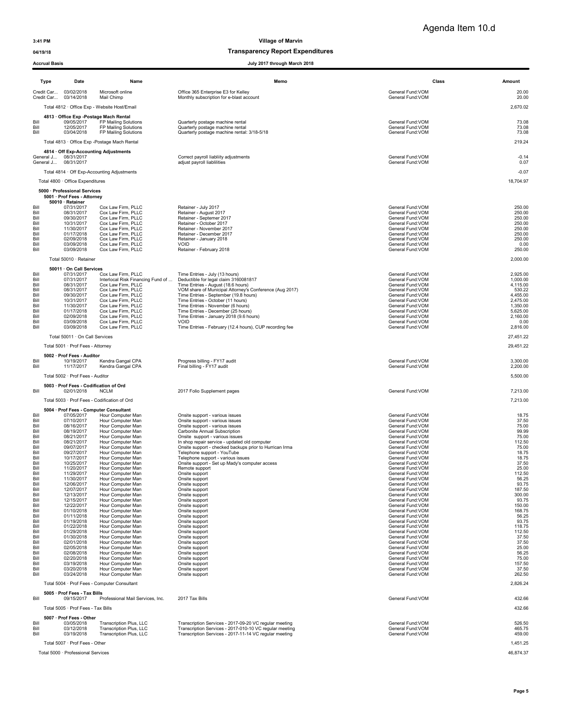Agenda Item 10.d

## 04/19/18 and 04/19/18 of the control of the control of the Transparency Report Expenditures

|              | ACCIU AI DASIS                                       |                                                    | July 2017 Uliough March 2010                                                                                      |                                        |                      |
|--------------|------------------------------------------------------|----------------------------------------------------|-------------------------------------------------------------------------------------------------------------------|----------------------------------------|----------------------|
|              | Type<br>Date                                         | Name                                               | Memo                                                                                                              |                                        | Class<br>Amount      |
|              | Credit Car 03/02/2018<br>Credit Car<br>03/14/2018    | Microsoft online<br>Mail Chimp                     | Office 365 Enterprise E3 for Kelley<br>Monthly subscription for e-blast account                                   | General Fund: VOM<br>General Fund: VOM | 20.00<br>20.00       |
|              | Total 4812 · Office Exp - Website Host/Email         |                                                    |                                                                                                                   |                                        | 2,670.02             |
|              | 4813 · Office Exp -Postage Mach Rental               |                                                    |                                                                                                                   |                                        |                      |
| Bill<br>Bill | 09/05/2017<br>12/05/2017                             | FP Mailing Solutions<br>FP Mailing Solutions       | Quarterly postage machine rental<br>Quarterly postage machine rental                                              | General Fund: VOM<br>General Fund: VOM | 73.08<br>73.08       |
| Bill         | 03/04/2018                                           | FP Mailing Solutions                               | Quarterly postage machine rental: 3/18-5/18                                                                       | General Fund: VOM                      | 73.08                |
|              | Total 4813 · Office Exp - Postage Mach Rental        |                                                    |                                                                                                                   |                                        | 219.24               |
|              | 4814 · Off Exp-Accounting Adjustments                |                                                    |                                                                                                                   |                                        |                      |
|              | General J 08/31/2017<br>General J<br>08/31/2017      |                                                    | Correct payroll liabliity adjustments<br>adjust payroll liablilities                                              | General Fund: VOM<br>General Fund: VOM | $-0.14$<br>0.07      |
|              | Total 4814 · Off Exp-Accounting Adjustments          |                                                    |                                                                                                                   |                                        | $-0.07$              |
|              | Total 4800 · Office Expenditures                     |                                                    |                                                                                                                   |                                        | 18,704.97            |
|              | 5000 · Professional Services                         |                                                    |                                                                                                                   |                                        |                      |
|              | 5001 · Prof Fees - Attorney<br>50010 · Retainer      |                                                    |                                                                                                                   |                                        |                      |
| Bill         | 07/31/2017<br>08/31/2017                             | Cox Law Firm, PLLC<br>Cox Law Firm, PLLC           | Retainer - July 2017<br>Retainer - August 2017                                                                    | General Fund:VOM<br>General Fund: VOM  | 250.00<br>250.00     |
| Bill<br>Bill | 09/30/2017                                           | Cox Law Firm, PLLC                                 | Retainer - Septemer 2017                                                                                          | General Fund: VOM                      | 250.00               |
| Bill<br>Bill | 10/31/2017<br>11/30/2017                             | Cox Law Firm, PLLC<br>Cox Law Firm, PLLC           | Retainer - October 2017<br>Retainer - November 2017                                                               | General Fund:VOM<br>General Fund: VOM  | 250.00<br>250.00     |
| Bill         | 01/17/2018                                           | Cox Law Firm, PLLC<br>Cox Law Firm, PLLC           | Retainer - December 2017                                                                                          | General Fund: VOM<br>General Fund:VOM  | 250.00               |
| Bill<br>Bill | 02/09/2018<br>03/09/2018                             | Cox Law Firm, PLLC                                 | Retainer - January 2018<br>VOID                                                                                   | General Fund: VOM                      | 250.00<br>0.00       |
| Bill         | 03/09/2018                                           | Cox Law Firm, PLLC                                 | Retainer - February 2018                                                                                          | General Fund:VOM                       | 250.00               |
|              | Total 50010 · Retainer                               |                                                    |                                                                                                                   |                                        | 2,000.00             |
| Bill         | 50011 · On Call Services<br>07/31/2017               | Cox Law Firm, PLLC                                 | Time Entries - July (13 hours)                                                                                    | General Fund:VOM                       | 2,925.00             |
| Bill         | 07/31/2017                                           | Interlocal Risk Financing Fund of                  | Deductible for legal claim 3160081817                                                                             | General Fund:VOM                       | 1,000.00             |
| Bill<br>Bill | 08/31/2017<br>08/31/2017                             | Cox Law Firm, PLLC<br>Cox Law Firm, PLLC           | Time Entries - August (18.6 hours)<br>VOM share of Municipal Attorney's Conference (Aug 2017)                     | General Fund: VOM<br>General Fund:VOM  | 4,115.00<br>530.22   |
| Bill<br>Bill | 09/30/2017<br>10/31/2017                             | Cox Law Firm, PLLC<br>Cox Law Firm, PLLC           | Time Entries - September (19.8 hours)<br>Time Entries - October (11 hours)                                        | General Fund: VOM<br>General Fund: VOM | 4,455.00<br>2,475.00 |
| Bill         | 11/30/2017                                           | Cox Law Firm, PLLC                                 | Time Entries - November (6 hours)<br>Time Entries - December (25 hours)                                           | General Fund: VOM                      | 1,350.00             |
| Bill<br>Bill | 01/17/2018<br>02/09/2018                             | Cox Law Firm, PLLC<br>Cox Law Firm, PLLC           | Time Entries - January 2018 (9.6 hours)                                                                           | General Fund: VOM<br>General Fund: VOM | 5,625.00<br>2,160.00 |
| Bill<br>Bill | 03/09/2018<br>03/09/2018                             | Cox Law Firm, PLLC<br>Cox Law Firm, PLLC           | <b>VOID</b><br>Time Entries - February (12.4 hours), CUP recording fee                                            | General Fund:VOM<br>General Fund: VOM  | 0.00<br>2,816.00     |
|              | Total 50011 · On Call Services                       |                                                    |                                                                                                                   |                                        | 27,451.22            |
|              | Total 5001 · Prof Fees - Attorney                    |                                                    |                                                                                                                   |                                        | 29,451.22            |
|              | 5002 · Prof Fees - Auditor                           |                                                    |                                                                                                                   |                                        |                      |
| Bill         | 10/19/2017                                           | Kendra Gangal CPA                                  | Progress billing - FY17 audit                                                                                     | General Fund:VOM                       | 3,300.00             |
| Bill         | 11/17/2017                                           | Kendra Gangal CPA                                  | Final billing - FY17 audit                                                                                        | General Fund: VOM                      | 2,200.00             |
|              | Total 5002 · Prof Fees - Auditor                     |                                                    |                                                                                                                   |                                        | 5,500.00             |
| Bill         | 5003 · Prof Fees - Codification of Ord<br>02/01/2018 | <b>NCLM</b>                                        | 2017 Folio Supplement pages                                                                                       | General Fund:VOM                       | 7,213.00             |
|              | Total 5003 · Prof Fees - Codification of Ord         |                                                    |                                                                                                                   |                                        | 7,213.00             |
|              | 5004 · Prof Fees - Computer Consultant               |                                                    |                                                                                                                   |                                        |                      |
| Bill<br>Bill | 07/05/2017<br>07/10/2017                             | Hour Computer Man<br>Hour Computer Man             | Onsite support - various issues<br>Onsite support - various issues                                                | General Fund:VOM<br>General Fund:VOM   | 18.75<br>37.50       |
| Bill         | 08/16/2017                                           | Hour Computer Man                                  | Onsite support - various issues                                                                                   | General Fund:VOM                       | 75.00                |
| Bill<br>Bill | 08/19/2017<br>08/21/2017                             | Hour Computer Man<br>Hour Computer Man             | Carbonite Annual Subscription<br>Onsite support - various issues                                                  | General Fund: VOM<br>General Fund:VOM  | 99.99<br>75.00       |
| Bill<br>Bill | 08/21/2017<br>09/07/2017                             | Hour Computer Man<br>Hour Computer Man             | In shop repair service - updated old computer<br>Onsite support - checked backups prior to Hurrican Irma          | General Fund:VOM<br>General Fund: VOM  | 112.50<br>75.00      |
| Bill         | 09/27/2017                                           | Hour Computer Man                                  | Telephone support - YouTube                                                                                       | General Fund: VOM                      | 18.75                |
| Bill<br>Bill | 10/17/2017<br>10/25/2017                             | Hour Computer Man<br>Hour Computer Man             | Telephone support - various issues<br>Onsite support - Set up Mady's computer access                              | General Fund: VOM<br>General Fund:VOM  | 18.75<br>37.50       |
| Bill<br>Bill | 11/20/2017<br>11/29/2017                             | Hour Computer Man<br>Hour Computer Man             | Remote support<br>Onsite support                                                                                  | General Fund: VOM<br>General Fund:VOM  | 25.00<br>112.50      |
| Bill         | 11/30/2017                                           | Hour Computer Man                                  | Onsite support                                                                                                    | General Fund:VOM                       | 56.25                |
| Bill<br>Bill | 12/06/2017<br>12/07/2017                             | Hour Computer Man<br>Hour Computer Man             | Onsite support<br>Onsite support                                                                                  | General Fund: VOM<br>General Fund:VOM  | 93.75<br>187.50      |
| Bill<br>Bill | 12/13/2017<br>12/15/2017                             | Hour Computer Man<br>Hour Computer Man             | Onsite support<br>Onsite support                                                                                  | General Fund:VOM<br>General Fund:VOM   | 300.00<br>93.75      |
| Bill<br>Bill | 12/22/2017<br>01/10/2018                             | Hour Computer Man<br>Hour Computer Man             | Onsite support<br>Onsite support                                                                                  | General Fund:VOM<br>General Fund:VOM   | 150.00<br>168.75     |
| Bill         | 01/11/2018                                           | Hour Computer Man                                  | Onsite support                                                                                                    | General Fund:VOM                       | 56.25                |
| Bill<br>Bill | 01/19/2018<br>01/22/2018                             | Hour Computer Man<br>Hour Computer Man             | Onsite support<br>Onsite support                                                                                  | General Fund:VOM<br>General Fund:VOM   | 93.75<br>118.75      |
| Bill<br>Bill | 01/29/2018<br>01/30/2018                             | Hour Computer Man<br>Hour Computer Man             | Onsite support<br>Onsite support                                                                                  | General Fund:VOM<br>General Fund:VOM   | 112.50<br>37.50      |
| Bill         | 02/01/2018                                           | Hour Computer Man                                  | Onsite support                                                                                                    | General Fund:VOM                       | 37.50                |
| Bill<br>Bill | 02/05/2018<br>02/08/2018                             | Hour Computer Man<br>Hour Computer Man             | Onsite support<br>Onsite support                                                                                  | General Fund:VOM<br>General Fund: VOM  | 25.00<br>56.25       |
| Bill<br>Bill | 02/20/2018<br>03/19/2018                             | Hour Computer Man<br>Hour Computer Man             | Onsite support<br>Onsite support                                                                                  | General Fund: VOM<br>General Fund: VOM | 75.00<br>157.50      |
| Bill         | 03/20/2018<br>03/24/2018                             | Hour Computer Man<br>Hour Computer Man             | Onsite support                                                                                                    | General Fund: VOM<br>General Fund: VOM | 37.50                |
| Bill         |                                                      |                                                    | Onsite support                                                                                                    |                                        | 262.50               |
|              | Total 5004 · Prof Fees - Computer Consultant         |                                                    |                                                                                                                   |                                        | 2,826.24             |
| Bill         | 5005 · Prof Fees - Tax Bills<br>09/15/2017           | Professional Mail Services, Inc.                   | 2017 Tax Bills                                                                                                    | General Fund:VOM                       | 432.66               |
|              | Total 5005 · Prof Fees - Tax Bills                   |                                                    |                                                                                                                   |                                        | 432.66               |
|              | 5007 · Prof Fees - Other                             |                                                    |                                                                                                                   |                                        |                      |
| Bill<br>Bill | 03/05/2018<br>03/12/2018                             | Transcription Plus, LLC<br>Transcription Plus, LLC | Transcription Services - 2017-09-20 VC regular meeting<br>Transcription Services - 2017-010-10 VC regular meeting | General Fund: VOM<br>General Fund:VOM  | 526.50<br>465.75     |
| Bill         | 03/19/2018                                           | Transcription Plus, LLC                            | Transcription Services - 2017-11-14 VC regular meeting                                                            | General Fund:VOM                       | 459.00               |
|              | Total 5007 · Prof Fees - Other                       |                                                    |                                                                                                                   |                                        | 1,451.25             |
|              | Total 5000 · Professional Services                   |                                                    |                                                                                                                   |                                        | 46,874.37            |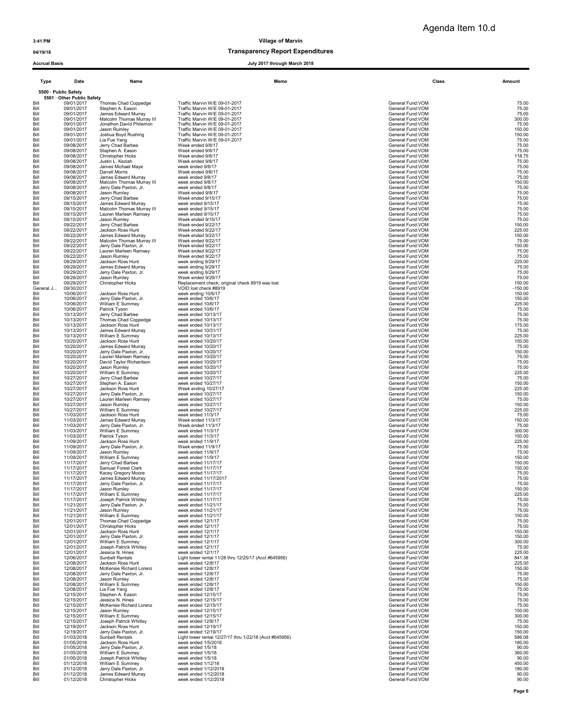## 04/19/18 and 04/19/18 of the control of the control of the Transparency Report Expenditures

| Type              | Date                                               | Name                                             | Memo                                                                     | Class                                  | Amount              |
|-------------------|----------------------------------------------------|--------------------------------------------------|--------------------------------------------------------------------------|----------------------------------------|---------------------|
|                   | 5500 · Public Safety<br>5501 · Other Public Safety |                                                  |                                                                          |                                        |                     |
| Bill              | 09/01/2017                                         | Thomas Chad Coppedge                             | Traffic Marvin W/E 09-01-2017                                            | General Fund: VOM                      | 75.00               |
| Bill              | 09/01/2017                                         | Stephen A. Eason                                 | Traffic Marvin W/E 09-01-2017                                            | General Fund: VOM                      | 75.00               |
| Bill              | 09/01/2017                                         | James Edward Murray                              | Traffic Marvin W/E 09-01-2017                                            | General Fund:VOM                       | 75.00               |
| Bill              | 09/01/2017                                         | Malcolm Thomas Murray III                        | Traffic Marvin W/E 09-01-2017                                            | General Fund:VOM                       | 300.00              |
| Bill              | 09/01/2017                                         | Jonathon David Philemon                          | Traffic Marvin W/E 09-01-2017                                            | General Fund: VOM                      | 75.00               |
| Bill              | 09/01/2017                                         | Jason Rumley                                     | Traffic Marvin W/E 09-01-2017                                            | General Fund:VOM                       | 150.00              |
| Bill              | 09/01/2017                                         | Joshua Boyd Rushing                              | Traffic Marvin W/E 09-01-2017                                            | General Fund: VOM                      | 150.00              |
| Bill              | 09/01/2017                                         | Lia Fue Yang                                     | Traffic Marvin W/E 09-01-2017                                            | General Fund: VOM                      | 75.00               |
| Bill              | 09/08/2017                                         | Jerry Chad Barbee                                | Week ended 9/8/17                                                        | General Fund:VOM                       | 75.00               |
| Bill              | 09/08/2017                                         | Stephen A. Eason                                 | Week ended 9/8/17                                                        | General Fund: VOM                      | 75.00               |
| Bill              | 09/08/2017                                         | <b>Christopher Hicks</b>                         | Week ended 9/8/17                                                        | General Fund: VOM                      | 118.75              |
| Bill              | 09/08/2017                                         | Justin L. Keziah                                 | Week ended 9/8/17                                                        | General Fund: VOM                      | 75.00               |
| Bill              | 09/08/2017                                         | James Michael Maye                               | week ended 9/8/17                                                        | General Fund:VOM                       | 75.00               |
| Bill              | 09/08/2017<br>09/08/2017                           | Darrell Morris                                   | Week ended 9/8/17<br>week ended 9/8/17                                   | General Fund:VOM<br>General Fund:VOM   | 75.00               |
| Bill<br>Bill      | 09/08/2017                                         | James Edward Murray<br>Malcolm Thomas Murray III | week ended 9/8/17                                                        | General Fund:VOM                       | 75.00<br>150.00     |
| Bill              | 09/08/2017                                         | Jerry Dale Paxton, Jr.                           | week ended 9/8/17                                                        | General Fund:VOM                       | 75.00               |
| Bill              | 09/08/2017                                         | Jason Rumley                                     | Week ended 9/8/17                                                        | General Fund: VOM                      | 75.00               |
| Bill              | 09/15/2017<br>09/15/2017                           | Jerry Chad Barbee                                | Week ended 9/15/17                                                       | General Fund: VOM                      | 75.00               |
| Bill<br>Bill      | 09/15/2017                                         | James Edward Murray<br>Malcolm Thomas Murray III | week ended 9/15/17<br>week ended 9/15/17                                 | General Fund:VOM<br>General Fund:VOM   | 75.00<br>75.00      |
| Bill              | 09/15/2017                                         | Lauren Marleen Ramsey                            | week ended 9/15/17                                                       | General Fund:VOM                       | 75.00               |
| Bill              | 09/15/2017                                         | Jason Rumley                                     | Week ended 9/15/17                                                       | General Fund:VOM                       | 75.00               |
| Bill              | 09/22/2017                                         | Jerry Chad Barbee                                | Week ended 9/22/17                                                       | General Fund: VOM                      | 150.00              |
| Bill              | 09/22/2017                                         | Jackson Ross Hunt                                | Week ended 9/22/17                                                       | General Fund: VOM                      | 225.00              |
| Bill              | 09/22/2017                                         | James Edward Murray                              | Week ended 9/22/17                                                       | General Fund: VOM                      | 150.00              |
| Bill              | 09/22/2017                                         | Malcolm Thomas Murray III                        | Week ended 9/22/17                                                       | General Fund: VOM                      | 75.00               |
| Bill              | 09/22/2017                                         | Jerry Dale Paxton, Jr.                           | Week ended 9/22/17                                                       | General Fund: VOM                      | 150.00              |
| Bill              | 09/22/2017                                         | Lauren Marleen Ramsey                            | Week ended 9/22/17                                                       | General Fund:VOM                       | 75.00               |
| Bill              | 09/22/2017                                         | Jason Rumley                                     | Week ended 9/22/17                                                       | General Fund: VOM                      | 75.00               |
| Bill              | 09/29/2017                                         | Jackson Ross Hunt                                | week ending 9/29/17                                                      | General Fund: VOM                      | 225.00              |
| Bill<br>Bill      | 09/29/2017<br>09/29/2017                           | James Edward Murray<br>Jerry Dale Paxton, Jr.    | week ending 9/29/17                                                      | General Fund:VOM<br>General Fund: VOM  | 75.00<br>75.00      |
| Bill              | 09/29/2017                                         | Jason Rumley                                     | week ending 9/29/17<br>Week ended 9/29/17                                | General Fund:VOM                       | 75.00               |
| Bill<br>General J | 09/29/2017<br>09/30/2017                           | <b>Christopher Hicks</b>                         | Replacement check; original check 8919 was lost<br>VOID lost check #8919 | General Fund: VOM<br>General Fund: VOM | 150.00<br>$-150.00$ |
| Bill              | 10/06/2017                                         | Jackson Ross Hunt                                | week ending 10/6/17                                                      | General Fund:VOM                       | 150.00              |
| Bill              | 10/06/2017                                         | Jerry Dale Paxton, Jr.                           | week ended 10/6/17                                                       | General Fund:VOM                       | 150.00              |
| Bill              | 10/06/2017                                         | William E Summey                                 | week ended 10/6/17                                                       | General Fund:VOM                       | 225.00              |
| Bill              | 10/06/2017                                         | Patrick Tyson                                    | week ended 10/6/17                                                       | General Fund:VOM                       | 75.00               |
| Bill              | 10/13/2017                                         | Jerry Chad Barbee                                | week ended 10/13/17                                                      | General Fund:VOM                       | 75.00               |
| Bill              | 10/13/2017                                         | Thomas Chad Coppedge                             | week ended 10/13/17                                                      | General Fund:VOM                       | 75.00               |
| Bill              | 10/13/2017                                         | Jackson Ross Hunt                                | week ended 10/13/17                                                      | General Fund: VOM                      | 175.00              |
| Bill              | 10/13/2017                                         | James Edward Murray                              | week ended 10/31/17                                                      | General Fund:VOM                       | 75.00               |
| Bill              | 10/13/2017                                         | William E Summey                                 | week ended 10/13/17                                                      | General Fund:VOM                       | 225.00              |
| Bill              | 10/20/2017                                         | Jackson Ross Hunt                                | week ended 10/20/17                                                      | General Fund:VOM                       | 150.00              |
| Bill              | 10/20/2017                                         | James Edward Murray                              | week ended 10/20/17                                                      | General Fund:VOM                       | 75.00               |
| Bill              | 10/20/2017                                         | Jerry Dale Paxton, Jr.                           | week ended 10/20/17                                                      | General Fund:VOM                       | 150.00              |
| Bill              | 10/20/2017                                         | Lauren Marleen Ramsey                            | week ended 10/20/17                                                      | General Fund:VOM                       | 75.00               |
| Bill              | 10/20/2017                                         | David Taylor Richardson                          | week ended 10/20/17                                                      | General Fund: VOM                      | 75.00               |
| Bill              | 10/20/2017                                         | Jason Rumley                                     | week ended 10/20/17                                                      | General Fund:VOM                       | 75.00               |
| Bill              | 10/20/2017                                         | William E Summey                                 | week ended 10/20/17                                                      | General Fund:VOM                       | 225.00              |
| Bill              | 10/27/2017                                         | Jerry Chad Barbee                                | week ended 10/27/17                                                      | General Fund:VOM                       | 75.00               |
| Bill              | 10/27/2017                                         | Stephen A. Eason                                 | week ended 10/27/17                                                      | General Fund:VOM                       | 150.00              |
| Bill              | 10/27/2017                                         | Jackson Ross Hunt                                | Week ending 10/27/17                                                     | General Fund: VOM                      | 225.00              |
| Bill              | 10/27/2017                                         | Jerry Dale Paxton, Jr.                           | week ended 10/27/17                                                      | General Fund: VOM                      | 150.00              |
| Bill              | 10/27/2017                                         | Lauren Marleen Ramsey                            | week ended 10/27/17                                                      | General Fund:VOM                       | 75.00               |
| Bill              | 10/27/2017                                         | Jason Rumley                                     | week ended 10/27/17                                                      | General Fund:VOM                       | 150.00              |
| Bill              | 10/27/2017                                         | William E Summey                                 | week ended 10/27/17                                                      | General Fund: VOM                      | 225.00              |
| Bill              | 11/03/2017                                         | Jackson Ross Hunt                                | week ended 11/3/17                                                       | General Fund: VOM                      | 75.00               |
| Bill              | 11/03/2017                                         | James Edward Murray                              | Week ended 11/3/17                                                       | General Fund: VOM                      | 150.00              |
| Bill              | 11/03/2017                                         | Jerry Dale Paxton, Jr.                           | Week ended 11/3/17                                                       | General Fund: VOM                      | 75.00               |
| Bill              | 11/03/2017                                         | William E Summey                                 | week ended 11/3/17                                                       | General Fund:VOM                       | 300.00              |
| Bill              | 11/03/2017                                         | Patrick Tyson                                    | week ended 11/3/17                                                       | General Fund:VOM                       | 150.00              |
| Bill              | 11/09/2017                                         | Jackson Ross Hunt                                | week ended 11/9/17                                                       | General Fund:VOM                       | 225.00              |
| Bill              | 11/09/2017                                         | Jerry Dale Paxton, Jr.                           | Week ended 11/9/17                                                       | General Fund:VOM                       | 75.00               |
| Bill              | 11/09/2017                                         | Jason Rumley                                     | week ended 11/9/17                                                       | General Fund: VOM                      | 75.00               |
| Bill              | 11/09/2017                                         | William E Summey                                 | week ended 11/9/17                                                       | General Fund: VOM                      | 150.00              |
| Bill              | 11/17/2017                                         | Jerry Chad Barbee                                | week ended 11/17/17                                                      | General Fund:VOM                       | 150.00              |
| Bill              | 11/17/2017                                         | Samuel Forest Clark                              | week ended 11/17/17                                                      | General Fund:VOM                       | 150.00              |
| Bill              | 11/17/2017                                         | Kacey Gregory Moore                              | week ended 11/17/17                                                      | General Fund:VOM                       | 75.00               |
| Bill              | 11/17/2017                                         | James Edward Murray                              | week ended 11/17/2017                                                    | General Fund: VOM                      | 75.00               |
| Bill              | 11/17/2017                                         | Jerry Dale Paxton, Jr.                           | week ended 11/17/17                                                      | General Fund: VOM                      | 75.00               |
| Bill              | 11/17/2017                                         | Jason Rumley                                     | week ended 11/17/17                                                      | General Fund: VOM                      | 150.00              |
| Bill              | 11/17/2017                                         | William E Summey                                 | week ended 11/17/17                                                      | General Fund: VOM                      | 225.00              |
| Bill              | 11/17/2017                                         | Joseph Patrick Whitley                           | week ended 11/17/17                                                      | General Fund:VOM                       | 75.00               |
| Bill              | 11/21/2017                                         | Jerry Dale Paxton, Jr.                           | week ended 11/21/17                                                      | General Fund: VOM                      | 75.00               |
| Bill              | 11/21/2017                                         | Jason Rumley                                     | week ended 11/21/17                                                      | General Fund: VOM                      | 75.00               |
| Bill              | 11/21/2017                                         | William E Summey                                 | week ended 11/21/17                                                      | General Fund: VOM                      | 150.00              |
| Bill              | 12/01/2017                                         | Thomas Chad Coppedge                             | week ended 12/1/17                                                       | General Fund: VOM                      | 75.00               |
| Bill              | 12/01/2017                                         | <b>Christopher Hicks</b>                         | week ended 12/1/17                                                       | General Fund: VOM                      | 75.00               |
| Bill              | 12/01/2017                                         | Jackson Ross Hunt                                | week ended 12/1/17                                                       | General Fund:VOM                       | 150.00              |
| Bill              | 12/01/2017                                         | Jerry Dale Paxton, Jr.                           | week ended 12/1/17                                                       | General Fund: VOM                      | 150.00              |
| Bill              | 12/01/2017                                         | William E Summey                                 | week ended 12/1/17                                                       | General Fund: VOM                      | 300.00              |
| Bill              | 12/01/2017                                         | Joseph Patrick Whitley                           | week ended 12/1/17                                                       | General Fund: VOM                      | 75.00               |
| Bill              | 12/01/2017                                         | Jessica N. Hines                                 | week ended 12/1/17                                                       | General Fund: VOM                      | 225.00              |
| Bill              | 12/06/2017                                         | <b>Sunbelt Rentals</b>                           | Light tower rental 11/28 thru 12/25/17 (Acct #645956)                    | General Fund: VOM                      | 841.38              |
| Bill              | 12/08/2017                                         | Jackson Ross Hunt                                | week ended 12/8/17                                                       | General Fund:VOM                       | 225.00              |
| Bill              | 12/08/2017                                         | McKensie Richard Lorenz                          | week ended 12/8/17                                                       | General Fund:VOM                       | 150.00              |
| Bill              | 12/08/2017                                         | Jerry Dale Paxton, Jr.                           | week ended 12/8/17                                                       | General Fund:VOM                       | 75.00               |
| Bill              | 12/08/2017                                         | Jason Rumley                                     | week ended 12/8/17                                                       | General Fund:VOM                       | 75.00               |
| Bill              | 12/08/2017                                         | William E Summey                                 | week ended 12/8/17                                                       | General Fund: VOM                      | 150.00              |
| Bill              | 12/08/2017                                         | Lia Fue Yang                                     | week ended 12/8/17                                                       | General Fund:VOM                       | 75.00               |
| Bill              | 12/15/2017                                         | Stephen A. Eason                                 | week ended 12/15/17                                                      | General Fund:VOM                       | 75.00               |
| Bill              | 12/15/2017                                         | Jessica N. Hines                                 | week ended 12/15/17                                                      | General Fund:VOM                       | 75.00               |
| Bill              | 12/15/2017                                         | McKensie Richard Lorenz                          | week ended 12/15/17                                                      | General Fund:VOM                       | 75.00               |
| Bill              | 12/15/2017                                         | Jason Rumley                                     | week ended 12/15/17                                                      | General Fund:VOM                       | 150.00              |
| Bill              | 12/15/2017                                         | William E Summey                                 | week ended 12/15/17                                                      | General Fund:VOM                       | 300.00              |
| Bill              | 12/15/2017                                         | Joseph Patrick Whitley                           | week ended 12/8/17                                                       | General Fund:VOM                       | 75.00               |
| Bill              | 12/19/2017                                         | Jackson Ross Hunt                                | week ended 12/19/17                                                      | General Fund: VOM                      | 150.00              |
| Bill              | 12/19/2017                                         | Jerry Dale Paxton, Jr.                           | week ended 12/19/17                                                      | General Fund:VOM                       | 150.00              |
| Bill              | 01/03/2018                                         | Sunbelt Rentals                                  | Light tower rental 12/27/17 thru 1/22/18 (Acct #645956)                  | General Fund:VOM                       | 586.08              |
| Bill              | 01/05/2018                                         | Jackson Ross Hunt                                | week ended 1/5/2018                                                      | General Fund: VOM                      | 180.00              |
| Bill              | 01/05/2018                                         | Jerry Dale Paxton, Jr.                           | week ended 1/5/18                                                        | General Fund:VOM                       | 90.00               |
| Bill              | 01/05/2018                                         | William E Summey                                 | week ended 1/5/18                                                        | General Fund: VOM                      | 360.00              |
| Bill              | 01/05/2018                                         | Joseph Patrick Whitley                           | week ended 1/5/18                                                        | General Fund: VOM                      | 90.00               |
| Bill              | 01/12/2018                                         | William E Summey                                 | week ended 1/12/18                                                       | General Fund:VOM                       | 450.00              |
| Bill              | 01/12/2018                                         | Jerry Dale Paxton, Jr.                           | week ended 1/12/2018                                                     | General Fund: VOM                      | 180.00              |
| Bill              | 01/12/2018                                         | James Edward Murray                              | week ended 1/12/2018                                                     | General Fund: VOM                      | 90.00               |
| Bill              | 01/12/2018                                         | Christopher Hicks                                | week ended 1/12/2018                                                     | General Fund:VOM                       | 90.00               |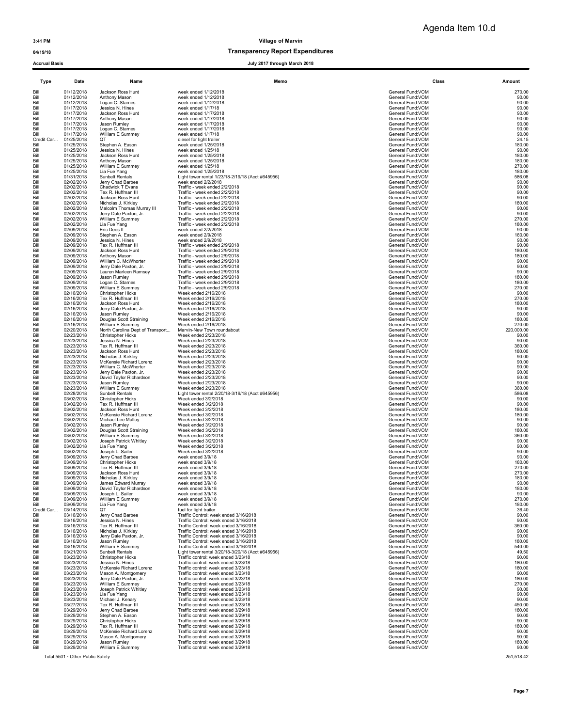Agenda Item 10.d

### 04/19/18 Transparency Report Expenditures

Accrual Basis July 2017 through March 2018

| Type       | Date                             | Name                             | Memo                                              |                   | Class<br>Amount |
|------------|----------------------------------|----------------------------------|---------------------------------------------------|-------------------|-----------------|
| Bill       | 01/12/2018                       | Jackson Ross Hunt                | week ended 1/12/2018                              | General Fund:VOM  | 270.00          |
| Bill       | 01/12/2018                       | Anthony Mason                    | week ended 1/12/2018                              | General Fund:VOM  | 90.00           |
| Bill       | 01/12/2018                       | Logan C. Starnes                 | week ended 1/12/2018                              | General Fund: VOM | 90.00           |
| Bill       | 01/17/2018                       | Jessica N. Hines                 | week ended 1/17/18                                | General Fund: VOM | 90.00           |
| Bill       | 01/17/2018                       | Jackson Ross Hunt                | week ended 1/17/2018                              | General Fund: VOM | 90.00           |
| Bill       | 01/17/2018                       | Anthony Mason                    | week ended 1/17/2018                              | General Fund:VOM  | 90.00           |
| Bill       | 01/17/2018                       | Jason Rumley                     | week ended 1/17/2018                              | General Fund:VOM  | 90.00           |
| Bill       | 01/17/2018                       | Logan C. Starnes                 | week ended 1/17/2018                              | General Fund:VOM  | 90.00           |
| Bill       | 01/17/2018                       | William E Summey                 | week ended 1/17/18                                | General Fund:VOM  | 90.00           |
| Credit Car | 01/25/2018                       | QT                               | diesel for light trailer                          | General Fund: VOM | 24.15           |
| Bill       | 01/25/2018                       | Stephen A. Eason                 | week ended 1/25/2018                              | General Fund: VOM | 180.00          |
| Bill       | 01/25/2018                       | Jessica N. Hines                 | week ended 1/25/18                                | General Fund:VOM  | 90.00           |
| Bill       | 01/25/2018                       | Jackson Ross Hunt                | week ended 1/25/2018                              | General Fund:VOM  | 180.00          |
| Bill       | 01/25/2018                       | Anthony Mason                    | week ended 1/25/2018                              | General Fund: VOM | 180.00          |
| Bill       | 01/25/2018                       | William E Summev                 | week ended 1/25/18                                | General Fund:VOM  | 270.00          |
| Bill       | 01/25/2018                       | Lia Fue Yang                     | week ended 1/25/2018                              | General Fund:VOM  | 180.00          |
| Bill       | 01/31/2018                       | <b>Sunbelt Rentals</b>           | Light tower rental 1/23/18-2/19/18 (Acct #645956) | General Fund: VOM | 586.08          |
| Bill       | 02/02/2018                       | Jerry Chad Barbee                | week ended 2/2/2018                               | General Fund: VOM | 90.00           |
| Bill       | 02/02/2018                       | Chadwick T Evans                 | Traffic - week ended 2/2/2018                     | General Fund: VOM | 90.00           |
| Bill       | 02/02/2018                       | Tex R. Huffman III               | Traffic - week ended 2/2/2018                     | General Fund: VOM | 90.00           |
| Bill       | 02/02/2018                       | Jackson Ross Hunt                | Traffic - week ended 2/2/2018                     | General Fund: VOM | 90.00           |
| Bill       | 02/02/2018                       | Nicholas J. Kirkley              | Traffic - week ended 2/2/2018                     | General Fund: VOM | 180.00          |
| Bill       | 02/02/2018                       | Malcolm Thomas Murray III        | Traffic - week ended 2/2/2018                     | General Fund: VOM | 90.00           |
| Bill       | 02/02/2018                       | Jerry Dale Paxton, Jr.           | Traffic - week ended 2/2/2018                     | General Fund: VOM | 90.00           |
| Bill       | 02/02/2018                       | William E Summey                 | Traffic - week ended 2/2/2018                     | General Fund: VOM | 270.00          |
| Bill       | 02/02/2018                       | Lia Fue Yang                     | Traffic - week ended 2/2/2018                     | General Fund: VOM | 180.00          |
| Bill       | 02/09/2018                       | Eric Dees II                     | week ended 2/2/2018                               | General Fund:VOM  | 90.00           |
| Bill       | 02/09/2018                       | Stephen A. Eason                 | week ended 2/9/2018                               | General Fund: VOM | 180.00          |
| Bill       | 02/09/2018                       | Jessica N. Hines                 | week ended 2/9/2018                               | General Fund: VOM | 90.00           |
| Bill       | 02/09/2018                       | Tex R. Huffman III               | Traffic - week ended 2/9/2018                     | General Fund: VOM | 90.00           |
| Bill       | 02/09/2018                       | Jackson Ross Hunt                | Traffic - week ended 2/9/2018                     | General Fund: VOM | 180.00          |
| Bill       | 02/09/2018                       | Anthony Mason                    | Traffic - week ended 2/9/2018                     | General Fund: VOM | 180.00          |
| Bill       | 02/09/2018                       | William C. McWhorter             | Traffic - week ended 2/9/2018                     | General Fund: VOM | 90.00           |
| Bill       | 02/09/2018                       | Jerry Dale Paxton, Jr.           | Traffic - week ended 2/9/2018                     | General Fund: VOM | 90.00           |
| Bill       | 02/09/2018                       | Lauren Marleen Ramsey            | Traffic - week ended 2/9/2018                     | General Fund: VOM | 90.00           |
| Bill       | 02/09/2018                       | Jason Rumley                     | Traffic - week ended 2/9/2018                     | General Fund: VOM | 180.00          |
| Bill       | 02/09/2018                       | Logan C. Starnes                 | Traffic - week ended 2/9/2018                     | General Fund: VOM | 180.00          |
| Bill       | 02/09/2018                       | William E Summey                 | Traffic - week ended 2/9/2018                     | General Fund: VOM | 270.00          |
| Bill       | 02/16/2018                       | <b>Christopher Hicks</b>         | Week ended 2/16/2018                              | General Fund: VOM | 90.00           |
| Bill       | 02/16/2018                       | Tex R. Huffman III               | Week ended 2/16/2018                              | General Fund:VOM  | 270.00          |
| Bill       | 02/16/2018                       | Jackson Ross Hunt                | Week ended 2/16/2018                              | General Fund: VOM | 180.00          |
| Bill       | 02/16/2018                       | Jerry Dale Paxton, Jr.           | Week ended 2/16/2018                              | General Fund: VOM | 90.00           |
| Bill       | 02/16/2018                       | Jason Rumley                     | Week ended 2/16/2018                              | General Fund: VOM | 90.00           |
| Bill       | 02/16/2018                       | Douglas Scott Straining          | Week ended 2/16/2018                              | General Fund: VOM | 180.00          |
| Bill       | 02/16/2018                       | William E Summey                 | Week ended 2/16/2018                              | General Fund: VOM | 270.00          |
| Bill       | 02/20/2018                       | North Carolina Dept of Transport | Marvin-New Town roundabout                        | General Fund: VOM | 220,000.00      |
| Bill       | 02/23/2018                       | <b>Christopher Hicks</b>         | Week ended 2/23/2018                              | General Fund: VOM | 90.00           |
| Bill       | 02/23/2018                       | Jessica N. Hines                 | Week ended 2/23/2018                              | General Fund: VOM | 90.00           |
| Bill       | 02/23/2018                       | Tex R. Huffman III               | Week ended 2/23/2018                              | General Fund: VOM | 360.00          |
| Bill       | 02/23/2018                       | Jackson Ross Hunt                | Week ended 2/23/2018                              | General Fund: VOM | 180.00          |
| Bill       | 02/23/2018                       | Nicholas J. Kirkley              | Week ended 2/23/2018                              | General Fund: VOM | 90.00           |
| Bill       | 02/23/2018                       | McKensie Richard Lorenz          | Week ended 2/23/2018                              | General Fund: VOM | 90.00           |
| Bill       | 02/23/2018                       | William C. McWhorter             | Week ended 2/23/2018                              | General Fund: VOM | 90.00           |
| Bill       | 02/23/2018                       | Jerry Dale Paxton, Jr.           | Week ended 2/23/2018                              | General Fund: VOM | 90.00           |
| Bill       | 02/23/2018                       | David Taylor Richardson          | Week ended 2/23/2018                              | General Fund: VOM | 90.00           |
| Bill       | 02/23/2018                       | Jason Rumley                     | Week ended 2/23/2018                              | General Fund:VOM  | 90.00           |
| Bill       | 02/23/2018                       | William E Summey                 | Week ended 2/23/2018                              | General Fund:VOM  | 360.00          |
| Bill       | 02/28/2018                       | Sunbelt Rentals                  | Light tower rental 2/20/18-3/19/18 (Acct #645956) | General Fund:VOM  | 586.08          |
| Bill       | 03/02/2018                       | <b>Christopher Hicks</b>         | Week ended 3/2/2018                               | General Fund: VOM | 90.00           |
| Bill       | 03/02/2018                       | Tex R. Huffman III               | Week ended 3/2/2018                               | General Fund: VOM | 90.00           |
| Bill       | 03/02/2018                       | Jackson Ross Hunt                | Week ended 3/2/2018                               | General Fund: VOM | 180.00          |
| Bill       | 03/02/2018                       | McKensie Richard Lorenz          | Week ended 3/2/2018                               | General Fund: VOM | 180.00          |
| Bill       | 03/02/2018                       | Michael Lee Malloy               | Week ended 3/2/2018                               | General Fund:VOM  | 90.00           |
| Bill       | 03/02/2018                       | Jason Rumley                     | Week ended 3/2/2018                               | General Fund: VOM | 90.00           |
| Bill       | 03/02/2018                       | Douglas Scott Straining          | Week ended 3/2/2018                               | General Fund: VOM | 180.00          |
| Bill       | 03/02/2018                       | William E Summey                 | Week ended 3/2/2018                               | General Fund: VOM | 360.00          |
| Bill       | 03/02/2018                       | Joseph Patrick Whitley           | Week ended 3/2/2018                               | General Fund: VOM | 90.00           |
| Bill       | 03/02/2018                       | Lia Fue Yang                     | Week ended 3/2/2018                               | General Fund: VOM | 90.00           |
| Bill       | 03/02/2018                       | Joseph L. Sailer                 | Week ended 3/2/2018                               | General Fund:VOM  | 90.00           |
| Bill       | 03/09/2018                       | Jerry Chad Barbee                | week ended 3/9/18                                 | General Fund: VOM | 90.00           |
| Bill       | 03/09/2018                       | <b>Christopher Hicks</b>         | week ended 3/9/18                                 | General Fund: VOM | 180.00          |
| Bill       | 03/09/2018                       | Tex R. Huffman III               | week ended 3/9/18                                 | General Fund: VOM | 270.00          |
| Bill       | 03/09/2018                       | Jackson Ross Hunt                | week ended 3/9/18                                 | General Fund: VOM | 270.00          |
| Bill       | 03/09/2018                       | Nicholas J. Kirkley              | week ended 3/9/18                                 | General Fund:VOM  | 180.00          |
| Bill       | 03/09/2018                       | James Edward Murray              | week ended 3/9/18                                 | General Fund: VOM | 90.00           |
| Bill       | 03/09/2018                       | David Taylor Richardson          | week ended 3/9/18                                 | General Fund:VOM  | 180.00          |
| Bill       | 03/09/2018                       | Joseph L. Sailer                 | week ended 3/9/18                                 | General Fund:VOM  | 90.00           |
| Bill       | 03/09/2018                       | William E Summey                 | week ended 3/9/18                                 | General Fund: VOM | 270.00          |
| Bill       | 03/09/2018                       | Lia Fue Yang                     | week ended 3/9/18                                 | General Fund:VOM  | 180.00          |
| Credit Car | 03/14/2018                       | OT                               | fuel for light trailer                            | General Fund: VOM | 36.40           |
| Bill       | 03/16/2018                       | Jerry Chad Barbee                | Traffic Control: week ended 3/16/2018             | General Fund: VOM | 90.00           |
| Bill       | 03/16/2018                       | Jessica N. Hines                 | Traffic Control: week ended 3/16/2018             | General Fund: VOM | 90.00           |
| Bill       | 03/16/2018                       | Tex R. Huffman III               | Traffic Control: week ended 3/16/2018             | General Fund:VOM  | 360.00          |
| Bill       | 03/16/2018                       | Nicholas J. Kirkley              | Traffic Control: week ended 3/16/2018             | General Fund: VOM | 90.00           |
| Bill       | 03/16/2018                       | Jerry Dale Paxton, Jr.           | Traffic Control: week ended 3/16/2018             | General Fund: VOM | 90.00           |
| Bill       | 03/16/2018                       | Jason Rumley                     | Traffic Control: week ended 3/16/2018             | General Fund: VOM | 180.00          |
| Bill       | 03/16/2018                       | William E Summey                 | Traffic Control: week ended 3/16/2018             | General Fund:VOM  | 540.00          |
| Bill       | 03/21/2018                       | Sunbelt Rentals                  | Light tower rental 3/20/18-3/20/18 (Acct #645956) | General Fund:VOM  | 49.50           |
| Bill       | 03/23/2018                       | <b>Christopher Hicks</b>         | Traffic control: week ended 3/23/18               | General Fund:VOM  | 90.00           |
| Bill       | 03/23/2018                       | Jessica N. Hines                 | Traffic control: week ended 3/23/18               | General Fund:VOM  | 180.00          |
| Bill       | 03/23/2018                       | McKensie Richard Lorenz          | Traffic control: week ended 3/23/18               | General Fund:VOM  | 180.00          |
| Bill       | 03/23/2018                       | Mason A. Montgomery              | Traffic control: week ended 3/23/18               | General Fund: VOM | 90.00           |
| Bill       | 03/23/2018                       | Jerry Dale Paxton, Jr.           | Traffic control: week ended 3/23/18               | General Fund: VOM | 180.00          |
| Bill       | 03/23/2018                       | William E Summey                 | Traffic control: week ended 3/23/18               | General Fund: VOM | 270.00          |
| Bill       | 03/23/2018                       | Joseph Patrick Whitley           | Traffic control: week ended 3/23/18               | General Fund:VOM  | 90.00           |
| Bill       | 03/23/2018                       | Lia Fue Yang                     | Traffic control: week ended 3/23/18               | General Fund:VOM  | 90.00           |
| Bill       | 03/23/2018                       | Michael J. Kenary                | Traffic control: week ended 3/23/18               | General Fund: VOM | 90.00           |
| Bill       | 03/27/2018                       | Tex R. Huffman III               | Traffic control: week ended 3/23/18               | General Fund:VOM  | 450.00          |
| Bill       | 03/29/2018                       | Jerry Chad Barbee                | Traffic control: week ended 3/29/18               | General Fund: VOM | 180.00          |
| Bill       | 03/29/2018                       | Stephen A. Eason                 | Traffic control: week ended 3/29/18               | General Fund: VOM | 90.00           |
| Bill       | 03/29/2018                       | <b>Christopher Hicks</b>         | Traffic control: week ended 3/29/18               | General Fund: VOM | 90.00           |
| Bill       | 03/29/2018                       | Tex R. Huffman III               | Traffic control: week ended 3/29/18               | General Fund:VOM  | 180.00          |
| Bill       | 03/29/2018                       | McKensie Richard Lorenz          | Traffic control: week ended 3/29/18               | General Fund: VOM | 90.00           |
| Bill       | 03/29/2018                       | Mason A. Montgomery              | Traffic control: week ended 3/29/18               | General Fund: VOM | 90.00           |
| Bill       | 03/29/2018                       | Jason Rumley                     | Traffic control: week ended 3/29/18               | General Fund:VOM  | 180.00          |
| Bill       | 03/29/2018                       | William E Summey                 | Traffic control: week ended 3/29/18               | General Fund: VOM | 90.00           |
|            | Total 5501 · Other Public Safety |                                  |                                                   |                   | 251,518.42      |

Page 7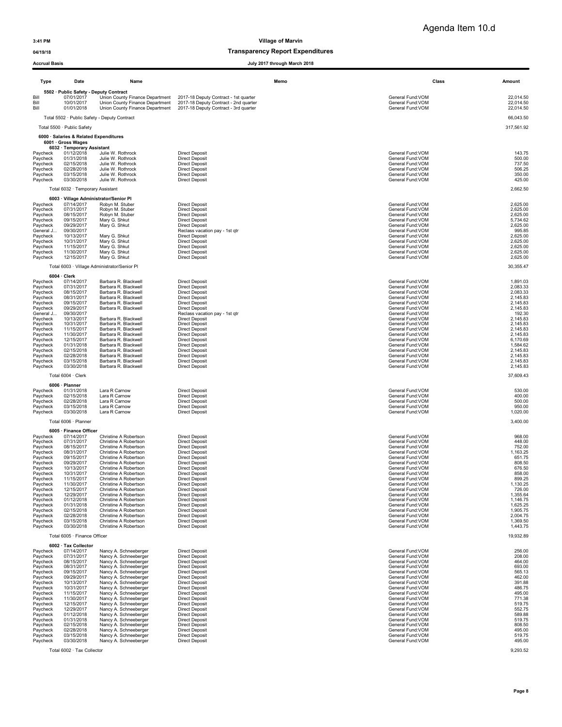## 04/19/18 and 04/19/18 of the control of the control of the Transparency Report Expenditures

### Accrual Basis July 2017 through March 2018

| Type                 | Date                                                                                       | Name                                                                                                  | Memo                                                                                                                    | Class                                                      | Amount                              |
|----------------------|--------------------------------------------------------------------------------------------|-------------------------------------------------------------------------------------------------------|-------------------------------------------------------------------------------------------------------------------------|------------------------------------------------------------|-------------------------------------|
| Bill<br>Bill<br>Bill | 5502 · Public Safety - Deputy Contract<br>07/01/2017<br>10/01/2017<br>01/01/2018           | Union County Finance Department<br>Union County Finance Department<br>Union County Finance Department | 2017-18 Deputy Contract - 1st quarter<br>2017-18 Deputy Contract - 2nd quarter<br>2017-18 Deputy Contract - 3rd quarter | General Fund: VOM<br>General Fund: VOM<br>General Fund:VOM | 22,014.50<br>22,014.50<br>22,014.50 |
|                      |                                                                                            | Total 5502 · Public Safety - Deputy Contract                                                          |                                                                                                                         |                                                            | 66.043.50                           |
|                      | Total 5500 · Public Safety                                                                 |                                                                                                       |                                                                                                                         |                                                            | 317,561.92                          |
|                      | 6000 · Salaries & Related Expenditures<br>6001 · Gross Wages<br>6032 · Temporary Assistant |                                                                                                       |                                                                                                                         |                                                            |                                     |
| Paycheck             | 01/12/2018                                                                                 | Julie W. Rothrock                                                                                     | <b>Direct Deposit</b>                                                                                                   | General Fund: VOM                                          | 143.75                              |
| Paycheck             | 01/31/2018                                                                                 | Julie W. Rothrock                                                                                     | <b>Direct Deposit</b>                                                                                                   | General Fund:VOM                                           | 500.00                              |
| Paycheck             | 02/15/2018                                                                                 | Julie W. Rothrock                                                                                     | <b>Direct Deposit</b>                                                                                                   | General Fund:VOM                                           | 737.50                              |
| Paycheck             | 02/28/2018                                                                                 | Julie W. Rothrock                                                                                     | <b>Direct Deposit</b>                                                                                                   | General Fund: VOM                                          | 506.25                              |
| Paycheck             | 03/15/2018                                                                                 | Julie W. Rothrock                                                                                     | <b>Direct Deposit</b>                                                                                                   | General Fund: VOM                                          | 350.00                              |
| Paycheck             | 03/30/2018                                                                                 | Julie W. Rothrock                                                                                     | <b>Direct Deposit</b>                                                                                                   | General Fund: VOM                                          | 425.00                              |
|                      | Total 6032 · Temporary Assistant                                                           |                                                                                                       |                                                                                                                         |                                                            | 2,662.50                            |
|                      | 6003 · Village Administrator/Senior Pl                                                     |                                                                                                       |                                                                                                                         |                                                            |                                     |
| Paycheck             | 07/14/2017                                                                                 | Robyn M. Stuber                                                                                       | <b>Direct Deposit</b>                                                                                                   | General Fund: VOM                                          | 2,625.00                            |
| Paycheck             | 07/31/2017                                                                                 | Robyn M. Stuber                                                                                       | <b>Direct Deposit</b>                                                                                                   | General Fund: VOM                                          | 2,625.00                            |
| Paycheck             | 08/15/2017                                                                                 | Robyn M. Stuber                                                                                       | <b>Direct Deposit</b>                                                                                                   | General Fund:VOM                                           | 2,625.00                            |
| Paycheck             | 09/15/2017                                                                                 | Mary G. Shkut                                                                                         | <b>Direct Deposit</b>                                                                                                   | General Fund:VOM                                           | 5,734.62                            |
| Paycheck             | 09/29/2017                                                                                 | Mary G. Shkut                                                                                         | <b>Direct Deposit</b>                                                                                                   | General Fund:VOM                                           | 2,625.00                            |
| General J            | 09/30/2017                                                                                 |                                                                                                       | Reclass vacation pay - 1st qtr                                                                                          | General Fund:VOM                                           | 995.85                              |
| Paycheck             | 10/13/2017                                                                                 | Mary G. Shkut                                                                                         | <b>Direct Deposit</b>                                                                                                   | General Fund:VOM                                           | 2,625.00                            |
| Paycheck             | 10/31/2017                                                                                 | Mary G. Shkut                                                                                         | <b>Direct Deposit</b>                                                                                                   | General Fund:VOM                                           | 2,625.00                            |
| Paycheck             | 11/15/2017                                                                                 | Mary G. Shkut                                                                                         | <b>Direct Deposit</b>                                                                                                   | General Fund: VOM                                          | 2,625.00                            |
| Paycheck             | 11/30/2017                                                                                 | Mary G. Shkut                                                                                         | <b>Direct Deposit</b>                                                                                                   | General Fund: VOM                                          | 2,625.00                            |
| Paycheck             | 12/15/2017                                                                                 | Mary G. Shkut                                                                                         | <b>Direct Deposit</b>                                                                                                   | General Fund: VOM                                          | 2,625.00                            |
|                      |                                                                                            | Total 6003 · Village Administrator/Senior Pl                                                          |                                                                                                                         |                                                            | 30,355.47                           |
|                      | 6004 Clerk                                                                                 |                                                                                                       |                                                                                                                         |                                                            | 1.891.03                            |
| Paycheck             | 07/14/2017                                                                                 | Barbara R. Blackwell                                                                                  | <b>Direct Deposit</b>                                                                                                   | General Fund: VOM                                          | 2,083.33                            |
| Paycheck             | 07/31/2017                                                                                 | Barbara R. Blackwell                                                                                  | <b>Direct Deposit</b>                                                                                                   | General Fund:VOM                                           |                                     |
| Paycheck             | 08/15/2017                                                                                 | Barbara R. Blackwell                                                                                  | <b>Direct Deposit</b>                                                                                                   | General Fund: VOM                                          | 2,083.33                            |
| Paycheck             | 08/31/2017                                                                                 | Barbara R. Blackwell                                                                                  | <b>Direct Deposit</b>                                                                                                   | General Fund: VOM                                          | 2,145.83                            |
| Paycheck             | 09/15/2017                                                                                 | Barbara R. Blackwell                                                                                  | <b>Direct Deposit</b>                                                                                                   | General Fund: VOM                                          | 2,145.83                            |
| Paycheck             | 09/29/2017                                                                                 | Barbara R. Blackwell                                                                                  | <b>Direct Deposit</b>                                                                                                   | General Fund: VOM                                          | 2,145.83                            |
| General J            | 09/30/2017                                                                                 | Barbara R. Blackwell                                                                                  | Reclass vacation pay - 1st gtr                                                                                          | General Fund:VOM                                           | 192.30                              |
| Paycheck             | 10/13/2017                                                                                 |                                                                                                       | <b>Direct Deposit</b>                                                                                                   | General Fund:VOM                                           | 2,145.83                            |
| Paycheck<br>Paycheck | 10/31/2017                                                                                 | Barbara R. Blackwell<br>Barbara R. Blackwell                                                          | <b>Direct Deposit</b>                                                                                                   | General Fund: VOM                                          | 2,145.83                            |
| Paycheck             | 11/15/2017<br>11/30/2017                                                                   | Barbara R. Blackwell                                                                                  | <b>Direct Deposit</b><br>Direct Deposit                                                                                 | General Fund: VOM<br>General Fund: VOM                     | 2,145.83<br>2,145.83                |
| Paycheck             | 12/15/2017                                                                                 | Barbara R. Blackwell                                                                                  | <b>Direct Deposit</b>                                                                                                   | General Fund: VOM                                          | 6,170.69                            |
| Paycheck             | 01/31/2018                                                                                 | Barbara R. Blackwell                                                                                  | <b>Direct Deposit</b>                                                                                                   | General Fund: VOM                                          | 1,584.62                            |
| Paycheck             | 02/15/2018                                                                                 | Barbara R. Blackwell                                                                                  | <b>Direct Deposit</b>                                                                                                   | General Fund: VOM                                          | 2,145.83                            |
| Paycheck             | 02/28/2018                                                                                 | Barbara R. Blackwell                                                                                  | <b>Direct Deposit</b>                                                                                                   | General Fund: VOM                                          | 2,145.83                            |
| Paycheck             | 03/15/2018                                                                                 | Barbara R. Blackwell                                                                                  | <b>Direct Deposit</b>                                                                                                   | General Fund: VOM                                          | 2,145.83                            |
| Paycheck             | 03/30/2018                                                                                 | Barbara R. Blackwell                                                                                  | <b>Direct Deposit</b>                                                                                                   | General Fund: VOM                                          | 2,145.83                            |
|                      | Total 6004 · Clerk                                                                         |                                                                                                       |                                                                                                                         |                                                            | 37,609.43                           |
|                      | 6006 · Planner                                                                             |                                                                                                       |                                                                                                                         |                                                            |                                     |
| Paycheck             | 01/31/2018                                                                                 | Lara R Carnow                                                                                         | <b>Direct Deposit</b>                                                                                                   | General Fund:VOM                                           | 530.00                              |
| Paycheck             | 02/15/2018                                                                                 | Lara R Carnow                                                                                         | <b>Direct Deposit</b>                                                                                                   | General Fund:VOM                                           | 400.00                              |
| Paycheck             | 02/28/2018                                                                                 | Lara R Carnow                                                                                         | <b>Direct Deposit</b>                                                                                                   | General Fund:VOM                                           | 500.00                              |
| Paycheck             | 03/15/2018                                                                                 | Lara R Carnow                                                                                         | <b>Direct Deposit</b>                                                                                                   | General Fund: VOM                                          | 950.00                              |
| Paycheck             | 03/30/2018                                                                                 | Lara R Carnow                                                                                         | <b>Direct Deposit</b>                                                                                                   | General Fund: VOM                                          | 1,020.00                            |
|                      | Total 6006 · Planner                                                                       |                                                                                                       |                                                                                                                         |                                                            | 3,400.00                            |
| Paycheck             | 6005 · Finance Officer<br>07/14/2017                                                       | Christine A Robertson                                                                                 | <b>Direct Deposit</b>                                                                                                   | General Fund: VOM                                          | 968.00                              |
| Paycheck             | 07/31/2017                                                                                 | Christine A Robertson                                                                                 | <b>Direct Deposit</b>                                                                                                   | General Fund: VOM                                          | 448.00                              |
| Paycheck             | 08/15/2017                                                                                 | Christine A Robertson                                                                                 | <b>Direct Deposit</b>                                                                                                   | General Fund: VOM                                          | 752.00                              |
| Paycheck             | 08/31/2017                                                                                 | Christine A Robertson                                                                                 | <b>Direct Deposit</b>                                                                                                   | General Fund:VOM                                           | 1,163.25                            |
| Paycheck             | 09/15/2017                                                                                 | Christine A Robertson                                                                                 | <b>Direct Deposit</b>                                                                                                   | General Fund: VOM                                          | 651.75                              |
| Paycheck             | 09/29/2017                                                                                 | Christine A Robertson                                                                                 | <b>Direct Deposit</b>                                                                                                   | General Fund: VOM                                          | 808.50                              |
| Paycheck             | 10/13/2017                                                                                 | Christine A Robertson                                                                                 | <b>Direct Deposit</b>                                                                                                   | General Fund: VOM                                          | 676.50                              |
| Paycheck             | 10/31/2017                                                                                 | Christine A Robertson                                                                                 | <b>Direct Deposit</b>                                                                                                   | General Fund: VOM                                          | 858.00                              |
| Paycheck             | 11/15/2017                                                                                 | Christine A Robertson                                                                                 | <b>Direct Deposit</b>                                                                                                   | General Fund:VOM                                           | 899.25                              |
| Paycheck             | 11/30/2017                                                                                 | Christine A Robertson                                                                                 | <b>Direct Deposit</b>                                                                                                   | General Fund: VOM                                          | 1,130.25                            |
| Paycheck             | 12/15/2017                                                                                 | Christine A Robertson                                                                                 | <b>Direct Deposit</b>                                                                                                   | General Fund: VOM                                          | 726.00                              |
| Paycheck             | 12/29/2017                                                                                 | Christine A Robertson                                                                                 | <b>Direct Deposit</b>                                                                                                   | General Fund: VOM                                          | 1,355.64                            |
| Paycheck             | 01/12/2018                                                                                 | Christine A Robertson                                                                                 | <b>Direct Deposit</b>                                                                                                   | General Fund: VOM                                          | 1,146.75                            |
| Paycheck             | 01/31/2018                                                                                 | Christine A Robertson                                                                                 | <b>Direct Deposit</b>                                                                                                   | General Fund: VOM                                          | 1,625.25                            |
| Paycheck             | 02/15/2018<br>02/28/2018                                                                   | Christine A Robertson                                                                                 | <b>Direct Deposit</b>                                                                                                   | General Fund: VOM                                          | 1,905.75<br>2.004.75                |
| Paycheck<br>Paycheck | 03/15/2018                                                                                 | Christine A Robertson<br>Christine A Robertson                                                        | <b>Direct Deposit</b><br><b>Direct Deposit</b>                                                                          | General Fund:VOM<br>General Fund: VOM                      | 1,369.50                            |
| Paycheck             | 03/30/2018                                                                                 | Christine A Robertson                                                                                 | <b>Direct Deposit</b>                                                                                                   | General Fund: VOM                                          | 1,443.75                            |
|                      | Total 6005 · Finance Officer<br>6002 · Tax Collector                                       |                                                                                                       |                                                                                                                         |                                                            | 19,932.89                           |
| Paycheck             | 07/14/2017                                                                                 | Nancy A. Schneeberger                                                                                 | <b>Direct Deposit</b>                                                                                                   | General Fund:VOM                                           | 256.00                              |
| Paycheck             | 07/31/2017                                                                                 | Nancy A. Schneeberger                                                                                 | <b>Direct Deposit</b>                                                                                                   | General Fund:VOM                                           | 208.00                              |
| Paycheck<br>Paycheck | 08/15/2017                                                                                 | Nancy A. Schneeberger                                                                                 | <b>Direct Deposit</b><br><b>Direct Deposit</b>                                                                          | General Fund: VOM<br>General Fund:VOM                      | 464.00<br>693.00                    |
| Paycheck             | 08/31/2017<br>09/15/2017                                                                   | Nancy A. Schneeberger<br>Nancy A. Schneeberger                                                        | <b>Direct Deposit</b>                                                                                                   | General Fund:VOM                                           | 565.13                              |
| Paycheck             | 09/29/2017                                                                                 | Nancy A. Schneeberger                                                                                 | <b>Direct Deposit</b>                                                                                                   | General Fund: VOM                                          | 462.00                              |
| Paycheck             | 10/13/2017                                                                                 | Nancy A. Schneeberger                                                                                 | <b>Direct Deposit</b>                                                                                                   | General Fund:VOM                                           | 391.88                              |
| Paycheck             | 10/31/2017                                                                                 | Nancy A. Schneeberger                                                                                 | <b>Direct Deposit</b>                                                                                                   | General Fund:VOM                                           | 486.75                              |
| Paycheck             | 11/15/2017                                                                                 | Nancy A. Schneeberger                                                                                 | <b>Direct Deposit</b>                                                                                                   | General Fund:VOM                                           | 495.00                              |
| Paycheck             | 11/30/2017                                                                                 | Nancy A. Schneeberger<br>Nancy A. Schneeberger                                                        | <b>Direct Deposit</b><br><b>Direct Deposit</b>                                                                          | General Fund: VOM<br>General Fund:VOM                      | 771.38<br>519.75                    |
| Paycheck<br>Paycheck | 12/15/2017<br>12/29/2017                                                                   | Nancy A. Schneeberger                                                                                 | <b>Direct Deposit</b>                                                                                                   | General Fund: VOM                                          | 552.75                              |
| Paycheck             | 01/12/2018                                                                                 | Nancy A. Schneeberger                                                                                 | <b>Direct Deposit</b>                                                                                                   | General Fund: VOM                                          | 589.88                              |
| Paycheck             | 01/31/2018                                                                                 | Nancy A. Schneeberger                                                                                 | <b>Direct Deposit</b>                                                                                                   | General Fund: VOM                                          | 519.75                              |
| Paycheck             | 02/15/2018                                                                                 | Nancy A. Schneeberger                                                                                 | <b>Direct Deposit</b>                                                                                                   | General Fund: VOM                                          | 808.50                              |
| Paycheck             | 02/28/2018                                                                                 | Nancy A. Schneeberger                                                                                 | <b>Direct Deposit</b>                                                                                                   | General Fund:VOM                                           | 495.00                              |
| Paycheck             | 03/15/2018                                                                                 | Nancy A. Schneeberger                                                                                 | <b>Direct Deposit</b>                                                                                                   | General Fund:VOM                                           | 519.75                              |
| Paycheck             | 03/30/2018                                                                                 | Nancy A. Schneeberger                                                                                 | <b>Direct Deposit</b>                                                                                                   | General Fund:VOM                                           | 495.00                              |
|                      |                                                                                            |                                                                                                       |                                                                                                                         |                                                            |                                     |

Total 6002 · Tax Collector 9,293.52

Page 8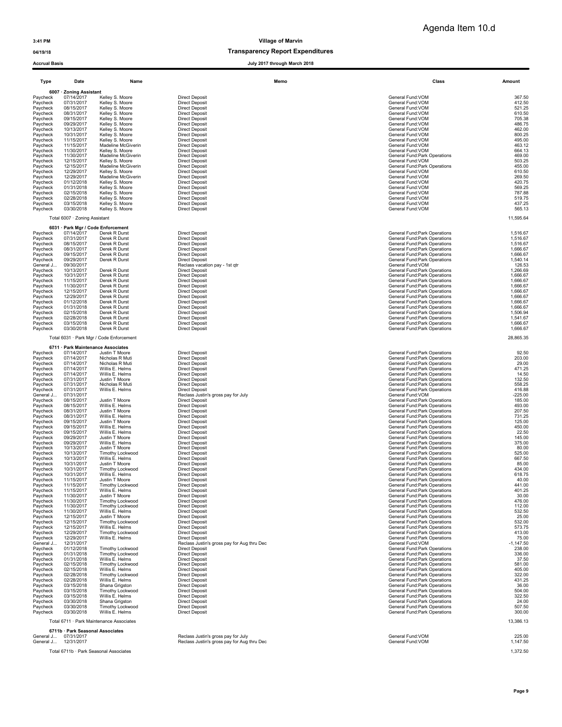### 04/19/18 and 04/19/18 of the control of the control of the Transparency Report Expenditures

Accrual Basis July 2017 through March 2018

| Type                   | Date                             | Name                                       | Memo                                                                               | Class                                                          | <b>Amount</b>        |
|------------------------|----------------------------------|--------------------------------------------|------------------------------------------------------------------------------------|----------------------------------------------------------------|----------------------|
|                        | 6007 · Zoning Assistant          |                                            |                                                                                    |                                                                |                      |
| Paycheck               | 07/14/2017                       | Kelley S. Moore                            | <b>Direct Deposit</b>                                                              | General Fund:VOM                                               | 367.50               |
| Paycheck               | 07/31/2017                       | Kelley S. Moore                            | <b>Direct Deposit</b>                                                              | General Fund:VOM                                               | 412.50               |
| Paycheck               | 08/15/2017                       | Kelley S. Moore                            | <b>Direct Deposit</b>                                                              | General Fund: VOM                                              | 521.25               |
| Paycheck               | 08/31/2017                       | Kelley S. Moore                            | <b>Direct Deposit</b>                                                              | General Fund:VOM                                               | 610.50               |
| Paycheck<br>Paycheck   | 09/15/2017<br>09/29/2017         | Kelley S. Moore<br>Kelley S. Moore         | <b>Direct Deposit</b><br><b>Direct Deposit</b>                                     | General Fund: VOM<br>General Fund: VOM                         | 705.38<br>486.75     |
| Paycheck               | 10/13/2017                       | Kelley S. Moore                            | <b>Direct Deposit</b>                                                              | General Fund:VOM                                               | 462.00               |
| Paycheck               | 10/31/2017                       | Kelley S. Moore                            | <b>Direct Deposit</b>                                                              | General Fund:VOM                                               | 800.25               |
| Paycheck               | 11/15/2017                       | Kelley S. Moore                            | <b>Direct Deposit</b>                                                              | General Fund: VOM                                              | 495.00               |
| Paycheck               | 11/15/2017                       | Madeline McGiverin                         | <b>Direct Deposit</b>                                                              | General Fund:VOM                                               | 463.12               |
| Paycheck               | 11/30/2017                       | Kelley S. Moore                            | <b>Direct Deposit</b>                                                              | General Fund: VOM                                              | 664.13               |
| Paycheck<br>Paycheck   | 11/30/2017<br>12/15/2017         | Madeline McGiverin<br>Kelley S. Moore      | <b>Direct Deposit</b><br><b>Direct Deposit</b>                                     | General Fund: Park Operations<br>General Fund: VOM             | 469.00<br>503.25     |
| Paycheck               | 12/15/2017                       | Madeline McGiverin                         | <b>Direct Deposit</b>                                                              | General Fund: Park Operations                                  | 455.00               |
| Paycheck               | 12/29/2017                       | Kelley S. Moore                            | <b>Direct Deposit</b>                                                              | General Fund: VOM                                              | 610.50               |
| Paycheck               | 12/29/2017                       | Madeline McGiverin                         | <b>Direct Deposit</b>                                                              | General Fund:VOM                                               | 269.50               |
| Paycheck               | 01/12/2018                       | Kelley S. Moore                            | <b>Direct Deposit</b>                                                              | General Fund: VOM                                              | 420.75               |
| Paycheck               | 01/31/2018                       | Kelley S. Moore                            | <b>Direct Deposit</b>                                                              | General Fund: VOM                                              | 569.25               |
| Paycheck               | 02/15/2018                       | Kelley S. Moore                            | <b>Direct Deposit</b>                                                              | General Fund:VOM                                               | 787.88               |
| Paycheck               | 02/28/2018<br>03/15/2018         | Kelley S. Moore<br>Kelley S. Moore         | <b>Direct Deposit</b><br><b>Direct Deposit</b>                                     | General Fund: VOM<br>General Fund: VOM                         | 519.75<br>437.25     |
| Paycheck<br>Paycheck   | 03/30/2018                       | Kelley S. Moore                            | <b>Direct Deposit</b>                                                              | General Fund:VOM                                               | 565.13               |
|                        |                                  |                                            |                                                                                    |                                                                |                      |
|                        | Total 6007 · Zoning Assistant    |                                            |                                                                                    |                                                                | 11,595.64            |
|                        |                                  | 6031 · Park Mgr / Code Enforcement         |                                                                                    |                                                                |                      |
| Paycheck               | 07/14/2017                       | Derek R Durst                              | <b>Direct Deposit</b>                                                              | General Fund: Park Operations                                  | 1,516.67             |
| Paycheck               | 07/31/2017                       | Derek R Durst                              | <b>Direct Deposit</b>                                                              | General Fund: Park Operations                                  | 1,516.67             |
| Paycheck<br>Paycheck   | 08/15/2017<br>08/31/2017         | Derek R Durst<br>Derek R Durst             | <b>Direct Deposit</b><br><b>Direct Deposit</b>                                     | General Fund: Park Operations<br>General Fund: Park Operations | 1,516.67<br>1,666.67 |
| Paycheck               | 09/15/2017                       | Derek R Durst                              | <b>Direct Deposit</b>                                                              | General Fund: Park Operations                                  | 1,666.67             |
| Paycheck               | 09/29/2017                       | Derek R Durst                              | <b>Direct Deposit</b>                                                              | General Fund: Park Operations                                  | 1,540.14             |
| General J              | 09/30/2017                       |                                            | Reclass vacation pay - 1st qtr                                                     | General Fund: VOM                                              | 126.53               |
| Paycheck               | 10/13/2017                       | Derek R Durst                              | <b>Direct Deposit</b>                                                              | General Fund: Park Operations                                  | 1,266.69             |
| Paycheck               | 10/31/2017                       | Derek R Durst                              | <b>Direct Deposit</b>                                                              | General Fund: Park Operations                                  | 1,666.67             |
| Paycheck               | 11/15/2017                       | Derek R Durst                              | <b>Direct Deposit</b>                                                              | General Fund: Park Operations                                  | 1,666.67             |
| Paycheck<br>Paycheck   | 11/30/2017<br>12/15/2017         | Derek R Durst<br>Derek R Durst             | <b>Direct Deposit</b><br><b>Direct Deposit</b>                                     | General Fund: Park Operations<br>General Fund: Park Operations | 1,666.67<br>1,666.67 |
| Paycheck               | 12/29/2017                       | Derek R Durst                              | <b>Direct Deposit</b>                                                              | General Fund: Park Operations                                  | 1,666.67             |
| Paycheck               | 01/12/2018                       | Derek R Durst                              | <b>Direct Deposit</b>                                                              | General Fund: Park Operations                                  | 1,666.67             |
| Paycheck               | 01/31/2018                       | Derek R Durst                              | <b>Direct Deposit</b>                                                              | General Fund: Park Operations                                  | 1,666.67             |
| Paycheck               | 02/15/2018                       | Derek R Durst                              | <b>Direct Deposit</b>                                                              | General Fund: Park Operations                                  | 1,506.94             |
| Paycheck               | 02/28/2018                       | Derek R Durst                              | <b>Direct Deposit</b>                                                              | General Fund: Park Operations                                  | 1,541.67             |
| Paycheck               | 03/15/2018                       | Derek R Durst                              | <b>Direct Deposit</b>                                                              | General Fund: Park Operations                                  | 1,666.67             |
| Paycheck               | 03/30/2018                       | Derek R Durst                              | <b>Direct Deposit</b>                                                              | General Fund: Park Operations                                  | 1,666.67             |
|                        |                                  | Total 6031 · Park Mgr / Code Enforcement   |                                                                                    |                                                                | 28,865.35            |
|                        |                                  | 6711 · Park Maintenance Associates         |                                                                                    |                                                                |                      |
| Paycheck               | 07/14/2017                       | Justin T Moore                             | <b>Direct Deposit</b>                                                              | General Fund: Park Operations                                  | 92.50                |
| Paycheck               | 07/14/2017                       | Nicholas R Muti                            | <b>Direct Deposit</b>                                                              | General Fund: Park Operations                                  | 203.00               |
| Paycheck               | 07/14/2017                       | Nicholas R Muti                            | <b>Direct Deposit</b>                                                              | General Fund: Park Operations                                  | 29.00                |
| Paycheck               | 07/14/2017                       | Willis E. Helms                            | <b>Direct Deposit</b>                                                              | General Fund: Park Operations                                  | 471.25               |
| Paycheck               | 07/14/2017                       | Willis E. Helms                            | <b>Direct Deposit</b>                                                              | General Fund: Park Operations                                  | 14.50                |
| Paycheck               | 07/31/2017                       | Justin T Moore                             | <b>Direct Deposit</b>                                                              | General Fund: Park Operations                                  | 132.50               |
| Paycheck               | 07/31/2017<br>07/31/2017         | Nicholas R Muti<br>Willis E. Helms         | <b>Direct Deposit</b><br><b>Direct Deposit</b>                                     | General Fund: Park Operations                                  | 558.25<br>416.88     |
| Paycheck<br>General J  | 07/31/2017                       |                                            | Reclass Justin's gross pay for July                                                | General Fund: Park Operations<br>General Fund: VOM             | $-225.00$            |
| Paycheck               | 08/15/2017                       | Justin T Moore                             | <b>Direct Deposit</b>                                                              | General Fund: Park Operations                                  | 185.00               |
| Paycheck               | 08/15/2017                       | Willis E. Helms                            | <b>Direct Deposit</b>                                                              | General Fund: Park Operations                                  | 493.00               |
| Paycheck               | 08/31/2017                       | Justin T Moore                             | <b>Direct Deposit</b>                                                              | General Fund: Park Operations                                  | 207.50               |
| Paycheck               | 08/31/2017                       | Willis E. Helms                            | <b>Direct Deposit</b>                                                              | General Fund: Park Operations                                  | 731.25               |
| Paycheck               | 09/15/2017                       | Justin T Moore                             | <b>Direct Deposit</b>                                                              | General Fund: Park Operations                                  | 125.00               |
| Paycheck<br>Paycheck   | 09/15/2017<br>09/15/2017         | Willis E. Helms<br>Willis E. Helms         | <b>Direct Deposit</b><br><b>Direct Deposit</b>                                     | General Fund: Park Operations<br>General Fund: Park Operations | 450.00<br>22.50      |
| Paycheck               | 09/29/2017                       | Justin T Moore                             | <b>Direct Deposit</b>                                                              | General Fund: Park Operations                                  | 145.00               |
| Paycheck               | 09/29/2017                       | Willis E. Helms                            | <b>Direct Deposit</b>                                                              | General Fund: Park Operations                                  | 375.00               |
| Paycheck               | 10/13/2017                       | Justin T Moore                             | <b>Direct Deposit</b>                                                              | General Fund: Park Operations                                  | 80.00                |
| Paycheck               | 10/13/2017                       | Timothy Lockwood                           | <b>Direct Deposit</b>                                                              | General Fund: Park Operations                                  | 525.00               |
| Paycheck               | 10/13/2017                       | Willis E. Helms                            | <b>Direct Deposit</b>                                                              | General Fund: Park Operations                                  | 667.50               |
| Paycheck               | 10/31/2017                       | Justin T Moore                             | <b>Direct Deposit</b>                                                              | General Fund: Park Operations                                  | 85.00                |
| Paycheck<br>Paycheck   | 10/31/2017<br>10/31/2017         | Timothy Lockwood<br>Willis E. Helms        | <b>Direct Deposit</b><br><b>Direct Deposit</b>                                     | General Fund: Park Operations<br>General Fund: Park Operations | 434.00<br>618.75     |
| Paycheck               | 11/15/2017                       | Justin T Moore                             | <b>Direct Deposit</b>                                                              | General Fund: Park Operations                                  | 40.00                |
| Pavcheck               | 11/15/2017                       | <b>Timothy Lockwooc</b>                    | <b>Direct Deposit</b>                                                              | General Fund:Park Operations                                   | 441.00               |
| Paycheck               | 11/15/2017                       | Willis E. Helms                            | <b>Direct Deposit</b>                                                              | General Fund: Park Operations                                  | 401.25               |
| Paycheck               | 11/30/2017                       | Justin T Moore                             | <b>Direct Deposit</b>                                                              | General Fund: Park Operations                                  | 30.00                |
| Paycheck               | 11/30/2017                       | Timothy Lockwood                           | <b>Direct Deposit</b>                                                              | General Fund: Park Operations                                  | 476.00               |
| Paycheck               | 11/30/2017                       | Timothy Lockwood                           | <b>Direct Deposit</b>                                                              | General Fund: Park Operations                                  | 112.00               |
| Paycheck<br>Paycheck   | 11/30/2017<br>12/15/2017         | Willis E. Helms<br>Justin T Moore          | <b>Direct Deposit</b><br><b>Direct Deposit</b>                                     | General Fund: Park Operations<br>General Fund: Park Operations | 532.50<br>25.00      |
| Paycheck               | 12/15/2017                       | Timothy Lockwood                           | <b>Direct Deposit</b>                                                              | General Fund: Park Operations                                  | 532.00               |
| Paycheck               | 12/15/2017                       | Willis E. Helms                            | <b>Direct Deposit</b>                                                              | General Fund: Park Operations                                  | 573.75               |
| Paycheck               | 12/29/2017                       | Timothy Lockwood                           | <b>Direct Deposit</b>                                                              | General Fund: Park Operations                                  | 413.00               |
| Paycheck               | 12/29/2017                       | Willis E. Helms                            | <b>Direct Deposit</b>                                                              | General Fund: Park Operations                                  | 75.00                |
| General J              | 12/31/2017                       |                                            | Reclass Justin's gross pay for Aug thru Dec                                        | General Fund: VOM                                              | $-1,147.50$          |
| Paycheck               | 01/12/2018                       | Timothy Lockwood                           | <b>Direct Deposit</b>                                                              | General Fund: Park Operations                                  | 238.00               |
| Paycheck<br>Paycheck   | 01/31/2018<br>01/31/2018         | <b>Timothy Lockwood</b><br>Willis E. Helms | <b>Direct Deposit</b><br><b>Direct Deposit</b>                                     | General Fund: Park Operations<br>General Fund: Park Operations | 336.00<br>37.50      |
| Paycheck               | 02/15/2018                       | Timothy Lockwood                           | <b>Direct Deposit</b>                                                              | General Fund: Park Operations                                  | 581.00               |
| Paycheck               | 02/15/2018                       | Willis E. Helms                            | <b>Direct Deposit</b>                                                              | General Fund: Park Operations                                  | 405.00               |
| Paycheck               | 02/28/2018                       | Timothy Lockwood                           | <b>Direct Deposit</b>                                                              | General Fund: Park Operations                                  | 322.00               |
| Paycheck               | 02/28/2018                       | Willis E. Helms                            | <b>Direct Deposit</b>                                                              | General Fund: Park Operations                                  | 431.25               |
| Paycheck               | 03/15/2018                       | Shana Grigston                             | <b>Direct Deposit</b>                                                              | General Fund: Park Operations                                  | 36.00                |
| Paycheck               | 03/15/2018                       | Timothy Lockwood                           | <b>Direct Deposit</b>                                                              | General Fund: Park Operations                                  | 504.00               |
| Paycheck<br>Paycheck   | 03/15/2018<br>03/30/2018         | Willis E. Helms<br>Shana Grigston          | <b>Direct Deposit</b><br><b>Direct Deposit</b>                                     | General Fund: Park Operations<br>General Fund: Park Operations | 322.50<br>24.00      |
| Paycheck               | 03/30/2018                       | Timothy Lockwood                           | <b>Direct Deposit</b>                                                              | General Fund: Park Operations                                  | 507.50               |
| Paycheck               | 03/30/2018                       | Willis E. Helms                            | <b>Direct Deposit</b>                                                              | General Fund: Park Operations                                  | 300.00               |
|                        |                                  | Total 6711 · Park Maintenance Associates   |                                                                                    |                                                                | 13,386.13            |
|                        |                                  |                                            |                                                                                    |                                                                |                      |
|                        | 6711b · Park Seasonal Associates |                                            |                                                                                    |                                                                |                      |
| General J<br>General J | 07/31/2017<br>12/31/2017         |                                            | Reclass Justin's gross pay for July<br>Reclass Justin's gross pay for Aug thru Dec | General Fund: VOM<br>General Fund: VOM                         | 225.00<br>1,147.50   |
|                        |                                  |                                            |                                                                                    |                                                                |                      |

Total 6711b · Park Seasonal Associates 1,372.50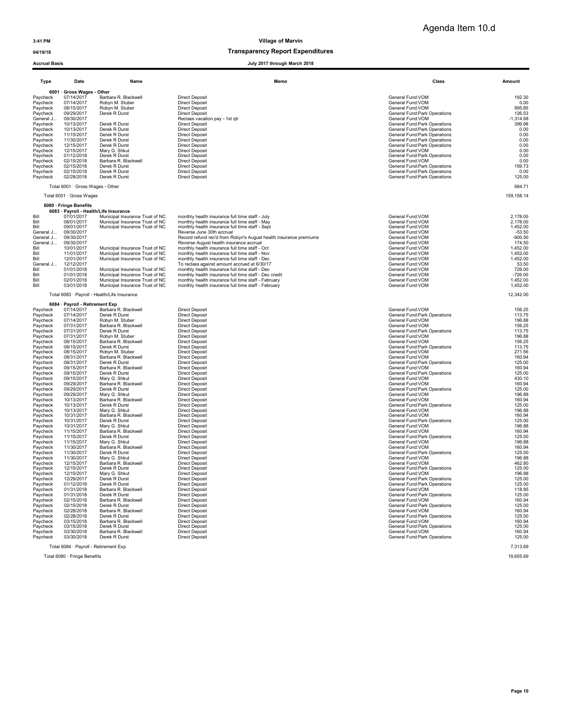## 04/19/18 04/19/18

| <b>Accrual Basis</b> |                                          |                                                                           | July 2017 through March 2018                                                                            |                                                                |                     |
|----------------------|------------------------------------------|---------------------------------------------------------------------------|---------------------------------------------------------------------------------------------------------|----------------------------------------------------------------|---------------------|
|                      | Date                                     | Name                                                                      | Memo                                                                                                    | Class                                                          | Amount              |
| Type                 |                                          |                                                                           |                                                                                                         |                                                                |                     |
| Paycheck             | 6001 · Gross Wages - Other<br>07/14/2017 | Barbara R. Blackwell                                                      | <b>Direct Deposit</b>                                                                                   | General Fund:VOM                                               | 192.30              |
| Paycheck             | 07/14/2017                               | Robyn M. Stuber                                                           | <b>Direct Deposit</b>                                                                                   | General Fund: VOM                                              | 0.00                |
| Paycheck<br>Paycheck | 08/15/2017<br>09/29/2017                 | Robyn M. Stuber<br>Derek R Durst                                          | <b>Direct Deposit</b><br><b>Direct Deposit</b>                                                          | General Fund: VOM<br>General Fund: Park Operations             | 995.85<br>126.53    |
| General J            | 09/30/2017                               |                                                                           | Reclass vacation pay - 1st qtr                                                                          | General Fund:VOM                                               | $-1,314.68$         |
| Paycheck             | 10/13/2017                               | Derek R Durst                                                             | <b>Direct Deposit</b>                                                                                   | General Fund: Park Operations                                  | 399.98              |
| Paycheck             | 10/13/2017                               | Derek R Durst                                                             | <b>Direct Deposit</b>                                                                                   | General Fund: Park Operations                                  | 0.00                |
| Paycheck<br>Paycheck | 11/15/2017<br>11/30/2017                 | Derek R Durst<br>Derek R Durst                                            | <b>Direct Deposit</b><br><b>Direct Deposit</b>                                                          | General Fund: Park Operations<br>General Fund: Park Operations | 0.00<br>0.00        |
| Paycheck             | 12/15/2017                               | Derek R Durst                                                             | <b>Direct Deposit</b>                                                                                   | General Fund: Park Operations                                  | 0.00                |
| Paycheck             | 12/15/2017                               | Mary G. Shkut                                                             | <b>Direct Deposit</b>                                                                                   | General Fund: VOM                                              | 0.00                |
| Paycheck             | 01/12/2018                               | Derek R Durst                                                             | <b>Direct Deposit</b>                                                                                   | General Fund: Park Operations                                  | 0.00                |
| Paycheck             | 02/15/2018                               | Barbara R. Blackwell                                                      | <b>Direct Deposit</b>                                                                                   | General Fund:VOM                                               | 0.00                |
| Paycheck<br>Paycheck | 02/15/2018<br>02/15/2018                 | Derek R Durst<br>Derek R Durst                                            | <b>Direct Deposit</b><br><b>Direct Deposit</b>                                                          | General Fund: Park Operations<br>General Fund: Park Operations | 159.73<br>0.00      |
| Paycheck             | 02/28/2018                               | Derek R Durst                                                             | <b>Direct Deposit</b>                                                                                   | General Fund: Park Operations                                  | 125.00              |
|                      | Total 6001 · Gross Wages - Other         |                                                                           |                                                                                                         |                                                                | 684.71              |
|                      | Total 6001 · Gross Wages                 |                                                                           |                                                                                                         |                                                                | 159, 158.14         |
|                      | 6080 · Fringe Benefits                   |                                                                           |                                                                                                         |                                                                |                     |
| Bill                 | 07/01/2017                               | 6083 · Payroll - Health/Life Insurance<br>Municipal Insurance Trust of NC | monthly health insurance full time staff - July                                                         | General Fund: VOM                                              | 2,178.00            |
| Bill                 | 08/01/2017                               | Municipal Insurance Trust of NC                                           | monthly health insurance full time staff - May                                                          | General Fund: VOM                                              | 2,178.00            |
| Bill                 | 09/01/2017                               | Municipal Insurance Trust of NC                                           | monthly health insurance full time staff - Sept                                                         | General Fund:VOM                                               | 1,452.00            |
| General J            | 09/30/2017                               |                                                                           | Reverse June 30th accrual                                                                               | General Fund: VOM                                              | $-53.50$            |
| General J            | 09/30/2017<br>09/30/2017                 |                                                                           | Record refund rec'd from Robyn's August health insurance premiums                                       | General Fund: VOM                                              | $-900.50$           |
| General J<br>Bill    | 10/01/2017                               | Municipal Insurance Trust of NC                                           | Reverse August health insurance accrual<br>monthly health insurance full time staff - Oct               | General Fund:VOM<br>General Fund: VOM                          | 174.50<br>1,452.00  |
| Bill                 | 11/01/2017                               | Municipal Insurance Trust of NC                                           | monthly health insurance full time staff - Nov                                                          | General Fund: VOM                                              | 1,452.00            |
| Bill                 | 12/01/2017                               | Municipal Insurance Trust of NC                                           | monthly health insurance full time staff - Dec                                                          | General Fund: VOM                                              | 1,452.00            |
| General J            | 12/12/2017                               |                                                                           | To reclass against amount accrued at 6/30/17                                                            | General Fund:VOM                                               | 53.50               |
| Bill<br>Bill         | 01/01/2018<br>01/01/2018                 | Municipal Insurance Trust of NC<br>Municipal Insurance Trust of NC        | monthly health insurance full time staff - Dec<br>monthly health insurance full time staff - Dec credit | General Fund: VOM<br>General Fund: VOM                         | 726.00<br>$-726.00$ |
| Bill                 | 02/01/2018                               | Municipal Insurance Trust of NC                                           | monthly health insurance full time staff - February                                                     | General Fund: VOM                                              | 1,452.00            |
| Bill                 | 03/01/2018                               | Municipal Insurance Trust of NC                                           | monthly health insurance full time staff - February                                                     | General Fund: VOM                                              | 1,452.00            |
|                      |                                          | Total 6083 · Payroll - Health/Life Insurance                              |                                                                                                         |                                                                | 12,342.00           |
|                      | 6084 · Payroll - Retirement Exp          |                                                                           |                                                                                                         |                                                                |                     |
| Paycheck             | 07/14/2017                               | Barbara R. Blackwell                                                      | <b>Direct Deposit</b>                                                                                   | General Fund: VOM                                              | 156.25              |
| Paycheck             | 07/14/2017                               | Derek R Durst                                                             | <b>Direct Deposit</b>                                                                                   | General Fund: Park Operations                                  | 113.75              |
| Paycheck             | 07/14/2017                               | Robyn M. Stuber                                                           | <b>Direct Deposit</b>                                                                                   | General Fund: VOM                                              | 196.88              |
| Paycheck<br>Paycheck | 07/31/2017<br>07/31/2017                 | Barbara R. Blackwell<br>Derek R Durst                                     | <b>Direct Deposit</b><br><b>Direct Deposit</b>                                                          | General Fund:VOM<br>General Fund: Park Operations              | 156.25<br>113.75    |
| Paycheck             | 07/31/2017                               | Robyn M. Stuber                                                           | <b>Direct Deposit</b>                                                                                   | General Fund:VOM                                               | 196.88              |
| Paycheck             | 08/15/2017                               | Barbara R. Blackwell                                                      | <b>Direct Deposit</b>                                                                                   | General Fund:VOM                                               | 156.25              |
| Paycheck             | 08/15/2017                               | Derek R Durst                                                             | <b>Direct Deposit</b>                                                                                   | General Fund: Park Operations                                  | 113.75              |
| Paycheck<br>Paycheck | 08/15/2017<br>08/31/2017                 | Robyn M. Stuber<br>Barbara R. Blackwell                                   | <b>Direct Deposit</b><br><b>Direct Deposit</b>                                                          | General Fund: VOM<br>General Fund:VOM                          | 271.56<br>160.94    |
| Paycheck             | 08/31/2017                               | Derek R Durst                                                             | <b>Direct Deposit</b>                                                                                   | General Fund: Park Operations                                  | 125.00              |
| Paycheck             | 09/15/2017                               | Barbara R. Blackwell                                                      | <b>Direct Deposit</b>                                                                                   | General Fund: VOM                                              | 160.94              |
| Paycheck             | 09/15/2017                               | Derek R Durst                                                             | <b>Direct Deposit</b>                                                                                   | General Fund: Park Operations                                  | 125.00              |
| Paycheck<br>Paycheck | 09/15/2017<br>09/29/2017                 | Mary G. Shkut<br>Barbara R. Blackwell                                     | <b>Direct Deposit</b><br><b>Direct Deposit</b>                                                          | General Fund:VOM<br>General Fund: VOM                          | 430.10<br>160.94    |
| Paycheck             | 09/29/2017                               | Derek R Durst                                                             | <b>Direct Deposit</b>                                                                                   | General Fund: Park Operations                                  | 125.00              |
| Paycheck             | 09/29/2017                               | Mary G. Shkut                                                             | <b>Direct Deposit</b>                                                                                   | General Fund: VOM                                              | 196.88              |
| Paycheck             | 10/13/2017                               | Barbara R. Blackwell                                                      | <b>Direct Deposit</b>                                                                                   | General Fund:VOM                                               | 160.94              |
| Paycheck<br>Paycheck | 10/13/2017                               | Derek R Durst                                                             | <b>Direct Deposit</b>                                                                                   | General Fund: Park Operations                                  | 125.00              |
| Paycheck             | 10/13/2017<br>10/31/2017                 | Mary G. Shkut<br>Barbara R. Blackwell                                     | <b>Direct Deposit</b><br><b>Direct Deposit</b>                                                          | General Fund:VOM<br>General Fund: VOM                          | 196.88<br>160.94    |
| Paycheck             | 10/31/2017                               | Derek R Durst                                                             | <b>Direct Deposit</b>                                                                                   | General Fund: Park Operations                                  | 125.00              |
| Paycheck             | 10/31/2017                               | Mary G. Shkut                                                             | <b>Direct Deposit</b>                                                                                   | General Fund: VOM                                              | 196.88              |
| Paycheck             | 11/15/2017                               | Barbara R. Blackwell                                                      | <b>Direct Deposit</b>                                                                                   | General Fund:VOM                                               | 160.94              |
| Paycheck<br>Paycheck | 11/15/2017<br>11/15/2017                 | Derek R Durst<br>Mary G. Shkut                                            | <b>Direct Deposit</b><br><b>Direct Deposit</b>                                                          | General Fund:Park Operations<br>General Fund:VOM               | 125.00<br>196.88    |
| Paycheck             | 11/30/2017                               | Barbara R. Blackwell                                                      | <b>Direct Deposit</b>                                                                                   | General Fund:VOM                                               | 160.94              |
| Paycheck             | 11/30/2017                               | Derek R Durst                                                             | <b>Direct Deposit</b>                                                                                   | General Fund: Park Operations                                  | 125.00              |
| Paycheck             | 11/30/2017                               | Mary G. Shkut                                                             | <b>Direct Deposit</b>                                                                                   | General Fund: VOM                                              | 196.88              |
| Paycheck<br>Paycheck | 12/15/2017<br>12/15/2017                 | Barbara R. Blackwell                                                      | <b>Direct Deposit</b>                                                                                   | General Fund:VOM<br>General Fund:Park Operations               | 462.80<br>125.00    |
| Paycheck             | 12/15/2017                               | Derek R Durst<br>Mary G. Shkut                                            | <b>Direct Deposit</b><br><b>Direct Deposit</b>                                                          | General Fund:VOM                                               | 196.88              |
| Paycheck             | 12/29/2017                               | Derek R Durst                                                             | <b>Direct Deposit</b>                                                                                   | General Fund: Park Operations                                  | 125.00              |
| Paycheck             | 01/12/2018                               | Derek R Durst                                                             | <b>Direct Deposit</b>                                                                                   | General Fund: Park Operations                                  | 125.00              |
| Paycheck             | 01/31/2018                               | Barbara R. Blackwell                                                      | <b>Direct Deposit</b>                                                                                   | General Fund:VOM                                               | 118.85              |
| Paycheck<br>Paycheck | 01/31/2018<br>02/15/2018                 | Derek R Durst<br>Barbara R. Blackwell                                     | <b>Direct Deposit</b><br><b>Direct Deposit</b>                                                          | General Fund: Park Operations<br>General Fund: VOM             | 125.00<br>160.94    |
| Paycheck             | 02/15/2018                               | Derek R Durst                                                             | <b>Direct Deposit</b>                                                                                   | General Fund: Park Operations                                  | 125.00              |
| Pavcheck             | 02/28/2018                               | Barbara R. Blackwell                                                      | <b>Direct Deposit</b>                                                                                   | General Fund: VOM                                              | 160.94              |
| Paycheck             | 02/28/2018                               | Derek R Durst                                                             | <b>Direct Deposit</b>                                                                                   | General Fund: Park Operations                                  | 125.00              |
| Paycheck             | 03/15/2018                               | Barbara R. Blackwell<br>Derek R Durst                                     | <b>Direct Deposit</b>                                                                                   | General Fund: VOM                                              | 160.94              |
| Paycheck<br>Paycheck | 03/15/2018<br>03/30/2018                 | Barbara R. Blackwell                                                      | <b>Direct Deposit</b><br><b>Direct Deposit</b>                                                          | General Fund: Park Operations<br>General Fund: VOM             | 125.00<br>160.94    |
| Paycheck             | 03/30/2018                               | Derek R Durst                                                             | <b>Direct Deposit</b>                                                                                   | <b>General Fund:Park Operations</b>                            | 125.00              |
|                      | Total 6084 · Payroll - Retirement Exp    |                                                                           |                                                                                                         |                                                                | 7,313.69            |
|                      |                                          |                                                                           |                                                                                                         |                                                                |                     |

Total 6080 · Fringe Benefits 19,655.69 19,655.69 · 19,655.69 · 19,655.69 · 19,655.69 · 19,655.69 · 19,655.69 · 19,655.69 · 19,655.69 · 19,655.69 · 19,655.69 · 19,655.69 · 19,655.69 · 19,655.69 · 19,655.69 · 19,655.69 · 19,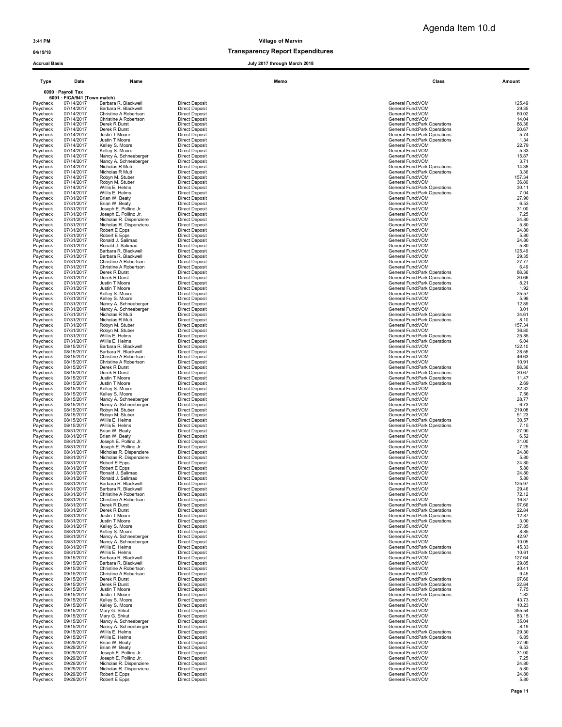### 04/19/18 Transparency Report Expenditures

| <b>Accrual Basis</b> |                                            |                                                | July 2017 through March 2018                   |                                                               |                |
|----------------------|--------------------------------------------|------------------------------------------------|------------------------------------------------|---------------------------------------------------------------|----------------|
| Type                 | Date                                       | Name                                           | Memo                                           | Class                                                         | Amount         |
|                      | 6090 · Payroll Tax                         |                                                |                                                |                                                               |                |
| Paycheck             | 6091 · FICA/941 (Town match)<br>07/14/2017 | Barbara R. Blackwell                           | <b>Direct Deposit</b>                          | General Fund:VOM                                              | 125.49         |
| Paycheck             | 07/14/2017                                 | Barbara R. Blackwell                           | <b>Direct Deposit</b>                          | General Fund:VOM                                              | 29.35          |
| Paycheck             | 07/14/2017                                 | Christine A Robertson                          | <b>Direct Deposit</b>                          | General Fund:VOM                                              | 60.02          |
| Paycheck             | 07/14/2017                                 | Christine A Robertson                          | <b>Direct Deposit</b>                          | General Fund: VOM                                             | 14.04          |
| Paycheck             | 07/14/2017                                 | Derek R Durst                                  | <b>Direct Deposit</b>                          | General Fund: Park Operations                                 | 88.36          |
| Paycheck<br>Paycheck | 07/14/2017<br>07/14/2017                   | Derek R Durst<br>Justin T Moore                | <b>Direct Deposit</b><br><b>Direct Deposit</b> | General Fund:Park Operations<br>General Fund:Park Operations  | 20.67<br>5.74  |
| Paycheck             | 07/14/2017                                 | Justin T Moore                                 | <b>Direct Deposit</b>                          | General Fund:Park Operations                                  | 1.34           |
| Paycheck             | 07/14/2017                                 | Kelley S. Moore                                | <b>Direct Deposit</b>                          | General Fund:VOM                                              | 22.79          |
| Paycheck             | 07/14/2017                                 | Kelley S. Moore                                | <b>Direct Deposit</b>                          | General Fund:VOM                                              | 5.33           |
| Paycheck             | 07/14/2017                                 | Nancy A. Schneeberger                          | <b>Direct Deposit</b>                          | General Fund: VOM                                             | 15.87          |
| Paycheck<br>Paycheck | 07/14/2017<br>07/14/2017                   | Nancy A. Schneeberger<br>Nicholas R Muti       | <b>Direct Deposit</b><br><b>Direct Deposit</b> | General Fund: VOM<br>General Fund: Park Operations            | 3.71<br>14.38  |
| Paycheck             | 07/14/2017                                 | Nicholas R Muti                                | <b>Direct Deposit</b>                          | General Fund: Park Operations                                 | 3.36           |
| Paycheck             | 07/14/2017                                 | Robyn M. Stuber                                | <b>Direct Deposit</b>                          | General Fund: VOM                                             | 157.34         |
| Paycheck             | 07/14/2017                                 | Robyn M. Stuber                                | <b>Direct Deposit</b>                          | General Fund:VOM                                              | 36.80          |
| Paycheck             | 07/14/2017                                 | Willis E. Helms                                | <b>Direct Deposit</b>                          | General Fund: Park Operations                                 | 30.11          |
| Paycheck             | 07/14/2017                                 | Willis E. Helms                                | <b>Direct Deposit</b>                          | General Fund: Park Operations                                 | 7.04           |
| Paycheck<br>Paycheck | 07/31/2017<br>07/31/2017                   | Brian W. Beaty<br>Brian W. Beaty               | <b>Direct Deposit</b><br><b>Direct Deposit</b> | General Fund:VOM<br>General Fund:VOM                          | 27.90<br>6.53  |
| Paycheck             | 07/31/2017                                 | Joseph E. Pollino Jr.                          | <b>Direct Deposit</b>                          | General Fund:VOM                                              | 31.00          |
| Paycheck             | 07/31/2017                                 | Joseph E. Pollino Jr.                          | <b>Direct Deposit</b>                          | General Fund:VOM                                              | 7.25           |
| Paycheck             | 07/31/2017                                 | Nicholas R. Dispenziere                        | <b>Direct Deposit</b>                          | General Fund: VOM                                             | 24.80          |
| Paycheck             | 07/31/2017                                 | Nicholas R. Dispenziere                        | <b>Direct Deposit</b>                          | General Fund: VOM                                             | 5.80           |
| Paycheck<br>Paycheck | 07/31/2017<br>07/31/2017                   | Robert E Epps<br>Robert E Epps                 | <b>Direct Deposit</b><br><b>Direct Deposit</b> | General Fund: VOM<br>General Fund: VOM                        | 24.80<br>5.80  |
| Paycheck             | 07/31/2017                                 | Ronald J. Salimao                              | <b>Direct Deposit</b>                          | General Fund: VOM                                             | 24.80          |
| Paycheck             | 07/31/2017                                 | Ronald J. Salimao                              | <b>Direct Deposit</b>                          | General Fund: VOM                                             | 5.80           |
| Paycheck             | 07/31/2017                                 | Barbara R. Blackwell                           | <b>Direct Deposit</b>                          | General Fund:VOM                                              | 125.49         |
| Paycheck             | 07/31/2017                                 | Barbara R. Blackwell                           | <b>Direct Deposit</b>                          | General Fund: VOM                                             | 29.35          |
| Paycheck             | 07/31/2017                                 | Christine A Robertson                          | <b>Direct Deposit</b>                          | General Fund: VOM<br>General Fund: VOM                        | 27.77          |
| Paycheck<br>Paycheck | 07/31/2017<br>07/31/2017                   | Christine A Robertson<br>Derek R Durst         | <b>Direct Deposit</b><br><b>Direct Deposit</b> | General Fund: Park Operations                                 | 6.49<br>88.36  |
| Paycheck             | 07/31/2017                                 | Derek R Durst                                  | <b>Direct Deposit</b>                          | General Fund: Park Operations                                 | 20.66          |
| Paycheck             | 07/31/2017                                 | Justin T Moore                                 | <b>Direct Deposit</b>                          | General Fund: Park Operations                                 | 8.21           |
| Paycheck             | 07/31/2017                                 | Justin T Moore                                 | <b>Direct Deposit</b>                          | General Fund: Park Operations                                 | 1.92           |
| Paycheck             | 07/31/2017                                 | Kelley S. Moore                                | <b>Direct Deposit</b>                          | General Fund: VOM                                             | 25.57          |
| Paycheck             | 07/31/2017                                 | Kelley S. Moore                                | <b>Direct Deposit</b>                          | General Fund: VOM                                             | 5.98           |
| Paycheck<br>Paycheck | 07/31/2017<br>07/31/2017                   | Nancy A. Schneeberger<br>Nancy A. Schneeberger | <b>Direct Deposit</b><br><b>Direct Deposit</b> | General Fund: VOM<br>General Fund: VOM                        | 12.89<br>3.01  |
| Paycheck             | 07/31/2017                                 | Nicholas R Muti                                | <b>Direct Deposit</b>                          | General Fund: Park Operations                                 | 34.61          |
| Paycheck             | 07/31/2017                                 | Nicholas R Muti                                | <b>Direct Deposit</b>                          | General Fund: Park Operations                                 | 8.10           |
| Paycheck             | 07/31/2017                                 | Robyn M. Stuber                                | <b>Direct Deposit</b>                          | General Fund: VOM                                             | 157.34         |
| Paycheck             | 07/31/2017                                 | Robyn M. Stuber                                | <b>Direct Deposit</b>                          | General Fund:VOM                                              | 36.80          |
| Paycheck<br>Paycheck | 07/31/2017<br>07/31/2017                   | Willis E. Helms<br>Willis E. Helms             | <b>Direct Deposit</b><br><b>Direct Deposit</b> | General Fund:Park Operations<br>General Fund: Park Operations | 25.85<br>6.04  |
| Paycheck             | 08/15/2017                                 | Barbara R. Blackwell                           | <b>Direct Deposit</b>                          | General Fund:VOM                                              | 122.10         |
| Paycheck             | 08/15/2017                                 | Barbara R. Blackwell                           | <b>Direct Deposit</b>                          | General Fund:VOM                                              | 28.55          |
| Paycheck             | 08/15/2017                                 | Christine A Robertson                          | <b>Direct Deposit</b>                          | General Fund: VOM                                             | 46.63          |
| Paycheck             | 08/15/2017                                 | Christine A Robertson                          | <b>Direct Deposit</b>                          | General Fund: VOM                                             | 10.91          |
| Paycheck<br>Paycheck | 08/15/2017<br>08/15/2017                   | Derek R Durst<br>Derek R Durst                 | <b>Direct Deposit</b><br><b>Direct Deposit</b> | General Fund: Park Operations<br>General Fund:Park Operations | 88.36<br>20.67 |
| Paycheck             | 08/15/2017                                 | Justin T Moore                                 | <b>Direct Deposit</b>                          | General Fund: Park Operations                                 | 11.47          |
| Paycheck             | 08/15/2017                                 | Justin T Moore                                 | <b>Direct Deposit</b>                          | General Fund: Park Operations                                 | 2.69           |
| Paycheck             | 08/15/2017                                 | Kelley S. Moore                                | <b>Direct Deposit</b>                          | General Fund: VOM                                             | 32.32          |
| Paycheck             | 08/15/2017                                 | Kelley S. Moore                                | <b>Direct Deposit</b>                          | General Fund:VOM                                              | 7.56           |
| Paycheck<br>Paycheck | 08/15/2017<br>08/15/2017                   | Nancy A. Schneeberger<br>Nancy A. Schneeberger | <b>Direct Deposit</b><br><b>Direct Deposit</b> | General Fund:VOM<br>General Fund:VOM                          | 28.77<br>6.73  |
| Paycheck             | 08/15/2017                                 | Robyn M. Stuber                                | <b>Direct Deposit</b>                          | General Fund:VOM                                              | 219.08         |
| Paycheck             | 08/15/2017                                 | Robyn M. Stuber                                | <b>Direct Deposit</b>                          | General Fund: VOM                                             | 51.23          |
| Paycheck             | 08/15/2017                                 | Willis E. Helms                                | <b>Direct Deposit</b>                          | General Fund:Park Operations                                  | 30.57          |
| Paycheck             | 08/15/2017                                 | Willis E. Helms                                | <b>Direct Deposit</b>                          | General Fund: Park Operations                                 | 7.15           |
| Paycheck             | 08/31/2017                                 | Brian W. Beaty                                 | <b>Direct Deposit</b>                          | General Fund:VOM                                              | 27.90          |
| Paycheck<br>Paycheck | 08/31/2017<br>08/31/2017                   | Brian W. Beaty<br>Joseph E. Pollino Jr.        | <b>Direct Deposit</b><br><b>Direct Deposit</b> | General Fund:VOM<br>General Fund:VOM                          | 6.52<br>31.00  |
| Paycheck             | 08/31/2017                                 | Joseph E. Pollino Jr.                          | <b>Direct Deposit</b>                          | General Fund: VOM                                             | 7.25           |
| Paycheck             | 08/31/2017                                 | Nicholas R. Dispenziere                        | <b>Direct Deposit</b>                          | General Fund:VOM                                              | 24.80          |
| Paycheck             | 08/31/2017                                 | Nicholas R. Dispenziere                        | <b>Direct Deposit</b>                          | General Fund: VOM                                             | 5.80           |
| Paycheck             | 08/31/2017                                 | Robert E Epps                                  | <b>Direct Deposit</b>                          | General Fund: VOM                                             | 24.80          |
| Paycheck             | 08/31/2017<br>08/31/2017                   | Robert E Epps<br>Ronald J. Salimao             | <b>Direct Deposit</b>                          | General Fund: VOM                                             | 5.80           |
| Paycheck<br>Paycheck | 08/31/2017                                 | Ronald J. Salimao                              | <b>Direct Deposit</b><br><b>Direct Deposit</b> | General Fund:VOM<br>General Fund:VOM                          | 24.80<br>5.80  |
| Paycheck             | 08/31/2017                                 | Barbara R. Blackwell                           | <b>Direct Deposit</b>                          | General Fund: VOM                                             | 125.97         |
| Paycheck             | 08/31/2017                                 | Barbara R. Blackwell                           | <b>Direct Deposit</b>                          | General Fund:VOM                                              | 29.46          |
| Paycheck             | 08/31/2017                                 | Christine A Robertson                          | <b>Direct Deposit</b>                          | General Fund:VOM                                              | 72.12          |
| Paycheck             | 08/31/2017                                 | Christine A Robertson                          | <b>Direct Deposit</b>                          | General Fund:VOM                                              | 16.87          |
| Paycheck<br>Paycheck | 08/31/2017<br>08/31/2017                   | Derek R Durst<br>Derek R Durst                 | <b>Direct Deposit</b><br><b>Direct Deposit</b> | General Fund: Park Operations<br>General Fund:Park Operations | 97.66<br>22.84 |
| Pavcheck             | 08/31/2017                                 | Justin T Moore                                 | <b>Direct Deposit</b>                          | <b>General Fund:Park Operations</b>                           | 12.87          |
| Paycheck             | 08/31/2017                                 | Justin T Moore                                 | <b>Direct Deposit</b>                          | General Fund: Park Operations                                 | 3.00           |
| Paycheck             | 08/31/2017                                 | Kelley S. Moore                                | <b>Direct Deposit</b>                          | General Fund: VOM                                             | 37.85          |
| Paycheck             | 08/31/2017                                 | Kelley S. Moore                                | <b>Direct Deposit</b>                          | General Fund:VOM                                              | 8.85           |
| Paycheck             | 08/31/2017<br>08/31/2017                   | Nancy A. Schneeberger                          | <b>Direct Deposit</b><br><b>Direct Deposit</b> | General Fund: VOM<br>General Fund:VOM                         | 42.97<br>10.05 |
| Paycheck<br>Paycheck | 08/31/2017                                 | Nancy A. Schneeberger<br>Willis E. Helms       | <b>Direct Deposit</b>                          | General Fund: Park Operations                                 | 45.33          |
| Paycheck             | 08/31/2017                                 | Willis E. Helms                                | <b>Direct Deposit</b>                          | General Fund: Park Operations                                 | 10.61          |
| Paycheck             | 09/15/2017                                 | Barbara R. Blackwell                           | <b>Direct Deposit</b>                          | General Fund: VOM                                             | 127.64         |
| Paycheck             | 09/15/2017                                 | Barbara R. Blackwell                           | <b>Direct Deposit</b>                          | General Fund:VOM                                              | 29.85          |
| Paycheck             | 09/15/2017                                 | Christine A Robertson                          | <b>Direct Deposit</b>                          | General Fund:VOM                                              | 40.41          |
| Paycheck             | 09/15/2017<br>09/15/2017                   | Christine A Robertson<br>Derek R Durst         | <b>Direct Deposit</b><br><b>Direct Deposit</b> | General Fund: VOM<br><b>General Fund:Park Operations</b>      | 9.45<br>97.66  |
| Paycheck<br>Paycheck | 09/15/2017                                 | Derek R Durst                                  | <b>Direct Deposit</b>                          | General Fund: Park Operations                                 | 22.84          |
|                      |                                            |                                                |                                                |                                                               |                |

Paycheck 09/15/2017 Justin T Moore Direct Deposit<br>
Paycheck 09/15/2017 Justin T Moore Direct Deposit<br>
Paycheck 09/15/2017 Kelley S. Moore Direct Deposit<br>
Paycheck 09/15/2017 Kelley S. Moore Direct Deposit<br>
Paycheck 09/15/

Paycheck 09/29/2017 Joseph R. Pollino Jr. Direct Deposit<br>Paycheck 09/29/2017 Nicholas R. Disperziere Direct Deposit<br>Paycheck 09/29/2017 Nicholas R. Disperziere Direct Deposit<br>Paycheck 09/29/2017 Robert E Epps Direct D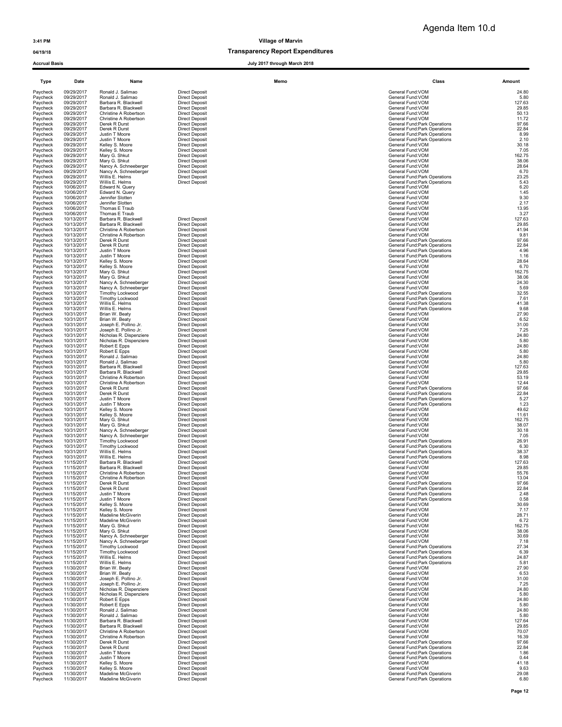## 04/19/18 Transparency Report Expenditures

| Type                 | Date                     | Name                                           |                                                | Memo | Class                                                          | Amount         |
|----------------------|--------------------------|------------------------------------------------|------------------------------------------------|------|----------------------------------------------------------------|----------------|
| Paycheck             | 09/29/2017               | Ronald J. Salimao                              | <b>Direct Deposit</b>                          |      | General Fund:VOM                                               | 24.80          |
| Paycheck             | 09/29/2017               | Ronald J. Salimao                              | <b>Direct Deposit</b>                          |      | General Fund: VOM                                              | 5.80           |
| Paycheck             | 09/29/2017               | Barbara R. Blackwell                           | <b>Direct Deposit</b>                          |      | General Fund: VOM                                              | 127.63         |
| Paycheck             | 09/29/2017               | Barbara R. Blackwell                           | <b>Direct Deposit</b>                          |      | General Fund:VOM                                               | 29.85          |
| Paycheck             | 09/29/2017               | Christine A Robertson                          | <b>Direct Deposit</b>                          |      | General Fund:VOM                                               | 50.13          |
| Paycheck             | 09/29/2017               | Christine A Robertson                          | <b>Direct Deposit</b>                          |      | General Fund:VOM                                               | 11.72          |
| Paycheck             | 09/29/2017               | Derek R Durst                                  | <b>Direct Deposit</b>                          |      | General Fund: Park Operations                                  | 97.66          |
| Paycheck             | 09/29/2017               | Derek R Durst                                  | <b>Direct Deposit</b>                          |      | General Fund: Park Operations                                  | 22.84          |
| Paycheck             | 09/29/2017               | Justin T Moore                                 | <b>Direct Deposit</b>                          |      | General Fund:Park Operations                                   | 8.99           |
| Paycheck             | 09/29/2017               | Justin T Moore                                 | <b>Direct Deposit</b>                          |      | General Fund: Park Operations                                  | 2.10           |
| Paycheck             | 09/29/2017               | Kelley S. Moore                                | <b>Direct Deposit</b>                          |      | General Fund:VOM                                               | 30.18          |
| Paycheck             | 09/29/2017               | Kelley S. Moore                                | <b>Direct Deposit</b>                          |      | General Fund:VOM                                               | 7.05           |
| Paycheck             | 09/29/2017               | Mary G. Shkut                                  | <b>Direct Deposit</b>                          |      | General Fund:VOM                                               | 162.75         |
| Paycheck             | 09/29/2017               | Mary G. Shkut                                  | <b>Direct Deposit</b>                          |      | General Fund: VOM                                              | 38.06          |
| Paycheck             | 09/29/2017               | Nancy A. Schneeberger                          | <b>Direct Deposit</b>                          |      | General Fund:VOM                                               | 28.64          |
| Paycheck             | 09/29/2017               | Nancy A. Schneeberger                          | <b>Direct Deposit</b>                          |      | General Fund:VOM                                               | 6.70           |
| Paycheck             | 09/29/2017               | Willis E. Helms                                | <b>Direct Deposit</b>                          |      | General Fund:Park Operations                                   | 23.25          |
| Paycheck             | 09/29/2017               | Willis E. Helms                                | <b>Direct Deposit</b>                          |      | General Fund:Park Operations                                   | 5.43           |
| Paycheck             | 10/06/2017               | Edward N. Querv                                |                                                |      | General Fund:VOM                                               | 6.20           |
| Paycheck<br>Paycheck | 10/06/2017<br>10/06/2017 | Edward N. Query<br>Jennifer Slotten            |                                                |      | General Fund: VOM<br>General Fund:VOM                          | 1.45<br>9.30   |
| Paycheck             | 10/06/2017               | Jennifer Slotten<br>Thomas E Traub             |                                                |      | General Fund:VOM                                               | 2.17           |
| Paycheck<br>Paycheck | 10/06/2017<br>10/06/2017 | Thomas E Traub                                 |                                                |      | General Fund:VOM<br>General Fund:VOM                           | 13.95<br>3.27  |
| Paycheck             | 10/13/2017               | Barbara R. Blackwell                           | <b>Direct Deposit</b>                          |      | General Fund:VOM                                               | 127.63         |
| Paycheck             | 10/13/2017               | Barbara R. Blackwell                           | <b>Direct Deposit</b>                          |      | General Fund:VOM                                               | 29.85          |
| Paycheck             | 10/13/2017               | Christine A Robertson                          | <b>Direct Deposit</b>                          |      | General Fund: VOM                                              | 41.94          |
| Paycheck             | 10/13/2017               | Christine A Robertson                          | <b>Direct Deposit</b>                          |      | General Fund: VOM                                              | 9.81           |
| Paycheck             | 10/13/2017               | Derek R Durst                                  | <b>Direct Deposit</b>                          |      | General Fund: Park Operations                                  | 97.66          |
| Paycheck             | 10/13/2017               | Derek R Durst<br>Justin T Moore                | <b>Direct Deposit</b>                          |      | General Fund: Park Operations                                  | 22.84<br>4.96  |
| Paycheck<br>Paycheck | 10/13/2017<br>10/13/2017 | Justin T Moore                                 | <b>Direct Deposit</b><br><b>Direct Deposit</b> |      | General Fund: Park Operations<br>General Fund: Park Operations | 1.16           |
| Paycheck             | 10/13/2017               | Kelley S. Moore                                | <b>Direct Deposit</b>                          |      | General Fund:VOM                                               | 28.64          |
| Paycheck             | 10/13/2017               | Kelley S. Moore                                | <b>Direct Deposit</b>                          |      | General Fund:VOM                                               | 6.70           |
| Paycheck             | 10/13/2017               | Mary G. Shkut                                  | <b>Direct Deposit</b>                          |      | General Fund:VOM                                               | 162.75         |
| Paycheck             | 10/13/2017               | Mary G. Shkut                                  | <b>Direct Deposit</b>                          |      | General Fund:VOM                                               | 38.06          |
| Paycheck             | 10/13/2017               | Nancy A. Schneeberger                          | <b>Direct Deposit</b>                          |      | General Fund:VOM                                               | 24.30          |
| Paycheck             | 10/13/2017               | Nancy A. Schneeberger                          | <b>Direct Deposit</b>                          |      | General Fund:VOM                                               | 5.69           |
| Paycheck             | 10/13/2017               | Timothy Lockwood                               | <b>Direct Deposit</b>                          |      | General Fund:Park Operations                                   | 32.55          |
| Paycheck             | 10/13/2017               | <b>Timothy Lockwood</b>                        | <b>Direct Deposit</b>                          |      | General Fund: Park Operations                                  | 7.61           |
| Paycheck             | 10/13/2017               | Willis E. Helms                                | <b>Direct Deposit</b>                          |      | General Fund: Park Operations                                  | 41.38          |
| Paycheck             | 10/13/2017               | Willis E. Helms                                | <b>Direct Deposit</b>                          |      | General Fund: Park Operations                                  | 9.68           |
| Paycheck             | 10/31/2017               | Brian W. Beaty                                 | <b>Direct Deposit</b>                          |      | General Fund: VOM                                              | 27.90          |
| Paycheck             | 10/31/2017               | Brian W. Beaty                                 | <b>Direct Deposit</b>                          |      | General Fund: VOM                                              | 6.52           |
| Paycheck             | 10/31/2017               | Joseph E. Pollino Jr.                          | <b>Direct Deposit</b>                          |      | General Fund: VOM                                              | 31.00          |
| Paycheck             | 10/31/2017               | Joseph E. Pollino Jr.                          | <b>Direct Deposit</b>                          |      | General Fund: VOM                                              | 7.25           |
| Paycheck             | 10/31/2017               | Nicholas R. Dispenziere                        | <b>Direct Deposit</b>                          |      | General Fund:VOM                                               | 24.80          |
| Paycheck             | 10/31/2017               | Nicholas R. Dispenziere                        | <b>Direct Deposit</b>                          |      | General Fund:VOM                                               | 5.80           |
| Paycheck             | 10/31/2017               | Robert E Epps                                  | <b>Direct Deposit</b>                          |      | General Fund:VOM                                               | 24.80          |
| Paycheck             | 10/31/2017               | Robert E Epps                                  | <b>Direct Deposit</b>                          |      | General Fund:VOM                                               | 5.80           |
| Paycheck             | 10/31/2017               | Ronald J. Salimao                              | <b>Direct Deposit</b>                          |      | General Fund:VOM                                               | 24.80          |
| Paycheck             | 10/31/2017               | Ronald J. Salimao                              | <b>Direct Deposit</b>                          |      | General Fund: VOM                                              | 5.80           |
| Paycheck             | 10/31/2017               | Barbara R. Blackwell                           | <b>Direct Deposit</b>                          |      | General Fund: VOM                                              | 127.63         |
| Paycheck             | 10/31/2017               | Barbara R. Blackwell                           | <b>Direct Deposit</b>                          |      | General Fund:VOM                                               | 29.85          |
| Paycheck             | 10/31/2017               | Christine A Robertson                          | <b>Direct Deposit</b>                          |      | General Fund:VOM                                               | 53.19          |
| Paycheck             | 10/31/2017               | Christine A Robertson                          | <b>Direct Deposit</b>                          |      | General Fund:VOM                                               | 12.44          |
| Paycheck             | 10/31/2017               | Derek R Durst<br>Derek R Durst                 | <b>Direct Deposit</b>                          |      | General Fund: Park Operations                                  | 97.66          |
| Paycheck<br>Paycheck | 10/31/2017<br>10/31/2017 | Justin T Moore                                 | <b>Direct Deposit</b><br><b>Direct Deposit</b> |      | General Fund: Park Operations<br>General Fund: Park Operations | 22.84<br>5.27  |
| Paycheck             | 10/31/2017               | Justin T Moore                                 | <b>Direct Deposit</b>                          |      | General Fund: Park Operations                                  | 1.23           |
| Paycheck             | 10/31/2017               | Kelley S. Moore                                | <b>Direct Deposit</b>                          |      | General Fund:VOM                                               | 49.62          |
| Paycheck             | 10/31/2017               | Kelley S. Moore                                | <b>Direct Deposit</b>                          |      | General Fund: VOM                                              | 11.61          |
| Paycheck             | 10/31/2017               | Mary G. Shkut                                  | <b>Direct Deposit</b>                          |      | General Fund:VOM                                               | 162.75         |
| Paycheck             | 10/31/2017               | Mary G. Shkut                                  | <b>Direct Deposit</b>                          |      | General Fund: VOM                                              | 38.07          |
| Paycheck             | 10/31/2017               | Nancy A. Schneeberger                          | <b>Direct Deposit</b>                          |      | General Fund: VOM                                              | 30.18          |
| Paycheck             | 10/31/2017               | Nancy A. Schneeberger                          | <b>Direct Deposit</b>                          |      | General Fund:VOM                                               | 7.05           |
| Paycheck             | 10/31/2017               | Timothy Lockwood                               | <b>Direct Deposit</b>                          |      | General Fund:Park Operations                                   | 26.91          |
| Paycheck             | 10/31/2017               | Timothy Lockwood                               | <b>Direct Deposit</b>                          |      | General Fund:Park Operations                                   | 6.30           |
| Paycheck             | 10/31/2017               | Willis E. Helms                                | <b>Direct Deposit</b>                          |      | General Fund: Park Operations                                  | 38.37          |
| Paycheck             | 10/31/2017               | Willis E. Helms                                | <b>Direct Deposit</b>                          |      | General Fund: Park Operations                                  | 8.98           |
| Paycheck             | 11/15/2017               | Barbara R. Blackwell                           | <b>Direct Deposit</b>                          |      | General Fund:VOM                                               | 127.63         |
| Paycheck             | 11/15/2017               | Barbara R. Blackwell                           | <b>Direct Deposit</b>                          |      | General Fund:VOM                                               | 29.85          |
| Paycheck             | 11/15/2017<br>11/15/2017 | Christine A Robertson<br>Christine A Robertson | <b>Direct Deposit</b><br><b>Direct Deposit</b> |      | General Fund:VOM<br>General Fund: VOM                          | 55.76<br>13.04 |
| Paycheck<br>Paycheck | 11/15/2017               | Derek R Durst                                  | Direct Deposit                                 |      | <b>General Fund:Park Operations</b>                            | 97.66          |
| Paycheck             | 11/15/2017               | Derek R Durst                                  | <b>Direct Deposit</b>                          |      | General Fund: Park Operations                                  | 22.84          |
| Paycheck             | 11/15/2017               | Justin T Moore                                 | <b>Direct Deposit</b>                          |      | General Fund: Park Operations                                  | 2.48           |
| Paycheck             | 11/15/2017               | Justin T Moore                                 | <b>Direct Deposit</b>                          |      | General Fund: Park Operations                                  | 0.58           |
| Paycheck             | 11/15/2017               | Kelley S. Moore                                | <b>Direct Deposit</b>                          |      | General Fund:VOM                                               | 30.69          |
| Paycheck             | 11/15/2017               | Kelley S. Moore                                | <b>Direct Deposit</b>                          |      | General Fund: VOM                                              | 7.17           |
| Paycheck             | 11/15/2017               | Madeline McGiverin                             | <b>Direct Deposit</b>                          |      | General Fund:VOM                                               | 28.71          |
| Paycheck             | 11/15/2017               | Madeline McGiverin                             | <b>Direct Deposit</b>                          |      | General Fund:VOM                                               | 6.72           |
| Paycheck             | 11/15/2017               | Mary G. Shkut                                  | <b>Direct Deposit</b>                          |      | General Fund:VOM                                               | 162.75         |
| Paycheck             | 11/15/2017               | Mary G. Shkut                                  | <b>Direct Deposit</b>                          |      | General Fund:VOM                                               | 38.06          |
| Paycheck             | 11/15/2017               | Nancy A. Schneeberger                          | <b>Direct Deposit</b>                          |      | General Fund:VOM                                               | 30.69          |
| Paycheck             | 11/15/2017               | Nancy A. Schneeberger                          | <b>Direct Deposit</b>                          |      | General Fund:VOM                                               | 7.18           |
| Paycheck             | 11/15/2017               | Timothy Lockwood                               | <b>Direct Deposit</b>                          |      | General Fund:Park Operations                                   | 27.34          |
| Paycheck             | 11/15/2017               | <b>Timothy Lockwood</b>                        | <b>Direct Deposit</b>                          |      | General Fund:Park Operations                                   | 6.39           |
| Paycheck             | 11/15/2017               | Willis E. Helms                                | <b>Direct Deposit</b>                          |      | General Fund: Park Operations                                  | 24.87          |
| Paycheck             | 11/15/2017               | Willis E. Helms                                | <b>Direct Deposit</b>                          |      | General Fund: Park Operations                                  | 5.81           |
| Paycheck             | 11/30/2017               | Brian W. Beaty                                 | <b>Direct Deposit</b>                          |      | General Fund:VOM                                               | 27.90          |
| Paycheck             | 11/30/2017               | Brian W. Beaty                                 | <b>Direct Deposit</b>                          |      | General Fund:VOM                                               | 6.53           |
| Paycheck             | 11/30/2017               | Joseph E. Pollino Jr.                          | <b>Direct Deposit</b>                          |      | General Fund: VOM                                              | 31.00          |
| Paycheck             | 11/30/2017               | Joseph E. Pollino Jr.                          | <b>Direct Deposit</b>                          |      | General Fund: VOM                                              | 7.25           |
| Paycheck             | 11/30/2017               | Nicholas R. Dispenziere                        | <b>Direct Deposit</b>                          |      | General Fund:VOM                                               | 24.80          |
| Paycheck             | 11/30/2017               | Nicholas R. Dispenziere                        | <b>Direct Deposit</b>                          |      | General Fund:VOM                                               | 5.80           |
| Paycheck<br>Paycheck | 11/30/2017<br>11/30/2017 | Robert E Epps                                  | <b>Direct Deposit</b><br><b>Direct Deposit</b> |      | General Fund:VOM<br>General Fund:VOM                           | 24.80<br>5.80  |
| Paycheck             | 11/30/2017               | Robert E Epps<br>Ronald J. Salimao             | <b>Direct Deposit</b>                          |      | General Fund:VOM                                               | 24.80          |
| Paycheck             | 11/30/2017               | Ronald J. Salimao                              | <b>Direct Deposit</b>                          |      | General Fund:VOM                                               | 5.80           |
| Paycheck             | 11/30/2017               | Barbara R. Blackwell                           | <b>Direct Deposit</b>                          |      | General Fund:VOM                                               | 127.64         |
| Paycheck             | 11/30/2017               | Barbara R. Blackwell                           | <b>Direct Deposit</b>                          |      | General Fund:VOM                                               | 29.85          |
| Paycheck             | 11/30/2017               | Christine A Robertson                          | <b>Direct Deposit</b>                          |      | General Fund:VOM                                               | 70.07          |
| Paycheck             | 11/30/2017               | Christine A Robertson                          | <b>Direct Deposit</b>                          |      | General Fund:VOM                                               | 16.39          |
| Paycheck             | 11/30/2017               | Derek R Durst                                  | <b>Direct Deposit</b>                          |      | General Fund: Park Operations                                  | 97.66          |
| Paycheck             | 11/30/2017               | Derek R Durst                                  | <b>Direct Deposit</b>                          |      | General Fund: Park Operations                                  | 22.84          |
| Paycheck             | 11/30/2017               | Justin T Moore                                 | <b>Direct Deposit</b>                          |      | General Fund: Park Operations                                  | 1.86           |
| Paycheck             | 11/30/2017               | Justin T Moore                                 | <b>Direct Deposit</b>                          |      | General Fund: Park Operations                                  | 0.44           |
| Paycheck             | 11/30/2017               | Kelley S. Moore                                | <b>Direct Deposit</b>                          |      | General Fund:VOM                                               | 41.18          |
| Paycheck             | 11/30/2017               | Kelley S. Moore                                | <b>Direct Deposit</b>                          |      | General Fund:VOM                                               | 9.63           |
| Paycheck             | 11/30/2017               | Madeline McGiverin                             | <b>Direct Deposit</b>                          |      | General Fund:Park Operations                                   | 29.08          |
| Paycheck             | 11/30/2017               | Madeline McGiverin                             | <b>Direct Deposit</b>                          |      | General Fund: Park Operations                                  | 6.80           |
|                      |                          |                                                |                                                |      |                                                                |                |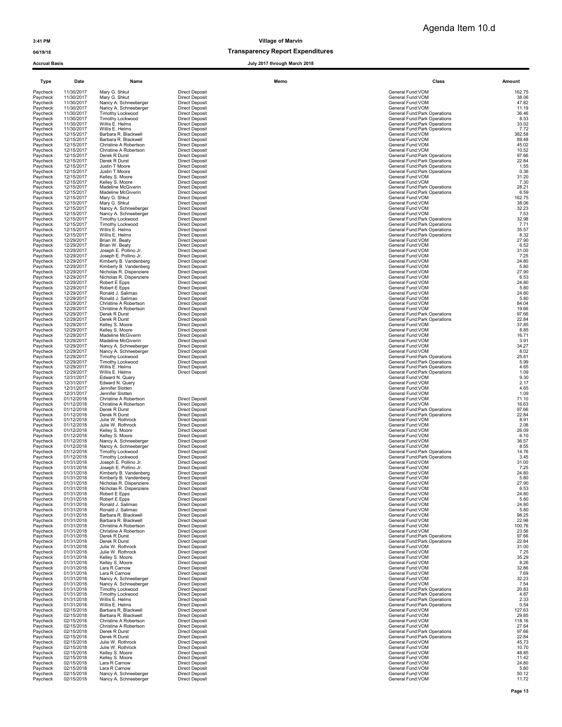# 04/19/18 Transparency Report Expenditures

| Type                 | Date                     | Name                                               | Memo                                           | Class                                                          | Amount          |
|----------------------|--------------------------|----------------------------------------------------|------------------------------------------------|----------------------------------------------------------------|-----------------|
| Paycheck             | 11/30/2017               | Mary G. Shkut                                      | <b>Direct Deposit</b>                          | General Fund:VOM                                               | 162.75          |
| Paycheck             | 11/30/2017               | Mary G. Shkut                                      | <b>Direct Deposit</b>                          | General Fund:VOM                                               | 38.06           |
| Paycheck<br>Paycheck | 11/30/2017<br>11/30/2017 | Nancy A. Schneeberger<br>Nancy A. Schneeberger     | <b>Direct Deposit</b><br><b>Direct Deposit</b> | General Fund: VOM<br>General Fund: VOM                         | 47.82<br>11.19  |
| Paycheck             | 11/30/2017               | Timothy Lockwood                                   | <b>Direct Deposit</b>                          | General Fund: Park Operations                                  | 36.46           |
| Paycheck             | 11/30/2017<br>11/30/2017 | Timothy Lockwood                                   | <b>Direct Deposit</b>                          | General Fund: Park Operations<br>General Fund:Park Operations  | 8.53            |
| Paycheck<br>Paycheck | 11/30/2017               | Willis E. Helms<br>Willis E. Helms                 | <b>Direct Deposit</b><br><b>Direct Deposit</b> | General Fund: Park Operations                                  | 33.02<br>7.72   |
| Paycheck             | 12/15/2017               | Barbara R. Blackwell                               | <b>Direct Deposit</b>                          | General Fund: VOM                                              | 382.58          |
| Paycheck<br>Paycheck | 12/15/2017<br>12/15/2017 | Barbara R. Blackwell<br>Christine A Robertson      | <b>Direct Deposit</b><br><b>Direct Deposit</b> | General Fund:VOM<br>General Fund:VOM                           | 89.48<br>45.02  |
| Paycheck             | 12/15/2017               | Christine A Robertson                              | <b>Direct Deposit</b>                          | General Fund: VOM                                              | 10.52           |
| Paycheck             | 12/15/2017               | Derek R Durst<br>Derek R Durst                     | <b>Direct Deposit</b>                          | General Fund: Park Operations                                  | 97.66           |
| Paycheck<br>Pavcheck | 12/15/2017<br>12/15/2017 | Justin T Moore                                     | <b>Direct Deposit</b><br><b>Direct Deposit</b> | General Fund: Park Operations<br>General Fund: Park Operations | 22.84<br>1.55   |
| Paycheck             | 12/15/2017               | Justin T Moore                                     | <b>Direct Deposit</b>                          | General Fund: Park Operations                                  | 0.36            |
| Paycheck<br>Paycheck | 12/15/2017<br>12/15/2017 | Kelley S. Moore<br>Kelley S. Moore                 | <b>Direct Deposit</b><br><b>Direct Deposit</b> | General Fund: VOM<br>General Fund:VOM                          | 31.20<br>7.30   |
| Paycheck             | 12/15/2017               | Madeline McGiverin                                 | <b>Direct Deposit</b>                          | General Fund: Park Operations                                  | 28.21           |
| Paycheck             | 12/15/2017               | Madeline McGiverin                                 | <b>Direct Deposit</b>                          | General Fund: Park Operations                                  | 6.59            |
| Paycheck<br>Paycheck | 12/15/2017<br>12/15/2017 | Mary G. Shkut<br>Mary G. Shkut                     | <b>Direct Deposit</b><br><b>Direct Deposit</b> | General Fund:VOM<br>General Fund:VOM                           | 162.75<br>38.06 |
| Paycheck             | 12/15/2017               | Nancy A. Schneeberger                              | <b>Direct Deposit</b>                          | General Fund:VOM                                               | 32.23           |
| Paycheck<br>Paycheck | 12/15/2017<br>12/15/2017 | Nancy A. Schneeberger<br>Timothy Lockwood          | <b>Direct Deposit</b><br>Direct Deposit        | General Fund: VOM<br>General Fund: Park Operations             | 7.53<br>32.98   |
| Paycheck             | 12/15/2017               | <b>Timothy Lockwood</b>                            | <b>Direct Deposit</b>                          | General Fund: Park Operations                                  | 7.71            |
| Paycheck             | 12/15/2017               | Willis E. Helms                                    | <b>Direct Deposit</b>                          | General Fund: Park Operations                                  | 35.57           |
| Paycheck<br>Paycheck | 12/15/2017<br>12/29/2017 | Willis E. Helms<br>Brian W. Beaty                  | <b>Direct Deposit</b><br><b>Direct Deposit</b> | General Fund: Park Operations<br>General Fund:VOM              | 8.32<br>27.90   |
| Paycheck             | 12/29/2017               | Brian W. Beaty                                     | <b>Direct Deposit</b>                          | General Fund: VOM                                              | 6.52            |
| Paycheck             | 12/29/2017               | Joseph E. Pollino Jr.<br>Joseph E. Pollino Jr.     | <b>Direct Deposit</b>                          | General Fund:VOM<br>General Fund:VOM                           | 31.00           |
| Paycheck<br>Paycheck | 12/29/2017<br>12/29/2017 | Kimberly B. Vandenberg                             | <b>Direct Deposit</b><br><b>Direct Deposit</b> | General Fund: VOM                                              | 7.25<br>24.80   |
| Paycheck             | 12/29/2017               | Kimberly B. Vandenberg                             | <b>Direct Deposit</b>                          | General Fund: VOM                                              | 5.80            |
| Paycheck<br>Paycheck | 12/29/2017<br>12/29/2017 | Nicholas R. Dispenziere<br>Nicholas R. Dispenziere | <b>Direct Deposit</b><br><b>Direct Deposit</b> | General Fund:VOM<br>General Fund:VOM                           | 27.90<br>6.53   |
| Paycheck             | 12/29/2017               | Robert E Epps                                      | <b>Direct Deposit</b>                          | General Fund:VOM                                               | 24.80           |
| Paycheck             | 12/29/2017               | Robert E Epps                                      | <b>Direct Deposit</b>                          | General Fund: VOM                                              | 5.80            |
| Paycheck<br>Paycheck | 12/29/2017<br>12/29/2017 | Ronald J. Salimao<br>Ronald J. Salimao             | <b>Direct Deposit</b><br><b>Direct Deposit</b> | General Fund:VOM<br>General Fund:VOM                           | 24.80<br>5.80   |
| Paycheck             | 12/29/2017               | Christine A Robertson                              | <b>Direct Deposit</b>                          | General Fund: VOM                                              | 84.04           |
| Paycheck             | 12/29/2017               | Christine A Robertson                              | <b>Direct Deposit</b>                          | General Fund: VOM                                              | 19.66           |
| Paycheck<br>Paycheck | 12/29/2017<br>12/29/2017 | Derek R Durst<br>Derek R Durst                     | <b>Direct Deposit</b><br><b>Direct Deposit</b> | General Fund: Park Operations<br>General Fund: Park Operations | 97.66<br>22.84  |
| Paycheck             | 12/29/2017               | Kelley S. Moore                                    | <b>Direct Deposit</b>                          | General Fund:VOM                                               | 37.85           |
| Paycheck<br>Paycheck | 12/29/2017<br>12/29/2017 | Kelley S. Moore<br>Madeline McGiverin              | <b>Direct Deposit</b><br><b>Direct Deposit</b> | General Fund:VOM<br>General Fund:VOM                           | 8.85<br>16.71   |
| Paycheck             | 12/29/2017               | Madeline McGiverin                                 | <b>Direct Deposit</b>                          | General Fund: VOM                                              | 3.91            |
| Paycheck             | 12/29/2017               | Nancy A. Schneeberger                              | <b>Direct Deposit</b>                          | General Fund:VOM                                               | 34.27           |
| Paycheck<br>Paycheck | 12/29/2017<br>12/29/2017 | Nancy A. Schneeberger<br>Timothy Lockwood          | <b>Direct Deposit</b><br><b>Direct Deposit</b> | General Fund: VOM<br>General Fund: Park Operations             | 8.02<br>25.61   |
| Paycheck             | 12/29/2017               | Timothy Lockwood                                   | <b>Direct Deposit</b>                          | General Fund: Park Operations                                  | 5.99            |
| Paycheck             | 12/29/2017               | Willis E. Helms                                    | <b>Direct Deposit</b>                          | General Fund: Park Operations                                  | 4.65            |
| Paycheck<br>Paycheck | 12/29/2017<br>12/31/2017 | Willis E. Helms<br>Edward N. Query                 | <b>Direct Deposit</b>                          | General Fund: Park Operations<br>General Fund: VOM             | 1.09<br>9.30    |
| Paycheck             | 12/31/2017               | Edward N. Query                                    |                                                | General Fund:VOM                                               | 2.17            |
| Paycheck<br>Paycheck | 12/31/2017<br>12/31/2017 | Jennifer Slotten<br>Jennifer Slotten               |                                                | General Fund:VOM<br>General Fund:VOM                           | 4.65<br>1.09    |
| Paycheck             | 01/12/2018               | Christine A Robertson                              | <b>Direct Deposit</b>                          | General Fund: VOM                                              | 71.10           |
| Paycheck             | 01/12/2018               | Christine A Robertson                              | <b>Direct Deposit</b>                          | General Fund: VOM                                              | 16.63           |
| Paycheck<br>Paycheck | 01/12/2018<br>01/12/2018 | Derek R Durst<br>Derek R Durst                     | <b>Direct Deposit</b><br><b>Direct Deposit</b> | General Fund: Park Operations<br>General Fund: Park Operations | 97.66<br>22.84  |
| Paycheck             | 01/12/2018               | Julie W. Rothrock                                  | <b>Direct Deposit</b>                          | General Fund: VOM                                              | 8.91            |
| Paycheck<br>Paycheck | 01/12/2018<br>01/12/2018 | Julie W. Rothrock<br>Kelley S. Moore               | <b>Direct Deposit</b><br><b>Direct Deposit</b> | General Fund: VOM<br>General Fund:VOM                          | 2.08<br>26.09   |
| Paycheck             | 01/12/2018               | Kelley S. Moore                                    | <b>Direct Deposit</b>                          | General Fund: VOM                                              | 6.10            |
| Paycheck             | 01/12/2018               | Nancy A. Schneeberger                              | <b>Direct Deposit</b>                          | General Fund: VOM                                              | 36.57           |
| Paycheck<br>Paycheck | 01/12/2018<br>01/12/2018 | Nancy A. Schneeberger<br>Timothy Lockwood          | <b>Direct Deposit</b><br><b>Direct Deposit</b> | General Fund: VOM<br>General Fund:Park Operations              | 8.55<br>14.76   |
| Paycheck             | 01/12/2018               | Timothy Lockwood                                   | <b>Direct Deposit</b>                          | General Fund: Park Operations                                  | 3.45            |
| Paycheck<br>Paycheck | 01/31/2018<br>01/31/2018 | Joseph E. Pollino Jr.<br>Joseph E. Pollino Jr.     | <b>Direct Deposit</b><br><b>Direct Deposit</b> | General Fund:VOM<br>General Fund: VOM                          | 31.00<br>7.25   |
| Paycheck             | 01/31/2018               | Kimberly B. Vandenberg                             | <b>Direct Deposit</b>                          | General Fund: VOM                                              | 24.80           |
| Paycheck             | 01/31/2018               | Kimberly B. Vandenberg                             | <b>Direct Deposit</b>                          | General Fund: VOM                                              | 5.80            |
| Paycheck<br>Paycheck | 01/31/2018<br>01/31/2018 | Nicholas R. Dispenziere<br>Nicholas R. Dispenziere | <b>Direct Deposit</b><br><b>Direct Deposit</b> | General Fund:VOM<br>General Fund:VOM                           | 27.90<br>6.53   |
| Paycheck             | 01/31/2018               | Robert E Epps                                      | <b>Direct Deposit</b>                          | General Fund:VOM                                               | 24.80           |
| Paycheck<br>Paycheck | 01/31/2018<br>01/31/2018 | Robert E Epps<br>Ronald J. Salimao                 | <b>Direct Deposit</b><br><b>Direct Deposit</b> | General Fund:VOM<br>General Fund:VOM                           | 5.80<br>24.80   |
| Paycheck             | 01/31/2018               | Ronald J. Salimao                                  | <b>Direct Deposit</b>                          | General Fund:VOM                                               | 5.80            |
| Paycheck             | 01/31/2018               | Barbara R. Blackwell                               | <b>Direct Deposit</b>                          | General Fund:VOM                                               | 98.25           |
| Paycheck<br>Paycheck | 01/31/2018<br>01/31/2018 | Barbara R. Blackwell<br>Christine A Robertson      | <b>Direct Deposit</b><br>Direct Deposit        | General Fund: VOM<br>General Fund:VOM                          | 22.98<br>100.76 |
| Paycheck             | 01/31/2018               | Christine A Robertson                              | <b>Direct Deposit</b>                          | General Fund: VOM                                              | 23.56           |
| Paycheck             | 01/31/2018               | Derek R Durst                                      | <b>Direct Deposit</b>                          | General Fund: Park Operations                                  | 97.66           |
| Paycheck<br>Paycheck | 01/31/2018<br>01/31/2018 | Derek R Durst<br>Julie W. Rothrock                 | <b>Direct Deposit</b><br><b>Direct Deposit</b> | General Fund: Park Operations<br>General Fund:VOM              | 22.84<br>31.00  |
| Paycheck             | 01/31/2018               | Julie W. Rothrock                                  | <b>Direct Deposit</b>                          | General Fund:VOM                                               | 7.25            |
| Paycheck             | 01/31/2018<br>01/31/2018 | Kelley S. Moore<br>Kellev S. Moore                 | <b>Direct Deposit</b><br><b>Direct Deposit</b> | General Fund:VOM<br>General Fund:VOM                           | 35.29<br>8.26   |
| Paycheck<br>Paycheck | 01/31/2018               | Lara R Carnow                                      | <b>Direct Deposit</b>                          | General Fund:VOM                                               | 32.86           |
| Paycheck             | 01/31/2018               | Lara R Carnow                                      | <b>Direct Deposit</b>                          | General Fund:VOM                                               | 7.69            |
| Paycheck<br>Paycheck | 01/31/2018<br>01/31/2018 | Nancy A. Schneeberger<br>Nancy A. Schneeberger     | <b>Direct Deposit</b><br><b>Direct Deposit</b> | General Fund:VOM<br>General Fund: VOM                          | 32.23<br>7.54   |
| Paycheck             | 01/31/2018               | Timothy Lockwood                                   | Direct Deposit                                 | General Fund: Park Operations                                  | 20.83           |
| Paycheck<br>Paycheck | 01/31/2018<br>01/31/2018 | Timothy Lockwood<br>Willis E. Helms                | <b>Direct Deposit</b><br><b>Direct Deposit</b> | General Fund: Park Operations<br>General Fund: Park Operations | 4.87<br>2.33    |
| Paycheck             | 01/31/2018               | Willis E. Helms                                    | <b>Direct Deposit</b>                          | General Fund: Park Operations                                  | 0.54            |
| Paycheck             | 02/15/2018               | Barbara R. Blackwell                               | <b>Direct Deposit</b>                          | General Fund: VOM                                              | 127.63          |
| Paycheck<br>Paycheck | 02/15/2018<br>02/15/2018 | Barbara R. Blackwell<br>Christine A Robertson      | <b>Direct Deposit</b><br><b>Direct Deposit</b> | General Fund: VOM<br>General Fund:VOM                          | 29.85<br>118.16 |
| Paycheck             | 02/15/2018               | Christine A Robertson                              | <b>Direct Deposit</b>                          | General Fund:VOM                                               | 27.64           |
| Paycheck             | 02/15/2018               | Derek R Durst                                      | <b>Direct Deposit</b>                          | General Fund: Park Operations                                  | 97.66           |
| Paycheck<br>Paycheck | 02/15/2018<br>02/15/2018 | Derek R Durst<br>Julie W. Rothrock                 | <b>Direct Deposit</b><br><b>Direct Deposit</b> | General Fund: Park Operations<br>General Fund:VOM              | 22.84<br>45.73  |
| Paycheck             | 02/15/2018               | Julie W. Rothrock                                  | <b>Direct Deposit</b>                          | General Fund:VOM                                               | 10.70           |
| Paycheck<br>Paycheck | 02/15/2018<br>02/15/2018 | Kelley S. Moore<br>Kelley S. Moore                 | <b>Direct Deposit</b><br><b>Direct Deposit</b> | General Fund: VOM<br>General Fund: VOM                         | 48.85<br>11.42  |
| Paycheck             | 02/15/2018               | Lara R Carnow                                      | <b>Direct Deposit</b>                          | General Fund:VOM                                               | 24.80           |
| Paycheck             | 02/15/2018               | Lara R Carnow                                      | <b>Direct Deposit</b>                          | General Fund: VOM                                              | 5.80            |
| Paycheck<br>Paycheck | 02/15/2018<br>02/15/2018 | Nancy A. Schneeberger<br>Nancy A. Schneeberger     | <b>Direct Deposit</b><br><b>Direct Deposit</b> | General Fund: VOM<br>General Fund:VOM                          | 50.12<br>11.72  |
|                      |                          |                                                    |                                                |                                                                |                 |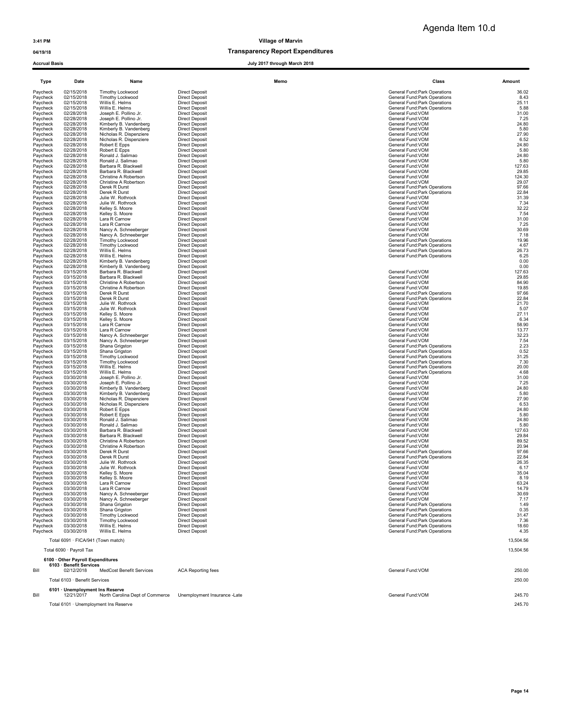## 04/19/18 and 04/19/18 of the control of the control of the Transparency Report Expenditures

| Type                 | Date                                          | Name                                              | Memo                                           | Class                                                          | Amount          |
|----------------------|-----------------------------------------------|---------------------------------------------------|------------------------------------------------|----------------------------------------------------------------|-----------------|
| Paycheck             | 02/15/2018                                    | Timothy Lockwood                                  | <b>Direct Deposit</b>                          | General Fund: Park Operations                                  | 36.02           |
| Paycheck             | 02/15/2018                                    | Timothy Lockwood                                  | <b>Direct Deposit</b>                          | General Fund: Park Operations                                  | 8.43            |
| Paycheck             | 02/15/2018                                    | Willis E. Helms                                   | <b>Direct Deposit</b>                          | General Fund: Park Operations                                  | 25.11           |
| Paycheck<br>Paycheck | 02/15/2018<br>02/28/2018                      | Willis E. Helms<br>Joseph E. Pollino Jr.          | <b>Direct Deposit</b><br><b>Direct Deposit</b> | General Fund: Park Operations<br>General Fund: VOM             | 5.88<br>31.00   |
| Paycheck             | 02/28/2018                                    | Joseph E. Pollino Jr.                             | <b>Direct Deposit</b>                          | General Fund: VOM                                              | 7.25            |
| Paycheck             | 02/28/2018                                    | Kimberly B. Vandenberg                            | <b>Direct Deposit</b>                          | General Fund: VOM                                              | 24.80           |
| Paycheck             | 02/28/2018<br>02/28/2018                      | Kimberly B. Vandenberg<br>Nicholas R. Dispenziere | <b>Direct Deposit</b><br><b>Direct Deposit</b> | General Fund: VOM<br>General Fund:VOM                          | 5.80<br>27.90   |
| Paycheck<br>Paycheck | 02/28/2018                                    | Nicholas R. Dispenziere                           | <b>Direct Deposit</b>                          | General Fund:VOM                                               | 6.52            |
| Paycheck             | 02/28/2018                                    | Robert E Epps                                     | <b>Direct Deposit</b>                          | General Fund:VOM                                               | 24.80           |
| Paycheck             | 02/28/2018                                    | Robert E Epps                                     | <b>Direct Deposit</b>                          | General Fund: VOM                                              | 5.80            |
| Paycheck<br>Paycheck | 02/28/2018<br>02/28/2018                      | Ronald J. Salimao<br>Ronald J. Salimao            | <b>Direct Deposit</b><br><b>Direct Deposit</b> | General Fund: VOM<br>General Fund: VOM                         | 24.80<br>5.80   |
| Paycheck             | 02/28/2018                                    | Barbara R. Blackwell                              | <b>Direct Deposit</b>                          | General Fund: VOM                                              | 127.63          |
| Paycheck             | 02/28/2018                                    | Barbara R. Blackwell                              | <b>Direct Deposit</b>                          | General Fund: VOM                                              | 29.85           |
| Paycheck             | 02/28/2018                                    | Christine A Robertson                             | <b>Direct Deposit</b>                          | General Fund: VOM                                              | 124.30          |
| Paycheck<br>Paycheck | 02/28/2018<br>02/28/2018                      | Christine A Robertson<br>Derek R Durst            | <b>Direct Deposit</b><br><b>Direct Deposit</b> | General Fund: VOM<br>General Fund: Park Operations             | 29.07<br>97.66  |
| Paycheck             | 02/28/2018                                    | Derek R Durst                                     | <b>Direct Deposit</b>                          | General Fund: Park Operations                                  | 22.84           |
| Paycheck             | 02/28/2018                                    | Julie W. Rothrock                                 | <b>Direct Deposit</b>                          | General Fund: VOM                                              | 31.39           |
| Paycheck             | 02/28/2018                                    | Julie W. Rothrock                                 | <b>Direct Deposit</b>                          | General Fund:VOM                                               | 7.34            |
| Paycheck<br>Paycheck | 02/28/2018<br>02/28/2018                      | Kelley S. Moore<br>Kelley S. Moore                | <b>Direct Deposit</b><br><b>Direct Deposit</b> | General Fund:VOM<br>General Fund: VOM                          | 32.22<br>7.54   |
| Paycheck             | 02/28/2018                                    | Lara R Carnow                                     | <b>Direct Deposit</b>                          | General Fund: VOM                                              | 31.00           |
| Paycheck             | 02/28/2018                                    | Lara R Carnow                                     | <b>Direct Deposit</b>                          | General Fund: VOM                                              | 7.25            |
| Paycheck             | 02/28/2018                                    | Nancy A. Schneeberger                             | <b>Direct Deposit</b>                          | General Fund:VOM                                               | 30.69           |
| Paycheck<br>Paycheck | 02/28/2018<br>02/28/2018                      | Nancy A. Schneeberger<br><b>Timothy Lockwood</b>  | <b>Direct Deposit</b><br><b>Direct Deposit</b> | General Fund: VOM<br>General Fund: Park Operations             | 7.18<br>19.96   |
| Paycheck             | 02/28/2018                                    | <b>Timothy Lockwood</b>                           | <b>Direct Deposit</b>                          | General Fund: Park Operations                                  | 4.67            |
| Paycheck             | 02/28/2018                                    | Willis E. Helms                                   | <b>Direct Deposit</b>                          | General Fund: Park Operations                                  | 26.73           |
| Paycheck             | 02/28/2018                                    | Willis E. Helms                                   | <b>Direct Deposit</b>                          | General Fund: Park Operations                                  | 6.25            |
| Paycheck             | 02/28/2018<br>02/28/2018                      | Kimberly B. Vandenberg                            | <b>Direct Deposit</b><br><b>Direct Deposit</b> |                                                                | 0.00<br>0.00    |
| Paycheck<br>Paycheck | 03/15/2018                                    | Kimberly B. Vandenberg<br>Barbara R. Blackwell    | <b>Direct Deposit</b>                          | General Fund:VOM                                               | 127.63          |
| Paycheck             | 03/15/2018                                    | Barbara R. Blackwell                              | <b>Direct Deposit</b>                          | General Fund:VOM                                               | 29.85           |
| Paycheck             | 03/15/2018                                    | Christine A Robertson                             | <b>Direct Deposit</b>                          | General Fund: VOM                                              | 84.90           |
| Paycheck             | 03/15/2018                                    | Christine A Robertson                             | <b>Direct Deposit</b>                          | General Fund: VOM                                              | 19.85           |
| Paycheck<br>Paycheck | 03/15/2018<br>03/15/2018                      | Derek R Durst<br>Derek R Durst                    | Direct Deposit<br><b>Direct Deposit</b>        | General Fund: Park Operations<br>General Fund: Park Operations | 97.66<br>22.84  |
| Paycheck             | 03/15/2018                                    | Julie W. Rothrock                                 | <b>Direct Deposit</b>                          | General Fund: VOM                                              | 21.70           |
| Paycheck             | 03/15/2018                                    | Julie W. Rothrock                                 | <b>Direct Deposit</b>                          | General Fund:VOM                                               | 5.07            |
| Paycheck             | 03/15/2018                                    | Kelley S. Moore                                   | <b>Direct Deposit</b>                          | General Fund:VOM                                               | 27.11           |
| Paycheck<br>Paycheck | 03/15/2018<br>03/15/2018                      | Kelley S. Moore<br>Lara R Carnow                  | <b>Direct Deposit</b><br><b>Direct Deposit</b> | General Fund:VOM<br>General Fund:VOM                           | 6.34<br>58.90   |
| Paycheck             | 03/15/2018                                    | Lara R Carnow                                     | <b>Direct Deposit</b>                          | General Fund:VOM                                               | 13.77           |
| Paycheck             | 03/15/2018                                    | Nancy A. Schneeberger                             | <b>Direct Deposit</b>                          | General Fund: VOM                                              | 32.23           |
| Paycheck             | 03/15/2018                                    | Nancy A. Schneeberger                             | <b>Direct Deposit</b>                          | General Fund: VOM                                              | 7.54            |
| Paycheck             | 03/15/2018                                    | Shana Grigston                                    | <b>Direct Deposit</b>                          | General Fund: Park Operations                                  | 2.23            |
| Paycheck<br>Paycheck | 03/15/2018<br>03/15/2018                      | Shana Grigston<br><b>Timothy Lockwood</b>         | <b>Direct Deposit</b><br><b>Direct Deposit</b> | General Fund: Park Operations<br>General Fund: Park Operations | 0.52<br>31.25   |
| Paycheck             | 03/15/2018                                    | Timothy Lockwood                                  | <b>Direct Deposit</b>                          | General Fund: Park Operations                                  | 7.30            |
| Paycheck             | 03/15/2018                                    | Willis E. Helms                                   | <b>Direct Deposit</b>                          | General Fund: Park Operations                                  | 20.00           |
| Paycheck             | 03/15/2018                                    | Willis E. Helms                                   | <b>Direct Deposit</b>                          | General Fund: Park Operations                                  | 4.68            |
| Paycheck<br>Paycheck | 03/30/2018<br>03/30/2018                      | Joseph E. Pollino Jr.<br>Joseph E. Pollino Jr.    | <b>Direct Deposit</b><br><b>Direct Deposit</b> | General Fund: VOM<br>General Fund: VOM                         | 31.00<br>7.25   |
| Paycheck             | 03/30/2018                                    | Kimberly B. Vandenberg                            | <b>Direct Deposit</b>                          | General Fund: VOM                                              | 24.80           |
| Paycheck             | 03/30/2018                                    | Kimberly B. Vandenberg                            | <b>Direct Deposit</b>                          | General Fund: VOM                                              | 5.80            |
| Paycheck             | 03/30/2018                                    | Nicholas R. Dispenziere                           | <b>Direct Deposit</b>                          | General Fund:VOM                                               | 27.90           |
| Paycheck<br>Paycheck | 03/30/2018<br>03/30/2018                      | Nicholas R. Dispenziere<br>Robert E Epps          | <b>Direct Deposit</b><br><b>Direct Deposit</b> | General Fund:VOM<br>General Fund: VOM                          | 6.53<br>24.80   |
| Paycheck             | 03/30/2018                                    | Robert E Epps                                     | <b>Direct Deposit</b>                          | General Fund: VOM                                              | 5.80            |
| Paycheck             | 03/30/2018                                    | Ronald J. Salimao                                 | <b>Direct Deposit</b>                          | General Fund: VOM                                              | 24.80           |
| Paycheck             | 03/30/2018                                    | Ronald J. Salimao                                 | <b>Direct Deposit</b>                          | General Fund: VOM                                              | 5.80            |
| Paycheck<br>Paycheck | 03/30/2018<br>03/30/2018                      | Barbara R. Blackwell<br>Barbara R. Blackwell      | <b>Direct Deposit</b><br><b>Direct Deposit</b> | General Fund: VOM<br>General Fund: VOM                         | 127.63<br>29.84 |
| Paycheck             | 03/30/2018                                    | Christine A Robertson                             | <b>Direct Deposit</b>                          | General Fund: VOM                                              | 89.52           |
| Paycheck             | 03/30/2018                                    | Christine A Robertson                             | <b>Direct Deposit</b>                          | General Fund: VOM                                              | 20.94           |
| Paycheck             | 03/30/2018                                    | Derek R Durst                                     | <b>Direct Deposit</b>                          | General Fund: Park Operations                                  | 97.66           |
| Paycheck<br>Paycheck | 03/30/2018<br>03/30/2018                      | Derek R Durst<br>Julie W. Rothrock                | <b>Direct Deposit</b><br><b>Direct Deposit</b> | General Fund: Park Operations<br>General Fund:VOM              | 22.84<br>26.35  |
| Paycheck             | 03/30/2018                                    | Julie W. Rothrock                                 | <b>Direct Deposit</b>                          | General Fund:VOM                                               | 6.17            |
| Paycheck             | 03/30/2018                                    | Kelley S. Moore                                   | <b>Direct Deposit</b>                          | General Fund:VOM                                               | 35.04           |
| Paycheck             | 03/30/2018                                    | Kelley S. Moore                                   | <b>Direct Deposit</b>                          | General Fund: VOM                                              | 8.19            |
| Paycheck             | 03/30/2018                                    | Lara R Carnow                                     | <b>Direct Deposit</b>                          | General Fund: VOM                                              | 63.24           |
| Paycheck<br>Paycheck | 03/30/2018<br>03/30/2018                      | Lara R Carnow<br>Nancy A. Schneeberger            | <b>Direct Deposit</b><br><b>Direct Deposit</b> | General Fund: VOM<br>General Fund:VOM                          | 14.79<br>30.69  |
| Paycheck             | 03/30/2018                                    | Nancy A. Schneeberger                             | <b>Direct Deposit</b>                          | General Fund:VOM                                               | 7.17            |
| Paycheck             | 03/30/2018                                    | Shana Grigston                                    | <b>Direct Deposit</b>                          | General Fund: Park Operations                                  | 1.49            |
| Paycheck             | 03/30/2018                                    | Shana Grigston<br>Timothy Lockwood                | <b>Direct Deposit</b><br><b>Direct Deposit</b> | General Fund: Park Operations                                  | 0.35<br>31.47   |
| Paycheck<br>Paycheck | 03/30/2018<br>03/30/2018                      | Timothy Lockwood                                  | <b>Direct Deposit</b>                          | General Fund: Park Operations<br>General Fund: Park Operations | 7.36            |
| Paycheck             | 03/30/2018                                    | Willis E. Helms                                   | Direct Deposit                                 | General Fund: Park Operations                                  | 18.60           |
| Paycheck             | 03/30/2018                                    | Willis E. Helms                                   | <b>Direct Deposit</b>                          | General Fund: Park Operations                                  | 4.35            |
|                      | Total 6091 · FICA/941 (Town match)            |                                                   |                                                |                                                                | 13,504.56       |
|                      |                                               |                                                   |                                                |                                                                |                 |
|                      | Total 6090 · Payroll Tax                      |                                                   |                                                |                                                                | 13.504.56       |
|                      | 6100 Other Payroll Expenditures               |                                                   |                                                |                                                                |                 |
| Bill                 | 6103 · Benefit Services<br>02/12/2018         | <b>MedCost Benefit Services</b>                   | <b>ACA Reporting fees</b>                      | General Fund: VOM                                              | 250.00          |
|                      | Total 6103 · Benefit Services                 |                                                   |                                                |                                                                | 250.00          |
|                      |                                               |                                                   |                                                |                                                                |                 |
| Bill                 | 6101 · Unemployment Ins Reserve<br>12/21/2017 | North Carolina Dept of Commerce                   | Unemployment Insurance -Late                   | General Fund: VOM                                              | 245.70          |
|                      |                                               | Total 6101 · Unemployment Ins Reserve             |                                                |                                                                | 245.70          |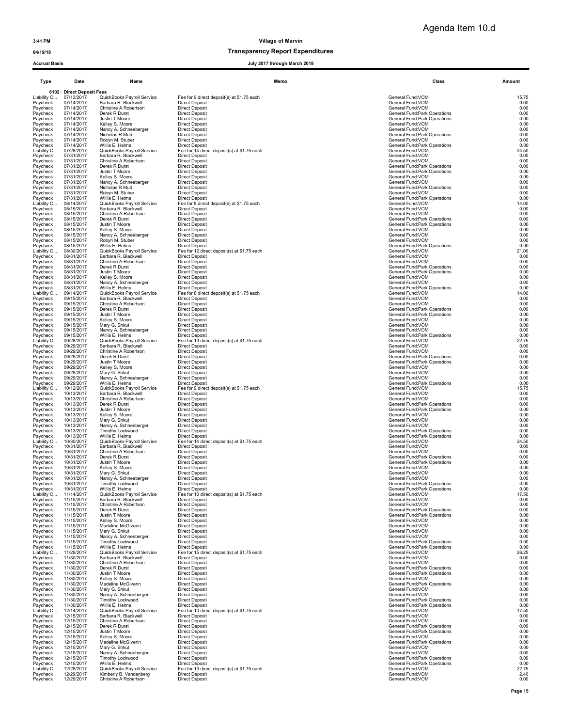Agenda Item 10.d

### 04/19/18 Transparency Report Expenditures

July 2017 through March 2018

| งเนนเ มนงเง             |                            |                                                    | 2011 unvugn murun 20                                                 |                                                                |               |
|-------------------------|----------------------------|----------------------------------------------------|----------------------------------------------------------------------|----------------------------------------------------------------|---------------|
| Type                    | Date                       | Name                                               | Memo                                                                 | Class                                                          | Amount        |
|                         | 6102 · Direct Deposit Fees |                                                    |                                                                      |                                                                |               |
| Liability C<br>Paycheck | 07/13/2017<br>07/14/2017   | QuickBooks Payroll Service<br>Barbara R. Blackwell | Fee for 9 direct deposit(s) at \$1.75 each<br><b>Direct Deposit</b>  | General Fund: VOM<br>General Fund: VOM                         | 15.75<br>0.00 |
| Paycheck                | 07/14/2017                 | Christine A Robertson                              | <b>Direct Deposit</b>                                                | General Fund: VOM                                              | 0.00          |
| Paycheck<br>Paycheck    | 07/14/2017<br>07/14/2017   | Derek R Durst<br>Justin T Moore                    | <b>Direct Deposit</b><br><b>Direct Deposit</b>                       | General Fund: Park Operations<br>General Fund: Park Operations | 0.00<br>0.00  |
| Paycheck                | 07/14/2017                 | Kelley S. Moore                                    | <b>Direct Deposit</b>                                                | General Fund: VOM                                              | 0.00          |
| Paycheck<br>Paycheck    | 07/14/2017<br>07/14/2017   | Nancy A. Schneeberger<br>Nicholas R Muti           | <b>Direct Deposit</b><br><b>Direct Deposit</b>                       | General Fund: VOM<br>General Fund:Park Operations              | 0.00<br>0.00  |
| Paycheck                | 07/14/2017                 | Robyn M. Stuber                                    | <b>Direct Deposit</b>                                                | General Fund: VOM                                              | 0.00          |
| Paycheck<br>Liability C | 07/14/2017<br>07/28/2017   | Willis E. Helms<br>QuickBooks Payroll Service      | <b>Direct Deposit</b><br>Fee for 14 direct deposit(s) at \$1.75 each | General Fund: Park Operations<br>General Fund: VOM             | 0.00<br>24.50 |
| Paycheck                | 07/31/2017                 | Barbara R. Blackwell                               | <b>Direct Deposit</b>                                                | General Fund:VOM                                               | 0.00          |
| Paycheck<br>Paycheck    | 07/31/2017<br>07/31/2017   | Christine A Robertson<br>Derek R Durst             | <b>Direct Deposit</b><br><b>Direct Deposit</b>                       | General Fund: VOM<br>General Fund: Park Operations             | 0.00<br>0.00  |
| Paycheck                | 07/31/2017                 | Justin T Moore                                     | <b>Direct Deposit</b>                                                | General Fund: Park Operations                                  | 0.00          |
| Paycheck<br>Paycheck    | 07/31/2017<br>07/31/2017   | Kelley S. Moore<br>Nancy A. Schneeberger           | <b>Direct Deposit</b><br><b>Direct Deposit</b>                       | General Fund:VOM<br>General Fund: VOM                          | 0.00<br>0.00  |
| Paycheck                | 07/31/2017                 | Nicholas R Muti                                    | <b>Direct Deposit</b>                                                | General Fund: Park Operations                                  | 0.00          |
| Paycheck                | 07/31/2017<br>07/31/2017   | Robyn M. Stuber<br>Willis E. Helms                 | <b>Direct Deposit</b><br><b>Direct Deposit</b>                       | General Fund: VOM<br>General Fund: Park Operations             | 0.00<br>0.00  |
| Paycheck<br>Liability C | 08/14/2017                 | QuickBooks Payroll Service                         | Fee for 8 direct deposit(s) at \$1.75 each                           | General Fund: VOM                                              | 14.00         |
| Paycheck                | 08/15/2017                 | Barbara R. Blackwell                               | <b>Direct Deposit</b>                                                | General Fund:VOM                                               | 0.00          |
| Paycheck<br>Paycheck    | 08/15/2017<br>08/15/2017   | Christine A Robertson<br>Derek R Durst             | <b>Direct Deposit</b><br><b>Direct Deposit</b>                       | General Fund: VOM<br>General Fund: Park Operations             | 0.00<br>0.00  |
| Paycheck                | 08/15/2017                 | Justin T Moore                                     | <b>Direct Deposit</b>                                                | General Fund: Park Operations                                  | 0.00          |
| Paycheck<br>Paycheck    | 08/15/2017<br>08/15/2017   | Kelley S. Moore<br>Nancy A. Schneeberger           | <b>Direct Deposit</b><br><b>Direct Deposit</b>                       | General Fund: VOM<br>General Fund:VOM                          | 0.00<br>0.00  |
| Paycheck                | 08/15/2017                 | Robyn M. Stuber                                    | <b>Direct Deposit</b>                                                | General Fund: VOM                                              | 0.00          |
| Paycheck<br>Liability C | 08/15/2017<br>08/30/2017   | Willis E. Helms<br>QuickBooks Payroll Service      | <b>Direct Deposit</b><br>Fee for 12 direct deposit(s) at \$1.75 each | General Fund: Park Operations<br>General Fund: VOM             | 0.00<br>21.00 |
| Paycheck                | 08/31/2017                 | Barbara R. Blackwell                               | <b>Direct Deposit</b>                                                | General Fund: VOM                                              | 0.00          |
| Paycheck                | 08/31/2017<br>08/31/2017   | Christine A Robertson<br>Derek R Durst             | <b>Direct Deposit</b><br><b>Direct Deposit</b>                       | General Fund: VOM<br>General Fund: Park Operations             | 0.00<br>0.00  |
| Paycheck<br>Paycheck    | 08/31/2017                 | Justin T Moore                                     | <b>Direct Deposit</b>                                                | General Fund: Park Operations                                  | 0.00          |
| Paycheck                | 08/31/2017                 | Kelley S. Moore                                    | <b>Direct Deposit</b>                                                | General Fund: VOM                                              | 0.00          |
| Paycheck<br>Paycheck    | 08/31/2017<br>08/31/2017   | Nancy A. Schneeberger<br>Willis E. Helms           | <b>Direct Deposit</b><br><b>Direct Deposit</b>                       | General Fund: VOM<br>General Fund: Park Operations             | 0.00<br>0.00  |
| Liability C             | 09/14/2017                 | QuickBooks Payroll Service                         | Fee for 8 direct deposit(s) at \$1.75 each                           | General Fund: VOM                                              | 14.00         |
| Paycheck<br>Paycheck    | 09/15/2017<br>09/15/2017   | Barbara R. Blackwell<br>Christine A Robertson      | <b>Direct Deposit</b><br><b>Direct Deposit</b>                       | General Fund: VOM<br>General Fund: VOM                         | 0.00<br>0.00  |
| Paycheck                | 09/15/2017                 | Derek R Durst                                      | <b>Direct Deposit</b>                                                | General Fund: Park Operations                                  | 0.00          |
| Paycheck<br>Paycheck    | 09/15/2017<br>09/15/2017   | Justin T Moore<br>Kelley S. Moore                  | <b>Direct Deposit</b><br><b>Direct Deposit</b>                       | General Fund: Park Operations<br>General Fund:VOM              | 0.00<br>0.00  |
| Paycheck                | 09/15/2017                 | Mary G. Shkut                                      | <b>Direct Deposit</b>                                                | General Fund: VOM                                              | 0.00          |
| Paycheck                | 09/15/2017<br>09/15/2017   | Nancy A. Schneeberger<br>Willis E. Helms           | <b>Direct Deposit</b><br><b>Direct Deposit</b>                       | General Fund: VOM<br>General Fund: Park Operations             | 0.00<br>0.00  |
| Paycheck<br>Liability C | 09/28/2017                 | QuickBooks Payroll Service                         | Fee for 13 direct deposit(s) at \$1.75 each                          | General Fund:VOM                                               | 22.75         |
| Paycheck                | 09/29/2017                 | Barbara R. Blackwell                               | <b>Direct Deposit</b>                                                | General Fund: VOM                                              | 0.00          |
| Paycheck<br>Paycheck    | 09/29/2017<br>09/29/2017   | Christine A Robertson<br>Derek R Durst             | <b>Direct Deposit</b><br><b>Direct Deposit</b>                       | General Fund: VOM<br>General Fund: Park Operations             | 0.00<br>0.00  |
| Paycheck                | 09/29/2017                 | Justin T Moore                                     | <b>Direct Deposit</b>                                                | General Fund: Park Operations                                  | 0.00          |
| Paycheck<br>Paycheck    | 09/29/2017<br>09/29/2017   | Kelley S. Moore<br>Mary G. Shkut                   | <b>Direct Deposit</b><br><b>Direct Deposit</b>                       | General Fund: VOM<br>General Fund:VOM                          | 0.00<br>0.00  |
| Paycheck                | 09/29/2017                 | Nancy A. Schneeberger                              | <b>Direct Deposit</b>                                                | General Fund: VOM                                              | 0.00          |
| Paycheck<br>Liability C | 09/29/2017<br>10/12/2017   | Willis E. Helms<br>QuickBooks Payroll Service      | <b>Direct Deposit</b><br>Fee for 9 direct deposit(s) at \$1.75 each  | General Fund: Park Operations<br>General Fund: VOM             | 0.00<br>15.75 |
| Paycheck                | 10/13/2017                 | Barbara R. Blackwell                               | <b>Direct Deposit</b>                                                | General Fund: VOM                                              | 0.00          |
| Paycheck<br>Paycheck    | 10/13/2017<br>10/13/2017   | Christine A Robertson<br>Derek R Durst             | <b>Direct Deposit</b><br><b>Direct Deposit</b>                       | General Fund: VOM<br>General Fund: Park Operations             | 0.00<br>0.00  |
| Paycheck                | 10/13/2017                 | Justin T Moore                                     | <b>Direct Deposit</b>                                                | General Fund: Park Operations                                  | 0.00          |
| Paycheck<br>Paycheck    | 10/13/2017<br>10/13/2017   | Kelley S. Moore<br>Mary G. Shkut                   | <b>Direct Deposit</b><br><b>Direct Deposit</b>                       | General Fund: VOM<br>General Fund: VOM                         | 0.00<br>0.00  |
| Paycheck                | 10/13/2017                 | Nancy A. Schneeberger                              | <b>Direct Deposit</b>                                                | General Fund:VOM                                               | 0.00          |
| Paycheck<br>Paycheck    | 10/13/2017<br>10/13/2017   | Timothy Lockwood<br>Willis E. Helms                | <b>Direct Deposit</b><br><b>Direct Deposit</b>                       | General Fund: Park Operations<br>General Fund: Park Operations | 0.00<br>0.00  |
| Liability C             | 10/30/2017                 | QuickBooks Pavroll Service                         | Fee for 14 direct deposit(s) at \$1.75 each                          | General Fund:VOM                                               | 24.50         |
| Paycheck                | 10/31/2017<br>10/31/2017   | Barbara R. Blackwell<br>Christine A Robertson      | <b>Direct Deposit</b><br><b>Direct Deposit</b>                       | General Fund: VOM<br>General Fund: VOM                         | 0.00<br>0.00  |
| Paycheck<br>Paycheck    | 10/31/2017                 | Derek R Durst                                      | <b>Direct Deposit</b>                                                | General Fund: Park Operations                                  | 0.00          |
| Paycheck                | 10/31/2017<br>10/31/2017   | Justin T Moore<br>Kelley S. Moore                  | <b>Direct Deposit</b><br><b>Direct Deposit</b>                       | General Fund: Park Operations<br>General Fund: VOM             | 0.00<br>0.00  |
| Paycheck<br>Paycheck    | 10/31/2017                 | Mary G. Shkut                                      | <b>Direct Deposit</b>                                                | General Fund:VOM                                               | 0.00          |
| Paycheck                | 10/31/2017                 | Nancy A. Schneeberger                              | <b>Direct Deposit</b>                                                | General Fund: VOM                                              | 0.00          |
| Paycheck<br>Paycheck    | 10/31/2017<br>10/31/2017   | Timothy Lockwood<br>Willis E. Helms                | <b>Direct Deposit</b><br><b>Direct Deposit</b>                       | General Fund: Park Operations<br>General Fund: Park Operations | 0.00<br>0.00  |
| Liability C             | 11/14/2017                 | QuickBooks Payroll Service<br>Barbara R. Blackwell | Fee for 10 direct deposit(s) at \$1.75 each                          | General Fund:VOM<br>General Fund: VOM                          | 17.50         |
| Paycheck<br>Paycheck    | 11/15/2017<br>11/15/2017   | Christine A Robertson                              | <b>Direct Deposit</b><br><b>Direct Deposit</b>                       | General Fund: VOM                                              | 0.00<br>0.00  |
| Paycheck                | 11/15/2017                 | Derek R Durst                                      | <b>Direct Deposit</b>                                                | General Fund:Park Operations                                   | 0.00          |
| Paycheck<br>Paycheck    | 11/15/2017<br>11/15/2017   | Justin T Moore<br>Kelley S. Moore                  | <b>Direct Deposit</b><br><b>Direct Deposit</b>                       | General Fund: Park Operations<br>General Fund: VOM             | 0.00<br>0.00  |
| Paycheck                | 11/15/2017                 | Madeline McGiverin                                 | <b>Direct Deposit</b>                                                | General Fund:VOM                                               | 0.00          |
| Paycheck<br>Paycheck    | 11/15/2017<br>11/15/2017   | Mary G. Shkut<br>Nancy A. Schneeberger             | <b>Direct Deposit</b><br><b>Direct Deposit</b>                       | General Fund: VOM<br>General Fund: VOM                         | 0.00<br>0.00  |
| Paycheck                | 11/15/2017                 | Timothy Lockwood                                   | <b>Direct Deposit</b>                                                | General Fund: Park Operations                                  | 0.00          |
| Paycheck<br>Liability C | 11/15/2017<br>11/29/2017   | Willis E. Helms<br>QuickBooks Payroll Service      | <b>Direct Deposit</b><br>Fee for 15 direct deposit(s) at \$1.75 each | General Fund: Park Operations<br>General Fund: VOM             | 0.00<br>26.25 |
| Paycheck                | 11/30/2017                 | Barbara R. Blackwell                               | <b>Direct Deposit</b>                                                | General Fund: VOM                                              | 0.00          |
| Paycheck<br>Paycheck    | 11/30/2017<br>11/30/2017   | Christine A Robertson<br>Derek R Durst             | <b>Direct Deposit</b><br><b>Direct Deposit</b>                       | General Fund: VOM<br>General Fund: Park Operations             | 0.00<br>0.00  |
| Paycheck                | 11/30/2017                 | Justin T Moore                                     | <b>Direct Deposit</b>                                                | General Fund: Park Operations                                  | 0.00          |
| Paycheck                | 11/30/2017<br>11/30/2017   | Kelley S. Moore<br>Madeline McGiverin              | <b>Direct Deposit</b><br><b>Direct Deposit</b>                       | General Fund: VOM<br>General Fund: Park Operations             | 0.00<br>0.00  |
| Paycheck<br>Paycheck    | 11/30/2017                 | Mary G. Shkut                                      | <b>Direct Deposit</b>                                                | General Fund: VOM                                              | 0.00          |
| Paycheck                | 11/30/2017<br>11/30/2017   | Nancy A. Schneeberger<br>Timothy Lockwood          | <b>Direct Deposit</b><br><b>Direct Deposit</b>                       | General Fund: VOM                                              | 0.00<br>0.00  |
| Paycheck<br>Paycheck    | 11/30/2017                 | Willis E. Helms                                    | <b>Direct Deposit</b>                                                | General Fund: Park Operations<br>General Fund: Park Operations | 0.00          |
| Liability C             | 12/14/2017                 | QuickBooks Payroll Service                         | Fee for 10 direct deposit(s) at \$1.75 each                          | General Fund:VOM                                               | 17.50         |
| Paycheck<br>Paycheck    | 12/15/2017<br>12/15/2017   | Barbara R. Blackwell<br>Christine A Robertson      | <b>Direct Deposit</b><br><b>Direct Deposit</b>                       | General Fund:VOM<br>General Fund: VOM                          | 0.00<br>0.00  |
| Paycheck                | 12/15/2017                 | Derek R Durst                                      | <b>Direct Deposit</b>                                                | General Fund: Park Operations                                  | 0.00          |
| Paycheck<br>Paycheck    | 12/15/2017<br>12/15/2017   | Justin T Moore<br>Kelley S. Moore                  | <b>Direct Deposit</b><br><b>Direct Deposit</b>                       | General Fund: Park Operations<br>General Fund: VOM             | 0.00<br>0.00  |
| Paycheck                | 12/15/2017                 | Madeline McGiverin                                 | <b>Direct Deposit</b>                                                | General Fund: Park Operations                                  | 0.00          |
| Paycheck<br>Paycheck    | 12/15/2017<br>12/15/2017   | Mary G. Shkut<br>Nancy A. Schneeberger             | <b>Direct Deposit</b><br><b>Direct Deposit</b>                       | General Fund: VOM<br>General Fund: VOM                         | 0.00<br>0.00  |
| Paycheck                | 12/15/2017                 | Timothy Lockwood                                   | <b>Direct Deposit</b>                                                | General Fund: Park Operations                                  | 0.00          |
| Paycheck<br>Liability C | 12/15/2017<br>12/28/2017   | Willis E. Helms<br>QuickBooks Payroll Service      | <b>Direct Deposit</b><br>Fee for 13 direct deposit(s) at \$1.75 each | General Fund: Park Operations<br>General Fund:VOM              | 0.00<br>22.75 |
| Paycheck                | 12/29/2017<br>122202204    | Kimberly B. Vandenberg                             | <b>Direct Deposit</b>                                                | General Fund: VOM                                              | 2.40<br>0.00  |
|                         |                            |                                                    |                                                                      |                                                                |               |

| for 9 direct deposit(s) at \$1.75 each                                                                                                                         |  |
|----------------------------------------------------------------------------------------------------------------------------------------------------------------|--|
| ect Deposit                                                                                                                                                    |  |
| ect Deposit                                                                                                                                                    |  |
| ect Deposit<br>ect Deposit                                                                                                                                     |  |
| ect Deposit                                                                                                                                                    |  |
| ct Deposit<br>ct Deposit                                                                                                                                       |  |
| ect Deposit                                                                                                                                                    |  |
| ect Deposit                                                                                                                                                    |  |
| for 14 direct deposit(s) at \$1.75 each<br>ect Deposit                                                                                                         |  |
| ect Deposit                                                                                                                                                    |  |
| ect Deposit                                                                                                                                                    |  |
| ect Deposit                                                                                                                                                    |  |
| ect Deposit<br>ect Deposit                                                                                                                                     |  |
| ect Deposit<br>ect Deposit                                                                                                                                     |  |
| ct Deposit                                                                                                                                                     |  |
| for 8 direct deposit(s) at \$1.75 each                                                                                                                         |  |
| ect Deposit                                                                                                                                                    |  |
| ct Deposit<br>ct Deposit                                                                                                                                       |  |
| ect Deposit                                                                                                                                                    |  |
| ect Deposit                                                                                                                                                    |  |
| ect Deposit<br>ect Deposit                                                                                                                                     |  |
| ect Deposit                                                                                                                                                    |  |
| for 12 direct deposit(s) at \$1.75 each                                                                                                                        |  |
| ect Deposit<br>ct Deposit                                                                                                                                      |  |
| ct Deposit                                                                                                                                                     |  |
| ect Deposit                                                                                                                                                    |  |
| ct Deposit<br>ct Deposit                                                                                                                                       |  |
| ect Deposit                                                                                                                                                    |  |
| for 8 direct deposit(s) at \$1.75 each                                                                                                                         |  |
| ct Deposit<br>ect Deposit                                                                                                                                      |  |
| ect Deposit<br>ect Deposit                                                                                                                                     |  |
|                                                                                                                                                                |  |
| ct Deposit<br>ct Deposit                                                                                                                                       |  |
| ect Deposit                                                                                                                                                    |  |
| ect Deposit                                                                                                                                                    |  |
| for 13 direct deposit(s) at \$1.75 each<br>ct Deposit                                                                                                          |  |
| ect Deposit                                                                                                                                                    |  |
| ect Deposit                                                                                                                                                    |  |
| ect Deposit<br>ect Deposit                                                                                                                                     |  |
| ect Deposit                                                                                                                                                    |  |
| ect Deposit<br>ect Deposit                                                                                                                                     |  |
| for 9 direct deposit(s) at \$1.75 each                                                                                                                         |  |
|                                                                                                                                                                |  |
| ect Deposit                                                                                                                                                    |  |
|                                                                                                                                                                |  |
|                                                                                                                                                                |  |
| ct Deposit<br>ect Deposit<br>ct Deposit<br>ect Deposit                                                                                                         |  |
| ect Deposit                                                                                                                                                    |  |
| ect Deposit                                                                                                                                                    |  |
| ect Deposit<br>ect Deposit                                                                                                                                     |  |
| for 14 direct deposit(s) at \$1.75 each                                                                                                                        |  |
| ct Deposit                                                                                                                                                     |  |
| ct Deposit<br>ct Deposit                                                                                                                                       |  |
| ct Deposit                                                                                                                                                     |  |
| ect Deposit                                                                                                                                                    |  |
| ct Deposit<br>ct Deposit                                                                                                                                       |  |
| ct Deposit                                                                                                                                                     |  |
| ect Deposit                                                                                                                                                    |  |
| for 10 direct deposit(s) at \$1.75 each<br>ect Deposit                                                                                                         |  |
|                                                                                                                                                                |  |
| ect Deposit<br>ect Deposit                                                                                                                                     |  |
| ect Deposit<br>ect Deposit                                                                                                                                     |  |
| ect Deposit                                                                                                                                                    |  |
| ct Deposit                                                                                                                                                     |  |
| ct Deposit<br>ct Deposit                                                                                                                                       |  |
|                                                                                                                                                                |  |
|                                                                                                                                                                |  |
|                                                                                                                                                                |  |
|                                                                                                                                                                |  |
|                                                                                                                                                                |  |
|                                                                                                                                                                |  |
| ect Deposit<br>for 15 direct deposit(s) at \$1.75 each<br>ect Deposit<br>ect Deposit<br>ect Deposit<br>ect Deposit<br>ect Deposit<br>ect Deposit<br>ct Deposit |  |
| ect Deposit<br>ct Deposit                                                                                                                                      |  |
| ct Deposit                                                                                                                                                     |  |
| for 10 direct deposit(s) at \$1.75 each                                                                                                                        |  |
| ect Deposit                                                                                                                                                    |  |
| ect Deposit<br>ect Deposit                                                                                                                                     |  |
| ect Deposit                                                                                                                                                    |  |
| ect Deposit                                                                                                                                                    |  |
|                                                                                                                                                                |  |
| ect Deposit<br>ect Deposit<br>ect Deposit                                                                                                                      |  |
| ct Deposit                                                                                                                                                     |  |
| ect Deposit<br>for 13 direct deposit(s) at \$1.75 each<br>ect Deposit                                                                                          |  |

| Type                     | Date                       | Name                                               | Memo                                                                 | Class                                                          | Amount        |
|--------------------------|----------------------------|----------------------------------------------------|----------------------------------------------------------------------|----------------------------------------------------------------|---------------|
|                          | 6102 · Direct Deposit Fees |                                                    |                                                                      |                                                                |               |
| Liability C              | 07/13/2017                 | QuickBooks Payroll Service                         | Fee for 9 direct deposit(s) at \$1.75 each                           | General Fund: VOM                                              | 15.75         |
| Paycheck                 | 07/14/2017                 | Barbara R. Blackwell                               | <b>Direct Deposit</b>                                                | General Fund: VOM                                              | 0.00          |
| Paycheck                 | 07/14/2017                 | Christine A Robertson                              | <b>Direct Deposit</b>                                                | General Fund: VOM                                              | 0.00          |
| Paycheck<br>Paycheck     | 07/14/2017<br>07/14/2017   | Derek R Durst<br>Justin T Moore                    | <b>Direct Deposit</b><br><b>Direct Deposit</b>                       | General Fund: Park Operations<br>General Fund: Park Operations | 0.00<br>0.00  |
| Paycheck                 | 07/14/2017                 | Kelley S. Moore                                    | <b>Direct Deposit</b>                                                | General Fund: VOM                                              | 0.00          |
| Paycheck                 | 07/14/2017                 | Nancy A. Schneeberger                              | <b>Direct Deposit</b>                                                | General Fund: VOM                                              | 0.00          |
| Paycheck                 | 07/14/2017                 | Nicholas R Muti                                    | <b>Direct Deposit</b>                                                | General Fund: Park Operations                                  | 0.00          |
| Paycheck<br>Paycheck     | 07/14/2017<br>07/14/2017   | Robyn M. Stuber<br>Willis E. Helms                 | <b>Direct Deposit</b><br><b>Direct Deposit</b>                       | General Fund: VOM<br>General Fund: Park Operations             | 0.00<br>0.00  |
| Liability C              | 07/28/2017                 | QuickBooks Payroll Service                         | Fee for 14 direct deposit(s) at \$1.75 each                          | General Fund: VOM                                              | 24.50         |
| Paycheck                 | 07/31/2017                 | Barbara R. Blackwell                               | <b>Direct Deposit</b>                                                | General Fund:VOM                                               | 0.00          |
| Paycheck                 | 07/31/2017                 | Christine A Robertson                              | <b>Direct Deposit</b>                                                | General Fund: VOM                                              | 0.00          |
| Paycheck                 | 07/31/2017                 | Derek R Durst                                      | <b>Direct Deposit</b>                                                | General Fund: Park Operations<br>General Fund: Park Operations | 0.00<br>0.00  |
| Paycheck<br>Paycheck     | 07/31/2017<br>07/31/2017   | Justin T Moore<br>Kelley S. Moore                  | <b>Direct Deposit</b><br><b>Direct Deposit</b>                       | General Fund: VOM                                              | 0.00          |
| Paycheck                 | 07/31/2017                 | Nancy A. Schneeberger                              | <b>Direct Deposit</b>                                                | General Fund: VOM                                              | 0.00          |
| Paycheck                 | 07/31/2017                 | Nicholas R Muti                                    | <b>Direct Deposit</b>                                                | General Fund: Park Operations                                  | 0.00          |
| Paycheck                 | 07/31/2017                 | Robyn M. Stuber                                    | <b>Direct Deposit</b>                                                | General Fund: VOM                                              | 0.00          |
| Paycheck<br>Liability C. | 07/31/2017<br>08/14/2017   | Willis E. Helms<br>QuickBooks Payroll Service      | <b>Direct Deposit</b><br>Fee for 8 direct deposit(s) at \$1.75 each  | General Fund: Park Operations<br>General Fund: VOM             | 0.00<br>14.00 |
| Paycheck                 | 08/15/2017                 | Barbara R. Blackwell                               | <b>Direct Deposit</b>                                                | General Fund:VOM                                               | 0.00          |
| Paycheck                 | 08/15/2017                 | Christine A Robertson                              | <b>Direct Deposit</b>                                                | General Fund: VOM                                              | 0.00          |
| Paycheck                 | 08/15/2017                 | Derek R Durst                                      | <b>Direct Deposit</b>                                                | General Fund:Park Operations                                   | 0.00          |
| Paycheck                 | 08/15/2017                 | Justin T Moore                                     | <b>Direct Deposit</b>                                                | General Fund: Park Operations                                  | 0.00          |
| Paycheck<br>Paycheck     | 08/15/2017<br>08/15/2017   | Kelley S. Moore<br>Nancy A. Schneeberger           | <b>Direct Deposit</b><br><b>Direct Deposit</b>                       | General Fund: VOM<br>General Fund:VOM                          | 0.00<br>0.00  |
| Paycheck                 | 08/15/2017                 | Robyn M. Stuber                                    | <b>Direct Deposit</b>                                                | General Fund: VOM                                              | 0.00          |
| Paycheck                 | 08/15/2017                 | Willis E. Helms                                    | <b>Direct Deposit</b>                                                | General Fund: Park Operations                                  | 0.00          |
| Liability C              | 08/30/2017                 | QuickBooks Payroll Service                         | Fee for 12 direct deposit(s) at \$1.75 each                          | General Fund:VOM                                               | 21.00         |
| Paycheck                 | 08/31/2017                 | Barbara R. Blackwell                               | <b>Direct Deposit</b>                                                | General Fund: VOM                                              | 0.00<br>0.00  |
| Paycheck<br>Paycheck     | 08/31/2017<br>08/31/2017   | Christine A Robertson<br>Derek R Durst             | <b>Direct Deposit</b><br><b>Direct Deposit</b>                       | General Fund: VOM<br>General Fund: Park Operations             | 0.00          |
| Paycheck                 | 08/31/2017                 | Justin T Moore                                     | <b>Direct Deposit</b>                                                | General Fund: Park Operations                                  | 0.00          |
| Paycheck                 | 08/31/2017                 | Kelley S. Moore                                    | <b>Direct Deposit</b>                                                | General Fund: VOM                                              | 0.00          |
| Paycheck                 | 08/31/2017                 | Nancy A. Schneeberger                              | <b>Direct Deposit</b>                                                | General Fund: VOM                                              | 0.00          |
| Paycheck                 | 08/31/2017                 | Willis E. Helms                                    | <b>Direct Deposit</b>                                                | General Fund: Park Operations                                  | 0.00          |
| Liability C<br>Paycheck  | 09/14/2017<br>09/15/2017   | QuickBooks Payroll Service<br>Barbara R. Blackwell | Fee for 8 direct deposit(s) at \$1.75 each<br><b>Direct Deposit</b>  | General Fund: VOM<br>General Fund:VOM                          | 14.00<br>0.00 |
| Paycheck                 | 09/15/2017                 | Christine A Robertson                              | <b>Direct Deposit</b>                                                | General Fund: VOM                                              | 0.00          |
| Paycheck                 | 09/15/2017                 | Derek R Durst                                      | <b>Direct Deposit</b>                                                | General Fund: Park Operations                                  | 0.00          |
| Paycheck                 | 09/15/2017                 | Justin T Moore                                     | <b>Direct Deposit</b>                                                | General Fund: Park Operations                                  | 0.00          |
| Paycheck                 | 09/15/2017                 | Kelley S. Moore                                    | <b>Direct Deposit</b>                                                | General Fund: VOM                                              | 0.00          |
| Paycheck<br>Paycheck     | 09/15/2017<br>09/15/2017   | Mary G. Shkut<br>Nancy A. Schneeberger             | <b>Direct Deposit</b><br><b>Direct Deposit</b>                       | General Fund: VOM<br>General Fund: VOM                         | 0.00<br>0.00  |
| Paycheck                 | 09/15/2017                 | Willis E. Helms                                    | <b>Direct Deposit</b>                                                | General Fund: Park Operations                                  | 0.00          |
| Liability C.,            | 09/28/2017                 | QuickBooks Payroll Service                         | Fee for 13 direct deposit(s) at \$1.75 each                          | General Fund: VOM                                              | 22.75         |
| Paycheck                 | 09/29/2017                 | Barbara R. Blackwell                               | <b>Direct Deposit</b>                                                | General Fund:VOM                                               | 0.00          |
| Paycheck                 | 09/29/2017                 | Christine A Robertson<br>Derek R Durst             | <b>Direct Deposit</b>                                                | General Fund: VOM                                              | 0.00<br>0.00  |
| Paycheck<br>Paycheck     | 09/29/2017<br>09/29/2017   | Justin T Moore                                     | <b>Direct Deposit</b><br><b>Direct Deposit</b>                       | General Fund: Park Operations<br>General Fund: Park Operations | 0.00          |
| Paycheck                 | 09/29/2017                 | Kelley S. Moore                                    | <b>Direct Deposit</b>                                                | General Fund:VOM                                               | 0.00          |
| Paycheck                 | 09/29/2017                 | Mary G. Shkut                                      | <b>Direct Deposit</b>                                                | General Fund:VOM                                               | 0.00          |
| Paycheck                 | 09/29/2017                 | Nancy A. Schneeberger                              | <b>Direct Deposit</b>                                                | General Fund: VOM                                              | 0.00          |
| Paycheck<br>Liability C  | 09/29/2017<br>10/12/2017   | Willis E. Helms<br>QuickBooks Payroll Service      | <b>Direct Deposit</b><br>Fee for 9 direct deposit(s) at \$1.75 each  | General Fund: Park Operations<br>General Fund: VOM             | 0.00<br>15.75 |
| Paycheck                 | 10/13/2017                 | Barbara R. Blackwell                               | <b>Direct Deposit</b>                                                | General Fund: VOM                                              | 0.00          |
| Paycheck                 | 10/13/2017                 | Christine A Robertson                              | <b>Direct Deposit</b>                                                | General Fund: VOM                                              | 0.00          |
| Paycheck                 | 10/13/2017                 | Derek R Durst                                      | <b>Direct Deposit</b>                                                | General Fund: Park Operations                                  | 0.00          |
| Paycheck                 | 10/13/2017                 | Justin T Moore                                     | <b>Direct Deposit</b>                                                | General Fund: Park Operations                                  | 0.00          |
| Paycheck<br>Paycheck     | 10/13/2017<br>10/13/2017   | Kelley S. Moore<br>Mary G. Shkut                   | <b>Direct Deposit</b><br><b>Direct Deposit</b>                       | General Fund: VOM<br>General Fund:VOM                          | 0.00<br>0.00  |
| Paycheck                 | 10/13/2017                 | Nancy A. Schneeberger                              | <b>Direct Deposit</b>                                                | General Fund: VOM                                              | 0.00          |
| Paycheck                 | 10/13/2017                 | Timothy Lockwood                                   | <b>Direct Deposit</b>                                                | General Fund: Park Operations                                  | 0.00          |
| Paycheck                 | 10/13/2017                 | Willis E. Helms                                    | <b>Direct Deposit</b>                                                | General Fund: Park Operations                                  | 0.00          |
| Liability C.             | 10/30/2017<br>10/31/2017   | QuickBooks Payroll Service<br>Barbara R. Blackwell | Fee for 14 direct deposit(s) at \$1.75 each<br><b>Direct Deposit</b> | General Fund:VOM<br>General Fund: VOM                          | 24.50<br>0.00 |
| Paycheck<br>Paycheck     | 10/31/2017                 | Christine A Robertson                              | <b>Direct Deposit</b>                                                | General Fund: VOM                                              | 0.00          |
| Paycheck                 | 10/31/2017                 | Derek R Durst                                      | <b>Direct Deposit</b>                                                | General Fund: Park Operations                                  | 0.00          |
| Paycheck                 | 10/31/2017                 | Justin T Moore                                     | <b>Direct Deposit</b>                                                | General Fund: Park Operations                                  | 0.00          |
| Paycheck                 | 10/31/2017                 | Kelley S. Moore                                    | <b>Direct Deposit</b>                                                | General Fund:VOM                                               | 0.00          |
| Paycheck<br>Paycheck     | 10/31/2017<br>10/31/2017   | Mary G. Shkut<br>Nancy A. Schneeberger             | <b>Direct Deposit</b><br><b>Direct Deposit</b>                       | General Fund:VOM<br>General Fund: VOM                          | 0.00<br>0.00  |
| Paycheck                 | 10/31/2017                 | Timothy Lockwood                                   | <b>Direct Deposit</b>                                                | General Fund:Park Operations                                   | 0.00          |
| Paycheck                 | 10/31/2017                 | Willis E. Helms                                    | <b>Direct Deposit</b>                                                | General Fund:Park Operations                                   | 0.00          |
| Liability C              | 11/14/2017                 | QuickBooks Payroll Service                         | Fee for 10 direct deposit(s) at \$1.75 each                          | General Fund:VOM                                               | 17.50         |
| Paycheck<br>Paycheck     | 11/15/2017<br>11/15/2017   | Barbara R. Blackwell<br>Christine A Robertson      | <b>Direct Deposit</b><br><b>Direct Deposit</b>                       | General Fund: VOM<br>General Fund: VOM                         | 0.00<br>0.00  |
| Paycheck                 | 11/15/2017                 | Derek R Durst                                      | <b>Direct Deposit</b>                                                | General Fund: Park Operations                                  | 0.00          |
| Paycheck                 | 11/15/2017                 | Justin T Moore                                     | <b>Direct Deposit</b>                                                | General Fund: Park Operations                                  | 0.00          |
| Paycheck                 | 11/15/2017                 | Kelley S. Moore                                    | <b>Direct Deposit</b>                                                | General Fund:VOM                                               | 0.00          |
| Paycheck                 | 11/15/2017                 | Madeline McGiverin                                 | <b>Direct Deposit</b>                                                | General Fund: VOM                                              | 0.00          |
| Paycheck<br>Paycheck     | 11/15/2017<br>11/15/2017   | Mary G. Shkut<br>Nancy A. Schneeberger             | <b>Direct Deposit</b><br><b>Direct Deposit</b>                       | General Fund:VOM<br>General Fund: VOM                          | 0.00<br>0.00  |
| Paycheck                 | 11/15/2017                 | Timothy Lockwood                                   | <b>Direct Deposit</b>                                                | General Fund: Park Operations                                  | 0.00          |
| Paycheck                 | 11/15/2017                 | Willis E. Helms                                    | <b>Direct Deposit</b>                                                | General Fund: Park Operations                                  | 0.00          |
| Liability C              | 11/29/2017                 | QuickBooks Pavroll Service                         | Fee for 15 direct deposit(s) at \$1.75 each                          | General Fund:VOM                                               | 26.25         |
| Paycheck                 | 11/30/2017                 | Barbara R. Blackwell                               | <b>Direct Deposit</b>                                                | General Fund:VOM                                               | 0.00          |
| Paycheck                 | 11/30/2017<br>11/30/2017   | Christine A Robertson                              | <b>Direct Deposit</b><br><b>Direct Deposit</b>                       | General Fund: VOM<br>General Fund: Park Operations             | 0.00<br>0.00  |
| Paycheck<br>Paycheck     | 11/30/2017                 | Derek R Durst<br>Justin T Moore                    | <b>Direct Deposit</b>                                                | General Fund: Park Operations                                  | 0.00          |
| Paycheck                 | 11/30/2017                 | Kelley S. Moore                                    | <b>Direct Deposit</b>                                                | General Fund: VOM                                              | 0.00          |
| Paycheck                 | 11/30/2017                 | Madeline McGiverin                                 | <b>Direct Deposit</b>                                                | General Fund: Park Operations                                  | 0.00          |
| Paycheck                 | 11/30/2017                 | Mary G. Shkut                                      | <b>Direct Deposit</b>                                                | General Fund: VOM                                              | 0.00          |
| Paycheck<br>Paycheck     | 11/30/2017<br>11/30/2017   | Nancy A. Schneeberger<br><b>Timothy Lockwood</b>   | <b>Direct Deposit</b><br><b>Direct Deposit</b>                       | General Fund: VOM<br>General Fund:Park Operations              | 0.00<br>0.00  |
| Paycheck                 | 11/30/2017                 | Willis E. Helms                                    | <b>Direct Deposit</b>                                                | General Fund: Park Operations                                  | 0.00          |
| Liability C              | 12/14/2017                 | QuickBooks Payroll Service                         | Fee for 10 direct deposit(s) at \$1.75 each                          | General Fund:VOM                                               | 17.50         |
| Paycheck                 | 12/15/2017                 | Barbara R. Blackwell                               | <b>Direct Deposit</b>                                                | General Fund:VOM                                               | 0.00          |
| Paycheck                 | 12/15/2017                 | Christine A Robertson                              | <b>Direct Deposit</b>                                                | General Fund: VOM                                              | 0.00          |
| Paycheck<br>Paycheck     | 12/15/2017<br>12/15/2017   | Derek R Durst<br>Justin T Moore                    | <b>Direct Deposit</b><br><b>Direct Deposit</b>                       | General Fund: Park Operations<br>General Fund: Park Operations | 0.00<br>0.00  |
| Paycheck                 | 12/15/2017                 | Kelley S. Moore                                    | <b>Direct Deposit</b>                                                | General Fund: VOM                                              | 0.00          |
| Paycheck                 | 12/15/2017                 | Madeline McGiverin                                 | <b>Direct Deposit</b>                                                | General Fund: Park Operations                                  | 0.00          |
| Paycheck                 | 12/15/2017                 | Mary G. Shkut                                      | <b>Direct Deposit</b>                                                | General Fund: VOM                                              | 0.00          |
| Paycheck                 | 12/15/2017                 | Nancy A. Schneeberger                              | <b>Direct Deposit</b>                                                | General Fund: VOM                                              | 0.00          |
| Paycheck<br>Paycheck     | 12/15/2017<br>12/15/2017   | <b>Timothy Lockwood</b><br>Willis E. Helms         | <b>Direct Deposit</b><br><b>Direct Deposit</b>                       | General Fund: Park Operations<br>General Fund: Park Operations | 0.00<br>0.00  |
| Liability C              | 12/28/2017                 | QuickBooks Payroll Service                         | Fee for 13 direct deposit(s) at \$1.75 each                          | General Fund:VOM                                               | 22.75         |
| Paycheck                 | 12/29/2017                 | Kimberly B. Vandenberg                             | <b>Direct Deposit</b>                                                | General Fund: VOM                                              | 2.40          |
| Paycheck                 | 12/29/2017                 | Christine A Robertson                              | <b>Direct Deposit</b>                                                | General Fund: VOM                                              | 0.00          |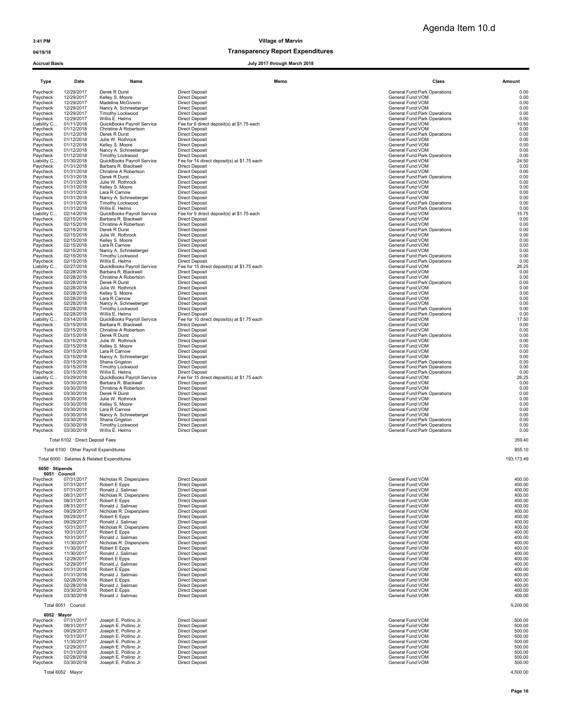04/19/18 Transparency Report Expenditures

Accrual Basis July 2017 through March 2018

| Type                    | Date                     | Name                                                | Memo                                                                 | Class                                                         | Amount        |
|-------------------------|--------------------------|-----------------------------------------------------|----------------------------------------------------------------------|---------------------------------------------------------------|---------------|
| Paycheck                | 12/29/2017               | Derek R Durst                                       | <b>Direct Deposit</b>                                                | General Fund:Park Operations                                  | 0.00          |
| Paycheck                | 12/29/2017               | Kelley S. Moore                                     | <b>Direct Deposit</b>                                                | General Fund: VOM                                             | 0.00          |
| Paycheck                | 12/29/2017               | Madeline McGiverin                                  | <b>Direct Deposit</b>                                                | General Fund: VOM                                             | 0.00          |
| Paycheck                | 12/29/2017               | Nancy A. Schneeberger                               | <b>Direct Deposit</b>                                                | General Fund:VOM                                              | 0.00          |
| Paycheck                | 12/29/2017               | Timothy Lockwood                                    | <b>Direct Deposit</b>                                                | General Fund:Park Operations                                  | 0.00          |
| Paycheck                | 12/29/2017               | Willis E. Helms                                     | <b>Direct Deposit</b>                                                | General Fund:Park Operations                                  | 0.00          |
| Liability C<br>Paycheck | 01/11/2018<br>01/12/2018 | QuickBooks Payroll Service<br>Christine A Robertson | Fee for 6 direct deposit(s) at \$1.75 each<br><b>Direct Deposit</b>  | General Fund: VOM<br>General Fund: VOM                        | 10.50<br>0.00 |
| Paycheck                | 01/12/2018               | Derek R Durst                                       | <b>Direct Deposit</b>                                                | General Fund: Park Operations                                 | 0.00          |
| Paycheck                | 01/12/2018               | Julie W. Rothrock                                   | <b>Direct Deposit</b>                                                | General Fund: VOM                                             | 0.00          |
| Paycheck                | 01/12/2018               | Kelley S. Moore                                     | <b>Direct Deposit</b>                                                | General Fund: VOM                                             | 0.00          |
| Paycheck                | 01/12/2018               | Nancy A. Schneeberger                               | <b>Direct Deposit</b>                                                | General Fund: VOM                                             | 0.00          |
| Paycheck                | 01/12/2018               | Timothy Lockwood                                    | <b>Direct Deposit</b>                                                | General Fund:Park Operations                                  | 0.00          |
| Liability C             | 01/30/2018               | QuickBooks Payroll Service                          | Fee for 14 direct deposit(s) at \$1.75 each                          | General Fund:VOM                                              | 24.50         |
| Paycheck                | 01/31/2018               | Barbara R. Blackwell                                | <b>Direct Deposit</b>                                                | General Fund:VOM                                              | 0.00          |
| Paycheck                | 01/31/2018               | Christine A Robertson                               | <b>Direct Deposit</b>                                                | General Fund: VOM                                             | 0.00          |
| Paycheck                | 01/31/2018               | Derek R Durst                                       | <b>Direct Deposit</b>                                                | General Fund: Park Operations                                 | 0.00          |
| Paycheck                | 01/31/2018               | Julie W. Rothrock                                   | <b>Direct Deposit</b>                                                | General Fund:VOM                                              | 0.00          |
| Paycheck<br>Paycheck    | 01/31/2018<br>01/31/2018 | Kelley S. Moore<br>Lara R Carnow                    | <b>Direct Deposit</b><br><b>Direct Deposit</b>                       | General Fund: VOM<br>General Fund:VOM                         | 0.00<br>0.00  |
| Paycheck                | 01/31/2018               | Nancy A. Schneeberger                               | <b>Direct Deposit</b>                                                | General Fund: VOM                                             | 0.00          |
| Paycheck                | 01/31/2018               | Timothy Lockwood                                    | <b>Direct Deposit</b>                                                | General Fund:Park Operations                                  | 0.00          |
| Paycheck                | 01/31/2018               | Willis E. Helms                                     | <b>Direct Deposit</b>                                                | General Fund: Park Operations                                 | 0.00          |
| Liability C             | 02/14/2018               | QuickBooks Payroll Service                          | Fee for 9 direct deposit(s) at \$1.75 each                           | General Fund: VOM                                             | 15.75         |
| Paycheck                | 02/15/2018               | Barbara R. Blackwell                                | <b>Direct Deposit</b>                                                | General Fund:VOM                                              | 0.00          |
| Paycheck                | 02/15/2018               | Christine A Robertson                               | <b>Direct Deposit</b>                                                | General Fund:VOM                                              | 0.00          |
| Paycheck                | 02/15/2018               | Derek R Durst                                       | <b>Direct Deposit</b>                                                | General Fund:Park Operations                                  | 0.00          |
| Paycheck                | 02/15/2018               | Julie W. Rothrock                                   | <b>Direct Deposit</b>                                                | General Fund:VOM                                              | 0.00          |
| Paycheck                | 02/15/2018               | Kelley S. Moore                                     | <b>Direct Deposit</b>                                                | General Fund: VOM                                             | 0.00          |
| Paycheck                | 02/15/2018               | Lara R Carnow                                       | <b>Direct Deposit</b>                                                | General Fund: VOM                                             | 0.00          |
| Paycheck                | 02/15/2018               | Nancy A. Schneeberger                               | <b>Direct Deposit</b>                                                | General Fund:VOM                                              | 0.00          |
| Paycheck<br>Paycheck    | 02/15/2018<br>02/15/2018 | <b>Timothy Lockwood</b><br>Willis E. Helms          | <b>Direct Deposit</b><br><b>Direct Deposit</b>                       | General Fund:Park Operations<br>General Fund: Park Operations | 0.00<br>0.00  |
| Liability C             | 02/27/2018               | QuickBooks Payroll Service                          | Fee for 15 direct deposit(s) at \$1.75 each                          | General Fund:VOM                                              | 26.25         |
| Paycheck                | 02/28/2018               | Barbara R. Blackwell                                | <b>Direct Deposit</b>                                                | General Fund: VOM                                             | 0.00          |
| Paycheck                | 02/28/2018               | Christine A Robertson                               | <b>Direct Deposit</b>                                                | General Fund: VOM                                             | 0.00          |
| Paycheck                | 02/28/2018               | Derek R Durst                                       | <b>Direct Deposit</b>                                                | General Fund: Park Operations                                 | 0.00          |
| Paycheck                | 02/28/2018               | Julie W. Rothrock                                   | <b>Direct Deposit</b>                                                | General Fund: VOM                                             | 0.00          |
| Paycheck                | 02/28/2018               | Kelley S. Moore                                     | <b>Direct Deposit</b>                                                | General Fund: VOM                                             | 0.00          |
| Paycheck                | 02/28/2018               | Lara R Carnow                                       | <b>Direct Deposit</b>                                                | General Fund:VOM                                              | 0.00          |
| Paycheck                | 02/28/2018               | Nancy A. Schneeberger                               | <b>Direct Deposit</b>                                                | General Fund:VOM                                              | 0.00          |
| Paycheck                | 02/28/2018               | Timothy Lockwood                                    | <b>Direct Deposit</b>                                                | General Fund:Park Operations                                  | 0.00          |
| Paycheck                | 02/28/2018               | Willis E. Helms                                     | <b>Direct Deposit</b>                                                | General Fund:Park Operations                                  | 0.00          |
| Liability C             | 03/14/2018<br>03/15/2018 | QuickBooks Payroll Service<br>Barbara R. Blackwell  | Fee for 10 direct deposit(s) at \$1.75 each<br><b>Direct Deposit</b> | General Fund: VOM<br>General Fund:VOM                         | 17.50<br>0.00 |
| Paycheck<br>Paycheck    | 03/15/2018               | Christine A Robertson                               | <b>Direct Deposit</b>                                                | General Fund: VOM                                             | 0.00          |
| Paycheck                | 03/15/2018               | Derek R Durst                                       | <b>Direct Deposit</b>                                                | General Fund: Park Operations                                 | 0.00          |
| Paycheck                | 03/15/2018               | Julie W. Rothrock                                   | <b>Direct Deposit</b>                                                | General Fund:VOM                                              | 0.00          |
| Paycheck                | 03/15/2018               | Kelley S. Moore                                     | <b>Direct Deposit</b>                                                | General Fund: VOM                                             | 0.00          |
| Paycheck                | 03/15/2018               | Lara R Carnow                                       | <b>Direct Deposit</b>                                                | General Fund:VOM                                              | 0.00          |
| Paycheck                | 03/15/2018               | Nancy A. Schneeberger                               | <b>Direct Deposit</b>                                                | General Fund: VOM                                             | 0.00          |
| Paycheck                | 03/15/2018               | Shana Grigston                                      | <b>Direct Deposit</b>                                                | General Fund: Park Operations                                 | 0.00          |
| Paycheck                | 03/15/2018               | Timothy Lockwood                                    | <b>Direct Deposit</b>                                                | General Fund:Park Operations                                  | 0.00          |
| Paycheck                | 03/15/2018               | Willis E. Helms                                     | <b>Direct Deposit</b>                                                | <b>General Fund:Park Operations</b>                           | 0.00          |
| Liability C             | 03/29/2018               | QuickBooks Payroll Service                          | Fee for 15 direct deposit(s) at \$1.75 each                          | General Fund: VOM                                             | 26.25         |
| Paycheck                | 03/30/2018               | Barbara R. Blackwell                                | <b>Direct Deposit</b>                                                | General Fund:VOM                                              | 0.00          |
| Paycheck                | 03/30/2018<br>03/30/2018 | Christine A Robertson<br>Derek R Durst              | <b>Direct Deposit</b><br><b>Direct Deposit</b>                       | General Fund: VOM<br>General Fund: Park Operations            | 0.00<br>0.00  |
| Paycheck<br>Paycheck    | 03/30/2018               | Julie W. Rothrock                                   | <b>Direct Deposit</b>                                                | General Fund:VOM                                              | 0.00          |
| Paycheck                | 03/30/2018               | Kelley S. Moore                                     | <b>Direct Deposit</b>                                                | General Fund: VOM                                             | 0.00          |
| Paycheck                | 03/30/2018               | Lara R Carnow                                       | <b>Direct Deposit</b>                                                | General Fund:VOM                                              | 0.00          |
| Paycheck                | 03/30/2018               | Nancy A. Schneeberger                               | <b>Direct Deposit</b>                                                | General Fund: VOM                                             | 0.00          |
| Paycheck                | 03/30/2018               | Shana Grigston                                      | <b>Direct Deposit</b>                                                | General Fund: Park Operations                                 | 0.00          |
| Paycheck                | 03/30/2018               | Timothy Lockwood                                    | <b>Direct Deposit</b>                                                | General Fund: Park Operations                                 | 0.00          |
| Paycheck                | 03/30/2018               | Willis E. Helms                                     | <b>Direct Deposit</b>                                                | General Fund:Park Operations                                  | 0.00          |

Total 6102 · Direct Deposit Fees

Total 6100 · Other Payroll Expenditures

Total 6000 · Salaries & Related Expenditures

## 6050 · Stipends 6051 · Council

|          | <u>ovu vuutu</u> |                         |                       |                   |        |
|----------|------------------|-------------------------|-----------------------|-------------------|--------|
| Paycheck | 07/31/2017       | Nicholas R. Dispenziere | <b>Direct Deposit</b> | General Fund: VOM | 400.00 |
| Paycheck | 07/31/2017       | Robert E Epps           | <b>Direct Deposit</b> | General Fund: VOM | 400.00 |
| Paycheck | 07/31/2017       | Ronald J. Salimao       | <b>Direct Deposit</b> | General Fund: VOM | 400.00 |
| Paycheck | 08/31/2017       | Nicholas R. Dispenziere | <b>Direct Deposit</b> | General Fund: VOM | 400.00 |
| Paycheck | 08/31/2017       | Robert E Epps           | <b>Direct Deposit</b> | General Fund: VOM | 400.00 |
| Paycheck | 08/31/2017       | Ronald J. Salimao       | <b>Direct Deposit</b> | General Fund: VOM | 400.00 |
| Paycheck | 09/29/2017       | Nicholas R. Dispenziere | <b>Direct Deposit</b> | General Fund: VOM | 400.00 |
| Paycheck | 09/29/2017       | Robert E Epps           | <b>Direct Deposit</b> | General Fund: VOM | 400.00 |
| Paycheck | 09/29/2017       | Ronald J. Salimao       | <b>Direct Deposit</b> | General Fund: VOM | 400.00 |
| Paycheck | 10/31/2017       | Nicholas R. Dispenziere | <b>Direct Deposit</b> | General Fund: VOM | 400.00 |
| Paycheck | 10/31/2017       | Robert E Epps           | <b>Direct Deposit</b> | General Fund: VOM | 400.00 |
| Paycheck | 10/31/2017       | Ronald J. Salimao       | <b>Direct Deposit</b> | General Fund: VOM | 400.00 |
| Paycheck | 11/30/2017       | Nicholas R. Dispenziere | <b>Direct Deposit</b> | General Fund: VOM | 400.00 |
| Paycheck | 11/30/2017       | Robert E Epps           | <b>Direct Deposit</b> | General Fund: VOM | 400.00 |
| Paycheck | 11/30/2017       | Ronald J. Salimao       | <b>Direct Deposit</b> | General Fund: VOM | 400.00 |
| Paycheck | 12/29/2017       | Robert E Epps           | <b>Direct Deposit</b> | General Fund: VOM | 400.00 |
| Paycheck | 12/29/2017       | Ronald J. Salimao       | <b>Direct Deposit</b> | General Fund: VOM | 400.00 |
| Paycheck | 01/31/2018       | Robert E Epps           | <b>Direct Deposit</b> | General Fund: VOM | 400.00 |
| Paycheck | 01/31/2018       | Ronald J. Salimao       | <b>Direct Deposit</b> | General Fund: VOM | 400.00 |
| Paycheck | 02/28/2018       | Robert E Epps           | <b>Direct Deposit</b> | General Fund: VOM | 400.00 |
| Paycheck | 02/28/2018       | Ronald J. Salimao       | <b>Direct Deposit</b> | General Fund: VOM | 400.00 |
| Paycheck | 03/30/2018       | Robert E Epps           | <b>Direct Deposit</b> | General Fund: VOM | 400.00 |
| Paycheck | 03/30/2018       | Ronald J. Salimao       | <b>Direct Deposit</b> | General Fund: VOM | 400.00 |
|          |                  |                         |                       |                   |        |

## 6052 · Mayor

| Paycheck | 07/31/2017 | Joseph E. Pollino Jr. | Direct Deposit | General Fund: VOM | 500.00 |
|----------|------------|-----------------------|----------------|-------------------|--------|
| Paycheck | 08/31/2017 | Joseph E. Pollino Jr. | Direct Deposit | General Fund: VOM | 500.00 |
| Paycheck | 09/29/2017 | Joseph E. Pollino Jr. | Direct Deposit | General Fund: VOM | 500.00 |
| Paycheck | 10/31/2017 | Joseph E. Pollino Jr. | Direct Deposit | General Fund: VOM | 500.00 |
| Paycheck | 11/30/2017 | Joseph E. Pollino Jr. | Direct Deposit | General Fund: VOM | 500.00 |
| Pavcheck | 12/29/2017 | Joseph E. Pollino Jr. | Direct Deposit | General Fund: VOM | 500.00 |
| Paycheck | 01/31/2018 | Joseph E. Pollino Jr. | Direct Deposit | General Fund: VOM | 500.00 |
| Pavcheck | 02/28/2018 | Joseph E. Pollino Jr. | Direct Deposit | General Fund: VOM | 500.00 |
| Pavcheck | 03/30/2018 | Joseph E. Pollino Jr. | Direct Deposit | General Fund: VOM | 500.00 |

Total 6052 · Mayor 4,500.00

| <b>Direct Deposit</b>                       | General Fund: Park Operations | 0.00       |
|---------------------------------------------|-------------------------------|------------|
| <b>Direct Deposit</b>                       | General Fund: VOM             | 0.00       |
|                                             |                               |            |
| <b>Direct Deposit</b>                       | General Fund:VOM              | 0.00       |
| <b>Direct Deposit</b>                       | General Fund: VOM             | 0.00       |
| <b>Direct Deposit</b>                       | General Fund:Park Operations  | 0.00       |
|                                             |                               |            |
| <b>Direct Deposit</b>                       | General Fund:Park Operations  | 0.00       |
| Fee for 6 direct deposit(s) at \$1.75 each  | General Fund: VOM             | 10.50      |
|                                             |                               |            |
| <b>Direct Deposit</b>                       | General Fund:VOM              | 0.00       |
| <b>Direct Deposit</b>                       | General Fund:Park Operations  | 0.00       |
|                                             |                               |            |
| <b>Direct Deposit</b>                       | General Fund:VOM              | 0.00       |
| <b>Direct Deposit</b>                       | General Fund: VOM             | 0.00       |
| <b>Direct Deposit</b>                       |                               | 0.00       |
|                                             | General Fund: VOM             |            |
| <b>Direct Deposit</b>                       | General Fund:Park Operations  | 0.00       |
| Fee for 14 direct deposit(s) at \$1.75 each | General Fund:VOM              | 24.50      |
|                                             |                               |            |
| <b>Direct Deposit</b>                       | General Fund: VOM             | 0.00       |
| <b>Direct Deposit</b>                       | General Fund: VOM             | 0.00       |
|                                             |                               |            |
| <b>Direct Deposit</b>                       | General Fund: Park Operations | 0.00       |
| <b>Direct Deposit</b>                       | General Fund: VOM             | 0.00       |
|                                             | General Fund: VOM             | 0.00       |
| <b>Direct Deposit</b>                       |                               |            |
| <b>Direct Deposit</b>                       | General Fund:VOM              | 0.00       |
| <b>Direct Deposit</b>                       | General Fund:VOM              | 0.00       |
|                                             |                               |            |
| <b>Direct Deposit</b>                       | General Fund:Park Operations  | 0.00       |
| <b>Direct Deposit</b>                       | General Fund:Park Operations  | 0.00       |
|                                             |                               |            |
| Fee for 9 direct deposit(s) at \$1.75 each  | General Fund: VOM             | 15.75      |
| <b>Direct Deposit</b>                       | General Fund: VOM             | 0.00       |
|                                             |                               |            |
| <b>Direct Deposit</b>                       | General Fund:VOM              | 0.00       |
| <b>Direct Deposit</b>                       | General Fund: Park Operations | 0.00       |
|                                             |                               |            |
| <b>Direct Deposit</b>                       | General Fund: VOM             | 0.00       |
| <b>Direct Deposit</b>                       | General Fund: VOM             | 0.00       |
|                                             | General Fund: VOM             | 0.00       |
| <b>Direct Deposit</b>                       |                               |            |
| <b>Direct Deposit</b>                       | General Fund:VOM              | 0.00       |
| <b>Direct Deposit</b>                       | General Fund:Park Operations  | 0.00       |
|                                             |                               |            |
| <b>Direct Deposit</b>                       | General Fund:Park Operations  | 0.00       |
| Fee for 15 direct deposit(s) at \$1.75 each | General Fund:VOM              | 26.25      |
|                                             |                               |            |
| <b>Direct Deposit</b>                       | General Fund: VOM             | 0.00       |
| <b>Direct Deposit</b>                       | General Fund: VOM             | 0.00       |
|                                             |                               |            |
| <b>Direct Deposit</b>                       | General Fund: Park Operations | 0.00       |
| <b>Direct Deposit</b>                       | General Fund:VOM              | 0.00       |
| <b>Direct Deposit</b>                       | General Fund:VOM              | 0.00       |
|                                             |                               |            |
| <b>Direct Deposit</b>                       | General Fund: VOM             | 0.00       |
| <b>Direct Deposit</b>                       | General Fund: VOM             | 0.00       |
|                                             |                               |            |
| <b>Direct Deposit</b>                       | General Fund: Park Operations | 0.00       |
| <b>Direct Deposit</b>                       | General Fund: Park Operations | 0.00       |
|                                             | General Fund:VOM              | 17.50      |
| Fee for 10 direct deposit(s) at \$1.75 each |                               |            |
| <b>Direct Deposit</b>                       | General Fund:VOM              | 0.00       |
| <b>Direct Deposit</b>                       | General Fund: VOM             | 0.00       |
|                                             |                               |            |
| <b>Direct Deposit</b>                       | General Fund: Park Operations | 0.00       |
| <b>Direct Deposit</b>                       | General Fund: VOM             | 0.00       |
|                                             |                               |            |
| <b>Direct Deposit</b>                       | General Fund:VOM              | 0.00       |
| <b>Direct Deposit</b>                       | General Fund:VOM              | 0.00       |
|                                             | General Fund: VOM             | 0.00       |
| <b>Direct Deposit</b>                       |                               |            |
| <b>Direct Deposit</b>                       | General Fund: Park Operations | 0.00       |
| <b>Direct Deposit</b>                       | General Fund:Park Operations  | 0.00       |
|                                             |                               |            |
| <b>Direct Deposit</b>                       | General Fund: Park Operations | 0.00       |
| Fee for 15 direct deposit(s) at \$1.75 each | General Fund: VOM             | 26.25      |
| <b>Direct Deposit</b>                       | General Fund:VOM              | 0.00       |
|                                             |                               |            |
| <b>Direct Deposit</b>                       | General Fund:VOM              | 0.00       |
| <b>Direct Deposit</b>                       | General Fund:Park Operations  | 0.00       |
|                                             |                               | 0.00       |
| <b>Direct Deposit</b>                       | General Fund: VOM             |            |
| <b>Direct Deposit</b>                       | General Fund: VOM             | 0.00       |
| <b>Direct Deposit</b>                       | General Fund: VOM             | 0.00       |
|                                             |                               |            |
| <b>Direct Deposit</b>                       | General Fund:VOM              | 0.00       |
| <b>Direct Deposit</b>                       | General Fund: Park Operations | 0.00       |
|                                             |                               |            |
| <b>Direct Deposit</b>                       | General Fund:Park Operations  | 0.00       |
| <b>Direct Deposit</b>                       | General Fund:Park Operations  | 0.00       |
|                                             |                               |            |
|                                             |                               | 359.40     |
|                                             |                               |            |
|                                             |                               | 855.10     |
|                                             |                               |            |
|                                             |                               | 193,173.49 |
|                                             |                               |            |
|                                             |                               |            |

| ≩eneral Fund:VOM        |
|-------------------------|
| General Fund:VOM        |
| eneral Fund:VOM         |
| <b>Seneral Fund:VOM</b> |
| General Fund:VOM        |
| <b>Seneral Fund:VOM</b> |
| <b>Seneral Fund:VOM</b> |
| eneral Fund:VOM         |
| General Fund:VOM        |
| General Fund:VOM        |
| eneral Fund:VOM         |
| <b>Seneral Fund:VOM</b> |
| General Fund:VOM        |
| eneral Fund:VOM         |
| <b>Seneral Fund:VOM</b> |
| General Fund:VOM        |
| <b>Seneral Fund:VOM</b> |
| <b>Seneral Fund:VOM</b> |
| eneral Fund:VOM         |
| <b>Seneral Fund:VOM</b> |
| General Fund:VOM        |
| <b>Seneral Fund:VOM</b> |
| <b>Seneral Fund:VOM</b> |
|                         |

| 0.00<br>0.00<br>0.00<br>0.00<br>0.00<br>0.00<br>0.00<br>0.00<br>0.00<br>0.00                                                             |
|------------------------------------------------------------------------------------------------------------------------------------------|
| 359.40                                                                                                                                   |
| 855.10                                                                                                                                   |
| 193.173.49                                                                                                                               |
|                                                                                                                                          |
| 400.00<br>400.00<br>400.00<br>400.00<br>400.00<br>400.00<br>400.00<br>400.00<br>400.00<br>400.00<br>400.00<br>400.00<br>400.00<br>100.00 |

| Total 6051 · Council | 9,200.00 |
|----------------------|----------|
| 6052 · Mayor         |          |

| 500 |
|-----|
| 500 |
| 500 |
| 500 |
| 500 |
| 500 |
| 500 |
| 500 |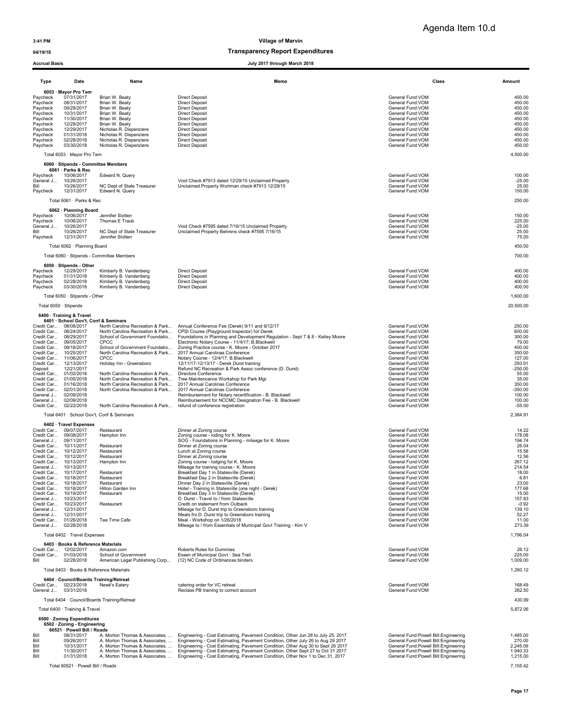### 04/19/18 and 04/19/18 of the control of the control of the Transparency Report Expenditures

|                                                                                                                      | <b>Accrual Basis</b><br>July 2017 through March 2018                                                                                                             |                                                                                                                                                                                                                      |                                                                                                                                                                                                                                                        |                                                                                                                                                                                                          |                                                                                                  |
|----------------------------------------------------------------------------------------------------------------------|------------------------------------------------------------------------------------------------------------------------------------------------------------------|----------------------------------------------------------------------------------------------------------------------------------------------------------------------------------------------------------------------|--------------------------------------------------------------------------------------------------------------------------------------------------------------------------------------------------------------------------------------------------------|----------------------------------------------------------------------------------------------------------------------------------------------------------------------------------------------------------|--------------------------------------------------------------------------------------------------|
| Type                                                                                                                 | Date                                                                                                                                                             | Name                                                                                                                                                                                                                 | Memo                                                                                                                                                                                                                                                   | Class                                                                                                                                                                                                    | Amount                                                                                           |
| Paycheck<br>Paycheck<br>Paycheck<br>Paycheck<br>Paycheck<br>Paycheck<br>Paycheck<br>Paycheck<br>Paycheck<br>Paycheck | 6053 · Mayor Pro Tem<br>07/31/2017<br>08/31/2017<br>09/29/2017<br>10/31/2017<br>11/30/2017<br>12/29/2017<br>12/29/2017<br>01/31/2018<br>02/28/2018<br>03/30/2018 | Brian W. Beaty<br>Brian W. Beaty<br>Brian W. Beaty<br>Brian W. Beaty<br>Brian W. Beaty<br>Brian W. Beaty<br>Nicholas R. Dispenziere<br>Nicholas R. Dispenziere<br>Nicholas R. Dispenziere<br>Nicholas R. Dispenziere | <b>Direct Deposit</b><br><b>Direct Deposit</b><br><b>Direct Deposit</b><br><b>Direct Deposit</b><br><b>Direct Deposit</b><br><b>Direct Deposit</b><br><b>Direct Deposit</b><br><b>Direct Deposit</b><br><b>Direct Deposit</b><br><b>Direct Deposit</b> | General Fund:VOM<br>General Fund: VOM<br>General Fund:VOM<br>General Fund: VOM<br>General Fund:VOM<br>General Fund:VOM<br>General Fund:VOM<br>General Fund: VOM<br>General Fund: VOM<br>General Fund:VOM | 450.00<br>450.00<br>450.00<br>450.00<br>450.00<br>450.00<br>450.00<br>450.00<br>450.00<br>450.00 |
|                                                                                                                      | Total 6053 · Mayor Pro Tem                                                                                                                                       |                                                                                                                                                                                                                      |                                                                                                                                                                                                                                                        |                                                                                                                                                                                                          | 4,500.00                                                                                         |
| Paycheck<br>General J                                                                                                | 6060 · Stipends - Committee Members<br>6061 · Parks & Rec<br>10/06/2017<br>10/26/2017                                                                            | Edward N. Query                                                                                                                                                                                                      | Void Check #7913 dated 12/29/15 Unclaimed Property                                                                                                                                                                                                     | General Fund:VOM<br>General Fund:VOM                                                                                                                                                                     | 100.00<br>$-25.00$                                                                               |
| Bill<br>Paycheck                                                                                                     | 10/26/2017<br>12/31/2017                                                                                                                                         | NC Dept of State Treasurer<br>Edward N. Query                                                                                                                                                                        | Unclaimed Property Wortman check #7913 12/29/15                                                                                                                                                                                                        | General Fund:VOM<br>General Fund: VOM                                                                                                                                                                    | 25.00<br>150.00                                                                                  |
|                                                                                                                      | Total 6061 · Parks & Rec                                                                                                                                         |                                                                                                                                                                                                                      |                                                                                                                                                                                                                                                        |                                                                                                                                                                                                          | 250.00                                                                                           |
| Paycheck                                                                                                             | 6062 · Planning Board<br>10/06/2017                                                                                                                              | Jennifer Slotten                                                                                                                                                                                                     |                                                                                                                                                                                                                                                        | General Fund:VOM                                                                                                                                                                                         | 150.00                                                                                           |
| Paycheck<br>General J                                                                                                | 10/06/2017<br>10/26/2017                                                                                                                                         | Thomas E Traub                                                                                                                                                                                                       | Void Check #7595 dated 7/16/15 Unclaimed Property                                                                                                                                                                                                      | General Fund: VOM<br>General Fund: VOM                                                                                                                                                                   | 225.00<br>$-25.00$                                                                               |
| Bill<br>Paycheck                                                                                                     | 10/26/2017<br>12/31/2017                                                                                                                                         | NC Dept of State Treasurer<br>Jennifer Slotten                                                                                                                                                                       | Unclaimed Property Behrens check #7595 7/16/15                                                                                                                                                                                                         | General Fund: VOM<br>General Fund:VOM                                                                                                                                                                    | 25.00<br>75.00                                                                                   |
|                                                                                                                      | Total 6062 · Planning Board                                                                                                                                      |                                                                                                                                                                                                                      |                                                                                                                                                                                                                                                        |                                                                                                                                                                                                          | 450.00                                                                                           |
|                                                                                                                      |                                                                                                                                                                  | Total 6060 · Stipends - Committee Members                                                                                                                                                                            |                                                                                                                                                                                                                                                        |                                                                                                                                                                                                          | 700.00                                                                                           |
| Paycheck                                                                                                             | 6050 · Stipends - Other<br>12/29/2017                                                                                                                            | Kimberly B. Vandenberg                                                                                                                                                                                               | <b>Direct Deposit</b>                                                                                                                                                                                                                                  | General Fund: VOM                                                                                                                                                                                        | 400.00                                                                                           |
| Paycheck<br>Paycheck                                                                                                 | 01/31/2018<br>02/28/2018                                                                                                                                         | Kimberly B. Vandenberg<br>Kimberly B. Vandenberg                                                                                                                                                                     | <b>Direct Deposit</b><br><b>Direct Deposit</b>                                                                                                                                                                                                         | General Fund: VOM<br>General Fund: VOM                                                                                                                                                                   | 400.00<br>400.00                                                                                 |
| Paycheck                                                                                                             | 03/30/2018                                                                                                                                                       | Kimberly B. Vandenberg                                                                                                                                                                                               | <b>Direct Deposit</b>                                                                                                                                                                                                                                  | General Fund: VOM                                                                                                                                                                                        | 400.00                                                                                           |
|                                                                                                                      | Total 6050 · Stipends - Other<br>Total 6050 · Stipends                                                                                                           |                                                                                                                                                                                                                      |                                                                                                                                                                                                                                                        |                                                                                                                                                                                                          | 1,600.00<br>20,500.00                                                                            |
|                                                                                                                      | 6400 · Training & Travel                                                                                                                                         |                                                                                                                                                                                                                      |                                                                                                                                                                                                                                                        |                                                                                                                                                                                                          |                                                                                                  |
|                                                                                                                      | 6401 · School Gov't, Conf & Seminars<br>Credit Car 08/08/2017                                                                                                    | North Carolina Recreation & Park                                                                                                                                                                                     | Annual Conference Fee (Derek) 9/11 and 9/12/17                                                                                                                                                                                                         | General Fund:VOM                                                                                                                                                                                         | 250.00                                                                                           |
|                                                                                                                      | Credit Car 08/24/2017<br>Credit Car 08/29/2017                                                                                                                   | North Carolina Recreation & Park<br>School of Government Foundatio                                                                                                                                                   | CPSI Course (Playground Inspector) for Derek<br>Foundations in Planning and Development Regulation - Sept 7 & 8 - Kelley Moore                                                                                                                         | General Fund: VOM<br>General Fund: VOM                                                                                                                                                                   | 600.00<br>300.00                                                                                 |
|                                                                                                                      | Credit Car 09/05/2017<br>Credit Car 09/18/2017                                                                                                                   | <b>CPCC</b><br>School of Government Foundatio                                                                                                                                                                        | Electronic Notary Course - 11/4/17; B.Blackwell<br>Zoning Practice course - K. Moore - October 2017                                                                                                                                                    | General Fund:VOM<br>General Fund:VOM                                                                                                                                                                     | 79.00<br>400.00                                                                                  |
|                                                                                                                      | Credit Car 10/25/2017<br>Credit Car 11/06/2017                                                                                                                   | CPCC                                                                                                                                                                                                                 | North Carolina Recreation & Park 2017 Annual Carolinas Conference<br>Notary Course - 12/4/17; B.Blackwell                                                                                                                                              | General Fund: VOM<br>General Fund:VOM                                                                                                                                                                    | 350.00<br>127.00                                                                                 |
| Deposit                                                                                                              | Credit Car 12/13/2017<br>12/21/2017                                                                                                                              | Holiday Inn - Greensboro                                                                                                                                                                                             | 12/11/17-12/13/17 - Derek Durst training<br>Refund NC Recreation & Park Assoc conference (D. Durst)                                                                                                                                                    | General Fund: VOM<br>General Fund:VOM                                                                                                                                                                    | 293.91<br>$-250.00$                                                                              |
|                                                                                                                      | Credit Car 01/02/2018<br>Credit Car 01/05/2018                                                                                                                   | North Carolina Recreation & Park<br>North Carolina Recreation & Park                                                                                                                                                 | <b>Directors Conference</b><br>Tree Maintencance Workshop for Park Mgr.                                                                                                                                                                                | General Fund: VOM<br>General Fund: VOM                                                                                                                                                                   | 55.00<br>35.00                                                                                   |
|                                                                                                                      | Credit Car 01/16/2018<br>Credit Car 02/01/2018                                                                                                                   | North Carolina Recreation & Park<br>North Carolina Recreation & Park                                                                                                                                                 | 2017 Annual Carolinas Conference<br>2017 Annual Carolinas Conference                                                                                                                                                                                   | General Fund:VOM<br>General Fund:VOM                                                                                                                                                                     | 350.00<br>$-350.00$                                                                              |
| General J<br>General J                                                                                               | 02/09/2018<br>02/09/2018                                                                                                                                         |                                                                                                                                                                                                                      | Reimbursement for Notary recertification - B. Blackwell<br>Reimbursement for NCCMC Designation Fee - B. Blackwell                                                                                                                                      | General Fund: VOM<br>General Fund: VOM                                                                                                                                                                   | 100.00<br>100.00                                                                                 |
|                                                                                                                      | Credit Car 02/22/2018                                                                                                                                            | North Carolina Recreation & Park refund of conference registration                                                                                                                                                   |                                                                                                                                                                                                                                                        | General Fund: VOM                                                                                                                                                                                        | $-55.00$                                                                                         |
|                                                                                                                      | 6402 · Travel Expenses                                                                                                                                           | Total 6401 · School Gov't, Conf & Seminars                                                                                                                                                                           |                                                                                                                                                                                                                                                        |                                                                                                                                                                                                          | 2,384.91                                                                                         |
|                                                                                                                      | Credit Car 09/07/2017<br>Credit Car 09/08/2017                                                                                                                   | Restaurant<br>Hampton Inn                                                                                                                                                                                            | Dinner at Zoning course<br>Zoning course - loding for K. Moore                                                                                                                                                                                         | General Fund:VOM<br>General Fund: VOM                                                                                                                                                                    | 14.22<br>178.08                                                                                  |
|                                                                                                                      | General J 09/11/2017<br>Credit Car 10/11/2017                                                                                                                    | Restaurant                                                                                                                                                                                                           | SOG - Foundations in Planning - mileage for K. Moore<br>Dinner at Zoning course                                                                                                                                                                        | General Fund:VOM<br>General Fund:VOM                                                                                                                                                                     | 194.74<br>26.04                                                                                  |
|                                                                                                                      | Credit Car 10/12/2017<br>Credit Car 10/12/2017                                                                                                                   | Restaurant                                                                                                                                                                                                           | Lunch at Zoning course<br>Dinner at Zoning course                                                                                                                                                                                                      | General Fund: VOM<br>General Fund:VOM                                                                                                                                                                    | 15.58<br>12.56                                                                                   |
|                                                                                                                      | Credit Car 10/13/2017<br>General J 10/13/2017                                                                                                                    | Restaurant<br>Hampton Inn                                                                                                                                                                                            | Zoning course - lodging for K. Moore<br>Mileage for training course - K. Moore                                                                                                                                                                         | General Fund: VOM<br>General Fund:VOM                                                                                                                                                                    | 267.12<br>214.54                                                                                 |
|                                                                                                                      | Credit Car 10/17/2017<br>Credit Car 10/18/2017                                                                                                                   | Restaurant<br>Restaurant                                                                                                                                                                                             | Breakfast Day 1 in Statesville (Derek)<br>Breakfast Day 2 in Statesville (Derek)                                                                                                                                                                       | General Fund: VOM<br>General Fund: VOM                                                                                                                                                                   | 18.00<br>6.81                                                                                    |
|                                                                                                                      | Credit Car 10/18/2017<br>Credit Car 10/18/2017                                                                                                                   | Restaurant<br>Hilton Garden Inn                                                                                                                                                                                      | Dinner Day 2 in Statesville (Derek)<br>Hotel - Training in Statesville (one night - Derek)                                                                                                                                                             | General Fund: VOM<br>General Fund: VOM                                                                                                                                                                   | 23.00                                                                                            |
|                                                                                                                      | Credit Car 10/19/2017<br>General J 10/23/2017                                                                                                                    | Restaurant                                                                                                                                                                                                           | Breakfast Day 3 in Statesville (Derek)<br>D. Durst - Travel to / from Statesville                                                                                                                                                                      | General Fund: VOM<br>General Fund: VOM                                                                                                                                                                   | 177.68<br>15.00<br>157.83                                                                        |
|                                                                                                                      | Credit Car 10/23/2017                                                                                                                                            | Restaurant                                                                                                                                                                                                           | Credti on statement from Outback<br>Mileage for D. Durst trip to Greensboro training                                                                                                                                                                   | General Fund: VOM<br>General Fund: VOM                                                                                                                                                                   | $-0.92$<br>139.10                                                                                |
|                                                                                                                      | General J 12/31/2017<br>General J 12/31/2017                                                                                                                     |                                                                                                                                                                                                                      | Meals fro D. Durst trip to Greensboro training                                                                                                                                                                                                         | General Fund: VOM                                                                                                                                                                                        | 52.27                                                                                            |
|                                                                                                                      | Credit Car 01/26/2018<br>General J 02/28/2018                                                                                                                    | Tee Time Cafe                                                                                                                                                                                                        | Meal - Workshop on 1/26/2018<br>Mileage to / from Essentials of Municipal Govt Training - Kim V                                                                                                                                                        | General Fund: VOM<br>General Fund:VOM                                                                                                                                                                    | 11.00<br>273.39                                                                                  |
|                                                                                                                      | Total 6402 · Travel Expenses                                                                                                                                     |                                                                                                                                                                                                                      |                                                                                                                                                                                                                                                        |                                                                                                                                                                                                          | 1,796.04                                                                                         |
|                                                                                                                      | 6403 · Books & Reference Materials<br>Credit Car 12/02/2017                                                                                                      | Amazon com                                                                                                                                                                                                           | Roberts Rules for Dummies                                                                                                                                                                                                                              | General Fund: VOM                                                                                                                                                                                        | 26.12                                                                                            |
| Bill                                                                                                                 | Credit Car 01/03/2018<br>02/28/2018                                                                                                                              | School of Government<br>American Legal Publishiing Corp                                                                                                                                                              | Essen of Municipal Govt - Sea Trail<br>(12) NC Code of Ordinances binders                                                                                                                                                                              | General Fund: VOM<br>General Fund: VOM                                                                                                                                                                   | 225.00<br>1,009.00                                                                               |
|                                                                                                                      | Total 6403 · Books & Reference Materials                                                                                                                         |                                                                                                                                                                                                                      |                                                                                                                                                                                                                                                        |                                                                                                                                                                                                          | 1.260.12                                                                                         |
|                                                                                                                      | 6404 Council/Boards Training/Retreat<br>Credit Car 02/23/2018<br>General J 03/31/2018                                                                            | Newk's Eatery                                                                                                                                                                                                        | catering order for VC retreat<br>Reclass PB training to correct account                                                                                                                                                                                | General Fund: VOM<br>General Fund: VOM                                                                                                                                                                   | 168.49<br>262.50                                                                                 |
|                                                                                                                      |                                                                                                                                                                  | Total 6404 · Council/Boards Training/Retreat                                                                                                                                                                         |                                                                                                                                                                                                                                                        |                                                                                                                                                                                                          | 430.99                                                                                           |
|                                                                                                                      | Total 6400 · Training & Travel                                                                                                                                   |                                                                                                                                                                                                                      |                                                                                                                                                                                                                                                        |                                                                                                                                                                                                          | 5,872.06                                                                                         |
|                                                                                                                      | 6500 · Zoning Expenditures<br>6502 · Zoning - Engineering                                                                                                        |                                                                                                                                                                                                                      |                                                                                                                                                                                                                                                        |                                                                                                                                                                                                          |                                                                                                  |
| Bill                                                                                                                 | 60521 · Powell Bill / Roads<br>08/31/2017                                                                                                                        | A. Morton Thomas & Associates,                                                                                                                                                                                       | Engineering - Cost Estimating, Pavement Condition, Other Jun 28 to July 25. 2017                                                                                                                                                                       | General Fund: Powell Bill: Engineering                                                                                                                                                                   | 1,485.00                                                                                         |
| Bill<br>Bill                                                                                                         | 09/26/2017<br>10/31/2017                                                                                                                                         | A. Morton Thomas & Associates,                                                                                                                                                                                       | Engineering - Cost Estimating, Pavement Condition, Other July 26 to Aug 29 2017<br>A. Morton Thomas & Associates,  Engineering - Cost Estimating, Pavement Condition, Other Aug 30 to Sept 26 2017                                                     | General Fund:Powell Bill:Engineering<br>General Fund: Powell Bill: Engineering                                                                                                                           | 270.00<br>2,245.09                                                                               |
| Bill<br>Bill                                                                                                         | 11/30/2017<br>01/31/2018                                                                                                                                         | A. Morton Thomas & Associates,                                                                                                                                                                                       | A. Morton Thomas & Associates,  Engineering - Cost Estimating, Pavement Condition, Other Sept 27 to Oct 31 2017<br>Engineering - Cost Estimating, Pavement Condition, Other Nov 1 to Dec 31, 2017                                                      | General Fund: Powell Bill: Engineering<br>General Fund:Powell Bill:Engineering                                                                                                                           | 1,940.33<br>1,215.00                                                                             |
|                                                                                                                      | Total 60521 · Powell Bill / Roads                                                                                                                                |                                                                                                                                                                                                                      |                                                                                                                                                                                                                                                        |                                                                                                                                                                                                          | 7,155.42                                                                                         |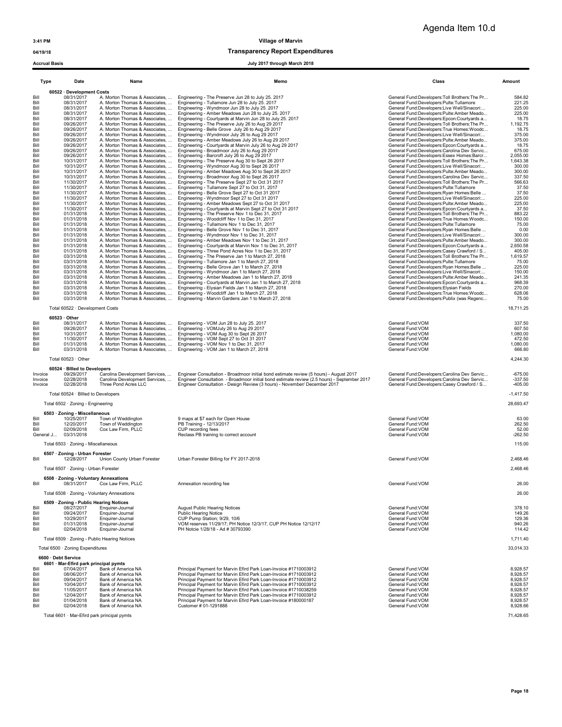04/19/18 04/19/18

| Type               | Date                                                | Name                                                             | Memo                                                                                                                                                                     | Class                                                                                     | Amount                 |
|--------------------|-----------------------------------------------------|------------------------------------------------------------------|--------------------------------------------------------------------------------------------------------------------------------------------------------------------------|-------------------------------------------------------------------------------------------|------------------------|
|                    | 60522 · Development Costs                           |                                                                  |                                                                                                                                                                          |                                                                                           |                        |
| Bill               | 08/31/2017                                          | A. Morton Thomas & Associates,                                   | Engineering - The Preserve Jun 28 to July 25. 2017                                                                                                                       | General Fund:Developers:Toll Brothers:The Pr                                              | 584.82                 |
| Bill               | 08/31/2017                                          | A. Morton Thomas & Associates,                                   | Engineering - Tullamore Jun 28 to July 25. 2017                                                                                                                          | General Fund:Developers:Pulte:Tullamore                                                   | 221.25                 |
| Bill<br>Bill       | 08/31/2017<br>08/31/2017                            | A. Morton Thomas & Associates,<br>A. Morton Thomas & Associates, | Engineering - Wyndmoor Jun 28 to July 25. 2017<br>Engineering - Amber Meadows Jun 28 to July 25. 2017                                                                    | General Fund:Developers:Live Well/Sinacori<br>General Fund:Developers:Pulte:Amber Meado   | 225.00<br>225.00       |
| Bill               | 08/31/2017                                          | A. Morton Thomas & Associates,                                   | Engineering - Courtyards at Marvin Jun 28 to July 25. 2017                                                                                                               | General Fund:Developers:Epcon:Courtvards a                                                | 18.75                  |
| Bill               | 09/26/2017                                          | A. Morton Thomas & Associates,                                   | Engineering - The Preserve July 26 to Aug 29 2017                                                                                                                        | General Fund:Developers:Toll Brothers:The Pr                                              | 1,192.75               |
| Bill<br>Bill       | 09/26/2017<br>09/26/2017                            | A. Morton Thomas & Associates,<br>A. Morton Thomas & Associates, | Engineering - Belle Grove July 26 to Aug 29 2017<br>Engineering - Wyndmoor July 26 to Aug 29 2017                                                                        | General Fund:Developers:True Homes:Woodc<br>General Fund:Developers:Live Well/Sinacori:   | 18.75<br>375.00        |
| Bill               | 09/26/2017                                          | A. Morton Thomas & Associates,                                   | Engineering - Amber Meadows July 26 to Aug 29 2017                                                                                                                       | General Fund:Developers:Pulte:Amber Meado                                                 | 375.00                 |
| Bill               | 09/26/2017                                          | A. Morton Thomas & Associates,                                   | Engineering - Courtyards at Marvin July 26 to Aug 29 2017                                                                                                                | General Fund:Developers:Epcon:Courtyards a                                                | 18.75                  |
| Bill<br>Bill       | 09/26/2017<br>09/26/2017                            | A. Morton Thomas & Associates,<br>A. Morton Thomas & Associates, | Engineering - Broadmoor July 26 to Aug 29 2017<br>Engineering - Barcroft July 26 to Aug 29 2017                                                                          | General Fund:Developers:Carolina Dev Servic<br>General Fund:Developers:Essex Homes:Barcr  | 675.00<br>2,055.00     |
| Bill               | 10/31/2017                                          | A. Morton Thomas & Associates,                                   | Engineering - The Preserve Aug 30 to Sept 26 2017                                                                                                                        | General Fund:Developers:Toll Brothers:The Pr                                              | 1,643.38               |
| Bill               | 10/31/2017                                          | A. Morton Thomas & Associates,                                   | Engineering - Wyndmoor Aug 30 to Sept 26 2017                                                                                                                            | General Fund:Developers:Live Well/Sinacori:                                               | 300.00                 |
| Bill<br>Bill       | 10/31/2017<br>10/31/2017                            | A. Morton Thomas & Associates,<br>A. Morton Thomas & Associates, | Engineering - Amber Meadows Aug 30 to Sept 26 2017<br>Engineering - Broadmoor Aug 30 to Sept 26 2017                                                                     | General Fund:Developers:Pulte:Amber Meado<br>General Fund:Developers:Carolina Dev Servic  | 300.00<br>337.50       |
| Bill               | 11/30/2017                                          | A. Morton Thomas & Associates,                                   | Engineering - The Preserve Sept 27 to Oct 31 2017                                                                                                                        | General Fund:Developers:Toll Brothers:The Pr                                              | 566.63                 |
| Bill               | 11/30/2017                                          | A. Morton Thomas & Associates,                                   | Engineering - Tullamore Sept 27 to Oct 31, 2017                                                                                                                          | General Fund:Developers:Pulte:Tullamore                                                   | 37.50                  |
| Bill<br>Bill       | 11/30/2017<br>11/30/2017                            | A. Morton Thomas & Associates,<br>A. Morton Thomas & Associates, | Engineering - Belle Grove Sept 27 to Oct 31 2017                                                                                                                         | General Fund:Developers:Ryan Homes:Belle                                                  | 37.50<br>225.00        |
| Bill               | 11/30/2017                                          |                                                                  | Engineering - Wyndmoor Sept 27 to Oct 31 2017<br>A. Morton Thomas & Associates,  Engineering - Amber Meadows Sept 27 to Oct 31 2017                                      | General Fund:Developers:Live Well/Sinacori<br>General Fund:Developers:Pulte:Amber Meado   | 225.00                 |
| Bill               | 11/30/2017                                          |                                                                  | A. Morton Thomas & Associates,  Engineering - Courtyards at Marvin Sept 27 to Oct 31 2017                                                                                | General Fund:Developers:Epcon:Courtyards a                                                | 37.50                  |
| Bill               | 01/31/2018                                          | A. Morton Thomas & Associates,                                   | Engineering - The Preserve Nov 1 to Dec 31, 2017                                                                                                                         | General Fund:Developers:Toll Brothers:The Pr                                              | 883.22                 |
| Bill<br>Bill       | 01/31/2018<br>01/31/2018                            | A. Morton Thomas & Associates,<br>A. Morton Thomas & Associates, | Engineering - Woodcliff Nov 1 to Dec 31, 2017<br>Engineering - Tullamore Nov 1 to Dec 31, 2017                                                                           | General Fund:Developers:True Homes:Woodc<br>General Fund:Developers:Pulte:Tullamore       | 150.00<br>75.00        |
| Bill               | 01/31/2018                                          | A. Morton Thomas & Associates,                                   | Engineering - Belle Grove Nov 1 to Dec 31, 2017                                                                                                                          | General Fund:Developers:Ryan Homes:Belle                                                  | 0.00                   |
| Bill               | 01/31/2018                                          | A. Morton Thomas & Associates,                                   | Engineering - Wyndmoor Nov 1 to Dec 31, 2017                                                                                                                             | General Fund:Developers:Live Well/Sinacori:                                               | 300.00                 |
| Bill<br>Bill       | 01/31/2018<br>01/31/2018                            | A. Morton Thomas & Associates,<br>A. Morton Thomas & Associates, | Engineering - Amber Meadows Nov 1 to Dec 31, 2017<br>Engineering - Courtyards at Marvin Nov 1 to Dec 31, 2017                                                            | General Fund:Developers:Pulte:Amber Meado<br>General Fund:Developers:Epcon:Courtyards a   | 300.00<br>2,650.58     |
| Bill               | 01/31/2018                                          | A. Morton Thomas & Associates,                                   | Engineering - Three Pond Acres Nov 1 to Dec 31, 2017                                                                                                                     | General Fund:Developers:Casey Crawford / S                                                | 405.00                 |
| Bill               | 03/31/2018                                          | A. Morton Thomas & Associates,                                   | Engineering - The Preserve Jan 1 to March 27, 2018                                                                                                                       | General Fund:Developers:Toll Brothers:The Pr                                              | 1,619.57               |
| Bill               | 03/31/2018                                          | A. Morton Thomas & Associates,                                   | Engineering - Tullamore Jan 1 to March 27, 2018                                                                                                                          | General Fund:Developers:Pulte:Tullamore                                                   | 75.00                  |
| Bill<br>Bill       | 03/31/2018<br>03/31/2018                            | A. Morton Thomas & Associates,<br>A. Morton Thomas & Associates, | Engineering - Belle Grove Jan 1 to March 27, 2018<br>Engineering - Wyndmoor Jan 1 to March 27, 2018                                                                      | General Fund:Developers:Ryan Homes:Belle<br>General Fund:Developers:Live Well/Sinacori:   | 225.00<br>150.00       |
| Bill               | 03/31/2018                                          | A. Morton Thomas & Associates,                                   | Engineering - Amber Meadows Jan 1 to March 27, 2018                                                                                                                      | General Fund:Developers:Pulte:Amber Meado                                                 | 241.35                 |
| Bill               | 03/31/2018                                          | A. Morton Thomas & Associates,                                   | Engineering - Courtyards at Marvin Jan 1 to March 27, 2018                                                                                                               | General Fund:Developers:Epcon:Courtyards a                                                | 968.39                 |
| Bill<br>Bill       | 03/31/2018<br>03/31/2018                            | A. Morton Thomas & Associates,                                   | Engineering - Elysian Fields Jan 1 to March 27, 2018<br>Engineering - Woodcliff Jan 1 to March 27, 2018                                                                  | General Fund:Developers:Elysian Fields                                                    | 270.00<br>628.06       |
| Bill               | 03/31/2018                                          | A. Morton Thomas & Associates,<br>A. Morton Thomas & Associates, | Engineering - Marvin Gardens Jan 1 to March 27, 2018                                                                                                                     | General Fund:Developers:True Homes:Woodc<br>General Fund:Developers:Publix (was Regenc    | 75.00                  |
|                    | Total 60522 · Development Costs                     |                                                                  |                                                                                                                                                                          |                                                                                           | 18,711.25              |
|                    |                                                     |                                                                  |                                                                                                                                                                          |                                                                                           |                        |
|                    | $60523 \cdot$ Other                                 |                                                                  |                                                                                                                                                                          |                                                                                           |                        |
| Bill<br>Bill       | 08/31/2017<br>09/26/2017                            | A. Morton Thomas & Associates,<br>A. Morton Thomas & Associates, | Engineering - VOM Jun 28 to July 25. 2017<br>Engineering - VOMJuly 26 to Aug 29 2017                                                                                     | General Fund: VOM<br>General Fund:VOM                                                     | 337.50<br>607.50       |
| Bill               | 10/31/2017                                          | A. Morton Thomas & Associates,                                   | Engineering - VOM Aug 30 to Sept 26 2017                                                                                                                                 | General Fund:VOM                                                                          | 1,080.00               |
| Bill               | 11/30/2017                                          | A. Morton Thomas & Associates,                                   | Engineering - VOM Sept 27 to Oct 31 2017                                                                                                                                 | General Fund:VOM                                                                          | 472.50                 |
| Bill<br>Bill       | 01/31/2018<br>03/31/2018                            | A. Morton Thomas & Associates,<br>A. Morton Thomas & Associates, | Engineering - VOM Nov 1 to Dec 31, 2017<br>Engineering - VOM Jan 1 to March 27, 2018                                                                                     | General Fund: VOM<br>General Fund: VOM                                                    | 1,080.00<br>666.80     |
|                    |                                                     |                                                                  |                                                                                                                                                                          |                                                                                           |                        |
|                    | Total 60523 · Other                                 |                                                                  |                                                                                                                                                                          |                                                                                           | 4,244.30               |
|                    | 60524 · Billed to Developers                        |                                                                  |                                                                                                                                                                          |                                                                                           |                        |
| Invoice            | 09/29/2017<br>02/28/2018                            | Carolina Development Services,                                   | Carolina Development Services,  Engineer Consultation - Broadmoor initial bond estimate review (5 hours) - August 2017                                                   | General Fund:Developers:Carolina Dev Servic                                               | $-675.00$              |
| Invoice<br>Invoice | 02/28/2018                                          | Three Pond Acres LLC                                             | Engineer Consultation - Broadmoor initial bond estimate review (2.5 hours) - September 2017<br>Engineer Consultation - Design Review (3 hours) - November/ December 2017 | General Fund:Developers:Carolina Dev Servic<br>General Fund:Developers:Casey Crawford / S | $-337.50$<br>$-405.00$ |
|                    |                                                     |                                                                  |                                                                                                                                                                          |                                                                                           |                        |
|                    | Total 60524 · Billed to Developers                  |                                                                  |                                                                                                                                                                          |                                                                                           | $-1,417.50$            |
|                    | Total 6502 · Zoning - Engineering                   |                                                                  |                                                                                                                                                                          |                                                                                           | 28,693.47              |
|                    | 6503 · Zoning - Miscellaneous                       |                                                                  |                                                                                                                                                                          |                                                                                           |                        |
| Bill<br>Bill       | 10/25/2017<br>12/20/2017                            | Town of Weddington<br>Town of Weddington                         | 9 maps at \$7 each for Open House<br>PB Training - 12/13/2017                                                                                                            | General Fund: VOM<br>General Fund: VOM                                                    | 63.00<br>262.50        |
| Bill               | 02/09/2018                                          | Cox Law Firm, PLLC                                               | CUP recording fees                                                                                                                                                       | General Fund:VOM                                                                          | 52.00                  |
| General J          | 03/31/2018                                          |                                                                  | Reclass PB training to correct account                                                                                                                                   | General Fund:VOM                                                                          | $-262.50$              |
|                    | Total 6503 · Zoning - Miscellaneous                 |                                                                  |                                                                                                                                                                          |                                                                                           | 115.00                 |
|                    | 6507 · Zoning - Urban Forester                      |                                                                  |                                                                                                                                                                          |                                                                                           |                        |
| Bill               | 12/28/2017                                          | Union County Urban Forester                                      | Urban Forester Billing for FY 2017-2018                                                                                                                                  | General Fund: VOM                                                                         | 2,468.46               |
|                    | Total 6507 · Zoning - Urban Forester                |                                                                  |                                                                                                                                                                          |                                                                                           | 2,468.46               |
|                    |                                                     |                                                                  |                                                                                                                                                                          |                                                                                           |                        |
| Bill               | 6508 · Zoning - Voluntary Annexations<br>08/31/2017 | Cox Law Firm, PLLC                                               | Annexation recording fee                                                                                                                                                 | General Fund:VOM                                                                          | 26.00                  |
|                    |                                                     |                                                                  |                                                                                                                                                                          |                                                                                           |                        |
|                    | Total 6508 · Zoning - Voluntary Annexations         |                                                                  |                                                                                                                                                                          |                                                                                           | 26.00                  |
|                    | 6509 · Zoning - Public Hearing Notices              |                                                                  |                                                                                                                                                                          |                                                                                           |                        |
| Bill<br>Bill       | 08/27/2017<br>09/24/2017                            | Enquirer-Journal<br>Enquirer-Journal                             | <b>August Public Hearing Notices</b><br>Public Hearing Notice                                                                                                            | General Fund: VOM<br>General Fund:VOM                                                     | 378.10<br>149.26       |
| Bill               | 10/29/2017                                          | Enquirer-Journal                                                 | CUP Pump Station; 9/29, 10/6                                                                                                                                             | General Fund: VOM                                                                         | 129.36                 |
| Bill               | 01/31/2018                                          | Enquirer-Journal                                                 | VOM reserves 11/29/17; PH Notice 12/3/17, CUP PH Notice 12/12/17                                                                                                         | General Fund:VOM                                                                          | 940.26                 |
| Bill               | 02/04/2018                                          | Enquirer-Journal                                                 | PH Notcie 1/28/18 - Ad # 30793390                                                                                                                                        | General Fund: VOM                                                                         | 114.42                 |
|                    | Total 6509 · Zoning - Public Hearing Notices        |                                                                  |                                                                                                                                                                          |                                                                                           | 1,711.40               |
|                    | Total 6500 · Zoning Expenditures                    |                                                                  |                                                                                                                                                                          |                                                                                           | 33,014.33              |
|                    | 6600 · Debt Service                                 |                                                                  |                                                                                                                                                                          |                                                                                           |                        |
|                    | 6601 · Mar-Efird park principal pymts               |                                                                  |                                                                                                                                                                          |                                                                                           |                        |
| Bill               | 07/04/2017                                          | Bank of America NA                                               | Principal Payment for Marvin Efird Park Loan-Invoice #1710003912                                                                                                         | General Fund:VOM                                                                          | 8,928.57               |
| Bill<br>Bill       | 08/06/2017<br>09/04/2017                            | Bank of America NA<br>Bank of America NA                         | Principal Payment for Marvin Efird Park Loan-Invoice #1710003912<br>Principal Payment for Marvin Efird Park Loan-Invoice #1710003912                                     | General Fund:VOM<br>General Fund:VOM                                                      | 8,928.57<br>8,928.57   |
| Bill               | 10/04/2017                                          | Bank of America NA                                               | Principal Payment for Marvin Efird Park Loan-Invoice #1710003912                                                                                                         | General Fund:VOM                                                                          | 8,928.57               |
| Bill               | 11/05/2017                                          | Bank of America NA                                               | Principal Payment for Marvin Efird Park Loan-Invoice #1710038259                                                                                                         | General Fund: VOM                                                                         | 8,928.57               |
| Bill<br>Bill       | 12/04/2017<br>01/04/2018                            | Bank of America NA<br>Bank of America NA                         | Principal Payment for Marvin Efird Park Loan-Invoice #1710003912<br>Principal Payment for Marvin Efird Park Loan-Invoice #180000187                                      | General Fund:VOM<br>General Fund:VOM                                                      | 8,928.57<br>8,928.57   |
| Bill               | 02/04/2018                                          | Bank of America NA                                               | Customer # 01-1291888                                                                                                                                                    | General Fund:VOM                                                                          | 8,928.66               |
|                    | Total 6601 · Mar-Efird park principal pymts         |                                                                  |                                                                                                                                                                          |                                                                                           | 71,428.65              |
|                    |                                                     |                                                                  |                                                                                                                                                                          |                                                                                           |                        |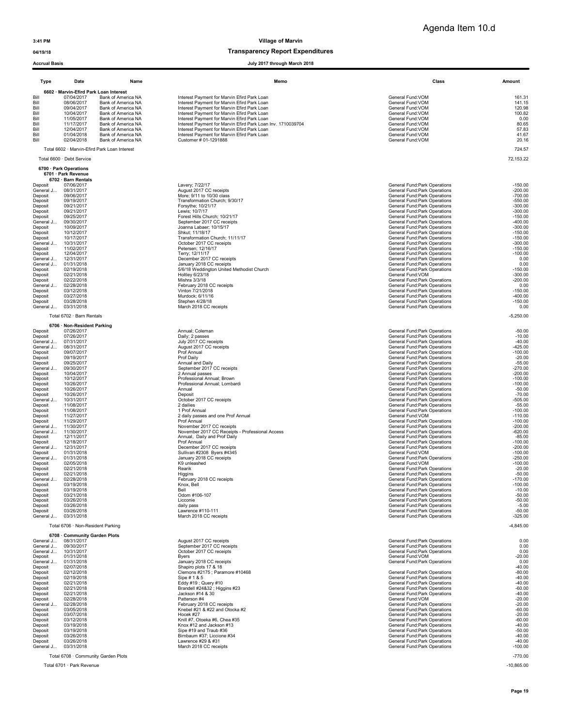### 04/19/18 Transparency Report Expenditures

| <b>Accrual Basis</b>   |                                               |                                              | July 2017 through March 2018                                                               |                                                                |                        |
|------------------------|-----------------------------------------------|----------------------------------------------|--------------------------------------------------------------------------------------------|----------------------------------------------------------------|------------------------|
| Type                   | Date                                          | Name                                         | Memo                                                                                       | Class                                                          | Amount                 |
|                        | 6602 · Marvin-Efird Park Loan Interest        |                                              |                                                                                            |                                                                |                        |
| Bill<br>Bill           | 07/04/2017<br>08/06/2017                      | Bank of America NA<br>Bank of America NA     | Interest Payment for Marvin Efird Park Loan<br>Interest Payment for Marvin Efird Park Loan | General Fund:VOM<br>General Fund: VOM                          | 161.31<br>141.15       |
| Bill                   | 09/04/2017                                    | Bank of America NA<br>Bank of America NA     | Interest Payment for Marvin Efird Park Loan<br>Interest Payment for Marvin Efird Park Loan | General Fund: VOM                                              | 120.98                 |
| Bill<br>Bill           | 10/04/2017<br>11/05/2017                      | Bank of America NA                           | Interest Payment for Marvin Efird Park Loan                                                | General Fund:VOM<br>General Fund:VOM                           | 100.82<br>0.00         |
| Bill                   | 11/17/2017                                    | Bank of America NA                           | Interest Payment for Marvin Efird Park Loan Inv. 1710039704                                | General Fund: VOM                                              | 80.65                  |
| Bill<br>Bill           | 12/04/2017<br>01/04/2018                      | Bank of America NA<br>Bank of America NA     | Interest Payment for Marvin Efird Park Loan<br>Interest Payment for Marvin Efird Park Loan | General Fund:VOM<br>General Fund: VOM                          | 57.83<br>41.67         |
| Bill                   | 02/04/2018                                    | Bank of America NA                           | Customer # 01-1291888                                                                      | General Fund: VOM                                              | 20.16                  |
|                        |                                               | Total 6602 · Marvin-Efird Park Loan Interest |                                                                                            |                                                                | 724.57                 |
|                        | Total 6600 · Debt Service                     |                                              |                                                                                            |                                                                | 72,153.22              |
|                        | 6700 · Park Operations<br>6701 · Park Revenue |                                              |                                                                                            |                                                                |                        |
|                        | 6702 · Barn Rentals                           |                                              |                                                                                            |                                                                |                        |
| Deposit<br>General J   | 07/06/2017<br>08/31/2017                      |                                              | Lavery; 7/22/17<br>August 2017 CC receipts                                                 | General Fund:Park Operations<br>General Fund:Park Operations   | $-150.00$<br>$-200.00$ |
| Deposit                | 09/06/2017                                    |                                              | More; 9/11 to 10/30 class                                                                  | General Fund:Park Operations                                   | $-700.00$              |
| Deposit                | 09/19/2017                                    |                                              | Transformation Church; 9/30/17                                                             | General Fund: Park Operations                                  | $-550.00$              |
| Deposit<br>Deposit     | 09/21/2017<br>09/21/2017                      |                                              | Forsythe; 10/21/17<br>Lewis; 10/7/17                                                       | General Fund: Park Operations<br>General Fund: Park Operations | $-300.00$<br>$-300.00$ |
| Deposit                | 09/25/2017                                    |                                              | Forest Hills Church; 10/21/17                                                              | General Fund:Park Operations                                   | $-150.00$              |
| General J              | 09/30/2017                                    |                                              | September 2017 CC receipts                                                                 | General Fund: Park Operations                                  | $-400.00$              |
| Deposit<br>Deposit     | 10/09/2017<br>10/12/2017                      |                                              | Joanna Labaer; 10/15/17<br>Shkut; 11/18/17                                                 | General Fund: Park Operations<br>General Fund:Park Operations  | $-300.00$<br>$-150.00$ |
| Deposit                | 10/17/2017                                    |                                              | Transformation Church; 11/11/17                                                            | General Fund: Park Operations                                  | $-150.00$              |
| General J              | 10/31/2017                                    |                                              | October 2017 CC receipts                                                                   | General Fund: Park Operations                                  | $-300.00$              |
| Deposit<br>Deposit     | 11/02/2017<br>12/04/2017                      |                                              | Petersen; 12/16/17<br>Terry: 12/11/17                                                      | General Fund: Park Operations<br>General Fund: Park Operations | $-150.00$<br>$-100.00$ |
| General J              | 12/31/2017                                    |                                              | December 2017 CC receipts                                                                  | General Fund: Park Operations                                  | 0.00                   |
| General J              | 01/31/2018                                    |                                              | January 2018 CC receipts                                                                   | General Fund: Park Operations                                  | 0.00                   |
| Deposit<br>Deposit     | 02/19/2018<br>02/21/2018                      |                                              | 5/6/18 Weddington United Methodist Church<br>Holtley 6/23/18                               | General Fund: Park Operations<br>General Fund: VOM             | $-150.00$<br>$-300.00$ |
| Deposit                | 02/22/2018                                    |                                              | Mishra 3/3/18                                                                              | General Fund:Park Operations                                   | $-200.00$              |
| General J              | 02/28/2018                                    |                                              | February 2018 CC receipts                                                                  | General Fund:Park Operations                                   | 0.00                   |
| Deposit<br>Deposit     | 03/12/2018<br>03/27/2018                      |                                              | Vinton 7/21/2018<br>Murdock; 6/11/16                                                       | General Fund:Park Operations<br>General Fund:Park Operations   | $-150.00$<br>$-400.00$ |
| Deposit                | 03/28/2018                                    |                                              | Stephen 4/28/18                                                                            | General Fund:Park Operations                                   | $-150.00$              |
| General J              | 03/31/2018                                    |                                              | March 2018 CC receipts                                                                     | General Fund: Park Operations                                  | 0.00                   |
|                        | Total 6702 · Barn Rentals                     |                                              |                                                                                            |                                                                | $-5,250.00$            |
| Deposit                | 6706 · Non-Resident Parking<br>07/26/2017     |                                              | Annual; Coleman                                                                            | General Fund:Park Operations                                   | $-50.00$               |
| Deposit                | 07/26/2017                                    |                                              | Daily; 2 passes                                                                            | General Fund: Park Operations                                  | $-10.00$               |
| General J<br>General J | 07/31/2017<br>08/31/2017                      |                                              | July 2017 CC receipts<br>August 2017 CC receipts                                           | General Fund: Park Operations<br>General Fund:Park Operations  | $-40.00$<br>$-425.00$  |
| Deposit                | 09/07/2017                                    |                                              | Prof Annual                                                                                | General Fund: Park Operations                                  | $-100.00$              |
| Deposit                | 09/19/2017                                    |                                              | Prof Daily                                                                                 | General Fund: Park Operations                                  | $-20.00$               |
| Deposit<br>General J   | 09/25/2017<br>09/30/2017                      |                                              | Annual and Daily<br>September 2017 CC receipts                                             | General Fund: Park Operations<br>General Fund: Park Operations | $-55.00$<br>$-270.00$  |
| Deposit                | 10/04/2017                                    |                                              | 2 Annual passes                                                                            | General Fund: Park Operations                                  | $-200.00$              |
| Deposit                | 10/12/2017                                    |                                              | Professional Annual; Brown                                                                 | General Fund: Park Operations                                  | $-100.00$              |
| Deposit<br>Deposit     | 10/26/2017<br>10/26/2017                      |                                              | Professional Annual; Lombardi<br>Annual                                                    | General Fund:Park Operations<br>General Fund: Park Operations  | $-100.00$<br>$-50.00$  |
| Deposit                | 10/26/2017                                    |                                              | Deposit                                                                                    | General Fund: Park Operations                                  | $-70.00$               |
| General J              | 10/31/2017                                    |                                              | October 2017 CC receipts                                                                   | General Fund: Park Operations                                  | $-505.00$              |
| Deposit<br>Deposit     | 11/08/2017<br>11/08/2017                      |                                              | 2 dailies<br>1 Prof Annual                                                                 | General Fund:Park Operations<br>General Fund: Park Operations  | $-55.00$<br>$-100.00$  |
| Deposit                | 11/27/2017                                    |                                              | 2 daily passes and one Prof Annual                                                         | General Fund:VOM                                               | $-110.00$              |
| Deposit                | 11/29/2017                                    |                                              | Prof Annual                                                                                | General Fund: Park Operations                                  | $-100.00$              |
| General J<br>General J | 11/30/2017<br>11/30/2017                      |                                              | November 2017 CC receipts<br>November 2017 CC Receipts - Professional Access               | General Fund:Park Operations<br>General Fund: Park Operations  | $-200.00$<br>$-620.00$ |
| Deposit                | 12/11/2017                                    |                                              | Annual, Daily and Prof Daily                                                               | General Fund: Park Operations                                  | $-85.00$               |
| Deposit                | 12/18/2017                                    |                                              | Prof Annual                                                                                | General Fund:Park Operations                                   | $-100.00$              |
| General J<br>Deposit   | 12/31/2017<br>01/31/2018                      |                                              | December 2017 CC receipts<br>Sullivan #2308 Byers #4345                                    | General Fund:Park Operations<br>General Fund: VOM              | $-200.00$<br>$-100.00$ |
| General J              | 01/31/2018                                    |                                              | January 2018 CC receipts                                                                   | General Fund: Park Operations                                  | $-250.00$              |
| Deposit                | 02/05/2018                                    |                                              | K9 unleashed                                                                               | General Fund: VOM                                              | $-100.00$              |
| Deposit                | 02/21/2018                                    |                                              | Rearik                                                                                     | General Fund: Park Operations                                  | $-20.00$               |
| Deposit<br>General J   | 02/21/2018<br>02/28/2018                      |                                              | Higgins<br>February 2018 CC receipts                                                       | General Fund: Park Operations<br>General Fund:Park Operations  | $-50.00$<br>$-170.00$  |
| Deposit                | 03/19/2018                                    |                                              | Knox, Bell                                                                                 | General Fund:Park Operations                                   | $-100.00$              |
| Deposit                | 03/19/2018                                    |                                              | Bell                                                                                       | General Fund: Park Operations                                  | $-10.00$               |
| Deposit<br>Deposit     | 03/21/2018<br>03/26/2018                      |                                              | Odom #106-107<br>Licconie                                                                  | General Fund: Park Operations<br>General Fund: Park Operations | $-50.00$<br>$-50.00$   |
| Deposit                | 03/26/2018                                    |                                              | daily pass                                                                                 | General Fund:Park Operations                                   | $-5.00$                |
| Deposit<br>General J   | 03/26/2018<br>03/31/2018                      |                                              | Lawrence #110-111<br>March 2018 CC receipts                                                | General Fund:Park Operations<br>General Fund: Park Operations  | $-50.00$<br>$-325.00$  |
|                        | Total 6706 · Non-Resident Parking             |                                              |                                                                                            |                                                                | $-4,845.00$            |
|                        | 6708 · Community Garden Plots                 |                                              |                                                                                            |                                                                |                        |
| General J<br>General J | 08/31/2017<br>09/30/2017                      |                                              | August 2017 CC receipts<br>September 2017 CC receipts                                      | General Fund:Park Operations<br>General Fund: Park Operations  | 0.00<br>0.00           |
| General J              | 10/31/2017                                    |                                              | October 2017 CC receipts                                                                   | General Fund: Park Operations                                  | 0.00                   |
| Deposit                | 01/31/2018                                    |                                              | <b>Byers</b>                                                                               | General Fund: VOM                                              | $-20.00$               |
| General J<br>Deposit   | 01/31/2018<br>02/07/2018                      |                                              | January 2018 CC receipts<br>Shapiro plots 17 & 18                                          | General Fund: Park Operations                                  | 0.00<br>$-40.00$       |
| Deposit                | 02/12/2018                                    |                                              | Clemons #2175 ; Paramore #10468                                                            | General Fund: Park Operations                                  | $-80.00$               |
| Deposit                | 02/19/2018                                    |                                              | Sipe # 1 & 5                                                                               | General Fund: Park Operations                                  | $-40.00$               |
| Deposit<br>Deposit     | 02/21/2018<br>02/21/2018                      |                                              | Eddy #19 ; Query #10<br>Brandell #24&32 ; Higgins #23                                      | General Fund: Park Operations<br>General Fund: Park Operations | $-40.00$<br>$-60.00$   |
| Deposit                | 02/21/2018                                    |                                              | Jackson #14 & 30                                                                           | General Fund: Park Operations                                  | $-40.00$               |
| Deposit                | 02/28/2018                                    |                                              | Patterson #4                                                                               | General Fund:VOM                                               | $-20.00$               |
| General J              | 02/28/2018<br>03/05/2018                      |                                              | February 2018 CC receipts<br>Knebel #21 & #22 and Otocka #2                                | General Fund: Park Operations                                  | $-20.00$               |
| Deposit<br>Deposit     | 03/07/2018                                    |                                              | Hocek #27                                                                                  | General Fund: Park Operations<br>General Fund: Park Operations | $-60.00$<br>$-20.00$   |
| Deposit                | 03/12/2018                                    |                                              | Knill #7, Otoeka #6, Chea #35                                                              | General Fund: Park Operations                                  | $-60.00$               |
| Deposit                | 03/19/2018                                    |                                              | Knox #12 and Jackson #13                                                                   | General Fund: Park Operations                                  | $-40.00$               |
| Deposit<br>Deposit     | 03/19/2018<br>03/26/2018                      |                                              | Sipe #19 and Traub #36<br>Birnbaum #37; Liccione #34                                       | General Fund: Park Operations<br>General Fund: Park Operations | $-50.00$<br>$-40.00$   |
| Deposit                | 03/26/2018                                    |                                              | Lawrence #29 & #31                                                                         | General Fund: Park Operations                                  | $-40.00$               |
| General J              | 03/31/2018                                    |                                              | March 2018 CC receipts                                                                     | General Fund: Park Operations                                  | $-100.00$              |

Total 6708 · Community Garden Plots -770.00

Total 6701 · Park Revenue -10,865.00

Page 19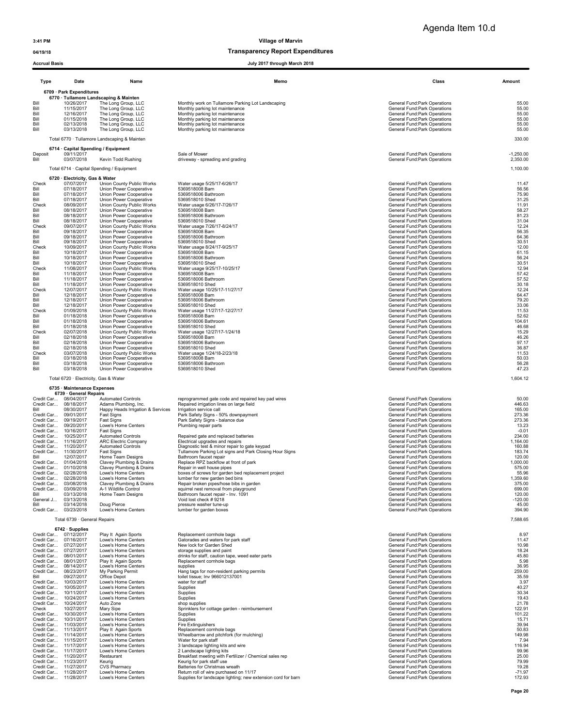3:41 PM Village of Marvin

### 04/19/18 Transparency Report Expenditures

| <b>Type</b>              | Date                                                                 | Name                                                          | Memo                                                         | Class                                                          | Amount         |
|--------------------------|----------------------------------------------------------------------|---------------------------------------------------------------|--------------------------------------------------------------|----------------------------------------------------------------|----------------|
|                          | 6709 · Park Expenditures                                             |                                                               |                                                              |                                                                |                |
| Bill                     | 10/26/2017                                                           | 6770 · Tullamore Landscaping & Mainten<br>The Long Group, LLC | Monthly work on Tullamore Parking Lot Landscaping            | General Fund: Park Operations                                  | 55.00          |
| Bill                     | 11/15/2017                                                           | The Long Group, LLC                                           | Monthly parking lot maintenance                              | General Fund: Park Operations                                  | 55.00          |
| Bill                     | 12/16/2017                                                           | The Long Group, LLC                                           | Monthly parking lot maintenance                              | General Fund: Park Operations                                  | 55.00          |
| Bill                     | 01/15/2018                                                           | The Long Group, LLC                                           | Monthly parking lot maintenance                              | General Fund: Park Operations                                  | 55.00          |
| Bill                     | 02/13/2018                                                           | The Long Group, LLC                                           | Monthly parking lot maintenance                              | General Fund: Park Operations                                  | 55.00          |
| Bill                     | 03/13/2018                                                           | The Long Group, LLC                                           | Monthly parking lot maintenance                              | General Fund: Park Operations                                  | 55.00          |
|                          |                                                                      | Total 6770 · Tullamore Landscaping & Mainten                  |                                                              |                                                                | 330.00         |
|                          | 6714 Capital Spending / Equipment                                    |                                                               |                                                              |                                                                |                |
| Deposit                  | 09/11/2017                                                           | Kevin Todd Rushing                                            | Sale of Mower                                                | General Fund: Park Operations                                  | $-1,250.00$    |
| Bill                     | 03/07/2018                                                           |                                                               | driveway - spreading and grading                             | General Fund: Park Operations                                  | 2,350.00       |
|                          |                                                                      | Total 6714 · Capital Spending / Equipment                     |                                                              |                                                                | 1,100.00       |
|                          | 6720 · Electricity, Gas & Water                                      |                                                               |                                                              |                                                                |                |
| Check                    | 07/07/2017                                                           | Union County Public Works                                     | Water usage 5/25/17-6/26/17                                  | General Fund: Park Operations                                  | 11.47          |
| Bill                     | 07/18/2017                                                           | Union Power Cooperative                                       | 5369518008 Barn                                              | General Fund: Park Operations                                  | 56.56          |
| Bill                     | 07/18/2017                                                           | Union Power Cooperative                                       | 5369518006 Bathroom                                          | General Fund: Park Operations                                  | 75.90          |
| Bill                     | 07/18/2017                                                           | Union Power Cooperative                                       | 5369518010 Shed                                              | General Fund: Park Operations                                  | 31.25          |
| Check                    | 08/09/2017                                                           | Union County Public Works                                     | Water usage 6/26/17-7/26/17                                  | General Fund: Park Operations                                  | 11.91          |
| Bill                     | 08/18/2017                                                           | Union Power Cooperative                                       | 5369518008 Barn                                              | General Fund: Park Operations                                  | 58.27          |
| Bill                     | 08/18/2017                                                           | Union Power Cooperative                                       | 5369518006 Bathroom                                          | General Fund: Park Operations                                  | 81.23          |
| Bill                     | 08/18/2017                                                           | Union Power Cooperative                                       | 5369518010 Shed                                              | General Fund: Park Operations                                  | 31.04          |
| Check                    | 09/07/2017                                                           | Union County Public Works                                     | Water usage 7/26/17-8/24/17                                  | General Fund: Park Operations                                  | 12.24          |
| Bill                     | 09/18/2017                                                           | Union Power Cooperative                                       | 5369518008 Barn                                              | General Fund: Park Operations                                  | 56.35          |
| Bill                     | 09/18/2017                                                           | Union Power Cooperative                                       | 5369518006 Bathroom                                          | General Fund: Park Operations                                  | 64.36          |
| Bill                     | 09/18/2017                                                           | Union Power Cooperative                                       | 5369518010 Shed                                              | General Fund: Park Operations                                  | 30.51          |
| Check                    | 10/09/2017                                                           | Union County Public Works                                     | Water usage 8/24/17-9/25/17<br>5369518008 Barn               | General Fund: Park Operations                                  | 12.00          |
| Bill                     | 10/18/2017                                                           | Union Power Cooperative                                       | 5369518006 Bathroom                                          | General Fund: Park Operations                                  | 61.15          |
| Bill                     | 10/18/2017                                                           | Union Power Cooperative                                       |                                                              | General Fund: Park Operations                                  | 56.24          |
| Bill                     | 10/18/2017                                                           | Union Power Cooperative                                       | 5369518010 Shed                                              | General Fund: Park Operations                                  | 30.51          |
| Check                    | 11/08/2017                                                           | Union County Public Works                                     | Water usage 9/25/17-10/25/17                                 | General Fund: Park Operations                                  | 12.94          |
| Bill                     | 11/18/2017                                                           | Union Power Cooperative                                       | 5369518008 Barn                                              | General Fund: Park Operations                                  | 57.42          |
| Bill                     | 11/18/2017                                                           | Union Power Cooperative                                       | 5369518006 Bathroom                                          | General Fund: Park Operations                                  | 57.52          |
| Bill                     | 11/18/2017                                                           | Union Power Cooperative                                       | 5369518010 Shed                                              | General Fund: Park Operations                                  | 30.18          |
| Check                    | 12/07/2017                                                           | Union County Public Works                                     | Water usage 10/25/17-11/27/17                                | General Fund: Park Operations                                  | 12.24          |
| Bill                     | 12/18/2017                                                           | Union Power Cooperative                                       | 5369518008 Barn                                              | General Fund: Park Operations                                  | 64.47          |
| Bill                     | 12/18/2017                                                           | Union Power Cooperative                                       | 5369518006 Bathroom                                          | General Fund: Park Operations                                  | 79.20          |
| Bill                     | 12/18/2017                                                           | Union Power Cooperative                                       | 5369518010 Shed                                              | General Fund: Park Operations                                  | 33.06          |
| Check                    | 01/09/2018                                                           | Union County Public Works                                     | Water usage 11/27/17-12/27/17                                | General Fund: Park Operations                                  | 11.53          |
| Bill                     | 01/18/2018                                                           | Union Power Cooperative                                       | 5369518008 Barn                                              | General Fund: Park Operations                                  | 52.62          |
| Bill                     | 01/18/2018                                                           | Union Power Cooperative                                       | 5369518006 Bathroom                                          | General Fund: Park Operations                                  | 104.61         |
| Bill                     | 01/18/2018                                                           | Union Power Cooperative                                       | 5369518010 Shed                                              | General Fund: Park Operations                                  | 46.68          |
| Check                    | 02/07/2018                                                           | Union County Public Works                                     | Water usage 12/27/17-1/24/18                                 | General Fund: Park Operations                                  | 15.29          |
| Bill                     | 02/18/2018                                                           | Union Power Cooperative                                       | 5369518008 Barn                                              | General Fund: Park Operations                                  | 46.26          |
| Bill                     | 02/18/2018                                                           | Union Power Cooperative                                       | 5369518006 Bathroom                                          | General Fund: Park Operations                                  | 97.17          |
| Bill                     | 02/18/2018                                                           | Union Power Cooperative                                       | 5369518010 Shed                                              | General Fund: Park Operations                                  | 36.87          |
| Check                    | 03/07/2018                                                           | Union County Public Works                                     | Water usage 1/24/18-2/23/18                                  | General Fund: Park Operations                                  | 11.53          |
| Bill                     | 03/18/2018                                                           | Union Power Cooperative                                       | 5369518008 Barn                                              | General Fund: Park Operations                                  | 50.03          |
| Bill                     | 03/18/2018                                                           | Union Power Cooperative                                       | 5369518006 Bathroom                                          | General Fund: Park Operations                                  | 56.28          |
| Bill                     | 03/18/2018                                                           | Union Power Cooperative                                       | 5369518010 Shed                                              | General Fund: Park Operations                                  | 47.23          |
|                          | Total 6720 · Electricity, Gas & Water<br>6735 · Maintenance Expenses |                                                               |                                                              |                                                                | 1,604.12       |
|                          | 6739 · General Repairs                                               |                                                               |                                                              |                                                                |                |
| Credit Car               | 08/04/2017                                                           | <b>Automated Controls</b>                                     | reprogrammed gate code and repaired key pad wires            | General Fund: Park Operations                                  | 50.00          |
| Credit Car               | 08/18/2017                                                           | Adams Plumbing, Inc.                                          | Repaired irrigation lines on large field                     | General Fund: Park Operations                                  | 446.63         |
| Bill                     | 08/30/2017                                                           | Happy Heads Irrigation & Services                             | Irrigation service call                                      | General Fund: Park Operations                                  | 165.00         |
| Credit Car               | 09/01/2017                                                           | Fast Signs                                                    | Park Safety Signs - 50% downpayment                          | General Fund: Park Operations                                  | 273.36         |
| Credit Car               | 09/19/2017                                                           | Fast Signs                                                    | Park Safety Signs - balance due                              | General Fund: Park Operations                                  | 273.36         |
| Credit Car               | 09/20/2017                                                           | Lowe's Home Centers                                           | Plumbing repair parts                                        | General Fund: Park Operations                                  | 13.23          |
| Credit Car               | 10/16/2017                                                           | Fast Signs                                                    |                                                              | General Fund: Park Operations                                  | $-0.01$        |
| Credit Car               | 10/25/2017                                                           | <b>Automated Controls</b>                                     | Repaired gate and replaced batteries                         | General Fund: Park Operations                                  | 234.00         |
| Credit Car               | 11/16/2017                                                           | ARC Electric Company                                          | Electrical upgrades and repairs                              | General Fund: Park Operations                                  | 1,164.00       |
| Credit Car               | 11/20/2017                                                           | <b>Automated Controls</b>                                     | Diagnostic test & minor repair to gate keypad                | General Fund: Park Operations                                  | 160.88         |
| Credit Car               | 11/30/2017                                                           | Fast Signs                                                    | Tullamore Parking Lot signs and Park Closing Hour Signs      | General Fund: Park Operations                                  | 183.74         |
| Bill                     | 12/07/2017                                                           | Home Team Designs                                             | Bathroom faucet repair                                       | General Fund: Park Operations                                  | 120.00         |
| Credit Car               | 01/04/2018                                                           | Clavey Plumbing & Drains                                      | Replace RPZ backflow at front of park                        | General Fund: Park Operations                                  | 1,000.00       |
| Credit Car 01/10/2018    |                                                                      | Clavey Plumbing & Drains                                      | Repair in well house pipes                                   | General Fund: Park Operations                                  | 575.00         |
| Credit Car 02/28/2018    | 02/28/2018                                                           | Lowe's Home Centers                                           | boxes of screws for garden bed replacement project           | General Fund: Park Operations                                  | 55.96          |
| Credit Car               |                                                                      | Lowe's Home Centers                                           | lumber for new garden bed bins                               | General Fund: Park Operations                                  | 1,359.60       |
| Credit Car               | 03/08/2018                                                           | Clavey Plumbing & Drains                                      | Repair broken pipes/hose bibs in garden                      | General Fund: Park Operations                                  | 375.00         |
| Credit Car               | 03/09/2018                                                           | A-1 Wildlife Control                                          | squirrel nest removal from playground                        | General Fund: Park Operations                                  | 699.00         |
| Bill                     | 03/13/2018                                                           | Home Team Designs                                             | Bathroom faucet repair - Inv. 1091                           | General Fund: Park Operations                                  | 120.00         |
| General J                | 03/13/2018                                                           | Doug Pierce                                                   | Void lost check #9218                                        | General Fund: Park Operations                                  | $-120.00$      |
| Bill                     | 03/14/2018                                                           |                                                               | pressure washer tune-up                                      | General Fund:Park Operations                                   | 45.00          |
| Credit Car               | 03/23/2018                                                           | Lowe's Home Centers                                           | lumber for garden boxes                                      | General Fund: Park Operations                                  | 394.90         |
|                          | Total 6739 · General Repairs                                         |                                                               |                                                              |                                                                | 7,588.65       |
| Credit Car 07/12/2017    | $6742 \cdot$ Supplies                                                | Play It Again Sports                                          | Replacement cornhole bags                                    | General Fund: Park Operations                                  | 8.97           |
| Credit Car               | 07/16/2017                                                           | Lowe's Home Centers                                           | Gatorades and waters for park staff                          | General Fund: Park Operations                                  | 11.47          |
| Credit Car               | 07/27/2017                                                           | Lowe's Home Centers                                           | New lock for Garden Shed                                     | General Fund: Park Operations                                  | 10.98          |
| Credit Car               | 07/27/2017                                                           | Lowe's Home Centers                                           | storage supplies and paint                                   | General Fund:Park Operations                                   | 18.24          |
| Credit Car               | 08/01/2017                                                           | Lowe's Home Centers                                           | drinks for staff, caution tape, weed eater parts             | General Fund: Park Operations                                  | 45.80          |
| Credit Car               | 08/01/2017                                                           | Play It Again Sports                                          | Replacement cornhole bags                                    | General Fund:Park Operations                                   | 5.98           |
| Credit Car               | 08/14/2017                                                           | Lowe's Home Centers                                           | supplies                                                     | General Fund: Park Operations                                  | 36.95          |
| Credit Car               | 08/23/2017                                                           | My Parking Permit                                             | Hang tags for non-resident parking permits                   | General Fund:Park Operations                                   | 259.00         |
| Bill                     | 09/27/2017                                                           | Office Depot                                                  | toilet tissue; Inv 966012137001                              | General Fund: Park Operations                                  | 35.59          |
| Credit Car               | 10/03/2017                                                           | Lowe's Home Centers                                           | water for staff                                              | General Fund: Park Operations                                  | 3.97           |
| Credit Car               | 10/05/2017                                                           | Lowe's Home Centers                                           | Supplies                                                     | General Fund: Park Operations                                  | 40.27          |
| Credit Car               | 10/11/2017<br>10/24/2017                                             | Lowe's Home Centers<br>Lowe's Home Centers                    | Supplies                                                     | General Fund: Park Operations                                  | 30.34<br>19.43 |
| Credit Car<br>Credit Car | 10/24/2017                                                           | Auto Zone                                                     | Supplies<br>shop supplies                                    | General Fund: Park Operations<br>General Fund: Park Operations | 21.78          |
| Check                    | 10/27/2017                                                           | Mary Sipe                                                     | Sprinklers for cottage garden - reimbursement                | General Fund: Park Operations                                  | 122.91         |
| Credit Car               | 10/30/2017                                                           | Lowe's Home Centers                                           | Supplies                                                     | General Fund: Park Operations                                  | 101.22         |
| Credit Car 10/31/2017    |                                                                      | Lowe's Home Centers                                           | Supplies                                                     | General Fund: Park Operations                                  | 15.71          |
| Credit Car 11/03/2017    |                                                                      | Lowe's Home Centers                                           | Fire Extinguishers                                           | General Fund: Park Operations                                  | 39.94          |
| Credit Car 11/13/2017    |                                                                      | Play It Again Sports                                          | Replacement cornhole bags                                    | General Fund:Park Operations                                   | 50.83          |
| Credit Car 11/14/2017    |                                                                      | Lowe's Home Centers                                           | Wheelbarrow and pitchfork (for mulching)                     | General Fund: Park Operations                                  | 149.98         |
| Credit Car 11/15/2017    |                                                                      | Lowe's Home Centers                                           | Water for park staff                                         | General Fund: Park Operations                                  | 7.94           |
| Credit Car 11/17/2017    |                                                                      | Lowe's Home Centers                                           | 3 landscape lighting kits and wire                           | General Fund: Park Operations                                  | 116.94         |
| Credit Car 11/17/2017    |                                                                      | Lowe's Home Centers                                           | 2 Landscape lighting kits                                    | General Fund: Park Operations                                  | 99.96          |
| Credit Car 11/20/2017    |                                                                      | Restaurant                                                    | Breakfast meeting with Fertilizer / Chemical sales rep       | General Fund: Park Operations                                  | 25.00          |
| Credit Car 11/23/2017    |                                                                      | Keurig                                                        | Keurig for park staff use                                    | General Fund: Park Operations                                  | 79.99          |
| Credit Car 11/27/2017    |                                                                      | <b>CVS Pharmacy</b>                                           | Batteries for Christmas wreath                               | General Fund: Park Operations                                  | 19.28          |
| Credit Car 11/28/2017    |                                                                      | Lowe's Home Centers                                           | Return roll of wire purchased on 11/17                       | General Fund: Park Operations                                  | $-71.97$       |
| Credit Car 11/28/2017    |                                                                      | Lowe's Home Centers                                           | Supplies for landscape lighting; new extension cord for barn | General Fund: Park Operations                                  | 172.93         |
|                          |                                                                      |                                                               |                                                              |                                                                |                |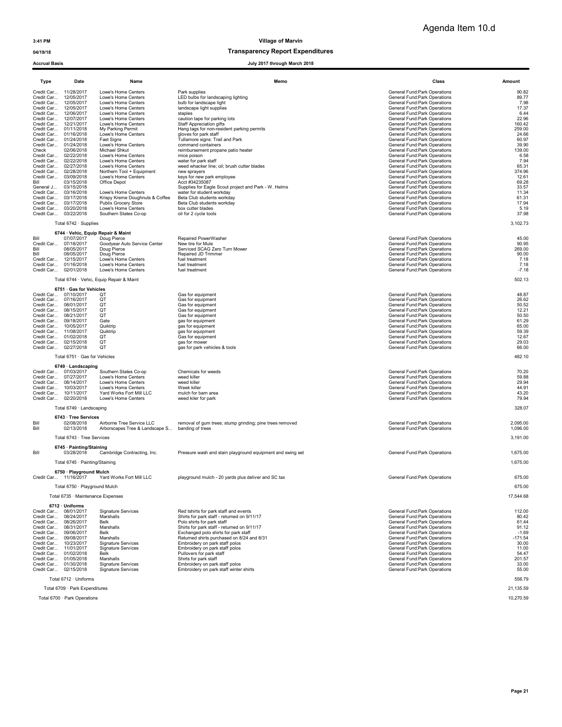# 04/19/18 and 04/19/18 of the control of the control of the Transparency Report Expenditures

| Type                                           | Date                                             | Name                                                   | Memo                                                                      | Class                                                          | Amount          |  |
|------------------------------------------------|--------------------------------------------------|--------------------------------------------------------|---------------------------------------------------------------------------|----------------------------------------------------------------|-----------------|--|
| Credit Car 11/28/2017                          |                                                  | Lowe's Home Centers                                    | Park supplies                                                             | General Fund: Park Operations                                  | 90.82           |  |
| Credit Car 12/05/2017                          |                                                  | Lowe's Home Centers                                    | LED bulbs for landscaping lighting                                        | General Fund: Park Operations                                  | 89.77           |  |
| Credit Car 12/05/2017<br>Credit Car 12/05/2017 |                                                  | Lowe's Home Centers<br>Lowe's Home Centers             | bulb for landscape light<br>landscape light supplies                      | General Fund:Park Operations<br>General Fund: Park Operations  | 7.98<br>17.37   |  |
| Credit Car 12/06/2017                          |                                                  | Lowe's Home Centers                                    | staples                                                                   | General Fund: Park Operations                                  | 6.44            |  |
| Credit Car 12/07/2017                          |                                                  | Lowe's Home Centers                                    | caution tape for parking lots                                             | General Fund: Park Operations                                  | 22.96           |  |
| Credit Car 12/21/2017                          |                                                  | Lowe's Home Centers                                    | <b>Staff Appreciation gifts</b>                                           | General Fund: Park Operations                                  | 160.42          |  |
| Credit Car<br>Credit Car                       | 01/11/2018<br>01/16/2018                         | My Parking Permit<br>Lowe's Home Centers               | Hang tags for non-resident parking permits<br>gloves for park staff       | General Fund:Park Operations<br>General Fund: Park Operations  | 259.00<br>24.66 |  |
| Credit Car                                     | 01/24/2018                                       | <b>Fast Signs</b>                                      | Tullamore signs: Trail and Park                                           | General Fund: Park Operations                                  | 60.97           |  |
| Credit Car                                     | 01/24/2018                                       | Lowe's Home Centers                                    | command containers                                                        | General Fund: Park Operations                                  | 39.90           |  |
| Check                                          | 02/06/2018                                       | Michael Shkut                                          | reimbursement propane patio heater                                        | General Fund: Park Operations                                  | 139.00          |  |
| Credit Car<br>Credit Car 02/22/2018            | 02/22/2018                                       | Lowe's Home Centers<br>Lowe's Home Centers             | mice poison<br>water for park staff                                       | General Fund: Park Operations<br>General Fund:Park Operations  | 6.58<br>7.94    |  |
| Credit Car 02/27/2018                          |                                                  | Lowe's Home Centers                                    | weed whacker line; oil; brush cutter blades                               | General Fund: Park Operations                                  | 65.31           |  |
| Credit Car                                     | 02/28/2018                                       | Northern Tool + Equipment                              | new spravers                                                              | General Fund:Park Operations                                   | 374.96          |  |
| Credit Car                                     | 03/09/2018                                       | Lowe's Home Centers                                    | keys for new park employee                                                | General Fund: Park Operations                                  | 12.61           |  |
| Bill<br>General J                              | 03/15/2018<br>03/15/2018                         | Office Depot                                           | Acct #34235087<br>Supplies for Eagle Scout project and Park - W. Helms    | General Fund:Park Operations<br>General Fund:Park Operations   | 69.28<br>33.57  |  |
| Credit Car                                     | 03/16/2018                                       | Lowe's Home Centers                                    | water for student workday                                                 | General Fund: Park Operations                                  | 11.34           |  |
| Credit Car 03/17/2018                          |                                                  | Krispy Kreme Doughnuts & Coffee                        | Beta Club students workday                                                | General Fund: Park Operations                                  | 61.31           |  |
| Credit Car 03/17/2018                          |                                                  | Publix Grocery Store                                   | Beta Club students workday                                                | General Fund:Park Operations                                   | 17.94           |  |
| Credit Car 03/20/2018<br>Credit Car 03/22/2018 |                                                  | Lowe's Home Centers<br>Southern States Co-op           | box cutter blades<br>oil for 2 cycle tools                                | General Fund:Park Operations<br>General Fund: Park Operations  | 5.19<br>37.98   |  |
|                                                |                                                  |                                                        |                                                                           |                                                                |                 |  |
|                                                | Total 6742 · Supplies                            |                                                        |                                                                           |                                                                | 3,102.73        |  |
| Bill                                           | 6744 · Vehic, Equip Repair & Maint<br>07/07/2017 | Doug Pierce                                            | Repaired PowerWasher                                                      | General Fund: Park Operations                                  | 45.00           |  |
| Credit Car                                     | 07/18/2017                                       | Goodyear Auto Service Center                           | New tire for Mule                                                         | General Fund: Park Operations                                  | 90.95           |  |
| Bill                                           | 08/05/2017                                       | Doug Pierce                                            | Serviced SCAG Zero Turn Mower                                             | General Fund:Park Operations                                   | 269.00          |  |
| Bill                                           | 08/05/2017                                       | Doug Pierce                                            | Repaired JD Trimmer                                                       | General Fund: Park Operations                                  | 90.00           |  |
| Credit Car<br>Credit Car 01/16/2018            | 12/15/2017                                       | Lowe's Home Centers<br>Lowe's Home Centers             | fuel treatment<br>fuel treatment                                          | General Fund: Park Operations<br>General Fund: Park Operations | 7.18<br>7.18    |  |
| Credit Car 02/01/2018                          |                                                  | Lowe's Home Centers                                    | fuel treatment                                                            | General Fund: Park Operations                                  | $-7.18$         |  |
|                                                |                                                  |                                                        |                                                                           |                                                                |                 |  |
|                                                |                                                  | Total 6744 · Vehic, Equip Repair & Maint               |                                                                           |                                                                | 502.13          |  |
| Credit Car 07/10/2017                          | 6751 · Gas for Vehicles                          | QT                                                     | Gas for equipment                                                         | General Fund: Park Operations                                  | 48.87           |  |
| Credit Car 07/16/2017                          |                                                  | OT                                                     | Gas for equipment                                                         | General Fund: Park Operations                                  | 26.62           |  |
| Credit Car 08/01/2017                          |                                                  | QT                                                     | Gas for equipment                                                         | General Fund: Park Operations                                  | 50.52           |  |
| Credit Car 08/15/2017                          |                                                  | QT                                                     | Gas for equipment                                                         | General Fund: Park Operations                                  | 12.21           |  |
| Credit Car 08/21/2017<br>Credit Car 09/18/2017 |                                                  | QT<br>Gate                                             | Gas for equipment<br>gas for equipment                                    | General Fund: Park Operations<br>General Fund:Park Operations  | 50.50<br>61.29  |  |
| Credit Car 10/05/2017                          |                                                  | Quiktrip                                               | gas for equipment                                                         | General Fund:Park Operations                                   | 65.00           |  |
| Credit Car 11/08/2017                          |                                                  | Quiktrip                                               | gas for equipment                                                         | General Fund:Park Operations                                   | 59.39           |  |
| Credit Car 01/02/2018                          |                                                  | QT                                                     | Gas for equipment                                                         | General Fund: Park Operations                                  | 12.67           |  |
| Credit Car 02/15/2018<br>Credit Car 02/27/2018 |                                                  | QT<br>QT                                               | gas for mower<br>gas for park vehicles & tools                            | General Fund:Park Operations<br>General Fund: Park Operations  | 29.03<br>66.00  |  |
|                                                |                                                  |                                                        |                                                                           |                                                                |                 |  |
|                                                | Total 6751 · Gas for Vehicles                    |                                                        |                                                                           |                                                                | 482.10          |  |
| Credit Car 07/03/2017                          | 6749 · Landscaping                               | Southern States Co-op                                  | Chemicals for weeds                                                       | General Fund: Park Operations                                  | 70.20           |  |
| Credit Car 07/27/2017                          |                                                  | Lowe's Home Centers                                    | weed killer                                                               | General Fund: Park Operations                                  | 59.88           |  |
| Credit Car 08/14/2017                          |                                                  | Lowe's Home Centers                                    | weed killer                                                               | General Fund: Park Operations                                  | 29.94           |  |
| Credit Car 10/03/2017                          |                                                  | Lowe's Home Centers                                    | Week killer                                                               | General Fund: Park Operations                                  | 44.91           |  |
| Credit Car 10/11/2017<br>Credit Car 02/20/2018 |                                                  | Yard Works Fort Mill LLC<br>Lowe's Home Centers        | mulch for barn area<br>weed kiler for park                                | General Fund: Park Operations<br>General Fund: Park Operations | 43.20<br>79.94  |  |
|                                                |                                                  |                                                        |                                                                           |                                                                | 328.07          |  |
|                                                | Total 6749 · Landscaping<br>6743 · Tree Services |                                                        |                                                                           |                                                                |                 |  |
| Bill                                           | 02/08/2018                                       | Airborne Tree Service LLC                              | removal of gum trees; stump grinding; pine trees removed                  | General Fund: Park Operations                                  | 2,095.00        |  |
| Bill                                           | 02/13/2018                                       | Arborscapes Tree & Landscape S                         | banding of trees                                                          | General Fund: Park Operations                                  | 1,096.00        |  |
|                                                | Total 6743 · Tree Services                       |                                                        |                                                                           |                                                                | 3,191.00        |  |
| Bill                                           | 6745 · Painting/Staining<br>03/28/2018           | Cambridge Contracting, Inc.                            | Pressure wash and stain playground equipment and swing set                | General Fund: Park Operations                                  | 1,675.00        |  |
|                                                | Total 6745 · Painting/Staining                   |                                                        |                                                                           |                                                                | 1,675.00        |  |
|                                                | 6750 · Playground Mulch                          |                                                        |                                                                           |                                                                |                 |  |
| Credit Car 11/16/2017                          |                                                  | Yard Works Fort Mill LLC                               | playground mulch - 20 yards plus deliver and SC tax                       | General Fund:Park Operations                                   | 675.00          |  |
|                                                | Total 6750 · Playground Mulch                    |                                                        |                                                                           |                                                                | 675.00          |  |
|                                                | Total 6735 · Maintenance Expenses                |                                                        |                                                                           |                                                                | 17,544.68       |  |
|                                                | 6712 · Uniforms                                  |                                                        |                                                                           |                                                                |                 |  |
| Credit Car 08/01/2017<br>Credit Car 08/24/2017 |                                                  | <b>Signature Services</b><br>Marshalls                 | Red tshirts for park staff and events                                     | <b>General Fund:Park Operations</b>                            | 112.00          |  |
| Credit Car 08/26/2017                          |                                                  | Belk                                                   | Shirts for park staff - returned on 9/11/17<br>Polo shirts for park staff | General Fund: Park Operations<br>General Fund: Park Operations | 80.42<br>61.44  |  |
| Credit Car 08/31/2017                          |                                                  | Marshalls                                              | Shirts for park staff - returned on 9/11/17                               | General Fund: Park Operations                                  | 91.12           |  |
| Credit Car 09/06/2017                          |                                                  | Belk                                                   | Exchanged polo shirts for park staff                                      | General Fund:Park Operations                                   | $-1.69$         |  |
| Credit Car 09/08/2017                          |                                                  | Marshalls                                              | Returned shirts purchased on 8/24 and 8/31                                | General Fund: Park Operations                                  | $-171.54$       |  |
| Credit Car 10/23/2017<br>Credit Car 11/01/2017 |                                                  | <b>Signature Services</b><br><b>Signature Services</b> | Embroidery on park staff polos<br>Embroidery on park staff polos          | General Fund:Park Operations<br>General Fund:Park Operations   | 30.00<br>11.00  |  |
| Credit Car 01/02/2018                          |                                                  | Belk                                                   | Pullovers for park staff                                                  | General Fund:Park Operations                                   | 54.47           |  |
| Credit Car 01/05/2018                          |                                                  | Marshalls                                              | Shirts for park staff                                                     | General Fund:Park Operations                                   | 201.57          |  |
| Credit Car 01/30/2018                          |                                                  | <b>Signature Services</b>                              | Embroidery on park staff polos                                            | General Fund:Park Operations                                   | 33.00           |  |
| Credit Car 02/15/2018                          |                                                  | <b>Signature Services</b>                              | Embroidery on park staff winter shirts                                    | General Fund:Park Operations                                   | 55.00           |  |
|                                                | Total 6712 · Uniforms<br>556.79                  |                                                        |                                                                           |                                                                |                 |  |
|                                                | Total 6709 · Park Expenditures<br>21.135.59      |                                                        |                                                                           |                                                                |                 |  |